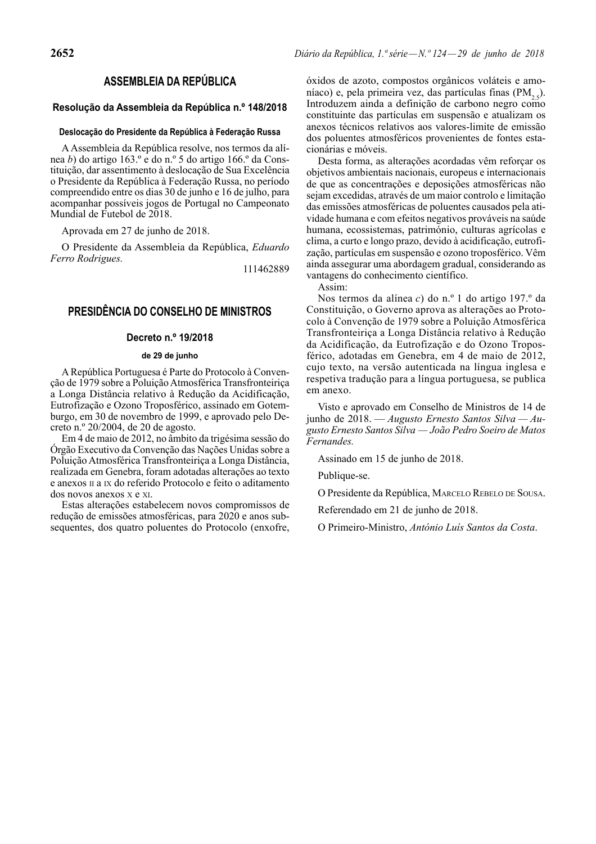# **ASSEMBLEIA DA REPÚBLICA**

### **Resolução da Assembleia da República n.º 148/2018**

#### **Deslocação do Presidente da República à Federação Russa**

A Assembleia da República resolve, nos termos da alínea *b*) do artigo 163.º e do n.º 5 do artigo 166.º da Constituição, dar assentimento à deslocação de Sua Excelência o Presidente da República à Federação Russa, no período compreendido entre os dias 30 de junho e 16 de julho, para acompanhar possíveis jogos de Portugal no Campeonato Mundial de Futebol de 2018.

Aprovada em 27 de junho de 2018.

O Presidente da Assembleia da República, *Eduardo Ferro Rodrigues.*

111462889

## **PRESIDÊNCIA DO CONSELHO DE MINISTROS**

### **Decreto n.º 19/2018**

### **de 29 de junho**

A República Portuguesa é Parte do Protocolo à Convenção de 1979 sobre a Poluição Atmosférica Transfronteiriça a Longa Distância relativo à Redução da Acidificação, Eutrofização e Ozono Troposférico, assinado em Gotemburgo, em 30 de novembro de 1999, e aprovado pelo Decreto n.º 20/2004, de 20 de agosto.

Em 4 de maio de 2012, no âmbito da trigésima sessão do Órgão Executivo da Convenção das Nações Unidas sobre a Poluição Atmosférica Transfronteiriça a Longa Distância, realizada em Genebra, foram adotadas alterações ao texto e anexos II a IX do referido Protocolo e feito o aditamento dos novos anexos X e XI.

Estas alterações estabelecem novos compromissos de redução de emissões atmosféricas, para 2020 e anos subsequentes, dos quatro poluentes do Protocolo (enxofre, óxidos de azoto, compostos orgânicos voláteis e amoníaco) e, pela primeira vez, das partículas finas  $(PM_{2.5})$ . Introduzem ainda a definição de carbono negro como constituinte das partículas em suspensão e atualizam os anexos técnicos relativos aos valores -limite de emissão dos poluentes atmosféricos provenientes de fontes estacionárias e móveis.

Desta forma, as alterações acordadas vêm reforçar os objetivos ambientais nacionais, europeus e internacionais de que as concentrações e deposições atmosféricas não sejam excedidas, através de um maior controlo e limitação das emissões atmosféricas de poluentes causados pela atividade humana e com efeitos negativos prováveis na saúde humana, ecossistemas, património, culturas agrícolas e clima, a curto e longo prazo, devido à acidificação, eutrofização, partículas em suspensão e ozono troposférico. Vêm ainda assegurar uma abordagem gradual, considerando as vantagens do conhecimento científico.

Assim:

Nos termos da alínea *c*) do n.º 1 do artigo 197.º da Constituição, o Governo aprova as alterações ao Protocolo à Convenção de 1979 sobre a Poluição Atmosférica Transfronteiriça a Longa Distância relativo à Redução da Acidificação, da Eutrofização e do Ozono Troposférico, adotadas em Genebra, em 4 de maio de 2012, cujo texto, na versão autenticada na língua inglesa e respetiva tradução para a língua portuguesa, se publica em anexo.

Visto e aprovado em Conselho de Ministros de 14 de junho de 2018. — *Augusto Ernesto Santos Silva — Augusto Ernesto Santos Silva — João Pedro Soeiro de Matos Fernandes.*

Assinado em 15 de junho de 2018.

Publique-se.

O Presidente da República, MARCELO REBELO DE SOUSA.

Referendado em 21 de junho de 2018.

O Primeiro -Ministro, *António Luís Santos da Costa*.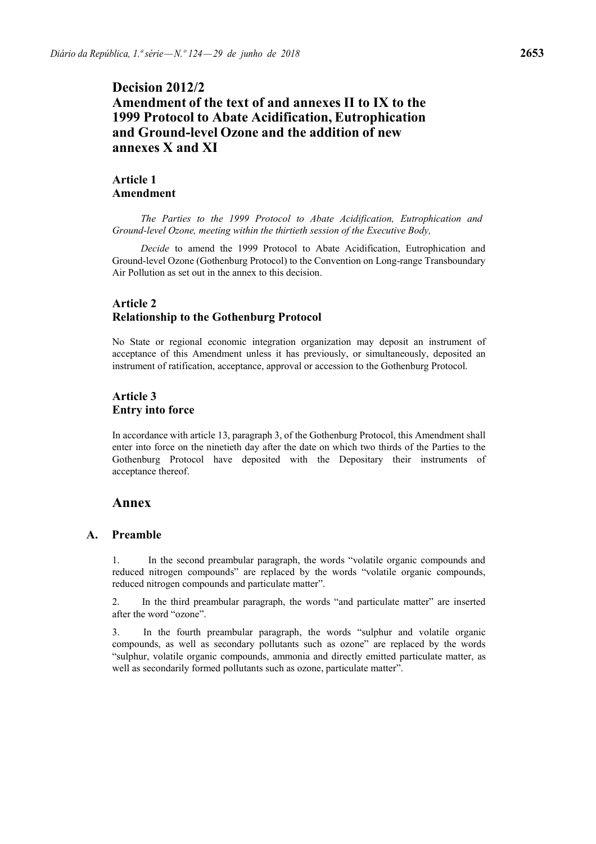# **Decision 2012/2 Amendment of the text of and annexes II to IX to the 1999 Protocol to Abate Acidification, Eutrophication and Ground-level Ozone and the addition of new annexes X and XI**

# **Article 1 Amendment**

*The Parties to the 1999 Protocol to Abate Acidification, Eutrophication and Ground-level Ozone, meeting within the thirtieth session of the Executive Body,*

*Decide* to amend the 1999 Protocol to Abate Acidification, Eutrophication and Ground-level Ozone (Gothenburg Protocol) to the Convention on Long-range Transboundary Air Pollution as set out in the annex to this decision.

# **Article 2 Relationship to the Gothenburg Protocol**

No State or regional economic integration organization may deposit an instrument of acceptance of this Amendment unless it has previously, or simultaneously, deposited an instrument of ratification, acceptance, approval or accession to the Gothenburg Protocol.

# **Article 3 Entry into force**

In accordance with article 13, paragraph 3, of the Gothenburg Protocol, this Amendment shall enter into force on the ninetieth day after the date on which two thirds of the Parties to the Gothenburg Protocol have deposited with the Depositary their instruments of acceptance thereof.

# **Annex**

## **A. Preamble**

1. In the second preambular paragraph, the words "volatile organic compounds and reduced nitrogen compounds" are replaced by the words "volatile organic compounds, reduced nitrogen compounds and particulate matter".

2. In the third preambular paragraph, the words "and particulate matter" are inserted after the word "ozone".

3. In the fourth preambular paragraph, the words "sulphur and volatile organic compounds, as well as secondary pollutants such as ozone" are replaced by the words "sulphur, volatile organic compounds, ammonia and directly emitted particulate matter, as well as secondarily formed pollutants such as ozone, particulate matter".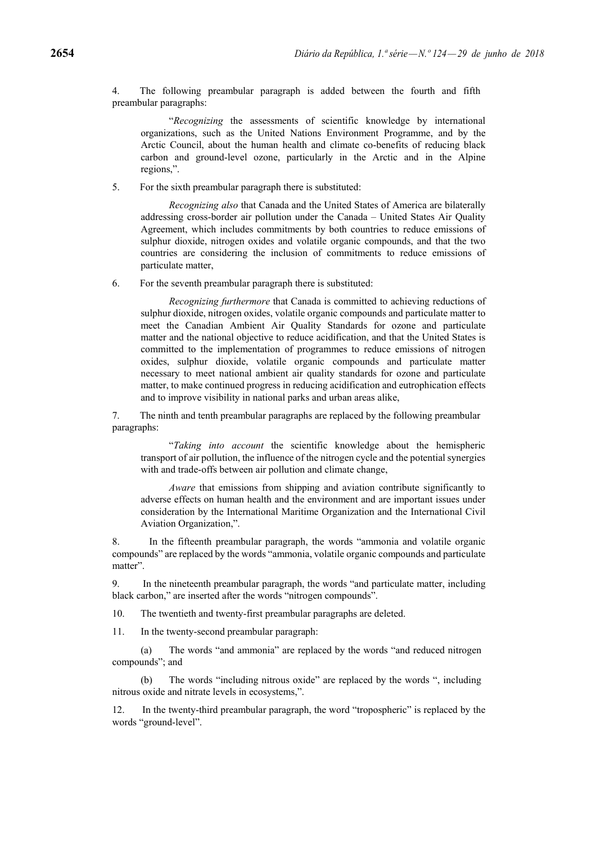4. The following preambular paragraph is added between the fourth and fifth preambular paragraphs:

"*Recognizing* the assessments of scientific knowledge by international organizations, such as the United Nations Environment Programme, and by the Arctic Council, about the human health and climate co-benefits of reducing black carbon and ground-level ozone, particularly in the Arctic and in the Alpine regions,".

5. For the sixth preambular paragraph there is substituted:

*Recognizing also* that Canada and the United States of America are bilaterally addressing cross-border air pollution under the Canada – United States Air Quality Agreement, which includes commitments by both countries to reduce emissions of sulphur dioxide, nitrogen oxides and volatile organic compounds, and that the two countries are considering the inclusion of commitments to reduce emissions of particulate matter,

6. For the seventh preambular paragraph there is substituted:

*Recognizing furthermore* that Canada is committed to achieving reductions of sulphur dioxide, nitrogen oxides, volatile organic compounds and particulate matter to meet the Canadian Ambient Air Quality Standards for ozone and particulate matter and the national objective to reduce acidification, and that the United States is committed to the implementation of programmes to reduce emissions of nitrogen oxides, sulphur dioxide, volatile organic compounds and particulate matter necessary to meet national ambient air quality standards for ozone and particulate matter, to make continued progress in reducing acidification and eutrophication effects and to improve visibility in national parks and urban areas alike,

7. The ninth and tenth preambular paragraphs are replaced by the following preambular paragraphs:

"*Taking into account* the scientific knowledge about the hemispheric transport of air pollution, the influence of the nitrogen cycle and the potential synergies with and trade-offs between air pollution and climate change.

*Aware* that emissions from shipping and aviation contribute significantly to adverse effects on human health and the environment and are important issues under consideration by the International Maritime Organization and the International Civil Aviation Organization,".

8. In the fifteenth preambular paragraph, the words "ammonia and volatile organic compounds" are replaced by the words "ammonia, volatile organic compounds and particulate matter".

9. In the nineteenth preambular paragraph, the words "and particulate matter, including black carbon," are inserted after the words "nitrogen compounds".

10. The twentieth and twenty-first preambular paragraphs are deleted.

11. In the twenty-second preambular paragraph:

(a) The words "and ammonia" are replaced by the words "and reduced nitrogen compounds"; and

(b) The words "including nitrous oxide" are replaced by the words ", including nitrous oxide and nitrate levels in ecosystems,".

12. In the twenty-third preambular paragraph, the word "tropospheric" is replaced by the words "ground-level".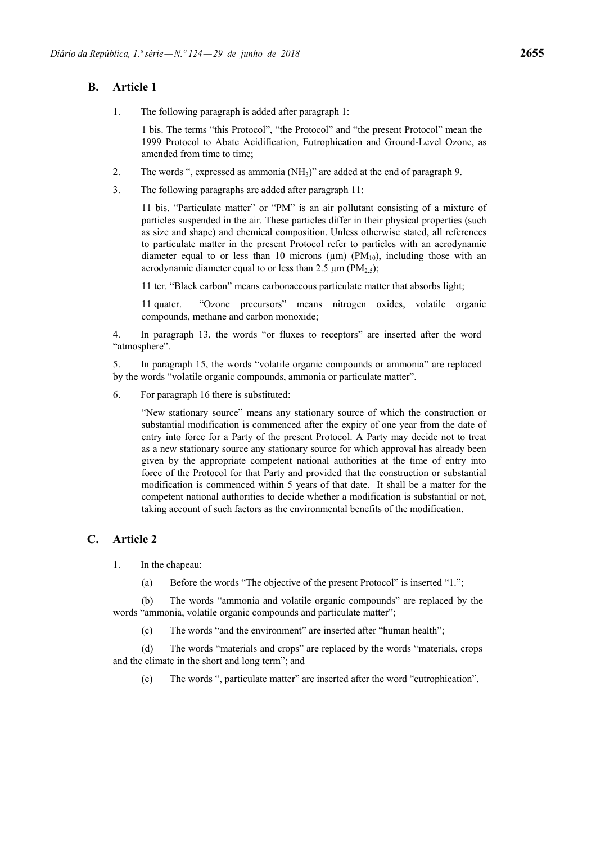# **B. Article 1**

1. The following paragraph is added after paragraph 1:

1 bis. The terms "this Protocol", "the Protocol" and "the present Protocol" mean the 1999 Protocol to Abate Acidification, Eutrophication and Ground-Level Ozone, as amended from time to time;

- 2. The words ", expressed as ammonia  $(NH<sub>3</sub>)$ " are added at the end of paragraph 9.
- 3. The following paragraphs are added after paragraph 11:

11 bis. "Particulate matter" or "PM" is an air pollutant consisting of a mixture of particles suspended in the air. These particles differ in their physical properties (such as size and shape) and chemical composition. Unless otherwise stated, all references to particulate matter in the present Protocol refer to particles with an aerodynamic diameter equal to or less than 10 microns ( $\mu$ m) ( $PM_{10}$ ), including those with an aerodynamic diameter equal to or less than 2.5  $\mu$ m (PM<sub>2.5</sub>);

11 ter. "Black carbon" means carbonaceous particulate matter that absorbs light;

11 quater. "Ozone precursors" means nitrogen oxides, volatile organic compounds, methane and carbon monoxide;

4. In paragraph 13, the words "or fluxes to receptors" are inserted after the word "atmosphere".

5. In paragraph 15, the words "volatile organic compounds or ammonia" are replaced by the words "volatile organic compounds, ammonia or particulate matter".

6. For paragraph 16 there is substituted:

"New stationary source" means any stationary source of which the construction or substantial modification is commenced after the expiry of one year from the date of entry into force for a Party of the present Protocol. A Party may decide not to treat as a new stationary source any stationary source for which approval has already been given by the appropriate competent national authorities at the time of entry into force of the Protocol for that Party and provided that the construction or substantial modification is commenced within 5 years of that date. It shall be a matter for the competent national authorities to decide whether a modification is substantial or not, taking account of such factors as the environmental benefits of the modification.

## **C. Article 2**

- 1. In the chapeau:
	- (a) Before the words "The objective of the present Protocol" is inserted "1.";

(b) The words "ammonia and volatile organic compounds" are replaced by the words "ammonia, volatile organic compounds and particulate matter";

(c) The words "and the environment" are inserted after "human health";

(d) The words "materials and crops" are replaced by the words "materials, crops and the climate in the short and long term"; and

(e) The words ", particulate matter" are inserted after the word "eutrophication".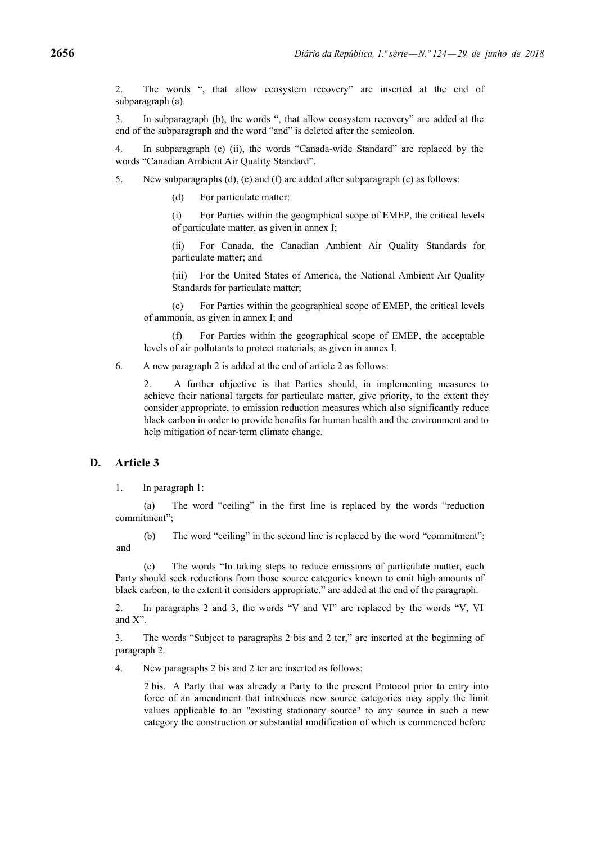2. The words ", that allow ecosystem recovery" are inserted at the end of subparagraph (a).

3. In subparagraph (b), the words ", that allow ecosystem recovery" are added at the end of the subparagraph and the word "and" is deleted after the semicolon.

4. In subparagraph (c) (ii), the words "Canada-wide Standard" are replaced by the words "Canadian Ambient Air Quality Standard".

- 5. New subparagraphs (d), (e) and (f) are added after subparagraph (c) as follows:
	- (d) For particulate matter:

(i) For Parties within the geographical scope of EMEP, the critical levels of particulate matter, as given in annex I;

(ii) For Canada, the Canadian Ambient Air Quality Standards for particulate matter; and

(iii) For the United States of America, the National Ambient Air Quality Standards for particulate matter;

(e) For Parties within the geographical scope of EMEP, the critical levels of ammonia, as given in annex I; and

(f) For Parties within the geographical scope of EMEP, the acceptable levels of air pollutants to protect materials, as given in annex I.

6. A new paragraph 2 is added at the end of article 2 as follows:

2. A further objective is that Parties should, in implementing measures to achieve their national targets for particulate matter, give priority, to the extent they consider appropriate, to emission reduction measures which also significantly reduce black carbon in order to provide benefits for human health and the environment and to help mitigation of near-term climate change.

## **D. Article 3**

1. In paragraph 1:

(a) The word "ceiling" in the first line is replaced by the words "reduction commitment";

(b) The word "ceiling" in the second line is replaced by the word "commitment"; and

(c) The words "In taking steps to reduce emissions of particulate matter, each Party should seek reductions from those source categories known to emit high amounts of black carbon, to the extent it considers appropriate." are added at the end of the paragraph.

2. In paragraphs 2 and 3, the words "V and VI" are replaced by the words "V, VI and X".

3. The words "Subject to paragraphs 2 bis and 2 ter," are inserted at the beginning of paragraph 2.

4. New paragraphs 2 bis and 2 ter are inserted as follows:

2 bis. A Party that was already a Party to the present Protocol prior to entry into force of an amendment that introduces new source categories may apply the limit values applicable to an "existing stationary source" to any source in such a new category the construction or substantial modification of which is commenced before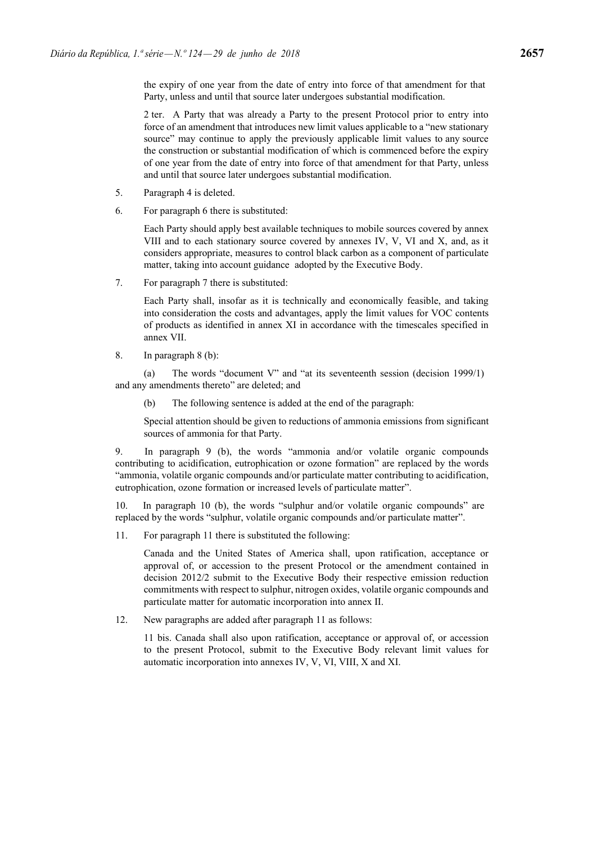2 ter. A Party that was already a Party to the present Protocol prior to entry into force of an amendment that introduces new limit values applicable to a "new stationary source" may continue to apply the previously applicable limit values to any source the construction or substantial modification of which is commenced before the expiry of one year from the date of entry into force of that amendment for that Party, unless and until that source later undergoes substantial modification.

- 5. Paragraph 4 is deleted.
- 6. For paragraph 6 there is substituted:

Each Party should apply best available techniques to mobile sources covered by annex VIII and to each stationary source covered by annexes IV, V, VI and X, and, as it considers appropriate, measures to control black carbon as a component of particulate matter, taking into account guidance adopted by the Executive Body.

7. For paragraph 7 there is substituted:

Each Party shall, insofar as it is technically and economically feasible, and taking into consideration the costs and advantages, apply the limit values for VOC contents of products as identified in annex XI in accordance with the timescales specified in annex VII.

8. In paragraph 8 (b):

(a) The words "document V" and "at its seventeenth session (decision 1999/1) and any amendments thereto" are deleted; and

(b) The following sentence is added at the end of the paragraph:

Special attention should be given to reductions of ammonia emissions from significant sources of ammonia for that Party.

9. In paragraph 9 (b), the words "ammonia and/or volatile organic compounds contributing to acidification, eutrophication or ozone formation" are replaced by the words "ammonia, volatile organic compounds and/or particulate matter contributing to acidification, eutrophication, ozone formation or increased levels of particulate matter".

10. In paragraph 10 (b), the words "sulphur and/or volatile organic compounds" are replaced by the words "sulphur, volatile organic compounds and/or particulate matter".

11. For paragraph 11 there is substituted the following:

Canada and the United States of America shall, upon ratification, acceptance or approval of, or accession to the present Protocol or the amendment contained in decision 2012/2 submit to the Executive Body their respective emission reduction commitments with respect to sulphur, nitrogen oxides, volatile organic compounds and particulate matter for automatic incorporation into annex II.

12. New paragraphs are added after paragraph 11 as follows:

11 bis. Canada shall also upon ratification, acceptance or approval of, or accession to the present Protocol, submit to the Executive Body relevant limit values for automatic incorporation into annexes IV, V, VI, VIII, X and XI.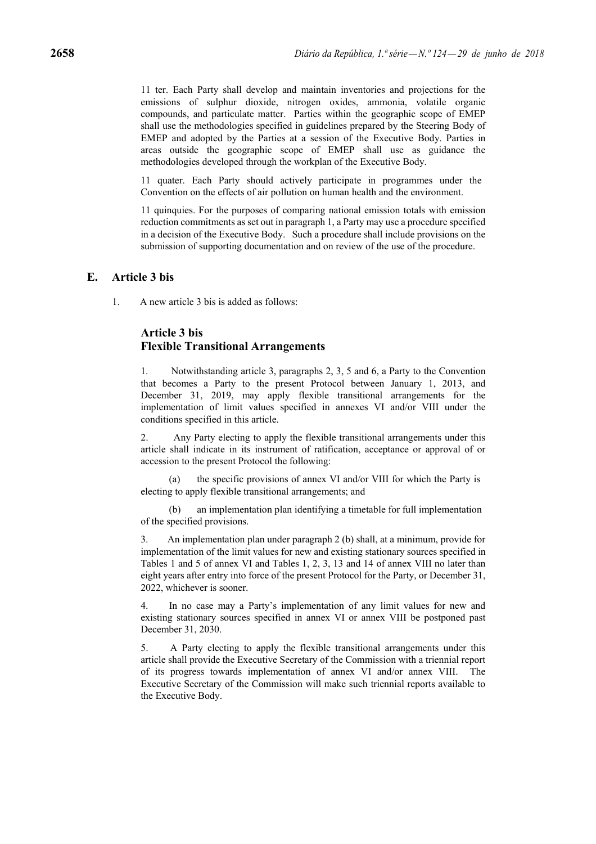11 ter. Each Party shall develop and maintain inventories and projections for the emissions of sulphur dioxide, nitrogen oxides, ammonia, volatile organic compounds, and particulate matter. Parties within the geographic scope of EMEP shall use the methodologies specified in guidelines prepared by the Steering Body of EMEP and adopted by the Parties at a session of the Executive Body. Parties in areas outside the geographic scope of EMEP shall use as guidance the methodologies developed through the workplan of the Executive Body.

11 quater. Each Party should actively participate in programmes under the Convention on the effects of air pollution on human health and the environment.

11 quinquies. For the purposes of comparing national emission totals with emission reduction commitments as set out in paragraph 1, a Party may use a procedure specified in a decision of the Executive Body. Such a procedure shall include provisions on the submission of supporting documentation and on review of the use of the procedure.

## **E. Article 3 bis**

1. A new article 3 bis is added as follows:

## **Article 3 bis Flexible Transitional Arrangements**

1. Notwithstanding article 3, paragraphs 2, 3, 5 and 6, a Party to the Convention that becomes a Party to the present Protocol between January 1, 2013, and December 31, 2019, may apply flexible transitional arrangements for the implementation of limit values specified in annexes VI and/or VIII under the conditions specified in this article.

2. Any Party electing to apply the flexible transitional arrangements under this article shall indicate in its instrument of ratification, acceptance or approval of or accession to the present Protocol the following:

(a) the specific provisions of annex VI and/or VIII for which the Party is electing to apply flexible transitional arrangements; and

(b) an implementation plan identifying a timetable for full implementation of the specified provisions.

3. An implementation plan under paragraph 2 (b) shall, at a minimum, provide for implementation of the limit values for new and existing stationary sources specified in Tables 1 and 5 of annex VI and Tables 1, 2, 3, 13 and 14 of annex VIII no later than eight years after entry into force of the present Protocol for the Party, or December 31, 2022, whichever is sooner.

4. In no case may a Party's implementation of any limit values for new and existing stationary sources specified in annex VI or annex VIII be postponed past December 31, 2030.

5. A Party electing to apply the flexible transitional arrangements under this article shall provide the Executive Secretary of the Commission with a triennial report of its progress towards implementation of annex VI and/or annex VIII. The Executive Secretary of the Commission will make such triennial reports available to the Executive Body.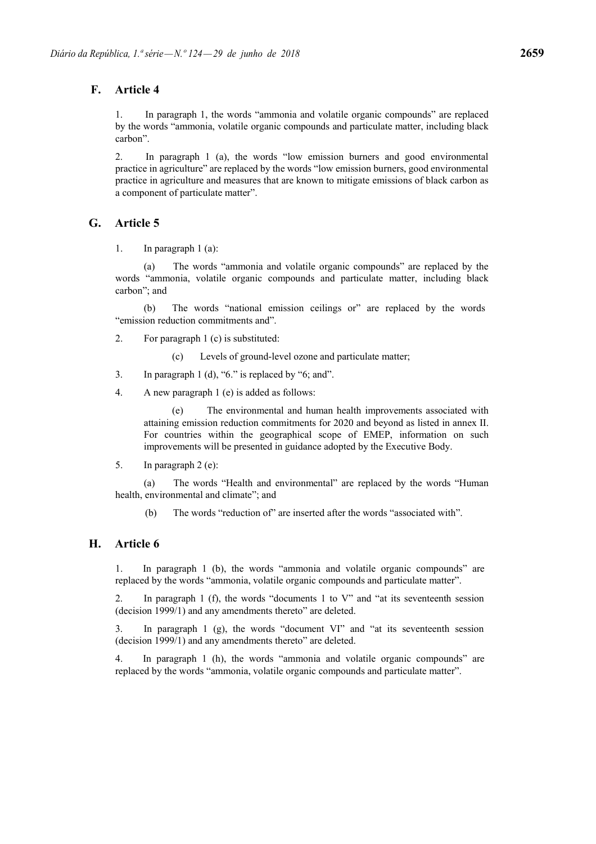# **F. Article 4**

1. In paragraph 1, the words "ammonia and volatile organic compounds" are replaced by the words "ammonia, volatile organic compounds and particulate matter, including black carbon".

2. In paragraph 1 (a), the words "low emission burners and good environmental practice in agriculture" are replaced by the words "low emission burners, good environmental practice in agriculture and measures that are known to mitigate emissions of black carbon as a component of particulate matter".

# **G. Article 5**

1. In paragraph 1 (a):

(a) The words "ammonia and volatile organic compounds" are replaced by the words "ammonia, volatile organic compounds and particulate matter, including black carbon"; and

(b) The words "national emission ceilings or" are replaced by the words "emission reduction commitments and".

- 2. For paragraph 1 (c) is substituted:
	- (c) Levels of ground-level ozone and particulate matter;
- 3. In paragraph 1 (d), "6." is replaced by "6; and".
- 4. A new paragraph 1 (e) is added as follows:

(e) The environmental and human health improvements associated with attaining emission reduction commitments for 2020 and beyond as listed in annex II. For countries within the geographical scope of EMEP, information on such improvements will be presented in guidance adopted by the Executive Body.

5. In paragraph 2 (e):

(a) The words "Health and environmental" are replaced by the words "Human health, environmental and climate"; and

(b) The words "reduction of" are inserted after the words "associated with".

# **H. Article 6**

1. In paragraph 1 (b), the words "ammonia and volatile organic compounds" are replaced by the words "ammonia, volatile organic compounds and particulate matter".

2. In paragraph 1 (f), the words "documents 1 to V" and "at its seventeenth session (decision 1999/1) and any amendments thereto" are deleted.

3. In paragraph 1 (g), the words "document VI" and "at its seventeenth session (decision 1999/1) and any amendments thereto" are deleted.

4. In paragraph 1 (h), the words "ammonia and volatile organic compounds" are replaced by the words "ammonia, volatile organic compounds and particulate matter".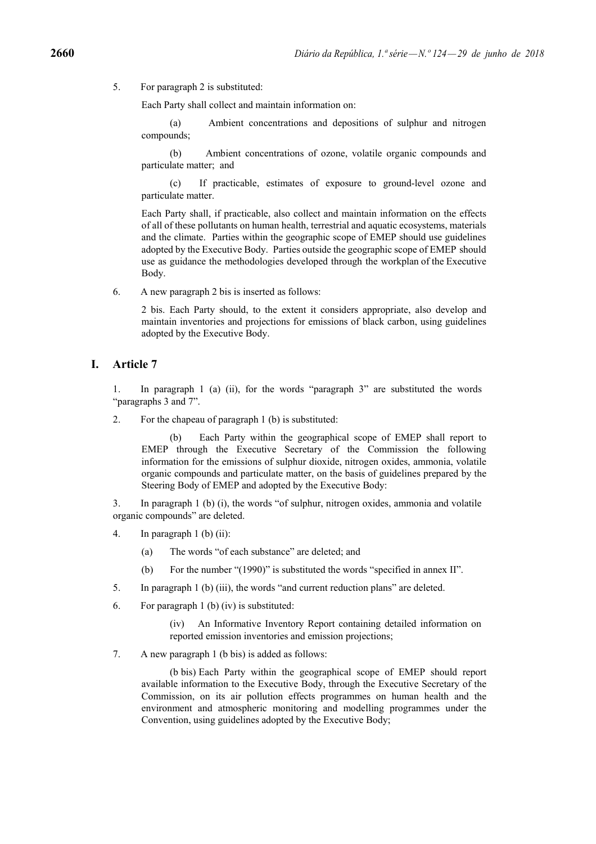5. For paragraph 2 is substituted:

Each Party shall collect and maintain information on:

(a) Ambient concentrations and depositions of sulphur and nitrogen compounds;

(b) Ambient concentrations of ozone, volatile organic compounds and particulate matter; and

(c) If practicable, estimates of exposure to ground-level ozone and particulate matter.

Each Party shall, if practicable, also collect and maintain information on the effects of all of these pollutants on human health, terrestrial and aquatic ecosystems, materials and the climate. Parties within the geographic scope of EMEP should use guidelines adopted by the Executive Body. Parties outside the geographic scope of EMEP should use as guidance the methodologies developed through the workplan of the Executive Body.

6. A new paragraph 2 bis is inserted as follows:

2 bis. Each Party should, to the extent it considers appropriate, also develop and maintain inventories and projections for emissions of black carbon, using guidelines adopted by the Executive Body.

### **I. Article 7**

1. In paragraph 1 (a) (ii), for the words "paragraph 3" are substituted the words "paragraphs 3 and 7".

2. For the chapeau of paragraph 1 (b) is substituted:

Each Party within the geographical scope of EMEP shall report to EMEP through the Executive Secretary of the Commission the following information for the emissions of sulphur dioxide, nitrogen oxides, ammonia, volatile organic compounds and particulate matter, on the basis of guidelines prepared by the Steering Body of EMEP and adopted by the Executive Body:

3. In paragraph 1 (b) (i), the words "of sulphur, nitrogen oxides, ammonia and volatile organic compounds" are deleted.

- 4. In paragraph 1 (b) (ii):
	- (a) The words "of each substance" are deleted; and
	- (b) For the number "(1990)" is substituted the words "specified in annex II".
- 5. In paragraph 1 (b) (iii), the words "and current reduction plans" are deleted.
- 6. For paragraph 1 (b) (iv) is substituted:

(iv) An Informative Inventory Report containing detailed information on reported emission inventories and emission projections;

7. A new paragraph 1 (b bis) is added as follows:

(b bis) Each Party within the geographical scope of EMEP should report available information to the Executive Body, through the Executive Secretary of the Commission, on its air pollution effects programmes on human health and the environment and atmospheric monitoring and modelling programmes under the Convention, using guidelines adopted by the Executive Body;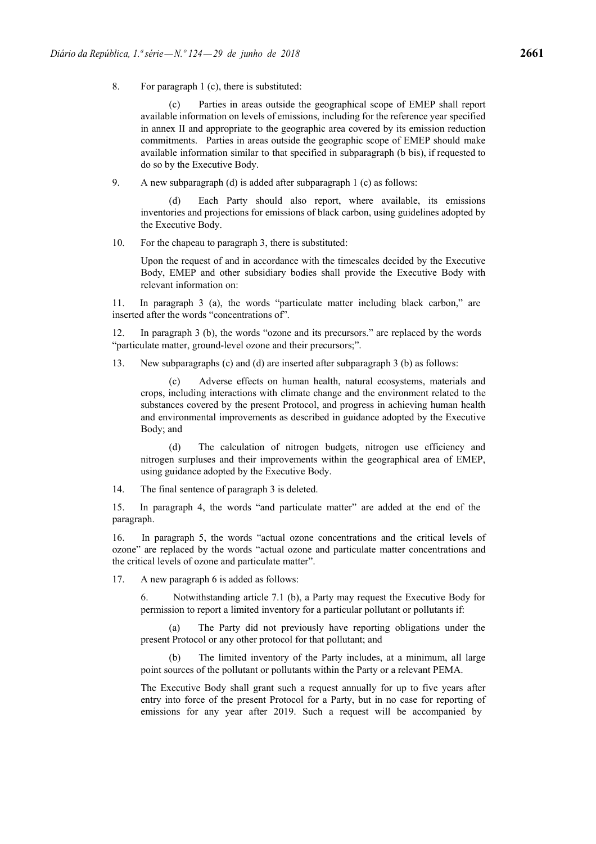8. For paragraph 1 (c), there is substituted:

(c) Parties in areas outside the geographical scope of EMEP shall report available information on levels of emissions, including for the reference year specified in annex II and appropriate to the geographic area covered by its emission reduction commitments. Parties in areas outside the geographic scope of EMEP should make available information similar to that specified in subparagraph (b bis), if requested to do so by the Executive Body.

9. A new subparagraph (d) is added after subparagraph 1 (c) as follows:

Each Party should also report, where available, its emissions inventories and projections for emissions of black carbon, using guidelines adopted by the Executive Body.

10. For the chapeau to paragraph 3, there is substituted:

Upon the request of and in accordance with the timescales decided by the Executive Body, EMEP and other subsidiary bodies shall provide the Executive Body with relevant information on:

11. In paragraph 3 (a), the words "particulate matter including black carbon," are inserted after the words "concentrations of".

12. In paragraph 3 (b), the words "ozone and its precursors." are replaced by the words "particulate matter, ground-level ozone and their precursors;".

13. New subparagraphs (c) and (d) are inserted after subparagraph 3 (b) as follows:

(c) Adverse effects on human health, natural ecosystems, materials and crops, including interactions with climate change and the environment related to the substances covered by the present Protocol, and progress in achieving human health and environmental improvements as described in guidance adopted by the Executive Body; and

(d) The calculation of nitrogen budgets, nitrogen use efficiency and nitrogen surpluses and their improvements within the geographical area of EMEP, using guidance adopted by the Executive Body.

14. The final sentence of paragraph 3 is deleted.

15. In paragraph 4, the words "and particulate matter" are added at the end of the paragraph.

16. In paragraph 5, the words "actual ozone concentrations and the critical levels of ozone" are replaced by the words "actual ozone and particulate matter concentrations and the critical levels of ozone and particulate matter".

17. A new paragraph 6 is added as follows:

6. Notwithstanding article 7.1 (b), a Party may request the Executive Body for permission to report a limited inventory for a particular pollutant or pollutants if:

(a) The Party did not previously have reporting obligations under the present Protocol or any other protocol for that pollutant; and

(b) The limited inventory of the Party includes, at a minimum, all large point sources of the pollutant or pollutants within the Party or a relevant PEMA.

The Executive Body shall grant such a request annually for up to five years after entry into force of the present Protocol for a Party, but in no case for reporting of emissions for any year after 2019. Such a request will be accompanied by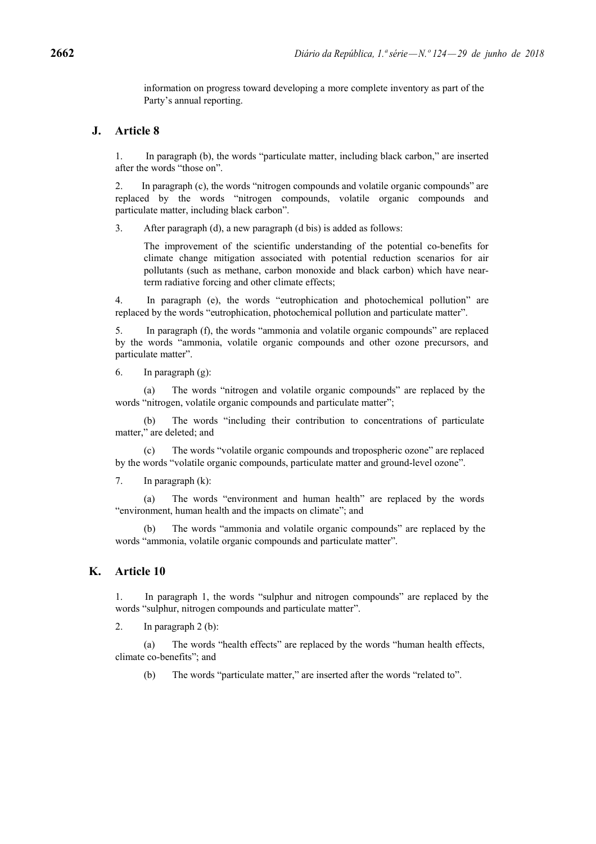information on progress toward developing a more complete inventory as part of the Party's annual reporting.

## **J. Article 8**

1. In paragraph (b), the words "particulate matter, including black carbon," are inserted after the words "those on".

2. In paragraph (c), the words "nitrogen compounds and volatile organic compounds" are replaced by the words "nitrogen compounds, volatile organic compounds and particulate matter, including black carbon".

3. After paragraph (d), a new paragraph (d bis) is added as follows:

The improvement of the scientific understanding of the potential co-benefits for climate change mitigation associated with potential reduction scenarios for air pollutants (such as methane, carbon monoxide and black carbon) which have nearterm radiative forcing and other climate effects;

4. In paragraph (e), the words "eutrophication and photochemical pollution" are replaced by the words "eutrophication, photochemical pollution and particulate matter".

5. In paragraph (f), the words "ammonia and volatile organic compounds" are replaced by the words "ammonia, volatile organic compounds and other ozone precursors, and particulate matter".

6. In paragraph (g):

The words "nitrogen and volatile organic compounds" are replaced by the words "nitrogen, volatile organic compounds and particulate matter";

(b) The words "including their contribution to concentrations of particulate matter," are deleted; and

(c) The words "volatile organic compounds and tropospheric ozone" are replaced by the words "volatile organic compounds, particulate matter and ground-level ozone".

7. In paragraph (k):

(a) The words "environment and human health" are replaced by the words "environment, human health and the impacts on climate"; and

(b) The words "ammonia and volatile organic compounds" are replaced by the words "ammonia, volatile organic compounds and particulate matter".

## **K. Article 10**

1. In paragraph 1, the words "sulphur and nitrogen compounds" are replaced by the words "sulphur, nitrogen compounds and particulate matter".

2. In paragraph 2 (b):

(a) The words "health effects" are replaced by the words "human health effects, climate co-benefits"; and

(b) The words "particulate matter," are inserted after the words "related to".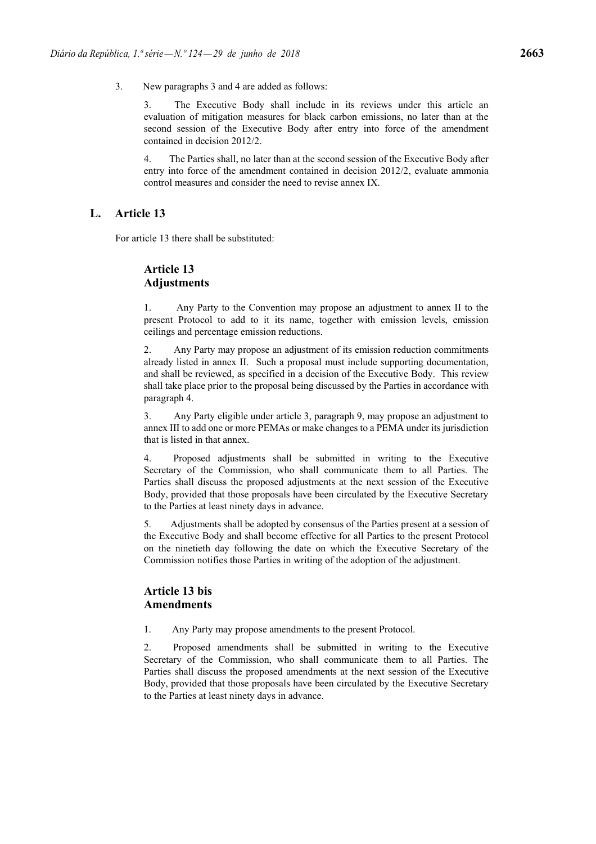3. New paragraphs 3 and 4 are added as follows:

3. The Executive Body shall include in its reviews under this article an evaluation of mitigation measures for black carbon emissions, no later than at the second session of the Executive Body after entry into force of the amendment contained in decision 2012/2.

4. The Parties shall, no later than at the second session of the Executive Body after entry into force of the amendment contained in decision 2012/2, evaluate ammonia control measures and consider the need to revise annex IX.

## **L. Article 13**

For article 13 there shall be substituted:

# **Article 13 Adjustments**

1. Any Party to the Convention may propose an adjustment to annex II to the present Protocol to add to it its name, together with emission levels, emission ceilings and percentage emission reductions.

2. Any Party may propose an adjustment of its emission reduction commitments already listed in annex II. Such a proposal must include supporting documentation, and shall be reviewed, as specified in a decision of the Executive Body. This review shall take place prior to the proposal being discussed by the Parties in accordance with paragraph 4.

3. Any Party eligible under article 3, paragraph 9, may propose an adjustment to annex III to add one or more PEMAs or make changes to a PEMA under its jurisdiction that is listed in that annex.

4. Proposed adjustments shall be submitted in writing to the Executive Secretary of the Commission, who shall communicate them to all Parties. The Parties shall discuss the proposed adjustments at the next session of the Executive Body, provided that those proposals have been circulated by the Executive Secretary to the Parties at least ninety days in advance.

5. Adjustments shall be adopted by consensus of the Parties present at a session of the Executive Body and shall become effective for all Parties to the present Protocol on the ninetieth day following the date on which the Executive Secretary of the Commission notifies those Parties in writing of the adoption of the adjustment.

# **Article 13 bis Amendments**

1. Any Party may propose amendments to the present Protocol.

2. Proposed amendments shall be submitted in writing to the Executive Secretary of the Commission, who shall communicate them to all Parties. The Parties shall discuss the proposed amendments at the next session of the Executive Body, provided that those proposals have been circulated by the Executive Secretary to the Parties at least ninety days in advance.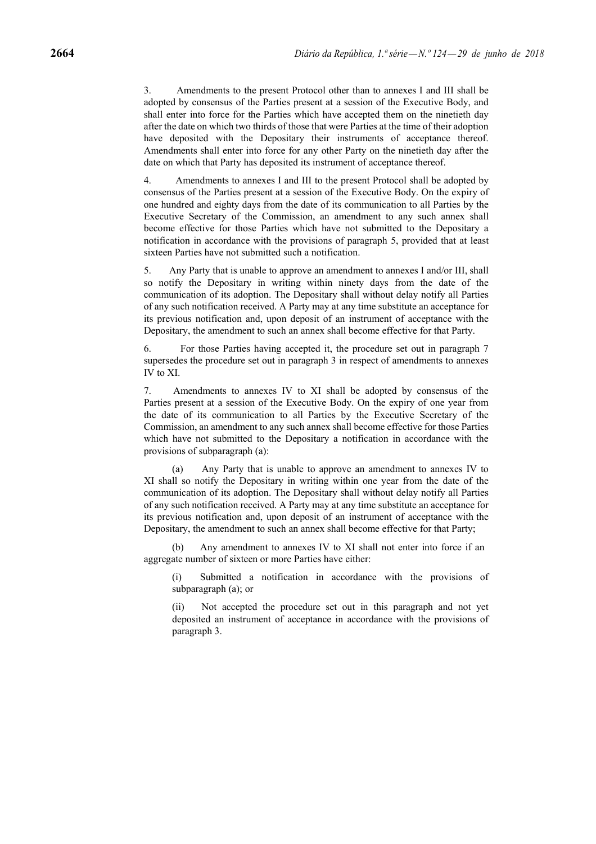3. Amendments to the present Protocol other than to annexes I and III shall be adopted by consensus of the Parties present at a session of the Executive Body, and shall enter into force for the Parties which have accepted them on the ninetieth day after the date on which two thirds of those that were Parties at the time of their adoption have deposited with the Depositary their instruments of acceptance thereof. Amendments shall enter into force for any other Party on the ninetieth day after the date on which that Party has deposited its instrument of acceptance thereof.

4. Amendments to annexes I and III to the present Protocol shall be adopted by consensus of the Parties present at a session of the Executive Body. On the expiry of one hundred and eighty days from the date of its communication to all Parties by the Executive Secretary of the Commission, an amendment to any such annex shall become effective for those Parties which have not submitted to the Depositary a notification in accordance with the provisions of paragraph 5, provided that at least sixteen Parties have not submitted such a notification.

5. Any Party that is unable to approve an amendment to annexes I and/or III, shall so notify the Depositary in writing within ninety days from the date of the communication of its adoption. The Depositary shall without delay notify all Parties of any such notification received. A Party may at any time substitute an acceptance for its previous notification and, upon deposit of an instrument of acceptance with the Depositary, the amendment to such an annex shall become effective for that Party.

6. For those Parties having accepted it, the procedure set out in paragraph 7 supersedes the procedure set out in paragraph 3 in respect of amendments to annexes IV to XI.

7. Amendments to annexes IV to XI shall be adopted by consensus of the Parties present at a session of the Executive Body. On the expiry of one year from the date of its communication to all Parties by the Executive Secretary of the Commission, an amendment to any such annex shall become effective for those Parties which have not submitted to the Depositary a notification in accordance with the provisions of subparagraph (a):

(a) Any Party that is unable to approve an amendment to annexes IV to XI shall so notify the Depositary in writing within one year from the date of the communication of its adoption. The Depositary shall without delay notify all Parties of any such notification received. A Party may at any time substitute an acceptance for its previous notification and, upon deposit of an instrument of acceptance with the Depositary, the amendment to such an annex shall become effective for that Party;

(b) Any amendment to annexes IV to XI shall not enter into force if an aggregate number of sixteen or more Parties have either:

(i) Submitted a notification in accordance with the provisions of subparagraph (a); or

Not accepted the procedure set out in this paragraph and not yet deposited an instrument of acceptance in accordance with the provisions of paragraph 3.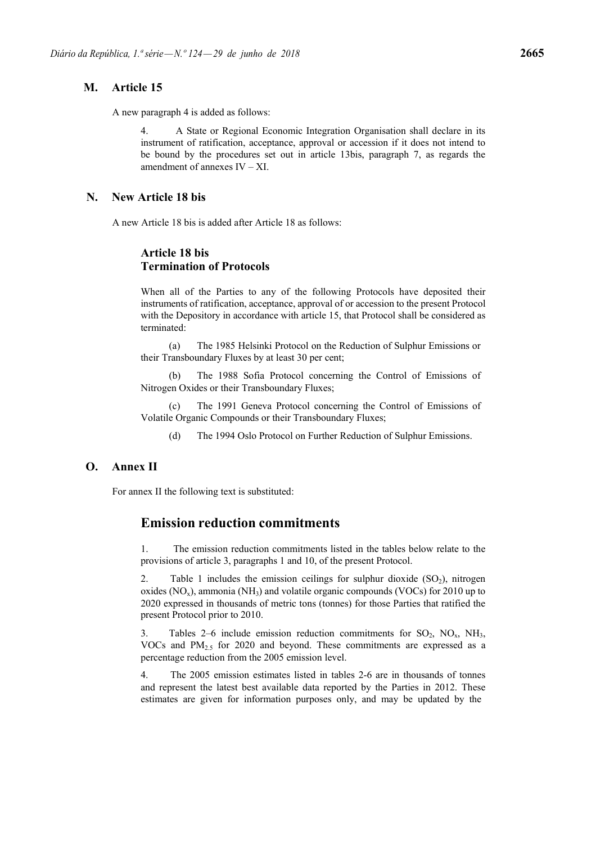## **M. Article 15**

A new paragraph 4 is added as follows:

4. A State or Regional Economic Integration Organisation shall declare in its instrument of ratification, acceptance, approval or accession if it does not intend to be bound by the procedures set out in article 13bis, paragraph 7, as regards the amendment of annexes  $IV - XI$ .

### **N. New Article 18 bis**

A new Article 18 bis is added after Article 18 as follows:

## **Article 18 bis Termination of Protocols**

When all of the Parties to any of the following Protocols have deposited their instruments of ratification, acceptance, approval of or accession to the present Protocol with the Depository in accordance with article 15, that Protocol shall be considered as terminated:

(a) The 1985 Helsinki Protocol on the Reduction of Sulphur Emissions or their Transboundary Fluxes by at least 30 per cent;

(b) The 1988 Sofia Protocol concerning the Control of Emissions of Nitrogen Oxides or their Transboundary Fluxes;

(c) The 1991 Geneva Protocol concerning the Control of Emissions of Volatile Organic Compounds or their Transboundary Fluxes;

(d) The 1994 Oslo Protocol on Further Reduction of Sulphur Emissions.

### **O. Annex II**

For annex II the following text is substituted:

# **Emission reduction commitments**

1. The emission reduction commitments listed in the tables below relate to the provisions of article 3, paragraphs 1 and 10, of the present Protocol.

Table 1 includes the emission ceilings for sulphur dioxide  $(SO<sub>2</sub>)$ , nitrogen oxides  $(NO<sub>x</sub>)$ , ammonia  $(NH<sub>3</sub>)$  and volatile organic compounds (VOCs) for 2010 up to 2020 expressed in thousands of metric tons (tonnes) for those Parties that ratified the present Protocol prior to 2010.

3. Tables 2–6 include emission reduction commitments for  $SO_2$ ,  $NO_x$ ,  $NH_3$ , VOCs and PM2.5 for 2020 and beyond. These commitments are expressed as a percentage reduction from the 2005 emission level.

4. The 2005 emission estimates listed in tables 2-6 are in thousands of tonnes and represent the latest best available data reported by the Parties in 2012. These estimates are given for information purposes only, and may be updated by the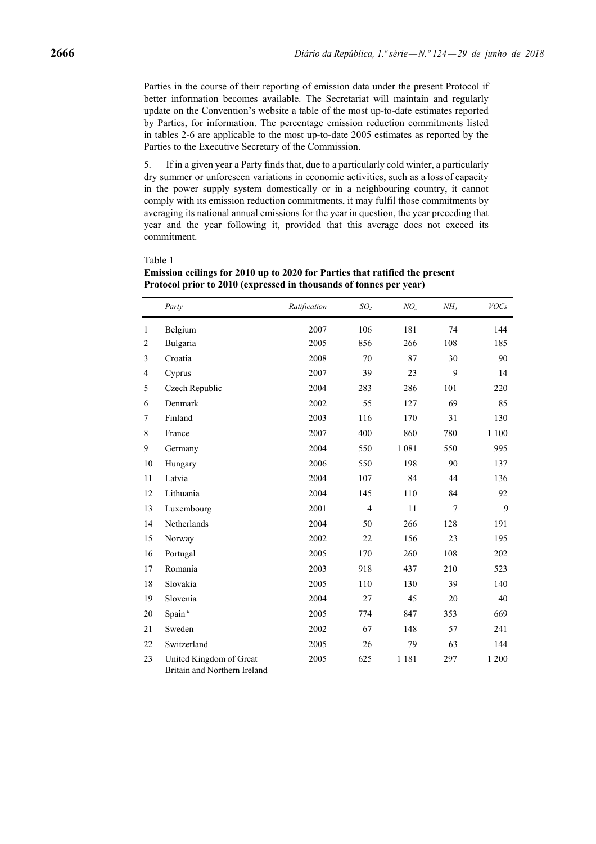Parties in the course of their reporting of emission data under the present Protocol if better information becomes available. The Secretariat will maintain and regularly update on the Convention's website a table of the most up-to-date estimates reported by Parties, for information. The percentage emission reduction commitments listed in tables 2-6 are applicable to the most up-to-date 2005 estimates as reported by the Parties to the Executive Secretary of the Commission.

5. If in a given year a Party finds that, due to a particularly cold winter, a particularly dry summer or unforeseen variations in economic activities, such as a loss of capacity in the power supply system domestically or in a neighbouring country, it cannot comply with its emission reduction commitments, it may fulfil those commitments by averaging its national annual emissions for the year in question, the year preceding that year and the year following it, provided that this average does not exceed its commitment.

#### Table 1

|                | Party                   | Ratification | SO <sub>2</sub> | NO <sub>x</sub> | NH <sub>3</sub> | <b>VOCs</b> |
|----------------|-------------------------|--------------|-----------------|-----------------|-----------------|-------------|
| $\mathbf{1}$   | Belgium                 | 2007         | 106             | 181             | 74              | 144         |
| $\overline{2}$ | Bulgaria                | 2005         | 856             | 266             | 108             | 185         |
| 3              | Croatia                 | 2008         | 70              | 87              | 30              | 90          |
| 4              | Cyprus                  | 2007         | 39              | 23              | 9               | 14          |
| 5              | Czech Republic          | 2004         | 283             | 286             | 101             | 220         |
| 6              | Denmark                 | 2002         | 55              | 127             | 69              | 85          |
| 7              | Finland                 | 2003         | 116             | 170             | 31              | 130         |
| 8              | France                  | 2007         | 400             | 860             | 780             | 1 100       |
| 9              | Germany                 | 2004         | 550             | 1 0 8 1         | 550             | 995         |
| 10             | Hungary                 | 2006         | 550             | 198             | 90              | 137         |
| 11             | Latvia                  | 2004         | 107             | 84              | 44              | 136         |
| 12             | Lithuania               | 2004         | 145             | 110             | 84              | 92          |
| 13             | Luxembourg              | 2001         | $\overline{4}$  | 11              | $\overline{7}$  | 9           |
| 14             | Netherlands             | 2004         | 50              | 266             | 128             | 191         |
| 15             | Norway                  | 2002         | 22              | 156             | 23              | 195         |
| 16             | Portugal                | 2005         | 170             | 260             | 108             | 202         |
| 17             | Romania                 | 2003         | 918             | 437             | 210             | 523         |
| 18             | Slovakia                | 2005         | 110             | 130             | 39              | 140         |
| 19             | Slovenia                | 2004         | 27              | 45              | 20              | 40          |
| 20             | Spain $a$               | 2005         | 774             | 847             | 353             | 669         |
| 21             | Sweden                  | 2002         | 67              | 148             | 57              | 241         |
| 22             | Switzerland             | 2005         | 26              | 79              | 63              | 144         |
| 23             | United Kingdom of Great | 2005         | 625             | 1 1 8 1         | 297             | 1 200       |

**Emission ceilings for 2010 up to 2020 for Parties that ratified the present Protocol prior to 2010 (expressed in thousands of tonnes per year)**

Britain and Northern Ireland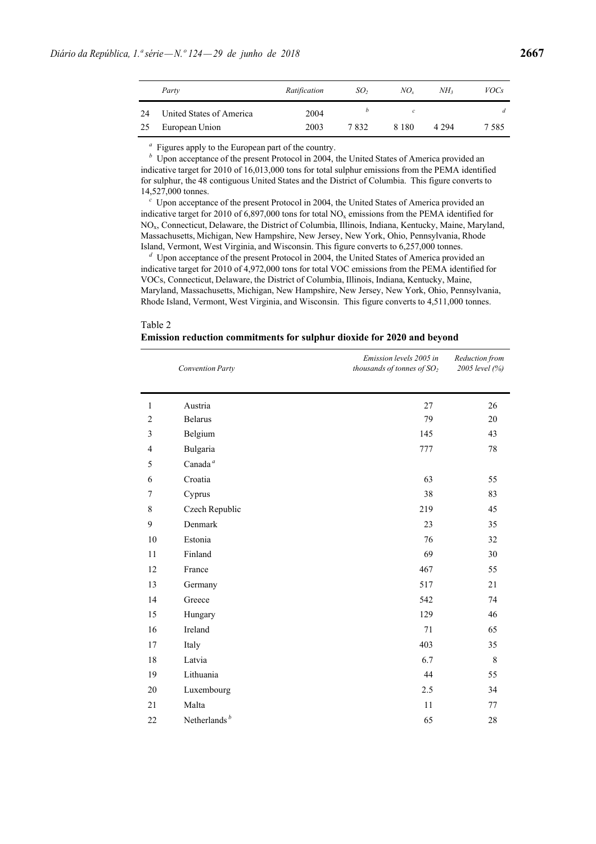|    | Party                    | Ratification | SO <sub>2</sub> | NO.     | NH <sub>2</sub> | <i>VOCs</i> |
|----|--------------------------|--------------|-----------------|---------|-----------------|-------------|
| 24 | United States of America | 2004         |                 | с       |                 | d           |
| 25 | European Union           | 2003         | 7832            | 8 1 8 0 | 4 2 9 4         | 7 5 8 5     |

*<sup>a</sup>* Figures apply to the European part of the country.

*b* Upon acceptance of the present Protocol in 2004, the United States of America provided an indicative target for 2010 of 16,013,000 tons for total sulphur emissions from the PEMA identified for sulphur, the 48 contiguous United States and the District of Columbia. This figure converts to 14,527,000 tonnes.

*<sup>c</sup>* Upon acceptance of the present Protocol in 2004, the United States of America provided an indicative target for 2010 of 6,897,000 tons for total  $NO<sub>x</sub>$  emissions from the PEMA identified for NOx, Connecticut, Delaware, the District of Columbia, Illinois, Indiana, Kentucky, Maine, Maryland, Massachusetts, Michigan, New Hampshire, New Jersey, New York, Ohio, Pennsylvania, Rhode Island, Vermont, West Virginia, and Wisconsin. This figure converts to 6,257,000 tonnes.

*<sup>d</sup>* Upon acceptance of the present Protocol in 2004, the United States of America provided an indicative target for 2010 of 4,972,000 tons for total VOC emissions from the PEMA identified for VOCs, Connecticut, Delaware, the District of Columbia, Illinois, Indiana, Kentucky, Maine, Maryland, Massachusetts, Michigan, New Hampshire, New Jersey, New York, Ohio, Pennsylvania, Rhode Island, Vermont, West Virginia, and Wisconsin. This figure converts to 4,511,000 tonnes.

| Table 2<br>Emission reduction commitments for sulphur dioxide for 2020 and beyond |  |
|-----------------------------------------------------------------------------------|--|
|                                                                                   |  |

|                | <b>Convention Party</b> | Emission levels 2005 in<br>thousands of tonnes of SO <sub>2</sub> | Reduction from<br>2005 level (%) |
|----------------|-------------------------|-------------------------------------------------------------------|----------------------------------|
| $\mathbf{1}$   | Austria                 | 27                                                                | 26                               |
| $\overline{c}$ | <b>Belarus</b>          | 79                                                                | 20                               |
| 3              | Belgium                 | 145                                                               | 43                               |
| 4              | Bulgaria                | 777                                                               | $78\,$                           |
| 5              | Canada <sup>a</sup>     |                                                                   |                                  |
| 6              | Croatia                 | 63                                                                | 55                               |
| 7              | Cyprus                  | 38                                                                | 83                               |
| 8              | Czech Republic          | 219                                                               | 45                               |
| 9              | Denmark                 | 23                                                                | 35                               |
| 10             | Estonia                 | 76                                                                | 32                               |
| 11             | Finland                 | 69                                                                | 30                               |
| 12             | France                  | 467                                                               | 55                               |
| 13             | Germany                 | 517                                                               | 21                               |
| 14             | Greece                  | 542                                                               | 74                               |
| 15             | Hungary                 | 129                                                               | 46                               |
| 16             | Ireland                 | 71                                                                | 65                               |
| 17             | Italy                   | 403                                                               | 35                               |
| 18             | Latvia                  | 6.7                                                               | $\,8\,$                          |
| 19             | Lithuania               | 44                                                                | 55                               |
| 20             | Luxembourg              | 2.5                                                               | 34                               |
| 21             | Malta                   | 11                                                                | 77                               |
| 22             | Netherlands $b$         | 65                                                                | 28                               |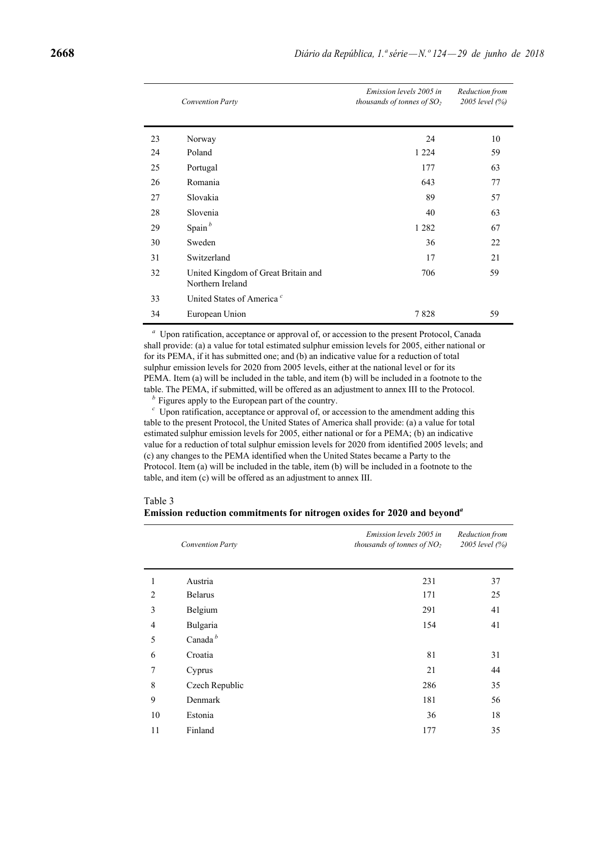|    | <b>Convention Party</b>                                 | Emission levels 2005 in<br>thousands of tonnes of $SO2$ | Reduction from<br>2005 level (%) |
|----|---------------------------------------------------------|---------------------------------------------------------|----------------------------------|
| 23 | Norway                                                  | 24                                                      | 10                               |
| 24 | Poland                                                  | 1 2 2 4                                                 | 59                               |
| 25 | Portugal                                                | 177                                                     | 63                               |
| 26 | Romania                                                 | 643                                                     | 77                               |
| 27 | Slovakia                                                | 89                                                      | 57                               |
| 28 | Slovenia                                                | 40                                                      | 63                               |
| 29 | Spain $b$                                               | 1 2 8 2                                                 | 67                               |
| 30 | Sweden                                                  | 36                                                      | 22                               |
| 31 | Switzerland                                             | 17                                                      | 21                               |
| 32 | United Kingdom of Great Britain and<br>Northern Ireland | 706                                                     | 59                               |
| 33 | United States of America <sup>c</sup>                   |                                                         |                                  |
| 34 | European Union                                          | 7828                                                    | 59                               |

*<sup>a</sup>* Upon ratification, acceptance or approval of, or accession to the present Protocol, Canada shall provide: (a) a value for total estimated sulphur emission levels for 2005, either national or for its PEMA, if it has submitted one; and (b) an indicative value for a reduction of total sulphur emission levels for 2020 from 2005 levels, either at the national level or for its PEMA. Item (a) will be included in the table, and item (b) will be included in a footnote to the table. The PEMA, if submitted, will be offered as an adjustment to annex III to the Protocol.

*<sup>b</sup>* Figures apply to the European part of the country.

 $c$  Upon ratification, acceptance or approval of, or accession to the amendment adding this table to the present Protocol, the United States of America shall provide: (a) a value for total estimated sulphur emission levels for 2005, either national or for a PEMA; (b) an indicative value for a reduction of total sulphur emission levels for 2020 from identified 2005 levels; and (c) any changes to the PEMA identified when the United States became a Party to the Protocol. Item (a) will be included in the table, item (b) will be included in a footnote to the table, and item (c) will be offered as an adjustment to annex III.

| Table 3                                                                             |  |  |  |  |
|-------------------------------------------------------------------------------------|--|--|--|--|
| Emission reduction commitments for nitrogen oxides for 2020 and beyond <sup>a</sup> |  |  |  |  |

|                     | Emission levels 2005 in<br>thousands of tonnes of $NO2$ | Reduction from<br>2005 level (%) |
|---------------------|---------------------------------------------------------|----------------------------------|
| Austria             | 231                                                     | 37                               |
| <b>Belarus</b>      | 171                                                     | 25                               |
| Belgium             | 291                                                     | 41                               |
| Bulgaria            | 154                                                     | 41                               |
| Canada <sup>b</sup> |                                                         |                                  |
| Croatia             | 81                                                      | 31                               |
| Cyprus              | 21                                                      | 44                               |
| Czech Republic      | 286                                                     | 35                               |
| Denmark             | 181                                                     | 56                               |
| Estonia             | 36                                                      | 18                               |
| Finland             | 177                                                     | 35                               |
|                     | <b>Convention Party</b>                                 |                                  |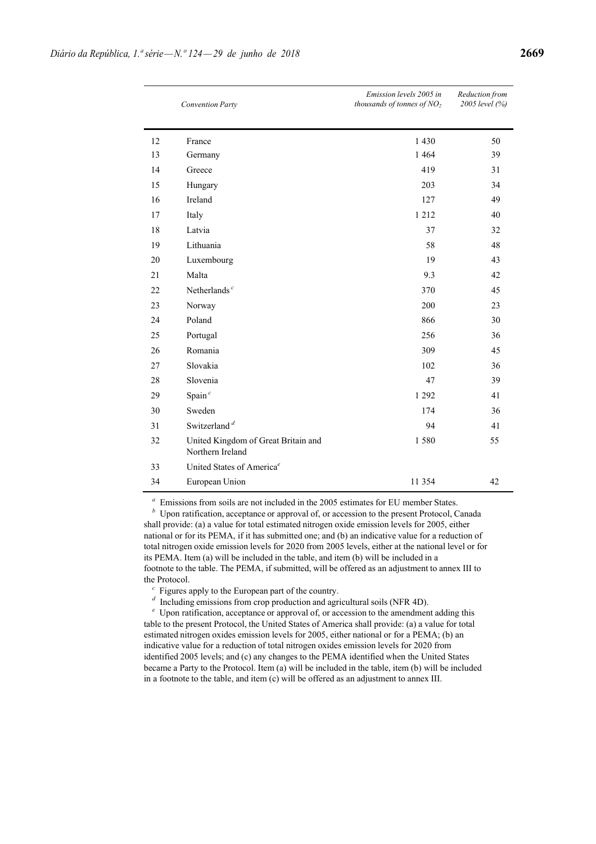|    | <b>Convention Party</b>                                 | Emission levels 2005 in<br>thousands of tonnes of $NO2$ | Reduction from<br>2005 level (%) |
|----|---------------------------------------------------------|---------------------------------------------------------|----------------------------------|
| 12 | France                                                  | 1 4 3 0                                                 | 50                               |
| 13 | Germany                                                 | 1 4 6 4                                                 | 39                               |
| 14 | Greece                                                  | 419                                                     | 31                               |
| 15 | Hungary                                                 | 203                                                     | 34                               |
| 16 | Ireland                                                 | 127                                                     | 49                               |
| 17 | Italy                                                   | 1 2 1 2                                                 | 40                               |
| 18 | Latvia                                                  | 37                                                      | 32                               |
| 19 | Lithuania                                               | 58                                                      | 48                               |
| 20 | Luxembourg                                              | 19                                                      | 43                               |
| 21 | Malta                                                   | 9.3                                                     | 42                               |
| 22 | Netherlands $c$                                         | 370                                                     | 45                               |
| 23 | Norway                                                  | 200                                                     | 23                               |
| 24 | Poland                                                  | 866                                                     | 30                               |
| 25 | Portugal                                                | 256                                                     | 36                               |
| 26 | Romania                                                 | 309                                                     | 45                               |
| 27 | Slovakia                                                | 102                                                     | 36                               |
| 28 | Slovenia                                                | 47                                                      | 39                               |
| 29 | Spain $c$                                               | 1 2 9 2                                                 | 41                               |
| 30 | Sweden                                                  | 174                                                     | 36                               |
| 31 | Switzerland <sup><math>d</math></sup>                   | 94                                                      | 41                               |
| 32 | United Kingdom of Great Britain and<br>Northern Ireland | 1580                                                    | 55                               |
| 33 | United States of America <sup>e</sup>                   |                                                         |                                  |
| 34 | European Union                                          | 11 354                                                  | 42                               |

*a* Emissions from soils are not included in the 2005 estimates for EU member States.

Upon ratification, acceptance or approval of, or accession to the present Protocol, Canada shall provide: (a) a value for total estimated nitrogen oxide emission levels for 2005, either national or for its PEMA, if it has submitted one; and (b) an indicative value for a reduction of total nitrogen oxide emission levels for 2020 from 2005 levels, either at the national level or for its PEMA. Item (a) will be included in the table, and item (b) will be included in a footnote to the table. The PEMA, if submitted, will be offered as an adjustment to annex III to the Protocol.

*<sup>c</sup>* Figures apply to the European part of the country.

*d* Including emissions from crop production and agricultural soils (NFR 4D).

*<sup>e</sup>* Upon ratification, acceptance or approval of, or accession to the amendment adding this table to the present Protocol, the United States of America shall provide: (a) a value for total estimated nitrogen oxides emission levels for 2005, either national or for a PEMA; (b) an indicative value for a reduction of total nitrogen oxides emission levels for 2020 from identified 2005 levels; and (c) any changes to the PEMA identified when the United States became a Party to the Protocol. Item (a) will be included in the table, item (b) will be included in a footnote to the table, and item (c) will be offered as an adjustment to annex III.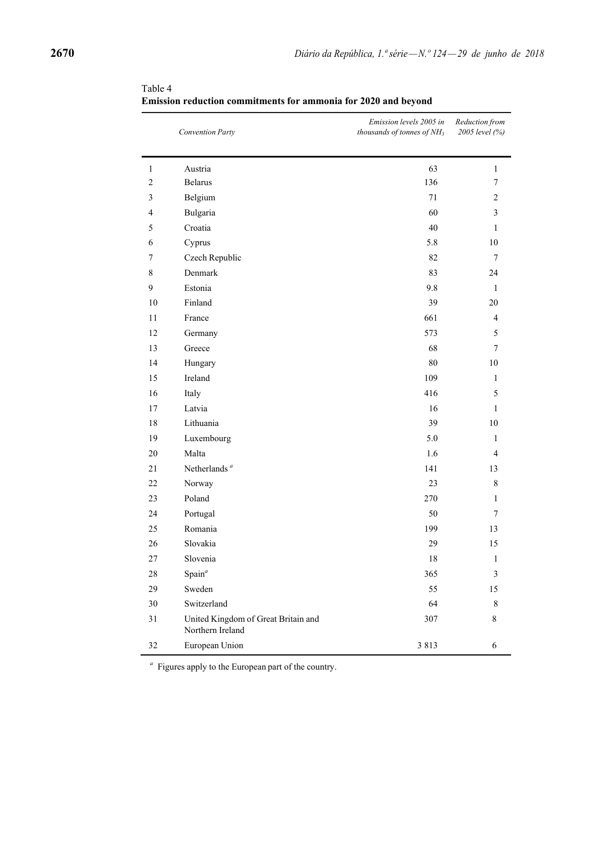|                          | <b>Convention Party</b>                                 | Emission levels 2005 in<br>thousands of tonnes of NH <sub>3</sub> | Reduction from<br>2005 level (%) |
|--------------------------|---------------------------------------------------------|-------------------------------------------------------------------|----------------------------------|
| $\mathbf{1}$             | Austria                                                 | 63                                                                | 1                                |
| $\sqrt{2}$               | <b>Belarus</b>                                          | 136                                                               | $\tau$                           |
| $\mathfrak{Z}$           | Belgium                                                 | 71                                                                | $\mathbf{2}$                     |
| $\overline{\mathcal{L}}$ | Bulgaria                                                | 60                                                                | 3                                |
| 5                        | Croatia                                                 | 40                                                                | 1                                |
| 6                        | Cyprus                                                  | 5.8                                                               | $10\,$                           |
| $\tau$                   | Czech Republic                                          | 82                                                                | $\tau$                           |
| $\,8\,$                  | Denmark                                                 | 83                                                                | 24                               |
| 9                        | Estonia                                                 | 9.8                                                               | $\mathbf{1}$                     |
| $10\,$                   | Finland                                                 | 39                                                                | $20\,$                           |
| $11\,$                   | France                                                  | 661                                                               | $\overline{4}$                   |
| 12                       | Germany                                                 | 573                                                               | 5                                |
| 13                       | Greece                                                  | 68                                                                | $\tau$                           |
| 14                       | Hungary                                                 | 80                                                                | 10                               |
| 15                       | Ireland                                                 | 109                                                               | $\mathbf{1}$                     |
| 16                       | Italy                                                   | 416                                                               | 5                                |
| 17                       | Latvia                                                  | 16                                                                | $\mathbf{1}$                     |
| 18                       | Lithuania                                               | 39                                                                | 10                               |
| 19                       | Luxembourg                                              | 5.0                                                               | $\mathbf{1}$                     |
| $20\,$                   | Malta                                                   | 1.6                                                               | $\overline{4}$                   |
| 21                       | Netherlands $a$                                         | 141                                                               | 13                               |
| $22\,$                   | Norway                                                  | 23                                                                | 8                                |
| 23                       | Poland                                                  | 270                                                               | $\mathbf{1}$                     |
| 24                       | Portugal                                                | 50                                                                | 7                                |
| 25                       | Romania                                                 | 199                                                               | 13                               |
| 26                       | Slovakia                                                | 29                                                                | 15                               |
| 27                       | Slovenia                                                | $18\,$                                                            | $\mathbf{1}$                     |
| $28\,$                   | Spain $\alpha$                                          | 365                                                               | 3                                |
| 29                       | Sweden                                                  | 55                                                                | 15                               |
| 30                       | Switzerland                                             | 64                                                                | 8                                |
| 31                       | United Kingdom of Great Britain and<br>Northern Ireland | 307                                                               | 8                                |
| 32                       | European Union                                          | 3 8 1 3                                                           | 6                                |

Table 4 **Emission reduction commitments for ammonia for 2020 and beyond**

*<sup>a</sup>* Figures apply to the European part of the country.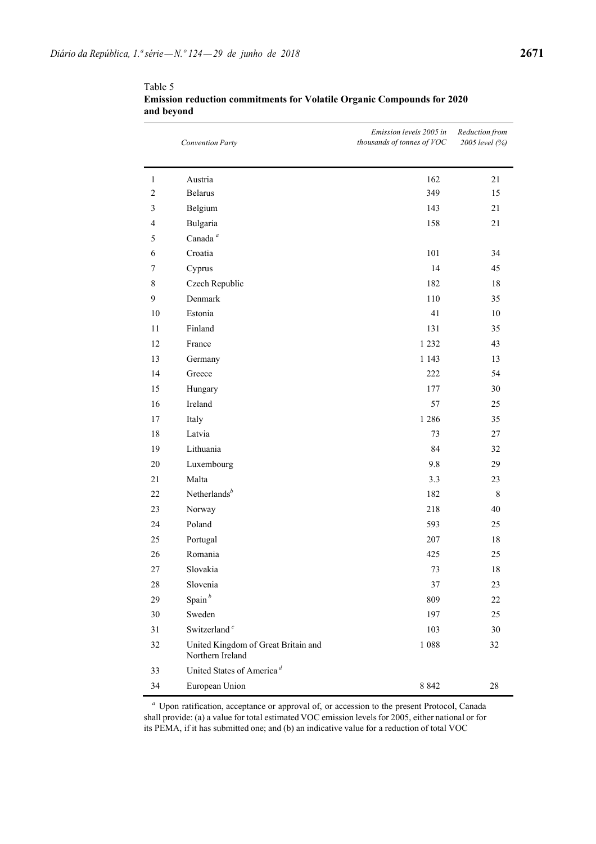|                | <b>Convention Party</b>                                 | Emission levels 2005 in<br>thousands of tonnes of VOC | Reduction from<br>2005 level (%) |
|----------------|---------------------------------------------------------|-------------------------------------------------------|----------------------------------|
| $\mathbf{1}$   | Austria                                                 | 162                                                   | 21                               |
| $\overline{c}$ | <b>Belarus</b>                                          | 349                                                   | 15                               |
| 3              | Belgium                                                 | 143                                                   | 21                               |
| $\overline{4}$ | Bulgaria                                                | 158                                                   | 21                               |
| 5              | Canada $^a$                                             |                                                       |                                  |
| 6              | Croatia                                                 | 101                                                   | 34                               |
| $\tau$         | Cyprus                                                  | 14                                                    | 45                               |
| 8              | Czech Republic                                          | 182                                                   | $18\,$                           |
| 9              | Denmark                                                 | 110                                                   | 35                               |
| $10\,$         | Estonia                                                 | 41                                                    | $10\,$                           |
| 11             | Finland                                                 | 131                                                   | 35                               |
| 12             | France                                                  | 1 2 3 2                                               | 43                               |
| 13             | Germany                                                 | 1 1 4 3                                               | 13                               |
| 14             | Greece                                                  | 222                                                   | 54                               |
| 15             | Hungary                                                 | 177                                                   | 30                               |
| 16             | Ireland                                                 | 57                                                    | 25                               |
| $17\,$         | Italy                                                   | 1 2 8 6                                               | 35                               |
| 18             | Latvia                                                  | 73                                                    | 27                               |
| 19             | Lithuania                                               | 84                                                    | 32                               |
| $20\,$         | Luxembourg                                              | 9.8                                                   | 29                               |
| 21             | Malta                                                   | 3.3                                                   | 23                               |
| 22             | Netherlands $b$                                         | 182                                                   | $\,8\,$                          |
| 23             | Norway                                                  | 218                                                   | 40                               |
| 24             | Poland                                                  | 593                                                   | 25                               |
| 25             | Portugal                                                | 207                                                   | 18                               |
| 26             | Romania                                                 | 425                                                   | 25                               |
| 27             | Slovakia                                                | 73                                                    | 18                               |
| 28             | Slovenia                                                | 37                                                    | 23                               |
| 29             | Spain $b$                                               | 809                                                   | $22\,$                           |
| 30             | Sweden                                                  | 197                                                   | 25                               |
| 31             | Switzerland <sup>c</sup>                                | 103                                                   | 30                               |
| 32             | United Kingdom of Great Britain and<br>Northern Ireland | 1 0 8 8                                               | 32                               |
| 33             | United States of America <sup>d</sup>                   |                                                       |                                  |
| 34             | European Union                                          | 8 8 4 2                                               | $28\,$                           |

Table 5 **Emission reduction commitments for Volatile Organic Compounds for 2020 and beyond**

*<sup>a</sup>* Upon ratification, acceptance or approval of, or accession to the present Protocol, Canada shall provide: (a) a value for total estimated VOC emission levels for 2005, either national or for its PEMA, if it has submitted one; and (b) an indicative value for a reduction of total VOC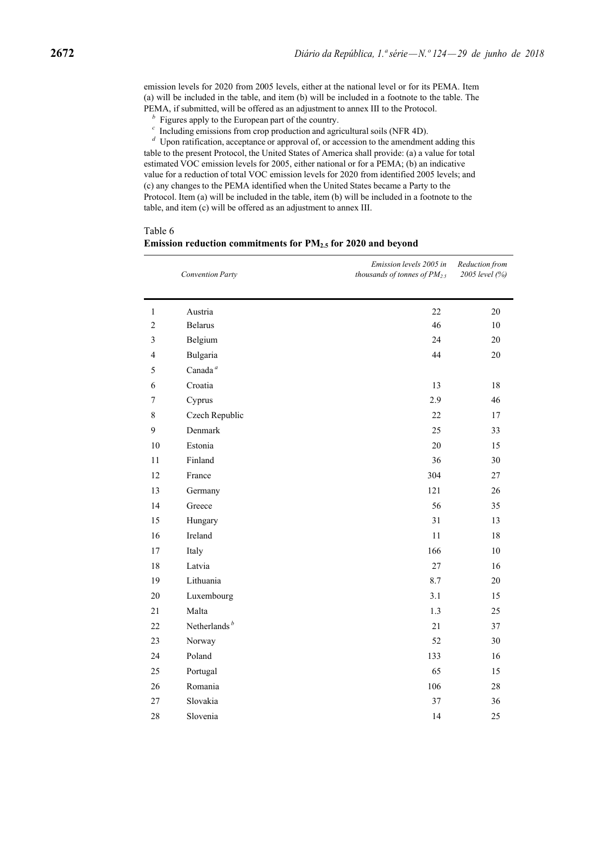emission levels for 2020 from 2005 levels, either at the national level or for its PEMA. Item (a) will be included in the table, and item (b) will be included in a footnote to the table. The PEMA, if submitted, will be offered as an adjustment to annex III to the Protocol.

- *<sup>b</sup>* Figures apply to the European part of the country.
- *<sup>c</sup>* Including emissions from crop production and agricultural soils (NFR 4D).

*d* Upon ratification, acceptance or approval of, or accession to the amendment adding this table to the present Protocol, the United States of America shall provide: (a) a value for total estimated VOC emission levels for 2005, either national or for a PEMA; (b) an indicative value for a reduction of total VOC emission levels for 2020 from identified 2005 levels; and (c) any changes to the PEMA identified when the United States became a Party to the Protocol. Item (a) will be included in the table, item (b) will be included in a footnote to the table, and item (c) will be offered as an adjustment to annex III.

Table 6

|                | Convention Party    | Emission levels 2005 in<br>thousands of tonnes of $PM_{2.5}$ | Reduction from<br>2005 level (%) |
|----------------|---------------------|--------------------------------------------------------------|----------------------------------|
| 1              | Austria             | 22                                                           | 20                               |
| $\overline{c}$ | <b>Belarus</b>      | 46                                                           | 10                               |
| 3              | Belgium             | 24                                                           | $20\,$                           |
| 4              | Bulgaria            | 44                                                           | 20                               |
| 5              | Canada <sup>a</sup> |                                                              |                                  |
| 6              | Croatia             | 13                                                           | $18\,$                           |
| $\tau$         | Cyprus              | 2.9                                                          | 46                               |
| 8              | Czech Republic      | 22                                                           | 17                               |
| 9              | Denmark             | 25                                                           | 33                               |
| 10             | Estonia             | 20                                                           | 15                               |
| 11             | Finland             | 36                                                           | 30                               |
| 12             | France              | 304                                                          | $27\,$                           |
| 13             | Germany             | 121                                                          | 26                               |
| 14             | Greece              | 56                                                           | 35                               |
| 15             | Hungary             | 31                                                           | 13                               |
| 16             | Ireland             | 11                                                           | 18                               |
| 17             | Italy               | 166                                                          | $10\,$                           |
| 18             | Latvia              | $27\,$                                                       | 16                               |
| 19             | Lithuania           | 8.7                                                          | $20\,$                           |
| 20             | Luxembourg          | 3.1                                                          | 15                               |
| 21             | Malta               | 1.3                                                          | 25                               |
| 22             | Netherlands $b$     | 21                                                           | 37                               |
| 23             | Norway              | 52                                                           | 30                               |
| 24             | Poland              | 133                                                          | 16                               |
| 25             | Portugal            | 65                                                           | 15                               |
| 26             | Romania             | 106                                                          | 28                               |
| 27             | Slovakia            | 37                                                           | 36                               |
| 28             | Slovenia            | 14                                                           | 25                               |

**Emission reduction commitments for PM2.5 for 2020 and beyond**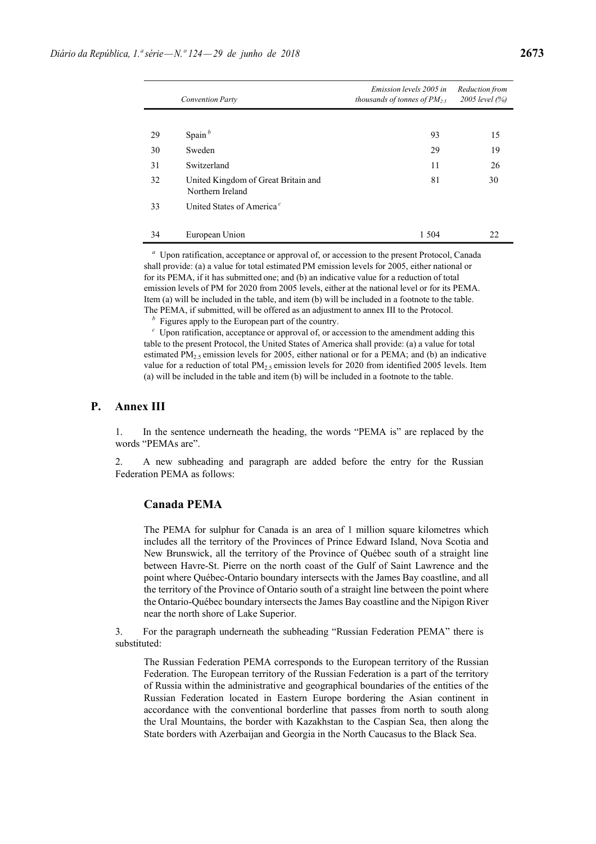|    | <b>Convention Party</b>                                 | Emission levels 2005 in<br>thousands of tonnes of $PM_{2.5}$ | Reduction from<br>2005 level (%) |
|----|---------------------------------------------------------|--------------------------------------------------------------|----------------------------------|
|    |                                                         |                                                              |                                  |
| 29 | Spain $b$                                               | 93                                                           | 15                               |
| 30 | Sweden                                                  | 29                                                           | 19                               |
| 31 | Switzerland                                             | 11                                                           | 26                               |
| 32 | United Kingdom of Great Britain and<br>Northern Ireland | 81                                                           | 30                               |
| 33 | United States of America <sup>c</sup>                   |                                                              |                                  |
|    |                                                         |                                                              |                                  |
| 34 | European Union                                          | 1 504                                                        | 22                               |

*<sup>a</sup>* Upon ratification, acceptance or approval of, or accession to the present Protocol, Canada shall provide: (a) a value for total estimated PM emission levels for 2005, either national or for its PEMA, if it has submitted one; and (b) an indicative value for a reduction of total emission levels of PM for 2020 from 2005 levels, either at the national level or for its PEMA. Item (a) will be included in the table, and item (b) will be included in a footnote to the table. The PEMA, if submitted, will be offered as an adjustment to annex III to the Protocol.

*<sup>b</sup>* Figures apply to the European part of the country.

*<sup>c</sup>* Upon ratification, acceptance or approval of, or accession to the amendment adding this table to the present Protocol, the United States of America shall provide: (a) a value for total estimated  $PM_{2.5}$  emission levels for 2005, either national or for a PEMA; and (b) an indicative value for a reduction of total  $PM<sub>2.5</sub>$  emission levels for 2020 from identified 2005 levels. Item (a) will be included in the table and item (b) will be included in a footnote to the table.

## **P. Annex III**

1. In the sentence underneath the heading, the words "PEMA is" are replaced by the words "PEMAs are".

2. A new subheading and paragraph are added before the entry for the Russian Federation PEMA as follows:

### **Canada PEMA**

The PEMA for sulphur for Canada is an area of 1 million square kilometres which includes all the territory of the Provinces of Prince Edward Island, Nova Scotia and New Brunswick, all the territory of the Province of Québec south of a straight line between Havre-St. Pierre on the north coast of the Gulf of Saint Lawrence and the point where Québec-Ontario boundary intersects with the James Bay coastline, and all the territory of the Province of Ontario south of a straight line between the point where the Ontario-Québec boundary intersects the James Bay coastline and the Nipigon River near the north shore of Lake Superior.

3. For the paragraph underneath the subheading "Russian Federation PEMA" there is substituted:

The Russian Federation PEMA corresponds to the European territory of the Russian Federation. The European territory of the Russian Federation is a part of the territory of Russia within the administrative and geographical boundaries of the entities of the Russian Federation located in Eastern Europe bordering the Asian continent in accordance with the conventional borderline that passes from north to south along the Ural Mountains, the border with Kazakhstan to the Caspian Sea, then along the State borders with Azerbaijan and Georgia in the North Caucasus to the Black Sea.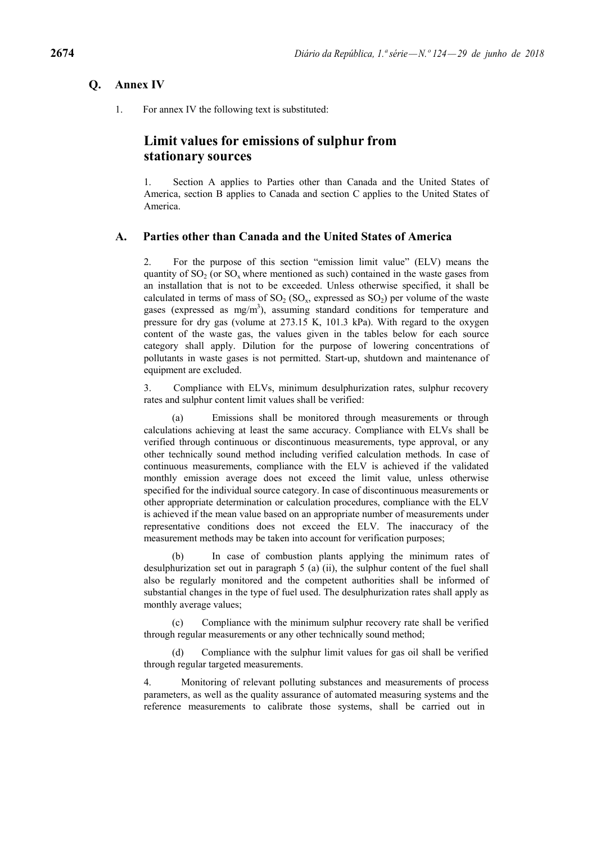## **Q. Annex IV**

1. For annex IV the following text is substituted:

# **Limit values for emissions of sulphur from stationary sources**

1. Section A applies to Parties other than Canada and the United States of America, section B applies to Canada and section C applies to the United States of America.

## **A. Parties other than Canada and the United States of America**

2. For the purpose of this section "emission limit value" (ELV) means the quantity of  $SO_2$  (or  $SO_2$  where mentioned as such) contained in the waste gases from an installation that is not to be exceeded. Unless otherwise specified, it shall be calculated in terms of mass of  $SO_2(SO_x,$  expressed as  $SO_2$ ) per volume of the waste gases (expressed as  $mg/m<sup>3</sup>$ ), assuming standard conditions for temperature and pressure for dry gas (volume at 273.15 K, 101.3 kPa). With regard to the oxygen content of the waste gas, the values given in the tables below for each source category shall apply. Dilution for the purpose of lowering concentrations of pollutants in waste gases is not permitted. Start-up, shutdown and maintenance of equipment are excluded.

3. Compliance with ELVs, minimum desulphurization rates, sulphur recovery rates and sulphur content limit values shall be verified:

Emissions shall be monitored through measurements or through calculations achieving at least the same accuracy. Compliance with ELVs shall be verified through continuous or discontinuous measurements, type approval, or any other technically sound method including verified calculation methods. In case of continuous measurements, compliance with the ELV is achieved if the validated monthly emission average does not exceed the limit value, unless otherwise specified for the individual source category. In case of discontinuous measurements or other appropriate determination or calculation procedures, compliance with the ELV is achieved if the mean value based on an appropriate number of measurements under representative conditions does not exceed the ELV. The inaccuracy of the measurement methods may be taken into account for verification purposes;

In case of combustion plants applying the minimum rates of desulphurization set out in paragraph 5 (a) (ii), the sulphur content of the fuel shall also be regularly monitored and the competent authorities shall be informed of substantial changes in the type of fuel used. The desulphurization rates shall apply as monthly average values;

(c) Compliance with the minimum sulphur recovery rate shall be verified through regular measurements or any other technically sound method;

(d) Compliance with the sulphur limit values for gas oil shall be verified through regular targeted measurements.

4. Monitoring of relevant polluting substances and measurements of process parameters, as well as the quality assurance of automated measuring systems and the reference measurements to calibrate those systems, shall be carried out in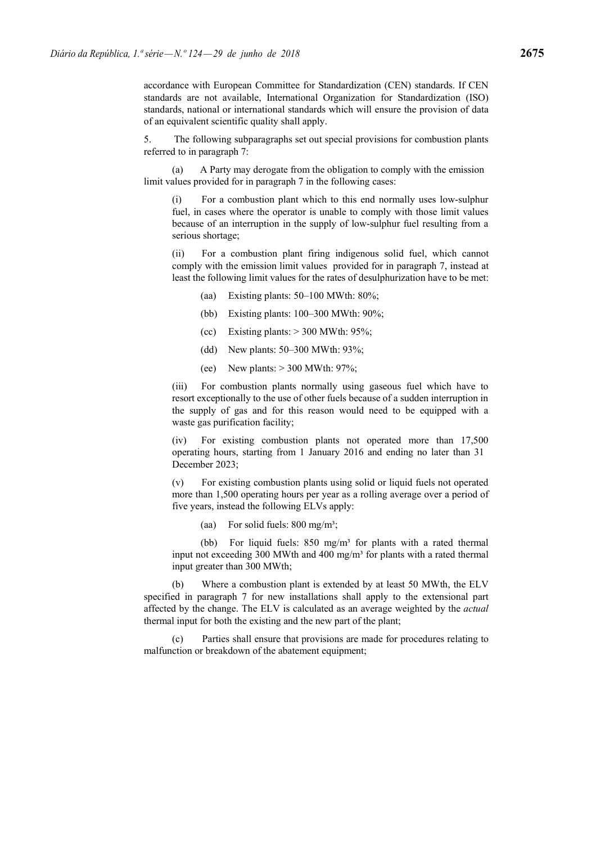accordance with European Committee for Standardization (CEN) standards. If CEN standards are not available, International Organization for Standardization (ISO) standards, national or international standards which will ensure the provision of data of an equivalent scientific quality shall apply.

5. The following subparagraphs set out special provisions for combustion plants referred to in paragraph 7:

(a) A Party may derogate from the obligation to comply with the emission limit values provided for in paragraph 7 in the following cases:

For a combustion plant which to this end normally uses low-sulphur fuel, in cases where the operator is unable to comply with those limit values because of an interruption in the supply of low-sulphur fuel resulting from a serious shortage;

(ii) For a combustion plant firing indigenous solid fuel, which cannot comply with the emission limit values provided for in paragraph 7, instead at least the following limit values for the rates of desulphurization have to be met:

- (aa) Existing plants: 50–100 MWth: 80%;
- (bb) Existing plants: 100–300 MWth: 90%;
- (cc) Existing plants:  $> 300$  MWth: 95%;
- (dd) New plants: 50–300 MWth: 93%;
- (ee) New plants:  $> 300$  MWth: 97%;

(iii) For combustion plants normally using gaseous fuel which have to resort exceptionally to the use of other fuels because of a sudden interruption in the supply of gas and for this reason would need to be equipped with a waste gas purification facility;

(iv) For existing combustion plants not operated more than 17,500 operating hours, starting from 1 January 2016 and ending no later than 31 December 2023;

(v) For existing combustion plants using solid or liquid fuels not operated more than 1,500 operating hours per year as a rolling average over a period of five years, instead the following ELVs apply:

(aa) For solid fuels:  $800 \text{ mg/m}^3$ ;

(bb) For liquid fuels:  $850 \text{ mg/m}^3$  for plants with a rated thermal input not exceeding 300 MWth and 400 mg/m<sup>3</sup> for plants with a rated thermal input greater than 300 MWth;

(b) Where a combustion plant is extended by at least 50 MWth, the ELV specified in paragraph 7 for new installations shall apply to the extensional part affected by the change. The ELV is calculated as an average weighted by the *actual*  thermal input for both the existing and the new part of the plant;

(c) Parties shall ensure that provisions are made for procedures relating to malfunction or breakdown of the abatement equipment;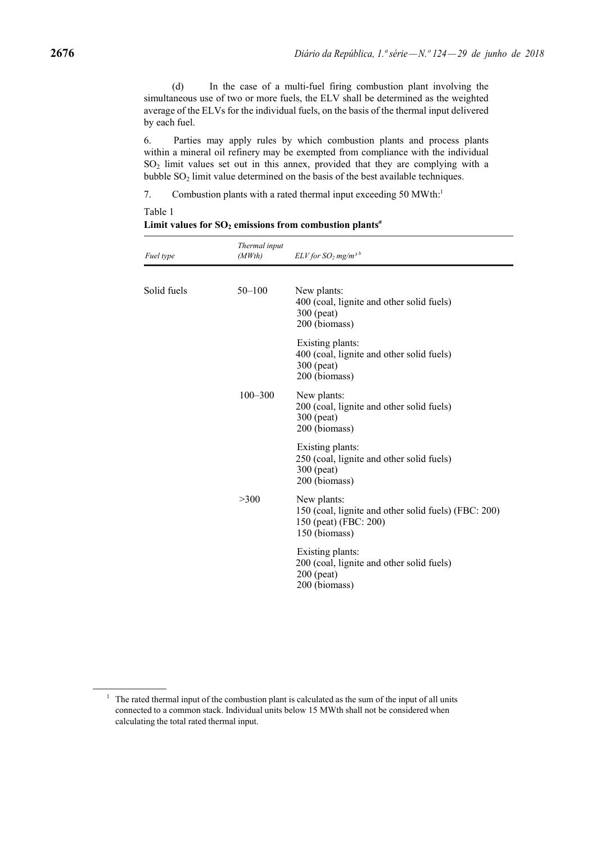(d) In the case of a multi-fuel firing combustion plant involving the simultaneous use of two or more fuels, the ELV shall be determined as the weighted average of the ELVs for the individual fuels, on the basis of the thermal input delivered by each fuel.

6. Parties may apply rules by which combustion plants and process plants within a mineral oil refinery may be exempted from compliance with the individual SO2 limit values set out in this annex, provided that they are complying with a bubble  $SO<sub>2</sub>$  limit value determined on the basis of the best available techniques.

7. Combustion plants with a rated thermal input exceeding 50 MWth.<sup>1</sup>

Table 1

| Fuel type   | Thermal input<br>(MWth) | $ELV$ for $SO_2$ mg/m <sup>3b</sup>                                                                           |
|-------------|-------------------------|---------------------------------------------------------------------------------------------------------------|
| Solid fuels | $50 - 100$              | New plants:<br>400 (coal, lignite and other solid fuels)<br>300 (peat)<br>200 (biomass)                       |
|             |                         | Existing plants:<br>400 (coal, lignite and other solid fuels)<br>300 (peat)<br>200 (biomass)                  |
|             | $100 - 300$             | New plants:<br>200 (coal, lignite and other solid fuels)<br>300 (peat)<br>200 (biomass)                       |
|             |                         | Existing plants:<br>250 (coal, lignite and other solid fuels)<br>300 (peat)<br>200 (biomass)                  |
|             | >300                    | New plants:<br>150 (coal, lignite and other solid fuels) (FBC: 200)<br>150 (peat) (FBC: 200)<br>150 (biomass) |
|             |                         | Existing plants:<br>200 (coal, lignite and other solid fuels)<br>$200$ (peat)<br>200 (biomass)                |
|             |                         |                                                                                                               |

Limit values for  $SO_2$  emissions from combustion plants<sup>*a*</sup>

<sup>&</sup>lt;sup>1</sup> The rated thermal input of the combustion plant is calculated as the sum of the input of all units connected to a common stack. Individual units below 15 MWth shall not be considered when calculating the total rated thermal input.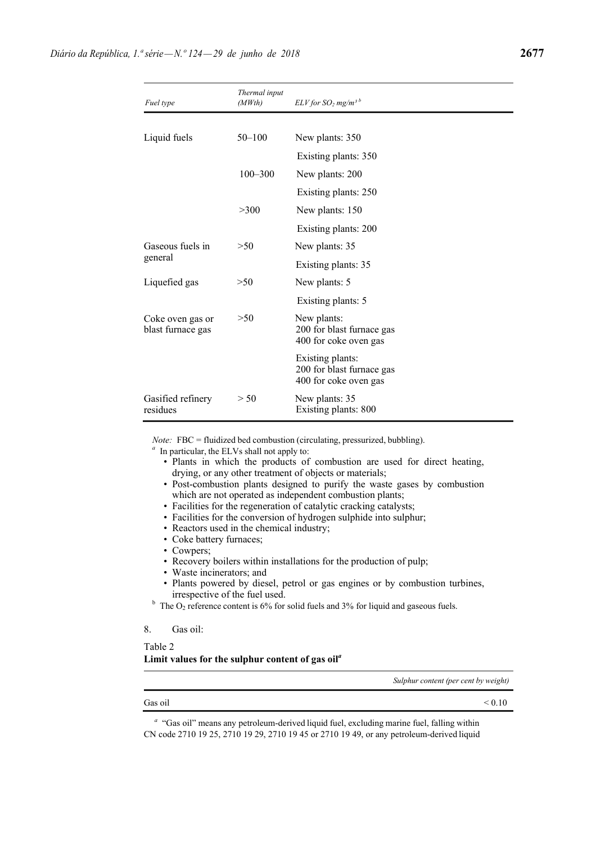| Fuel type                             | Thermal input<br>(MWth) | $ELV$ for $SO_2$ mg/m <sup>3b</sup>                                    |
|---------------------------------------|-------------------------|------------------------------------------------------------------------|
|                                       |                         |                                                                        |
| Liquid fuels                          | $50 - 100$              | New plants: 350                                                        |
|                                       |                         | Existing plants: 350                                                   |
|                                       | $100 - 300$             | New plants: 200                                                        |
|                                       |                         | Existing plants: 250                                                   |
|                                       | >300                    | New plants: 150                                                        |
|                                       |                         | Existing plants: 200                                                   |
| Gaseous fuels in                      | >50                     | New plants: 35                                                         |
| general                               |                         | Existing plants: 35                                                    |
| Liquefied gas                         | >50                     | New plants: 5                                                          |
|                                       |                         | Existing plants: 5                                                     |
| Coke oven gas or<br>blast furnace gas | >50                     | New plants:<br>200 for blast furnace gas<br>400 for coke oven gas      |
|                                       |                         | Existing plants:<br>200 for blast furnace gas<br>400 for coke oven gas |
| Gasified refinery<br>residues         | > 50                    | New plants: 35<br>Existing plants: 800                                 |

*Note:* FBC = fluidized bed combustion (circulating, pressurized, bubbling).

*<sup>a</sup>* In particular, the ELVs shall not apply to:

- Plants in which the products of combustion are used for direct heating, drying, or any other treatment of objects or materials;
- Post-combustion plants designed to purify the waste gases by combustion which are not operated as independent combustion plants;
- Facilities for the regeneration of catalytic cracking catalysts;
- Facilities for the conversion of hydrogen sulphide into sulphur;
- Reactors used in the chemical industry;
- Coke battery furnaces;
- Cowpers;
- Recovery boilers within installations for the production of pulp;
- Waste incinerators; and
- Plants powered by diesel, petrol or gas engines or by combustion turbines, irrespective of the fuel used. b The O<sub>2</sub> reference content is 6% for solid fuels and 3% for liquid and gaseous fuels.

### 8. Gas oil:

Table 2

### **Limit values for the sulphur content of gas oil***<sup>a</sup>*

*Sulphur content (per cent by weight)*

|  |  | <sup>a</sup> "Gas oil" means any petroleum-derived liquid fuel, excluding marine fuel, falling within |  |
|--|--|-------------------------------------------------------------------------------------------------------|--|
|  |  | CN code 2710 19 25, 2710 19 29, 2710 19 45 or 2710 19 49, or any petroleum-derived liquid             |  |

Gas oil  $< 0.10$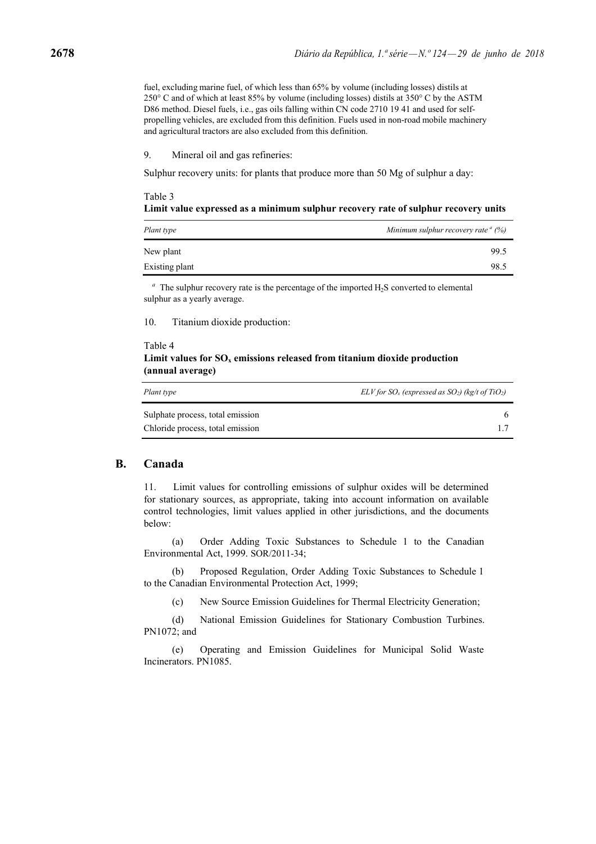fuel, excluding marine fuel, of which less than 65% by volume (including losses) distils at 250° C and of which at least 85% by volume (including losses) distils at 350° C by the ASTM D86 method. Diesel fuels, i.e., gas oils falling within CN code 2710 19 41 and used for selfpropelling vehicles, are excluded from this definition. Fuels used in non-road mobile machinery and agricultural tractors are also excluded from this definition.

#### 9. Mineral oil and gas refineries:

Sulphur recovery units: for plants that produce more than 50 Mg of sulphur a day:

### Table 3 **Limit value expressed as a minimum sulphur recovery rate of sulphur recovery units**

| Plant type     | Minimum sulphur recovery rate $\alpha$ (%) |
|----------------|--------------------------------------------|
| New plant      | 99.5                                       |
| Existing plant | 98.5                                       |

 $a<sup>a</sup>$  The sulphur recovery rate is the percentage of the imported H<sub>2</sub>S converted to elemental sulphur as a yearly average.

10. Titanium dioxide production:

## Table 4 Limit values for  $SO_x$  emissions released from titanium dioxide production **(annual average)**

| Plant type                       | $ELV$ for $SO_x$ (expressed as $SO_2$ ) (kg/t of TiO <sub>2</sub> ) |
|----------------------------------|---------------------------------------------------------------------|
| Sulphate process, total emission |                                                                     |
| Chloride process, total emission |                                                                     |

### **B. Canada**

11. Limit values for controlling emissions of sulphur oxides will be determined for stationary sources, as appropriate, taking into account information on available control technologies, limit values applied in other jurisdictions, and the documents below:

(a) Order Adding Toxic Substances to Schedule 1 to the Canadian Environmental Act, 1999. SOR/2011-34;

(b) Proposed Regulation, Order Adding Toxic Substances to Schedule 1 to the Canadian Environmental Protection Act, 1999;

(c) New Source Emission Guidelines for Thermal Electricity Generation;

(d) National Emission Guidelines for Stationary Combustion Turbines. PN1072; and

(e) Operating and Emission Guidelines for Municipal Solid Waste Incinerators. PN1085.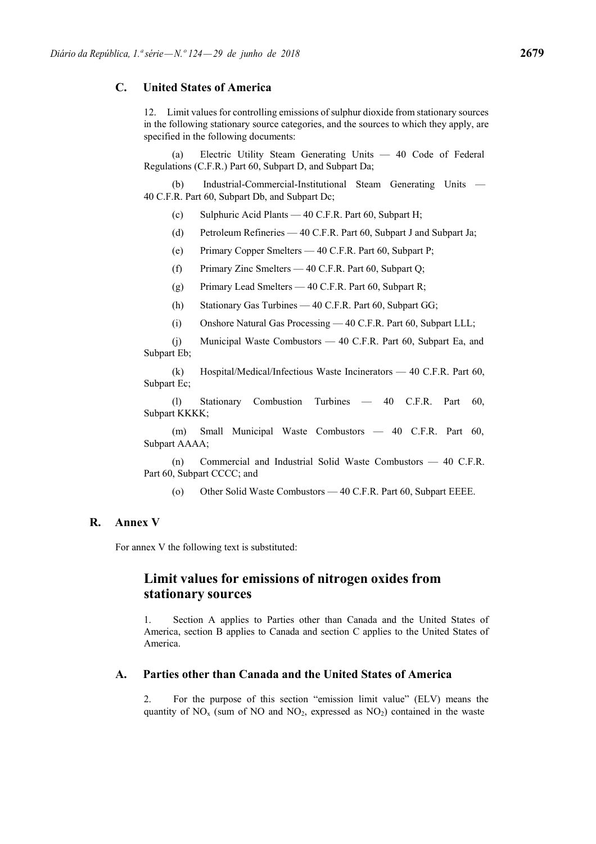# **C. United States of America**

12. Limit values for controlling emissions of sulphur dioxide from stationary sources in the following stationary source categories, and the sources to which they apply, are specified in the following documents:

Electric Utility Steam Generating Units — 40 Code of Federal Regulations (C.F.R.) Part 60, Subpart D, and Subpart Da;

(b) Industrial-Commercial-Institutional Steam Generating Units — 40 C.F.R. Part 60, Subpart Db, and Subpart Dc;

- (c) Sulphuric Acid Plants 40 C.F.R. Part 60, Subpart H;
- (d) Petroleum Refineries 40 C.F.R. Part 60, Subpart J and Subpart Ja;

(e) Primary Copper Smelters — 40 C.F.R. Part 60, Subpart P;

(f) Primary Zinc Smelters — 40 C.F.R. Part 60, Subpart Q;

- (g) Primary Lead Smelters 40 C.F.R. Part 60, Subpart R;
- (h) Stationary Gas Turbines 40 C.F.R. Part 60, Subpart GG;
- (i) Onshore Natural Gas Processing 40 C.F.R. Part 60, Subpart LLL;

(j) Municipal Waste Combustors — 40 C.F.R. Part 60, Subpart Ea, and Subpart Eb;

(k) Hospital/Medical/Infectious Waste Incinerators — 40 C.F.R. Part 60, Subpart Ec;

(l) Stationary Combustion Turbines — 40 C.F.R. Part 60, Subpart KKKK;

(m) Small Municipal Waste Combustors — 40 C.F.R. Part 60, Subpart AAAA;

(n) Commercial and Industrial Solid Waste Combustors — 40 C.F.R. Part 60, Subpart CCCC; and

(o) Other Solid Waste Combustors — 40 C.F.R. Part 60, Subpart EEEE.

# **R. Annex V**

For annex V the following text is substituted:

# **Limit values for emissions of nitrogen oxides from stationary sources**

1. Section A applies to Parties other than Canada and the United States of America, section B applies to Canada and section C applies to the United States of America.

## **A. Parties other than Canada and the United States of America**

2. For the purpose of this section "emission limit value" (ELV) means the quantity of  $NO<sub>x</sub>$  (sum of NO and  $NO<sub>2</sub>$ , expressed as  $NO<sub>2</sub>$ ) contained in the waste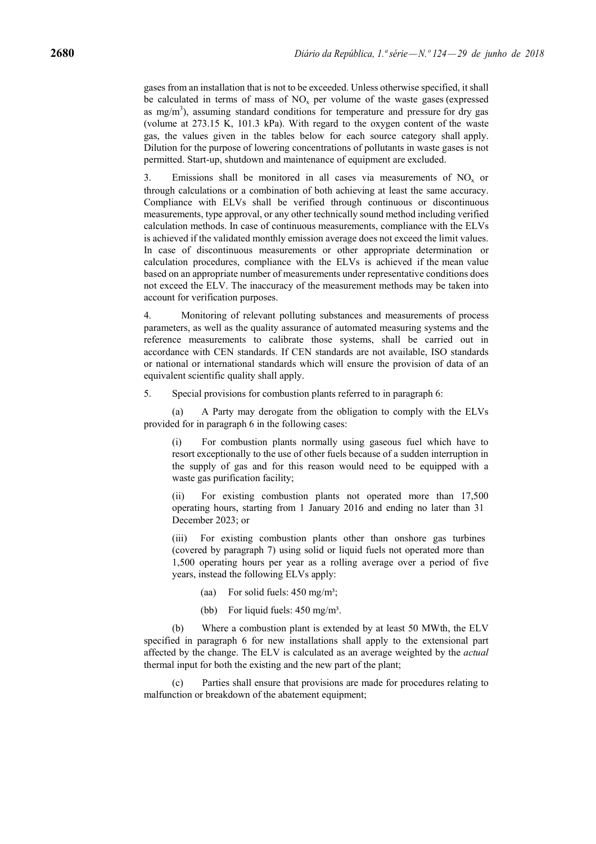gases from an installation that is not to be exceeded. Unless otherwise specified, it shall be calculated in terms of mass of  $NO<sub>x</sub>$  per volume of the waste gases (expressed as mg/m<sup>3</sup>), assuming standard conditions for temperature and pressure for dry gas (volume at 273.15 K, 101.3 kPa). With regard to the oxygen content of the waste gas, the values given in the tables below for each source category shall apply. Dilution for the purpose of lowering concentrations of pollutants in waste gases is not permitted. Start-up, shutdown and maintenance of equipment are excluded.

3. Emissions shall be monitored in all cases via measurements of  $NO<sub>x</sub>$  or through calculations or a combination of both achieving at least the same accuracy. Compliance with ELVs shall be verified through continuous or discontinuous measurements, type approval, or any other technically sound method including verified calculation methods. In case of continuous measurements, compliance with the ELVs is achieved if the validated monthly emission average does not exceed the limit values. In case of discontinuous measurements or other appropriate determination or calculation procedures, compliance with the ELVs is achieved if the mean value based on an appropriate number of measurements under representative conditions does not exceed the ELV. The inaccuracy of the measurement methods may be taken into account for verification purposes.

4. Monitoring of relevant polluting substances and measurements of process parameters, as well as the quality assurance of automated measuring systems and the reference measurements to calibrate those systems, shall be carried out in accordance with CEN standards. If CEN standards are not available, ISO standards or national or international standards which will ensure the provision of data of an equivalent scientific quality shall apply.

5. Special provisions for combustion plants referred to in paragraph 6:

(a) A Party may derogate from the obligation to comply with the ELVs provided for in paragraph 6 in the following cases:

(i) For combustion plants normally using gaseous fuel which have to resort exceptionally to the use of other fuels because of a sudden interruption in the supply of gas and for this reason would need to be equipped with a waste gas purification facility;

(ii) For existing combustion plants not operated more than 17,500 operating hours, starting from 1 January 2016 and ending no later than 31 December 2023; or

(iii) For existing combustion plants other than onshore gas turbines (covered by paragraph 7) using solid or liquid fuels not operated more than 1,500 operating hours per year as a rolling average over a period of five years, instead the following ELVs apply:

- (aa) For solid fuels:  $450 \text{ mg/m}^3$ ;
- (bb) For liquid fuels:  $450 \text{ mg/m}^3$ .

(b) Where a combustion plant is extended by at least 50 MWth, the ELV specified in paragraph 6 for new installations shall apply to the extensional part affected by the change. The ELV is calculated as an average weighted by the *actual*  thermal input for both the existing and the new part of the plant;

Parties shall ensure that provisions are made for procedures relating to malfunction or breakdown of the abatement equipment;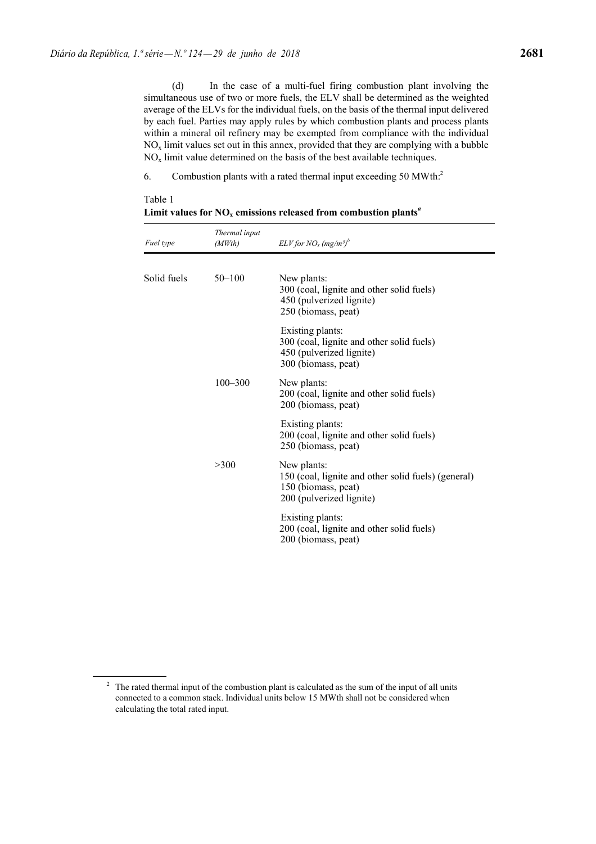Table 1

(d) In the case of a multi-fuel firing combustion plant involving the simultaneous use of two or more fuels, the ELV shall be determined as the weighted average of the ELVs for the individual fuels, on the basis of the thermal input delivered by each fuel. Parties may apply rules by which combustion plants and process plants within a mineral oil refinery may be exempted from compliance with the individual  $NO<sub>x</sub>$  limit values set out in this annex, provided that they are complying with a bubble  $NO<sub>x</sub>$  limit value determined on the basis of the best available techniques.

6. Combustion plants with a rated thermal input exceeding 50 MWth:2

| Fuel type   | Thermal input<br>(MWth) | $ELV$ for $NO_x$ (mg/m <sup>3)b</sup>                                                                                 |
|-------------|-------------------------|-----------------------------------------------------------------------------------------------------------------------|
| Solid fuels | $50 - 100$              | New plants:<br>300 (coal, lignite and other solid fuels)<br>450 (pulverized lignite)<br>250 (biomass, peat)           |
|             |                         | Existing plants:<br>300 (coal, lignite and other solid fuels)<br>450 (pulverized lignite)<br>300 (biomass, peat)      |
|             | $100 - 300$             | New plants:<br>200 (coal, lignite and other solid fuels)<br>200 (biomass, peat)                                       |
|             |                         | Existing plants:<br>200 (coal, lignite and other solid fuels)<br>250 (biomass, peat)                                  |
|             | >300                    | New plants:<br>150 (coal, lignite and other solid fuels) (general)<br>150 (biomass, peat)<br>200 (pulverized lignite) |
|             |                         | Existing plants:<br>200 (coal, lignite and other solid fuels)<br>200 (biomass, peat)                                  |

Limit values for  $NO<sub>x</sub>$  emissions released from combustion plants<sup>*a*</sup>

 $2 \text{ T}$  The rated thermal input of the combustion plant is calculated as the sum of the input of all units connected to a common stack. Individual units below 15 MWth shall not be considered when calculating the total rated input.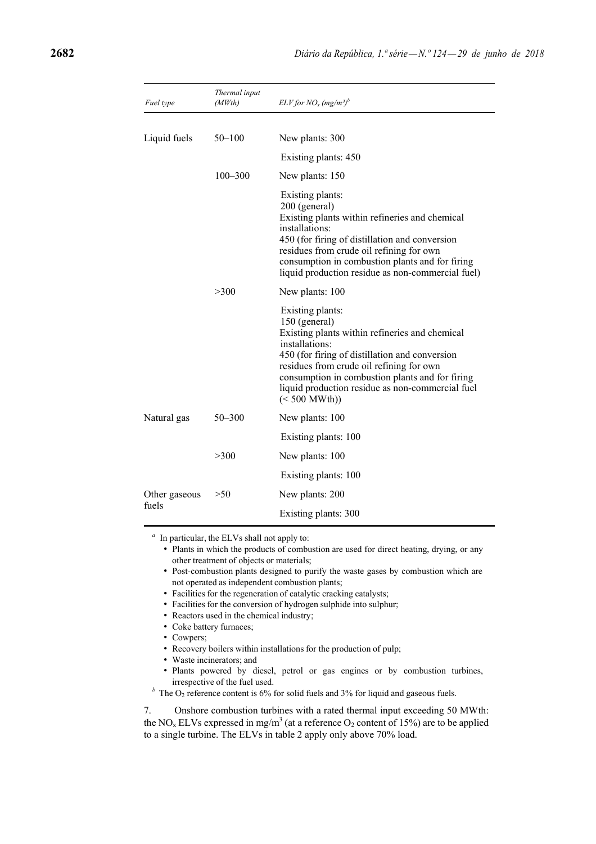| Fuel type     | Thermal input<br>(MWth) | $ELV$ for $NO_x$ (mg/m <sup>3)b</sup>                                                                                                                                                                                                                                                                                                  |
|---------------|-------------------------|----------------------------------------------------------------------------------------------------------------------------------------------------------------------------------------------------------------------------------------------------------------------------------------------------------------------------------------|
|               |                         |                                                                                                                                                                                                                                                                                                                                        |
| Liquid fuels  | $50 - 100$              | New plants: 300                                                                                                                                                                                                                                                                                                                        |
|               |                         | Existing plants: 450                                                                                                                                                                                                                                                                                                                   |
|               | $100 - 300$             | New plants: 150                                                                                                                                                                                                                                                                                                                        |
|               |                         | Existing plants:<br>200 (general)<br>Existing plants within refineries and chemical<br>installations:<br>450 (for firing of distillation and conversion<br>residues from crude oil refining for own<br>consumption in combustion plants and for firing<br>liquid production residue as non-commercial fuel)                            |
|               | >300                    | New plants: 100                                                                                                                                                                                                                                                                                                                        |
|               |                         | Existing plants:<br>150 (general)<br>Existing plants within refineries and chemical<br>installations:<br>450 (for firing of distillation and conversion<br>residues from crude oil refining for own<br>consumption in combustion plants and for firing<br>liquid production residue as non-commercial fuel<br>$(< 500 \text{ MWth})$ ) |
| Natural gas   | $50 - 300$              | New plants: 100                                                                                                                                                                                                                                                                                                                        |
|               |                         | Existing plants: 100                                                                                                                                                                                                                                                                                                                   |
|               | >300                    | New plants: 100                                                                                                                                                                                                                                                                                                                        |
|               |                         | Existing plants: 100                                                                                                                                                                                                                                                                                                                   |
| Other gaseous | >50                     | New plants: 200                                                                                                                                                                                                                                                                                                                        |
| fuels         |                         | Existing plants: 300                                                                                                                                                                                                                                                                                                                   |

*<sup>a</sup>* In particular, the ELVs shall not apply to:

- Plants in which the products of combustion are used for direct heating, drying, or any other treatment of objects or materials;
- Post-combustion plants designed to purify the waste gases by combustion which are not operated as independent combustion plants;
- Facilities for the regeneration of catalytic cracking catalysts;
- Facilities for the conversion of hydrogen sulphide into sulphur;
- Reactors used in the chemical industry;
- Coke battery furnaces;
- Cowpers;
- Recovery boilers within installations for the production of pulp;
- Waste incinerators; and
- Plants powered by diesel, petrol or gas engines or by combustion turbines, irrespective of the fuel used.
- $<sup>b</sup>$  The O<sub>2</sub> reference content is 6% for solid fuels and 3% for liquid and gaseous fuels.</sup>

7. Onshore combustion turbines with a rated thermal input exceeding 50 MWth: the NO<sub>x</sub> ELVs expressed in mg/m<sup>3</sup> (at a reference O<sub>2</sub> content of 15%) are to be applied to a single turbine. The ELVs in table 2 apply only above 70% load.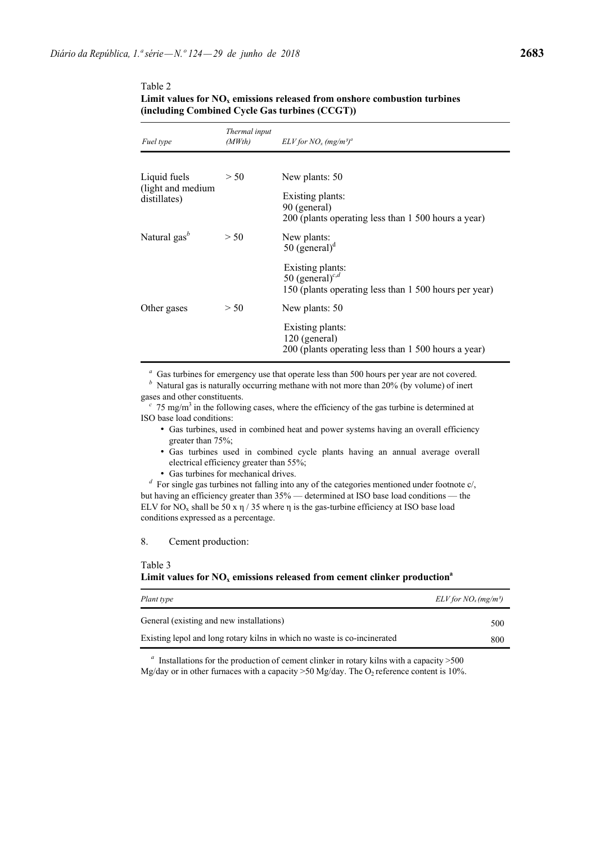| Fuel type                             | Thermal input<br>(MWth) | $ELV$ for $NO_x$ (mg/m <sup>3)a</sup>                                                                    |
|---------------------------------------|-------------------------|----------------------------------------------------------------------------------------------------------|
| Liquid fuels                          | > 50                    | New plants: 50                                                                                           |
| (light and medium<br>distillates)     |                         | Existing plants:<br>90 (general)<br>200 (plants operating less than 1 500 hours a year)                  |
| Natural gas <sup><math>b</math></sup> | > 50                    | New plants:<br>50 (general) $d$                                                                          |
|                                       |                         | Existing plants:<br>50 (general) <sup>c,d</sup><br>150 (plants operating less than 1 500 hours per year) |
| Other gases                           | > 50                    | New plants: 50                                                                                           |
|                                       |                         | Existing plants:<br>120 (general)<br>200 (plants operating less than 1 500 hours a year)                 |

### Table 2 **Limit values for**  $NO<sub>x</sub>$  **emissions released from onshore combustion turbines (including Combined Cycle Gas turbines (CCGT))**

*<sup>a</sup>* Gas turbines for emergency use that operate less than 500 hours per year are not covered.

*b* Natural gas is naturally occurring methane with not more than 20% (by volume) of inert gases and other constituents.

 $c$  75 mg/m<sup>3</sup> in the following cases, where the efficiency of the gas turbine is determined at ISO base load conditions:

- Gas turbines, used in combined heat and power systems having an overall efficiency greater than 75%;
- Gas turbines used in combined cycle plants having an annual average overall electrical efficiency greater than 55%;
- Gas turbines for mechanical drives.

*<sup>d</sup>* For single gas turbines not falling into any of the categories mentioned under footnote c/, but having an efficiency greater than 35% — determined at ISO base load conditions — the ELV for NO<sub>x</sub> shall be 50 x  $\eta$  / 35 where  $\eta$  is the gas-turbine efficiency at ISO base load conditions expressed as a percentage.

8. Cement production:

### Table 3

### Limit values for  $NO<sub>x</sub>$  emissions released from cement clinker production<sup>a</sup>

| Plant type                                                               | $ELV$ for $NO_x$ (mg/m <sup>3</sup> ) |
|--------------------------------------------------------------------------|---------------------------------------|
| General (existing and new installations)                                 | 500                                   |
| Existing lepol and long rotary kilns in which no waste is co-incinerated | 800                                   |

*<sup>a</sup>* Installations for the production of cement clinker in rotary kilns with a capacity >500 Mg/day or in other furnaces with a capacity >50 Mg/day. The  $O_2$  reference content is 10%.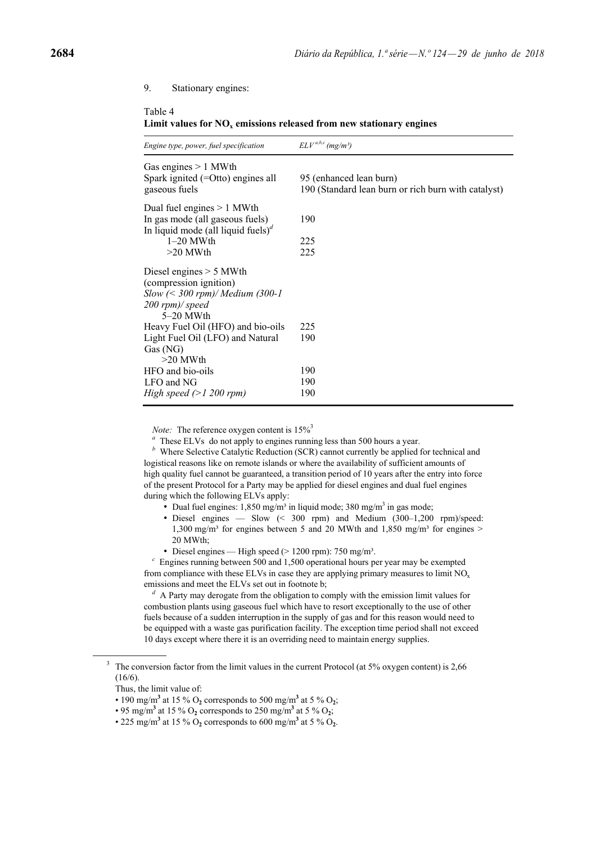### 9. Stationary engines:

### Table 4

Limit values for  $NO<sub>x</sub>$  emissions released from new stationary engines

| Engine type, power, fuel specification                                                                                         | $ELVa,b,c$ (mg/m <sup>3</sup> )                                                |
|--------------------------------------------------------------------------------------------------------------------------------|--------------------------------------------------------------------------------|
| Gas engines $> 1$ MWth<br>Spark ignited $(=O)$ engines all<br>gaseous fuels                                                    | 95 (enhanced lean burn)<br>190 (Standard lean burn or rich burn with catalyst) |
| Dual fuel engines $> 1$ MWth<br>In gas mode (all gaseous fuels)<br>In liquid mode (all liquid fuels) <sup><math>d</math></sup> | 190                                                                            |
| $1-20$ MWth                                                                                                                    | 225                                                                            |
| $>20$ MWth                                                                                                                     | 225                                                                            |
| Diesel engines $> 5$ MWth                                                                                                      |                                                                                |
| (compression ignition)                                                                                                         |                                                                                |
| $Slow \, \langle\leq 300 \, \text{rpm}\rangle/Medium \, (300-1)$                                                               |                                                                                |
| 200 rpm)/ speed                                                                                                                |                                                                                |
| $5-20$ MWth                                                                                                                    |                                                                                |
| Heavy Fuel Oil (HFO) and bio-oils                                                                                              | 225                                                                            |
| Light Fuel Oil (LFO) and Natural                                                                                               | 190                                                                            |
| Gas (NG)                                                                                                                       |                                                                                |
| $>20$ MWth<br>HFO and bio-oils                                                                                                 | 190                                                                            |
| LFO and NG                                                                                                                     | 190                                                                            |
| High speed $(>1 200$ rpm)                                                                                                      | 190                                                                            |
|                                                                                                                                |                                                                                |

*Note:* The reference oxygen content is  $15\%$ <sup>3</sup>

*<sup>a</sup>* These ELVs do not apply to engines running less than 500 hours a year.

*<sup>b</sup>* Where Selective Catalytic Reduction (SCR) cannot currently be applied for technical and logistical reasons like on remote islands or where the availability of sufficient amounts of high quality fuel cannot be guaranteed, a transition period of 10 years after the entry into force of the present Protocol for a Party may be applied for diesel engines and dual fuel engines during which the following ELVs apply:

- Dual fuel engines:  $1,850 \text{ mg/m}^3$  in liquid mode; 380 mg/m<sup>3</sup> in gas mode;
- Diesel engines Slow (< 300 rpm) and Medium (300–1,200 rpm)/speed: 1,300 mg/m<sup>3</sup> for engines between 5 and 20 MWth and 1,850 mg/m<sup>3</sup> for engines > 20 MWth;
- Diesel engines High speed ( $> 1200$  rpm): 750 mg/m<sup>3</sup>.

*<sup>c</sup>* Engines running between 500 and 1,500 operational hours per year may be exempted from compliance with these ELVs in case they are applying primary measures to limit  $NO<sub>x</sub>$ emissions and meet the ELVs set out in footnote b;

*<sup>d</sup>* A Party may derogate from the obligation to comply with the emission limit values for combustion plants using gaseous fuel which have to resort exceptionally to the use of other fuels because of a sudden interruption in the supply of gas and for this reason would need to be equipped with a waste gas purification facility. The exception time period shall not exceed 10 days except where there it is an overriding need to maintain energy supplies.

<sup>&</sup>lt;sup>3</sup> The conversion factor from the limit values in the current Protocol (at 5% oxygen content) is 2,66 (16/6).

Thus, the limit value of:

<sup>• 190</sup> mg/m<sup>3</sup> at 15 %  $O_2$  corresponds to 500 mg/m<sup>3</sup> at 5 %  $O_2$ ;

<sup>• 95</sup> mg/m<sup>3</sup> at 15 %  $O_2$  corresponds to 250 mg/m<sup>3</sup> at 5 %  $O_2$ ;

<sup>• 225</sup> mg/m<sup>3</sup> at 15 %  $O_2$  corresponds to 600 mg/m<sup>3</sup> at 5 %  $O_2$ .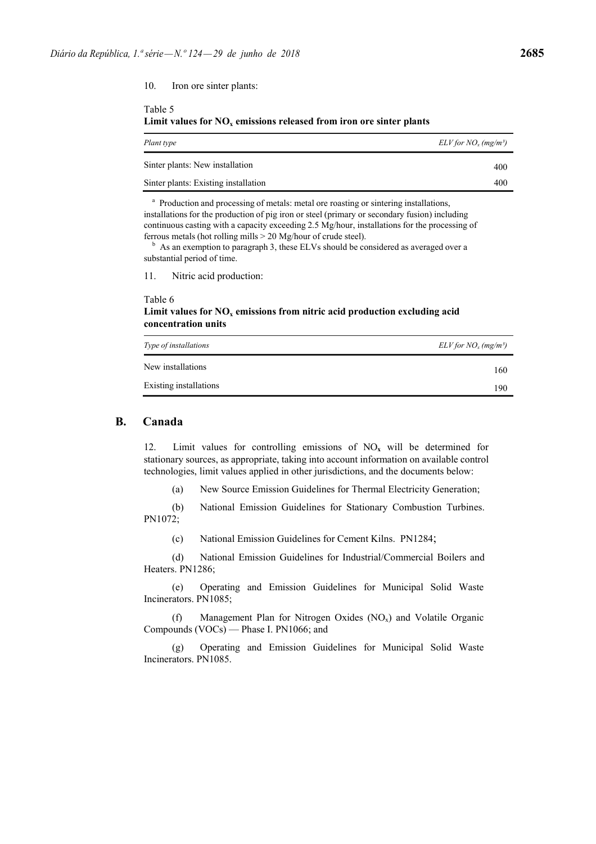10. Iron ore sinter plants:

Table 5 **Limit values for**  $NO<sub>x</sub>$  **emissions released from iron ore sinter plants** 

| Plant type                           | $ELV$ for $NO_x$ (mg/m <sup>3</sup> ) |
|--------------------------------------|---------------------------------------|
| Sinter plants: New installation      | 400                                   |
| Sinter plants: Existing installation | 400                                   |

<sup>a</sup> Production and processing of metals: metal ore roasting or sintering installations, installations for the production of pig iron or steel (primary or secondary fusion) including continuous casting with a capacity exceeding 2.5 Mg/hour, installations for the processing of ferrous metals (hot rolling mills  $> 20$  Mg/hour of crude steel).<br><sup>b</sup> As an exemption to paragraph 3, these ELVs should be considered as averaged over a

substantial period of time.

11. Nitric acid production:

### Table 6

Limit values for  $NO<sub>x</sub>$  emissions from nitric acid production excluding acid **concentration units**

| Type of installations  | $ELV$ for $NO_x$ (mg/m <sup>3</sup> ) |
|------------------------|---------------------------------------|
| New installations      | 160                                   |
| Existing installations | 190                                   |

### **B. Canada**

12. Limit values for controlling emissions of  $NO<sub>x</sub>$  will be determined for stationary sources, as appropriate, taking into account information on available control technologies, limit values applied in other jurisdictions, and the documents below:

(a) New Source Emission Guidelines for Thermal Electricity Generation;

(b) National Emission Guidelines for Stationary Combustion Turbines. PN1072;

(c) National Emission Guidelines for Cement Kilns. PN1284;

(d) National Emission Guidelines for Industrial/Commercial Boilers and Heaters. PN1286;

(e) Operating and Emission Guidelines for Municipal Solid Waste Incinerators. PN1085;

(f) Management Plan for Nitrogen Oxides (NOx) and Volatile Organic Compounds (VOCs) — Phase I. PN1066; and

(g) Operating and Emission Guidelines for Municipal Solid Waste Incinerators. PN1085.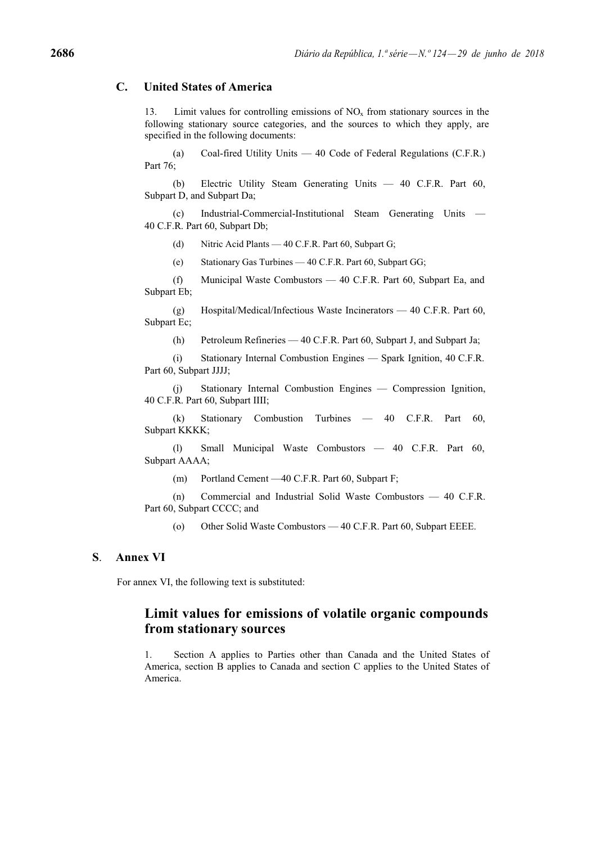## **C. United States of America**

13. Limit values for controlling emissions of  $NO<sub>x</sub>$  from stationary sources in the following stationary source categories, and the sources to which they apply, are specified in the following documents:

(a) Coal-fired Utility Units — 40 Code of Federal Regulations (C.F.R.) Part 76;

(b) Electric Utility Steam Generating Units — 40 C.F.R. Part 60, Subpart D, and Subpart Da;

(c) Industrial-Commercial-Institutional Steam Generating Units — 40 C.F.R. Part 60, Subpart Db;

(d) Nitric Acid Plants — 40 C.F.R. Part 60, Subpart G;

(e) Stationary Gas Turbines — 40 C.F.R. Part 60, Subpart GG;

(f) Municipal Waste Combustors — 40 C.F.R. Part 60, Subpart Ea, and Subpart Eb;

(g) Hospital/Medical/Infectious Waste Incinerators — 40 C.F.R. Part 60, Subpart Ec;

(h) Petroleum Refineries — 40 C.F.R. Part 60, Subpart J, and Subpart Ja;

(i) Stationary Internal Combustion Engines — Spark Ignition, 40 C.F.R. Part 60, Subpart JJJJ;

(j) Stationary Internal Combustion Engines — Compression Ignition, 40 C.F.R. Part 60, Subpart IIII;

(k) Stationary Combustion Turbines — 40 C.F.R. Part 60, Subpart KKKK;

(l) Small Municipal Waste Combustors — 40 C.F.R. Part 60, Subpart AAAA;

(m) Portland Cement —40 C.F.R. Part 60, Subpart F;

(n) Commercial and Industrial Solid Waste Combustors — 40 C.F.R. Part 60, Subpart CCCC; and

(o) Other Solid Waste Combustors — 40 C.F.R. Part 60, Subpart EEEE.

### **S**. **Annex VI**

For annex VI, the following text is substituted:

# **Limit values for emissions of volatile organic compounds from stationary sources**

1. Section A applies to Parties other than Canada and the United States of America, section B applies to Canada and section C applies to the United States of America.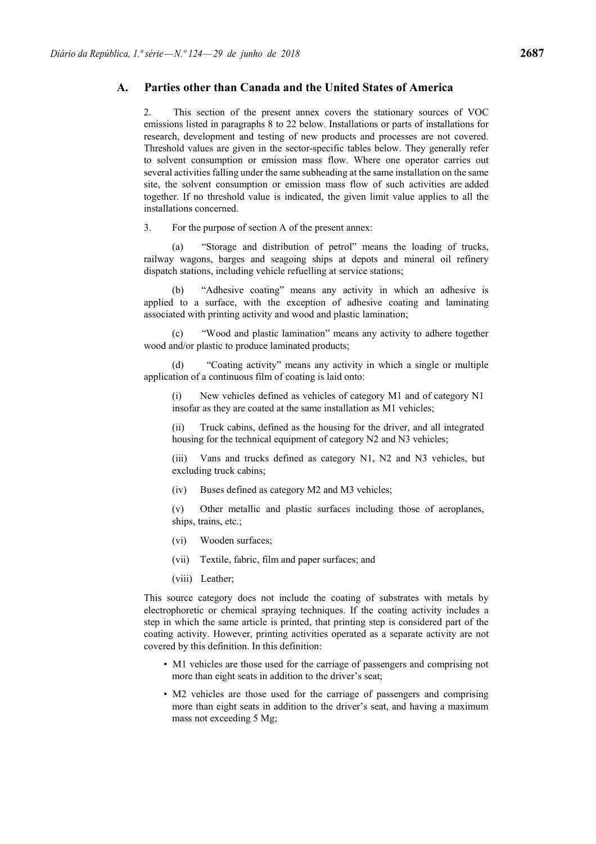### **A. Parties other than Canada and the United States of America**

2. This section of the present annex covers the stationary sources of VOC emissions listed in paragraphs 8 to 22 below. Installations or parts of installations for research, development and testing of new products and processes are not covered. Threshold values are given in the sector-specific tables below. They generally refer to solvent consumption or emission mass flow. Where one operator carries out several activities falling under the same subheading at the same installation on the same site, the solvent consumption or emission mass flow of such activities are added together. If no threshold value is indicated, the given limit value applies to all the installations concerned.

3. For the purpose of section A of the present annex:

"Storage and distribution of petrol" means the loading of trucks, railway wagons, barges and seagoing ships at depots and mineral oil refinery dispatch stations, including vehicle refuelling at service stations;

"Adhesive coating" means any activity in which an adhesive is applied to a surface, with the exception of adhesive coating and laminating associated with printing activity and wood and plastic lamination;

(c) "Wood and plastic lamination" means any activity to adhere together wood and/or plastic to produce laminated products;

(d) "Coating activity" means any activity in which a single or multiple application of a continuous film of coating is laid onto:

(i) New vehicles defined as vehicles of category M1 and of category N1 insofar as they are coated at the same installation as M1 vehicles;

(ii) Truck cabins, defined as the housing for the driver, and all integrated housing for the technical equipment of category N2 and N3 vehicles;

(iii) Vans and trucks defined as category N1, N2 and N3 vehicles, but excluding truck cabins;

(iv) Buses defined as category M2 and M3 vehicles;

(v) Other metallic and plastic surfaces including those of aeroplanes, ships, trains, etc.;

- (vi) Wooden surfaces;
- (vii) Textile, fabric, film and paper surfaces; and
- (viii) Leather;

This source category does not include the coating of substrates with metals by electrophoretic or chemical spraying techniques. If the coating activity includes a step in which the same article is printed, that printing step is considered part of the coating activity. However, printing activities operated as a separate activity are not covered by this definition. In this definition:

- M1 vehicles are those used for the carriage of passengers and comprising not more than eight seats in addition to the driver's seat;
- M2 vehicles are those used for the carriage of passengers and comprising more than eight seats in addition to the driver's seat, and having a maximum mass not exceeding 5 Mg;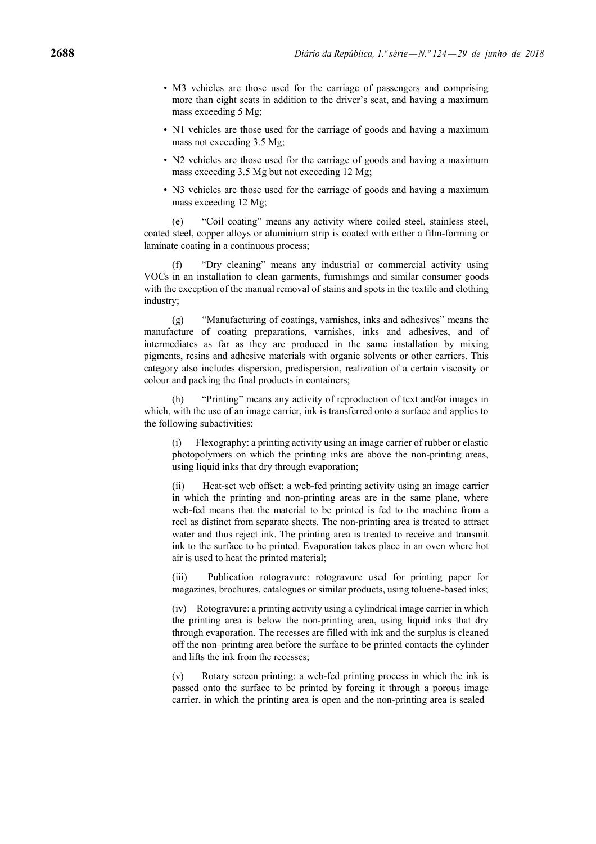- M3 vehicles are those used for the carriage of passengers and comprising more than eight seats in addition to the driver's seat, and having a maximum mass exceeding 5 Mg;
- N1 vehicles are those used for the carriage of goods and having a maximum mass not exceeding 3.5 Mg;
- N2 vehicles are those used for the carriage of goods and having a maximum mass exceeding 3.5 Mg but not exceeding 12 Mg;
- N3 vehicles are those used for the carriage of goods and having a maximum mass exceeding 12 Mg;

(e) "Coil coating" means any activity where coiled steel, stainless steel, coated steel, copper alloys or aluminium strip is coated with either a film-forming or laminate coating in a continuous process;

(f) "Dry cleaning" means any industrial or commercial activity using VOCs in an installation to clean garments, furnishings and similar consumer goods with the exception of the manual removal of stains and spots in the textile and clothing industry;

(g) "Manufacturing of coatings, varnishes, inks and adhesives" means the manufacture of coating preparations, varnishes, inks and adhesives, and of intermediates as far as they are produced in the same installation by mixing pigments, resins and adhesive materials with organic solvents or other carriers. This category also includes dispersion, predispersion, realization of a certain viscosity or colour and packing the final products in containers;

(h) "Printing" means any activity of reproduction of text and/or images in which, with the use of an image carrier, ink is transferred onto a surface and applies to the following subactivities:

(i) Flexography: a printing activity using an image carrier of rubber or elastic photopolymers on which the printing inks are above the non-printing areas, using liquid inks that dry through evaporation;

Heat-set web offset: a web-fed printing activity using an image carrier in which the printing and non-printing areas are in the same plane, where web-fed means that the material to be printed is fed to the machine from a reel as distinct from separate sheets. The non-printing area is treated to attract water and thus reject ink. The printing area is treated to receive and transmit ink to the surface to be printed. Evaporation takes place in an oven where hot air is used to heat the printed material;

(iii) Publication rotogravure: rotogravure used for printing paper for magazines, brochures, catalogues or similar products, using toluene-based inks;

(iv) Rotogravure: a printing activity using a cylindrical image carrier in which the printing area is below the non-printing area, using liquid inks that dry through evaporation. The recesses are filled with ink and the surplus is cleaned off the non–printing area before the surface to be printed contacts the cylinder and lifts the ink from the recesses;

(v) Rotary screen printing: a web-fed printing process in which the ink is passed onto the surface to be printed by forcing it through a porous image carrier, in which the printing area is open and the non-printing area is sealed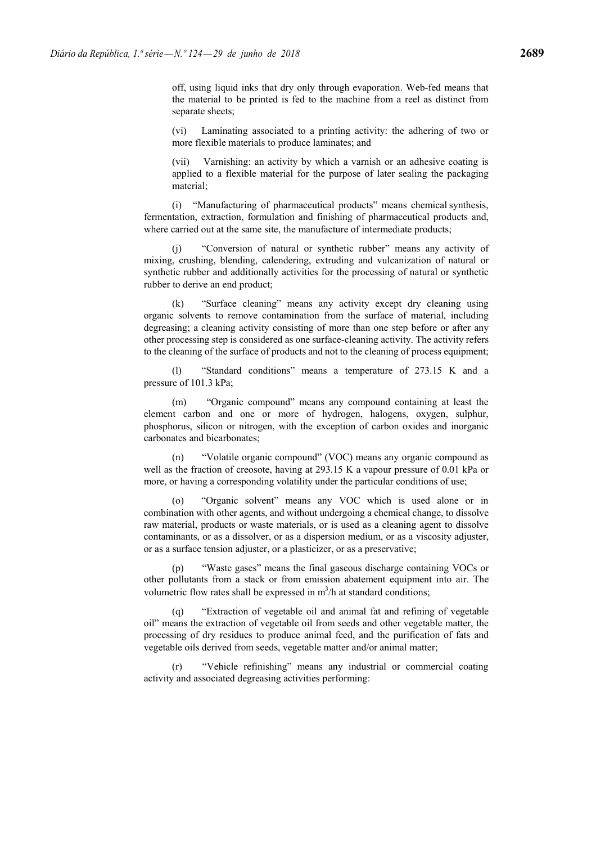(vi) Laminating associated to a printing activity: the adhering of two or more flexible materials to produce laminates; and

(vii) Varnishing: an activity by which a varnish or an adhesive coating is applied to a flexible material for the purpose of later sealing the packaging material;

(i) "Manufacturing of pharmaceutical products" means chemical synthesis, fermentation, extraction, formulation and finishing of pharmaceutical products and, where carried out at the same site, the manufacture of intermediate products;

(j) "Conversion of natural or synthetic rubber" means any activity of mixing, crushing, blending, calendering, extruding and vulcanization of natural or synthetic rubber and additionally activities for the processing of natural or synthetic rubber to derive an end product;

(k) "Surface cleaning" means any activity except dry cleaning using organic solvents to remove contamination from the surface of material, including degreasing; a cleaning activity consisting of more than one step before or after any other processing step is considered as one surface-cleaning activity. The activity refers to the cleaning of the surface of products and not to the cleaning of process equipment;

(l) "Standard conditions" means a temperature of 273.15 K and a pressure of 101.3 kPa;

(m) "Organic compound" means any compound containing at least the element carbon and one or more of hydrogen, halogens, oxygen, sulphur, phosphorus, silicon or nitrogen, with the exception of carbon oxides and inorganic carbonates and bicarbonates;

(n) "Volatile organic compound" (VOC) means any organic compound as well as the fraction of creosote, having at 293.15 K a vapour pressure of 0.01 kPa or more, or having a corresponding volatility under the particular conditions of use;

(o) "Organic solvent" means any VOC which is used alone or in combination with other agents, and without undergoing a chemical change, to dissolve raw material, products or waste materials, or is used as a cleaning agent to dissolve contaminants, or as a dissolver, or as a dispersion medium, or as a viscosity adjuster, or as a surface tension adjuster, or a plasticizer, or as a preservative;

(p) "Waste gases" means the final gaseous discharge containing VOCs or other pollutants from a stack or from emission abatement equipment into air. The volumetric flow rates shall be expressed in  $m^3/h$  at standard conditions;

(q) "Extraction of vegetable oil and animal fat and refining of vegetable oil" means the extraction of vegetable oil from seeds and other vegetable matter, the processing of dry residues to produce animal feed, and the purification of fats and vegetable oils derived from seeds, vegetable matter and/or animal matter;

"Vehicle refinishing" means any industrial or commercial coating activity and associated degreasing activities performing: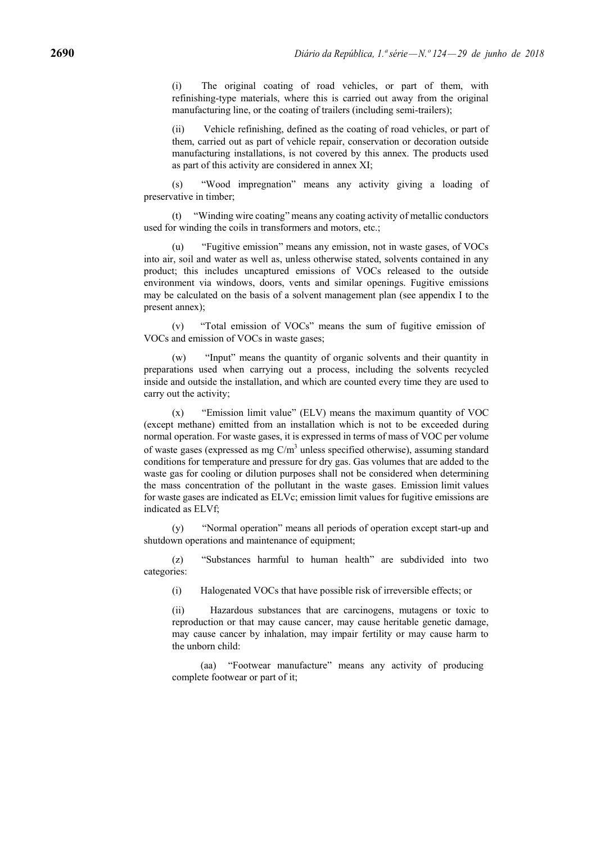(i) The original coating of road vehicles, or part of them, with refinishing-type materials, where this is carried out away from the original manufacturing line, or the coating of trailers (including semi-trailers);

Vehicle refinishing, defined as the coating of road vehicles, or part of them, carried out as part of vehicle repair, conservation or decoration outside manufacturing installations, is not covered by this annex. The products used as part of this activity are considered in annex XI;

(s) "Wood impregnation" means any activity giving a loading of preservative in timber;

(t) "Winding wire coating" means any coating activity of metallic conductors used for winding the coils in transformers and motors, etc.;

(u) "Fugitive emission" means any emission, not in waste gases, of VOCs into air, soil and water as well as, unless otherwise stated, solvents contained in any product; this includes uncaptured emissions of VOCs released to the outside environment via windows, doors, vents and similar openings. Fugitive emissions may be calculated on the basis of a solvent management plan (see appendix I to the present annex);

(v) "Total emission of VOCs" means the sum of fugitive emission of VOCs and emission of VOCs in waste gases;

(w) "Input" means the quantity of organic solvents and their quantity in preparations used when carrying out a process, including the solvents recycled inside and outside the installation, and which are counted every time they are used to carry out the activity;

(x) "Emission limit value" (ELV) means the maximum quantity of VOC (except methane) emitted from an installation which is not to be exceeded during normal operation. For waste gases, it is expressed in terms of mass of VOC per volume of waste gases (expressed as mg  $C/m<sup>3</sup>$  unless specified otherwise), assuming standard conditions for temperature and pressure for dry gas. Gas volumes that are added to the waste gas for cooling or dilution purposes shall not be considered when determining the mass concentration of the pollutant in the waste gases. Emission limit values for waste gases are indicated as ELVc; emission limit values for fugitive emissions are indicated as ELVf;

(y) "Normal operation" means all periods of operation except start-up and shutdown operations and maintenance of equipment:

(z) "Substances harmful to human health" are subdivided into two categories:

(i) Halogenated VOCs that have possible risk of irreversible effects; or

(ii) Hazardous substances that are carcinogens, mutagens or toxic to reproduction or that may cause cancer, may cause heritable genetic damage, may cause cancer by inhalation, may impair fertility or may cause harm to the unborn child:

(aa) "Footwear manufacture" means any activity of producing complete footwear or part of it;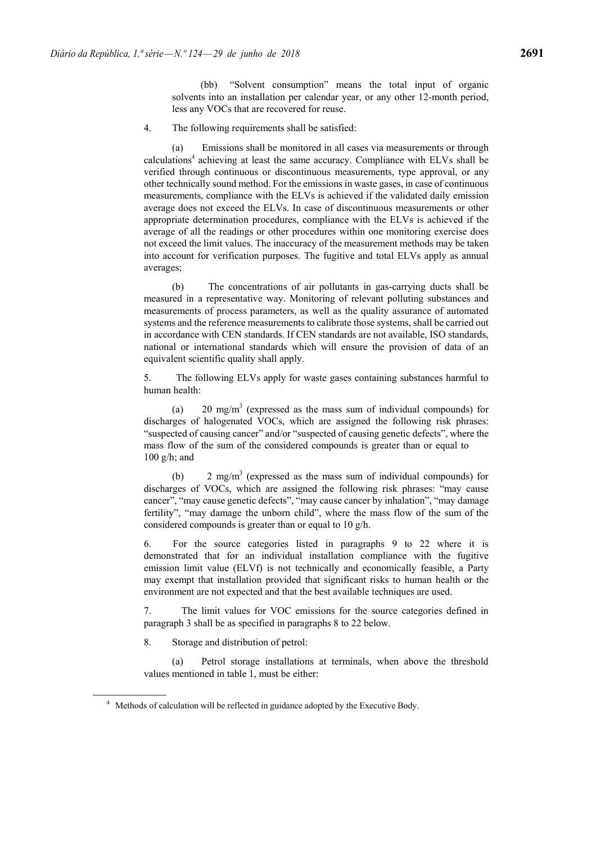(bb) "Solvent consumption" means the total input of organic solvents into an installation per calendar year, or any other 12-month period, less any VOCs that are recovered for reuse.

4. The following requirements shall be satisfied:

(a) Emissions shall be monitored in all cases via measurements or through calculations4 achieving at least the same accuracy. Compliance with ELVs shall be verified through continuous or discontinuous measurements, type approval, or any other technically sound method. For the emissions in waste gases, in case of continuous measurements, compliance with the ELVs is achieved if the validated daily emission average does not exceed the ELVs. In case of discontinuous measurements or other appropriate determination procedures, compliance with the ELVs is achieved if the average of all the readings or other procedures within one monitoring exercise does not exceed the limit values. The inaccuracy of the measurement methods may be taken into account for verification purposes. The fugitive and total ELVs apply as annual averages;

(b) The concentrations of air pollutants in gas-carrying ducts shall be measured in a representative way. Monitoring of relevant polluting substances and measurements of process parameters, as well as the quality assurance of automated systems and the reference measurements to calibrate those systems, shall be carried out in accordance with CEN standards. If CEN standards are not available, ISO standards, national or international standards which will ensure the provision of data of an equivalent scientific quality shall apply.

5. The following ELVs apply for waste gases containing substances harmful to human health:

(a)  $20 \text{ mg/m}^3$  (expressed as the mass sum of individual compounds) for discharges of halogenated VOCs, which are assigned the following risk phrases: "suspected of causing cancer" and/or "suspected of causing genetic defects", where the mass flow of the sum of the considered compounds is greater than or equal to 100 g/h; and

(b) 2 mg/m<sup>3</sup> (expressed as the mass sum of individual compounds) for discharges of VOCs, which are assigned the following risk phrases: "may cause cancer", "may cause genetic defects", "may cause cancer by inhalation", "may damage fertility", "may damage the unborn child", where the mass flow of the sum of the considered compounds is greater than or equal to 10 g/h.

6. For the source categories listed in paragraphs 9 to 22 where it is demonstrated that for an individual installation compliance with the fugitive emission limit value (ELVf) is not technically and economically feasible, a Party may exempt that installation provided that significant risks to human health or the environment are not expected and that the best available techniques are used.

7. The limit values for VOC emissions for the source categories defined in paragraph 3 shall be as specified in paragraphs 8 to 22 below.

8. Storage and distribution of petrol:

(a) Petrol storage installations at terminals, when above the threshold values mentioned in table 1, must be either:

<sup>&</sup>lt;sup>4</sup> Methods of calculation will be reflected in guidance adopted by the Executive Body.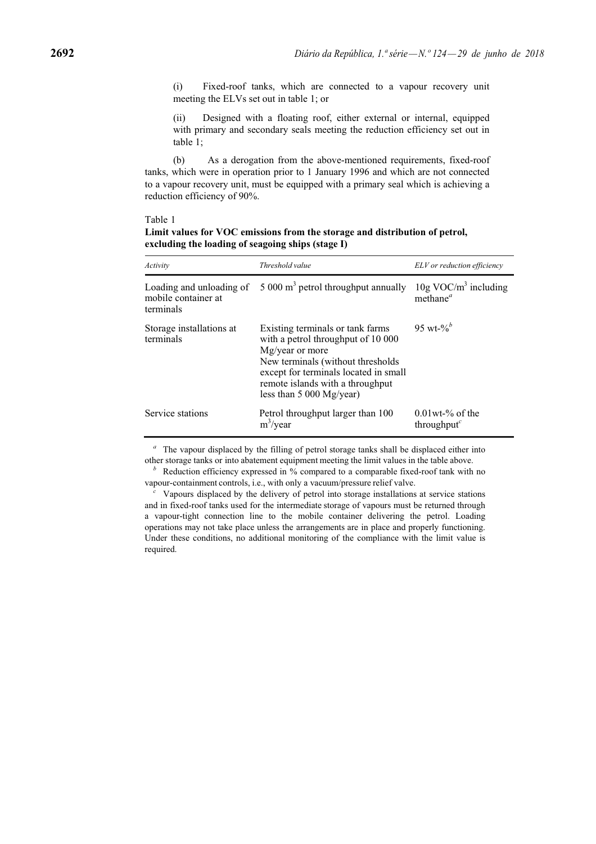(i) Fixed-roof tanks, which are connected to a vapour recovery unit meeting the ELVs set out in table 1; or

(ii) Designed with a floating roof, either external or internal, equipped with primary and secondary seals meeting the reduction efficiency set out in table 1;

(b) As a derogation from the above-mentioned requirements, fixed-roof tanks, which were in operation prior to 1 January 1996 and which are not connected to a vapour recovery unit, must be equipped with a primary seal which is achieving a reduction efficiency of 90%.

#### Table 1

| Limit values for VOC emissions from the storage and distribution of petrol, |
|-----------------------------------------------------------------------------|
| excluding the loading of seagoing ships (stage I)                           |

| Activity                                                     | Threshold value                                                                                                                                                                                                                          | ELV or reduction efficiency                                    |
|--------------------------------------------------------------|------------------------------------------------------------------------------------------------------------------------------------------------------------------------------------------------------------------------------------------|----------------------------------------------------------------|
| Loading and unloading of<br>mobile container at<br>terminals | 5 000 $m3$ petrol throughput annually                                                                                                                                                                                                    | $10g \text{ VOC/m}^3$ including<br>methane <sup><i>a</i></sup> |
| Storage installations at<br>terminals                        | Existing terminals or tank farms<br>with a petrol throughput of 10 000<br>Mg/year or more<br>New terminals (without thresholds<br>except for terminals located in small<br>remote islands with a throughput<br>less than $5000$ Mg/year) | 95 wt-% $b^b$                                                  |
| Service stations                                             | Petrol throughput larger than 100<br>$m^3$ /year                                                                                                                                                                                         | $0.01$ wt-% of the<br>throughput $\epsilon$                    |

<sup>*a*</sup> The vapour displaced by the filling of petrol storage tanks shall be displaced either into

other storage tanks or into abatement equipment meeting the limit values in the table above.<br>*b*Reduction efficiency expressed in % compared to a comparable fixed-roof tank with no vapour-containment controls, i.e., with o

Vapours displaced by the delivery of petrol into storage installations at service stations and in fixed-roof tanks used for the intermediate storage of vapours must be returned through a vapour-tight connection line to the mobile container delivering the petrol. Loading operations may not take place unless the arrangements are in place and properly functioning. Under these conditions, no additional monitoring of the compliance with the limit value is required.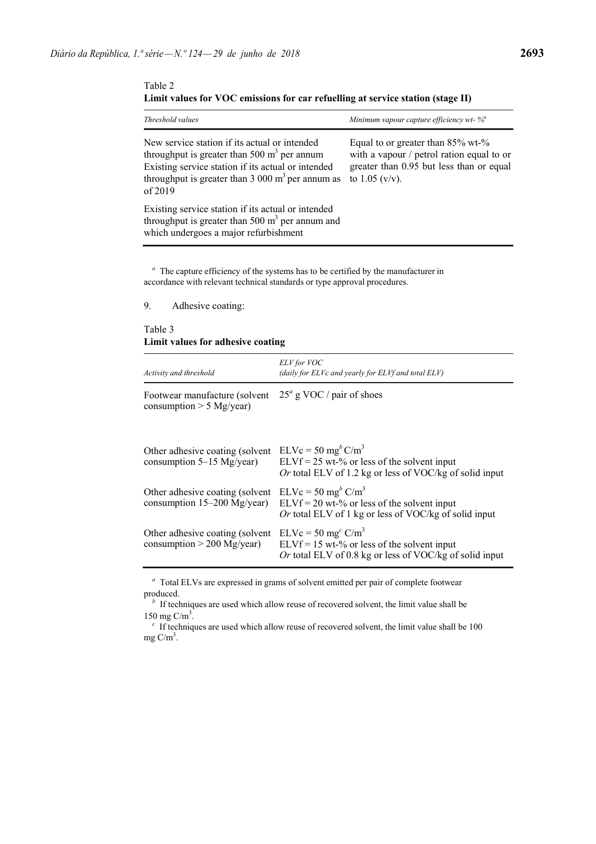Table 2 **Limit values for VOC emissions for car refuelling at service station (stage II)**

| Threshold values                                                                                                                                                                                                        | Minimum vapour capture efficiency wt- $\%^a$                                                                                                          |
|-------------------------------------------------------------------------------------------------------------------------------------------------------------------------------------------------------------------------|-------------------------------------------------------------------------------------------------------------------------------------------------------|
| New service station if its actual or intended<br>throughput is greater than 500 $m3$ per annum<br>Existing service station if its actual or intended<br>throughput is greater than 3 000 $m3$ per annum as<br>of $2019$ | Equal to or greater than $85\%$ wt- $\%$<br>with a vapour / petrol ration equal to or<br>greater than 0.95 but less than or equal<br>to $1.05$ (v/v). |
| Existing service station if its actual or intended<br>throughput is greater than 500 $m3$ per annum and<br>which undergoes a major refurbishment                                                                        |                                                                                                                                                       |

*<sup>a</sup>* The capture efficiency of the systems has to be certified by the manufacturer in accordance with relevant technical standards or type approval procedures.

9. Adhesive coating:

Table 3 **Limit values for adhesive coating**

| Activity and threshold                                          | ELV for VOC<br>(daily for ELVc and yearly for ELVf and total ELV)                                                                              |
|-----------------------------------------------------------------|------------------------------------------------------------------------------------------------------------------------------------------------|
| Footwear manufacture (solvent<br>consumption $> 5$ Mg/year)     | $25^a$ g VOC / pair of shoes                                                                                                                   |
| Other adhesive coating (solvent<br>consumption $5-15$ Mg/year)  | $ELVc = 50$ mg <sup>b</sup> $C/m3$<br>$ELVf = 25$ wt-% or less of the solvent input<br>Or total ELV of 1.2 kg or less of VOC/kg of solid input |
| Other adhesive coating (solvent<br>consumption 15-200 Mg/year)  | $ELVc = 50$ mg <sup>b</sup> $C/m3$<br>$ELVf = 20$ wt-% or less of the solvent input<br>Or total ELV of 1 kg or less of VOC/kg of solid input   |
| Other adhesive coating (solvent<br>consumption $> 200$ Mg/year) | $ELVc = 50 mgc C/m3$<br>$ELVf = 15$ wt-% or less of the solvent input<br>Or total ELV of 0.8 kg or less of VOC/kg of solid input               |

*<sup>a</sup>* Total ELVs are expressed in grams of solvent emitted per pair of complete footwear produced.

<sup>*b*</sup> If techniques are used which allow reuse of recovered solvent, the limit value shall be 150 mg  $C/m<sup>3</sup>$ .

*<sup>c</sup>* If techniques are used which allow reuse of recovered solvent, the limit value shall be 100 mg  $C/m^3$ .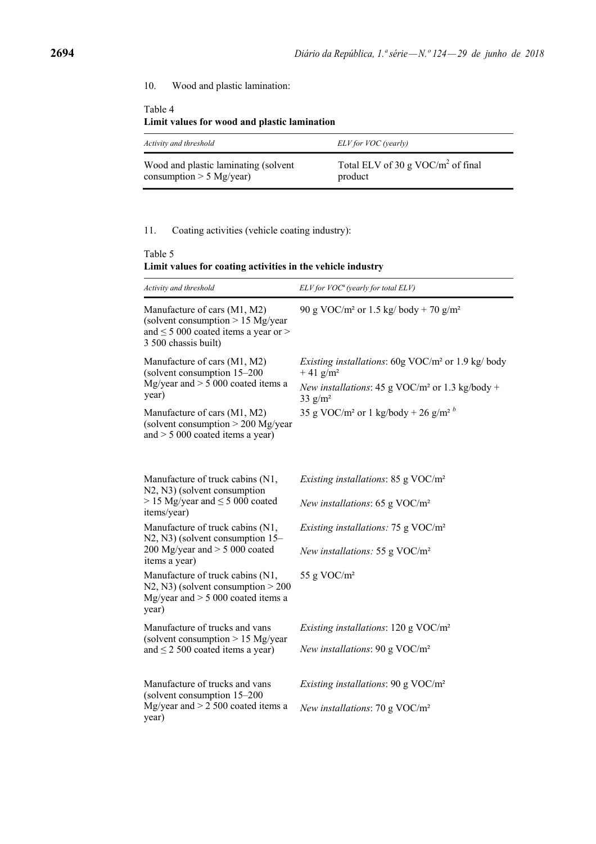## 10. Wood and plastic lamination:

## Table 4 **Limit values for wood and plastic lamination**

| Activity and threshold               | ELV for VOC (yearly)                 |
|--------------------------------------|--------------------------------------|
| Wood and plastic laminating (solvent | Total ELV of 30 g VOC/ $m2$ of final |
| consumption $> 5$ Mg/year)           | product                              |

## 11. Coating activities (vehicle coating industry):

## Table 5 **Limit values for coating activities in the vehicle industry**

| Activity and threshold                                                                                                                     | ELV for VOC <sup>a</sup> (yearly for total ELV)                                               |
|--------------------------------------------------------------------------------------------------------------------------------------------|-----------------------------------------------------------------------------------------------|
| Manufacture of cars (M1, M2)<br>(solvent consumption $> 15$ Mg/year<br>and $\leq$ 5 000 coated items a year or $>$<br>3 500 chassis built) | 90 g VOC/m <sup>2</sup> or 1.5 kg/ body + 70 g/m <sup>2</sup>                                 |
| Manufacture of cars (M1, M2)<br>(solvent consumption 15-200<br>Mg/year and $> 5000$ coated items a                                         | <i>Existing installations:</i> $60g \text{ VOC/m}^2$ or 1.9 kg/body<br>$+41$ g/m <sup>2</sup> |
| year)                                                                                                                                      | New installations: 45 g VOC/m <sup>2</sup> or 1.3 kg/body +<br>$33$ g/m <sup>2</sup>          |
| Manufacture of cars (M1, M2)<br>(solvent consumption $> 200$ Mg/year<br>and $> 5000$ coated items a year)                                  | 35 g VOC/m <sup>2</sup> or 1 kg/body + 26 g/m <sup>2</sup> $^{b}$                             |
| Manufacture of truck cabins (N1,<br>N2, N3) (solvent consumption                                                                           | <i>Existing installations:</i> 85 g VOC/ $m^2$                                                |
| $> 15$ Mg/year and $\leq 5$ 000 coated<br>items/year)                                                                                      | New installations: 65 g VOC/ $m2$                                                             |
| Manufacture of truck cabins (N1,<br>N2, N3) (solvent consumption 15–<br>200 Mg/year and $> 5000$ coated<br>items a year)                   | <i>Existing installations:</i> 75 g $VOC/m^2$                                                 |
|                                                                                                                                            | New installations: 55 g VOC/ $m2$                                                             |
| Manufacture of truck cabins (N1,<br>$N2$ , N3) (solvent consumption $> 200$<br>Mg/year and $> 5000$ coated items a<br>year)                | 55 g VOC/ $m2$                                                                                |
| Manufacture of trucks and vans<br>(solvent consumption $> 15$ Mg/year<br>and $\leq$ 2 500 coated items a year)                             | Existing installations: 120 g VOC/m <sup>2</sup>                                              |
|                                                                                                                                            | New installations: 90 g VOC/ $m2$                                                             |
| Manufacture of trucks and vans<br>(solvent consumption 15–200)                                                                             | <i>Existing installations:</i> 90 g VOC/ $m^2$                                                |
| Mg/year and $> 2$ 500 coated items a<br>year)                                                                                              | New installations: 70 g VOC/ $m2$                                                             |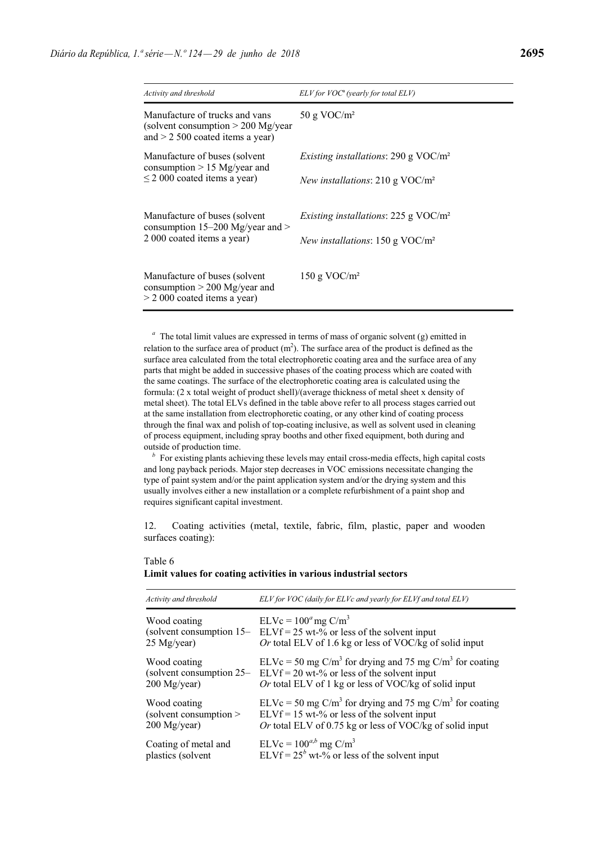| Activity and threshold                                                                                       | $ELV$ for $VOC^a$ (yearly for total $ELV$ )                                                  |
|--------------------------------------------------------------------------------------------------------------|----------------------------------------------------------------------------------------------|
| Manufacture of trucks and vans<br>(solvent consumption $> 200$ Mg/year<br>and $> 2$ 500 coated items a year) | 50 g VOC/ $m2$                                                                               |
| Manufacture of buses (solvent<br>consumption $> 15$ Mg/year and<br>$\leq$ 2 000 coated items a year)         | <i>Existing installations:</i> 290 g $VOC/m^2$<br><i>New installations:</i> 210 g $VOC/m^2$  |
| Manufacture of buses (solvent<br>consumption $15-200$ Mg/year and $>$<br>2 000 coated items a year)          | <i>Existing installations:</i> 225 g $VOC/m^2$<br><i>New installations:</i> 150 g VOC/ $m^2$ |
| Manufacture of buses (solvent)<br>consumption $> 200$ Mg/year and<br>$>$ 2 000 coated items a year)          | 150 g VOC/ $m2$                                                                              |

*<sup>a</sup>* The total limit values are expressed in terms of mass of organic solvent (g) emitted in relation to the surface area of product  $(m<sup>2</sup>)$ . The surface area of the product is defined as the surface area calculated from the total electrophoretic coating area and the surface area of any parts that might be added in successive phases of the coating process which are coated with the same coatings. The surface of the electrophoretic coating area is calculated using the formula: (2 x total weight of product shell)/(average thickness of metal sheet x density of metal sheet). The total ELVs defined in the table above refer to all process stages carried out at the same installation from electrophoretic coating, or any other kind of coating process through the final wax and polish of top-coating inclusive, as well as solvent used in cleaning of process equipment, including spray booths and other fixed equipment, both during and outside of production time.

*b* For existing plants achieving these levels may entail cross-media effects, high capital costs and long payback periods. Major step decreases in VOC emissions necessitate changing the type of paint system and/or the paint application system and/or the drying system and this usually involves either a new installation or a complete refurbishment of a paint shop and requires significant capital investment.

12. Coating activities (metal, textile, fabric, film, plastic, paper and wooden surfaces coating):

| Activity and threshold      | ELV for VOC (daily for ELVc and yearly for ELVf and total ELV)                                                                                                          |
|-----------------------------|-------------------------------------------------------------------------------------------------------------------------------------------------------------------------|
| Wood coating<br>25 Mg/year) | $ELVc = 100a$ mg C/m <sup>3</sup><br>(solvent consumption $15 - ELVf = 25$ wt-% or less of the solvent input<br>Or total ELV of 1.6 kg or less of VOC/kg of solid input |
| Wood coating                | ELVc = 50 mg C/m <sup>3</sup> for drying and 75 mg C/m <sup>3</sup> for coating                                                                                         |
| (solvent consumption 25–    | $ELVf = 20$ wt-% or less of the solvent input                                                                                                                           |
| $200$ Mg/year)              | Or total ELV of 1 kg or less of VOC/kg of solid input                                                                                                                   |
| Wood coating                | $ELVc = 50$ mg C/m <sup>3</sup> for drying and 75 mg C/m <sup>3</sup> for coating                                                                                       |
| (solvent consumption)       | $ELVf = 15$ wt-% or less of the solvent input                                                                                                                           |
| $200$ Mg/year)              | Or total ELV of 0.75 kg or less of VOC/kg of solid input                                                                                                                |
| Coating of metal and        | $ELVc = 100^{a,b}$ mg C/m <sup>3</sup>                                                                                                                                  |
| plastics (solvent           | ELVf = $25^b$ wt-% or less of the solvent input                                                                                                                         |

### Table 6 **Limit values for coating activities in various industrial sectors**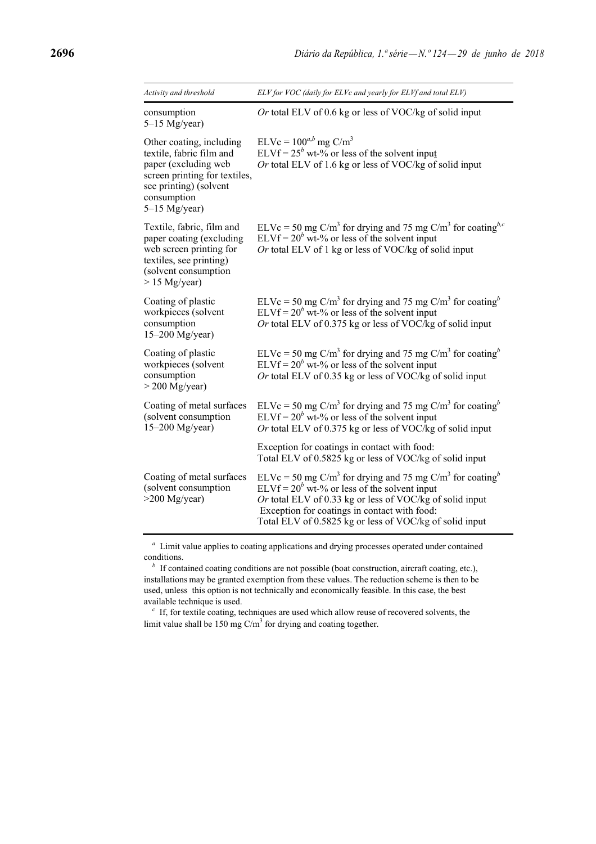| Activity and threshold                                                                                                                                                    | ELV for VOC (daily for ELVc and yearly for ELVf and total ELV)                                                                                                                                                                                                                                                         |
|---------------------------------------------------------------------------------------------------------------------------------------------------------------------------|------------------------------------------------------------------------------------------------------------------------------------------------------------------------------------------------------------------------------------------------------------------------------------------------------------------------|
| consumption<br>$5-15$ Mg/year)                                                                                                                                            | Or total ELV of 0.6 kg or less of VOC/kg of solid input                                                                                                                                                                                                                                                                |
| Other coating, including<br>textile, fabric film and<br>paper (excluding web<br>screen printing for textiles,<br>see printing) (solvent<br>consumption<br>$5-15$ Mg/year) | $ELVc = 100^{a,b}$ mg C/m <sup>3</sup><br>ELVf = $25^b$ wt-% or less of the solvent input<br>Or total ELV of 1.6 kg or less of VOC/kg of solid input                                                                                                                                                                   |
| Textile, fabric, film and<br>paper coating (excluding<br>web screen printing for<br>textiles, see printing)<br>(solvent consumption<br>$> 15$ Mg/year)                    | ELVc = 50 mg C/m <sup>3</sup> for drying and 75 mg C/m <sup>3</sup> for coating <sup>b,c</sup><br>ELVf = $20^b$ wt-% or less of the solvent input<br>Or total ELV of 1 kg or less of VOC/kg of solid input                                                                                                             |
| Coating of plastic<br>workpieces (solvent<br>consumption<br>$15-200$ Mg/year)                                                                                             | ELVc = 50 mg C/m <sup>3</sup> for drying and 75 mg C/m <sup>3</sup> for coating <sup>b</sup><br>ELVf = $20^b$ wt-% or less of the solvent input<br>Or total ELV of 0.375 kg or less of VOC/kg of solid input                                                                                                           |
| Coating of plastic<br>workpieces (solvent<br>consumption<br>$>$ 200 Mg/year)                                                                                              | ELVc = 50 mg C/m <sup>3</sup> for drying and 75 mg C/m <sup>3</sup> for coating <sup>b</sup><br>ELVf = $20^b$ wt-% or less of the solvent input<br>Or total ELV of 0.35 kg or less of VOC/kg of solid input                                                                                                            |
| Coating of metal surfaces<br>(solvent consumption<br>$15-200$ Mg/year)                                                                                                    | ELVc = 50 mg C/m <sup>3</sup> for drying and 75 mg C/m <sup>3</sup> for coating <sup>b</sup><br>ELVf = $20^b$ wt-% or less of the solvent input<br>Or total ELV of 0.375 kg or less of VOC/kg of solid input                                                                                                           |
|                                                                                                                                                                           | Exception for coatings in contact with food:<br>Total ELV of 0.5825 kg or less of VOC/kg of solid input                                                                                                                                                                                                                |
| Coating of metal surfaces<br>(solvent consumption<br>$>200$ Mg/year)                                                                                                      | ELVc = 50 mg C/m <sup>3</sup> for drying and 75 mg C/m <sup>3</sup> for coating <sup>b</sup><br>ELVf = $20^b$ wt-% or less of the solvent input<br>Or total ELV of 0.33 kg or less of VOC/kg of solid input<br>Exception for coatings in contact with food:<br>Total ELV of 0.5825 kg or less of VOC/kg of solid input |

*<sup>a</sup>* Limit value applies to coating applications and drying processes operated under contained conditions.

 *If contained coating conditions are not possible (boat construction, aircraft coating, etc.),* installations may be granted exemption from these values. The reduction scheme is then to be used, unless this option is not technically and economically feasible. In this case, the best available technique is used.

*<sup>c</sup>* If, for textile coating, techniques are used which allow reuse of recovered solvents, the limit value shall be 150 mg  $C/m^3$  for drying and coating together.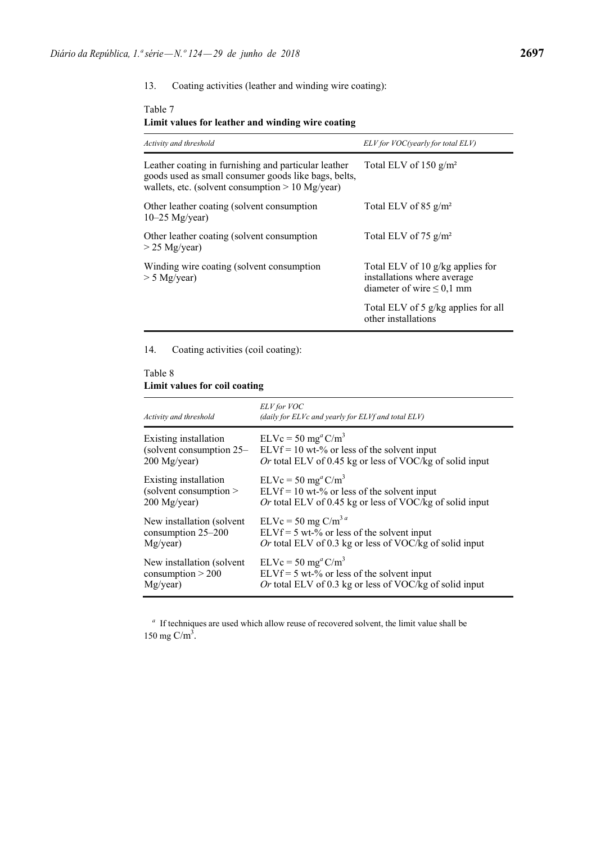Table 7

#### 13. Coating activities (leather and winding wire coating):

#### **Limit values for leather and winding wire coating** *Activity and threshold ELV for VOC(yearly for total ELV)* Leather coating in furnishing and particular leather goods used as small consumer goods like bags, belts, wallets, etc. (solvent consumption  $> 10$  Mg/year) Other leather coating (solvent consumption 10–25 Mg/year) Other leather coating (solvent consumption > 25 Mg/year) Winding wire coating (solvent consumption > 5 Mg/year) Total ELV of 150 g/m² Total ELV of 85 g/m² Total ELV of 75 g/m² Total ELV of 10 g/kg applies for installations where average diameter of wire  $\leq 0,1$  mm Total ELV of 5 g/kg applies for all other installations

### 14. Coating activities (coil coating):

### Table 8 **Limit values for coil coating**

| Activity and threshold     | ELV for VOC<br>(daily for ELVc and yearly for ELVf and total ELV) |
|----------------------------|-------------------------------------------------------------------|
| Existing installation      | $ELVc = 50$ mg <sup>a</sup> $C/m3$                                |
| (solvent consumption 25–   | $ELVf = 10$ wt-% or less of the solvent input                     |
| $200$ Mg/year)             | Or total ELV of 0.45 kg or less of VOC/kg of solid input          |
| Existing installation      | $ELVc = 50$ mg <sup>a</sup> $C/m3$                                |
| (solvent consumption $>$   | $ELVf = 10$ wt-% or less of the solvent input                     |
| 200 Mg/year)               | Or total ELV of 0.45 kg or less of VOC/kg of solid input          |
| New installation (solvent  | $ELVc = 50$ mg $C/m3 a$                                           |
| consumption 25-200         | $ELVf = 5 wt-%$ or less of the solvent input                      |
| Mg/year)                   | Or total ELV of 0.3 kg or less of VOC/kg of solid input           |
| New installation (solvent) | $ELVc = 50$ mg <sup>a</sup> C/m <sup>3</sup>                      |
| consumption $> 200$        | $ELVf = 5$ wt-% or less of the solvent input                      |
| Mg/year)                   | Or total ELV of 0.3 kg or less of VOC/kg of solid input           |

*<sup>a</sup>* If techniques are used which allow reuse of recovered solvent, the limit value shall be 150 mg  $C/m<sup>3</sup>$ .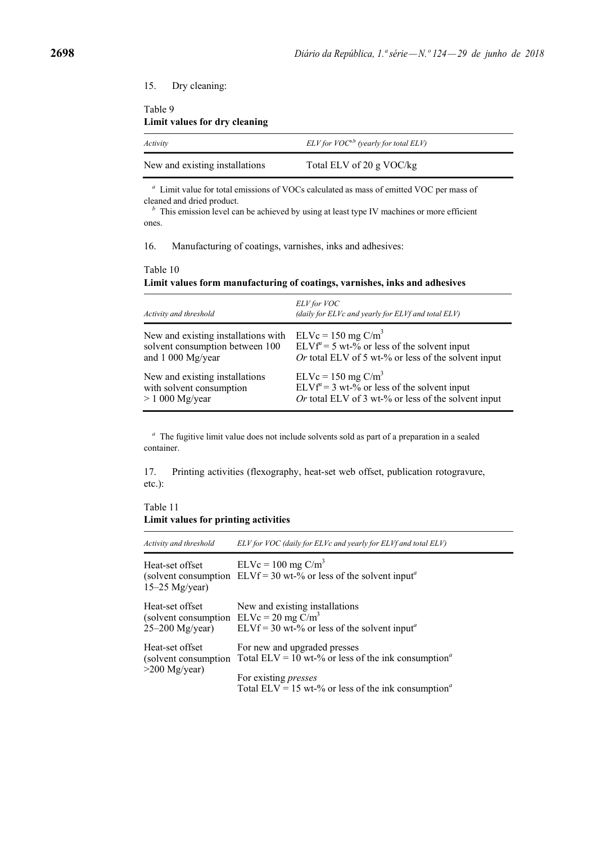### 15. Dry cleaning:

Table 9 **Limit values for dry cleaning**

| Activity                       | $ELV$ for $VOC^{a,b}$ (yearly for total $ELV$ ) |
|--------------------------------|-------------------------------------------------|
| New and existing installations | Total ELV of 20 g VOC/kg                        |

*<sup>a</sup>* Limit value for total emissions of VOCs calculated as mass of emitted VOC per mass of cleaned and dried product.

*b* This emission level can be achieved by using at least type IV machines or more efficient ones.

16. Manufacturing of coatings, varnishes, inks and adhesives:

## Table 10 **Limit values form manufacturing of coatings, varnishes, inks and adhesives**

| Activity and threshold              | ELV for VOC<br>(daily for ELVc and yearly for ELVf and total ELV) |
|-------------------------------------|-------------------------------------------------------------------|
| New and existing installations with | $ELVc = 150$ mg $C/m3$                                            |
| solvent consumption between 100     | $ELVf^4 = 5$ wt-% or less of the solvent input                    |
| and $1\ 000\$ Mg/year               | Or total ELV of 5 wt-% or less of the solvent input               |
| New and existing installations      | $ELVc = 150$ mg $C/m3$                                            |
| with solvent consumption            | $ELVf^4 = 3 wt-%$ or less of the solvent input                    |
| $> 1000$ Mg/year                    | Or total ELV of 3 wt-% or less of the solvent input               |

*<sup>a</sup>* The fugitive limit value does not include solvents sold as part of a preparation in a sealed container.

17. Printing activities (flexography, heat-set web offset, publication rotogravure, etc.):

Table 11 **Limit values for printing activities**

| Activity and threshold                                                               | ELV for VOC (daily for ELVc and yearly for ELVf and total ELV)                                                                                                                                                                       |
|--------------------------------------------------------------------------------------|--------------------------------------------------------------------------------------------------------------------------------------------------------------------------------------------------------------------------------------|
| Heat-set offset<br>$15-25$ Mg/year)                                                  | $ELVc = 100$ mg $C/m3$<br>(solvent consumption $ELVf = 30 wt$ -% or less of the solvent input <sup>a</sup>                                                                                                                           |
| Heat-set offset<br>(solvent consumption $E L Vc = 20$ mg $C/m3$<br>$25-200$ Mg/year) | New and existing installations<br>ELVf = 30 wt-% or less of the solvent input <sup>a</sup>                                                                                                                                           |
| Heat-set offset<br>$>200$ Mg/year)                                                   | For new and upgraded presses<br>(solvent consumption Total ELV = 10 wt-% or less of the ink consumption <sup><i>a</i></sup><br>For existing <i>presses</i><br>Total ELV = 15 wt-% or less of the ink consumption <sup><i>a</i></sup> |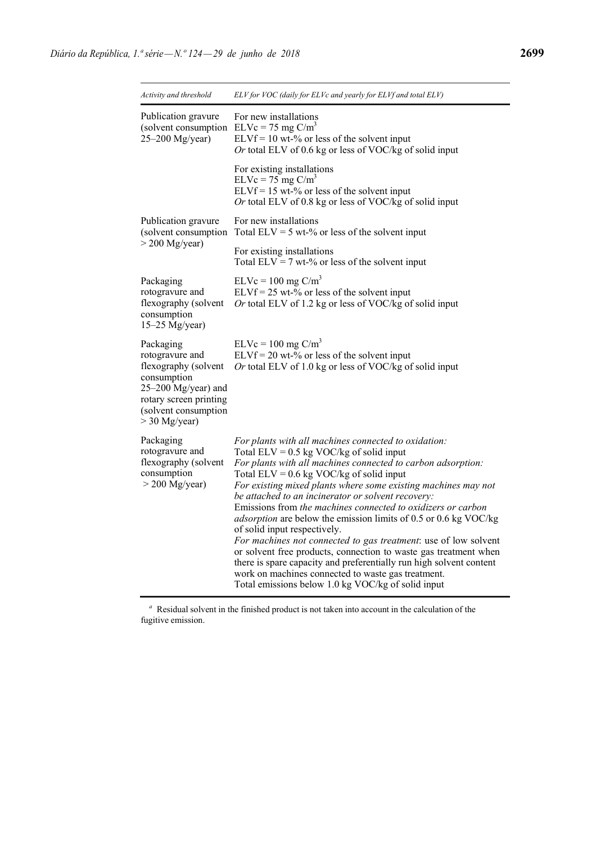| Activity and threshold                                                                                                                                          | ELV for VOC (daily for ELVc and yearly for ELVf and total ELV)                                                                                                                                                                                                                                                                                                                                                                                                                                                                                                                                                                                                                                                                                                                                                                         |  |  |  |  |
|-----------------------------------------------------------------------------------------------------------------------------------------------------------------|----------------------------------------------------------------------------------------------------------------------------------------------------------------------------------------------------------------------------------------------------------------------------------------------------------------------------------------------------------------------------------------------------------------------------------------------------------------------------------------------------------------------------------------------------------------------------------------------------------------------------------------------------------------------------------------------------------------------------------------------------------------------------------------------------------------------------------------|--|--|--|--|
| Publication gravure<br>(solvent consumption<br>25-200 Mg/year)                                                                                                  | For new installations<br>$ELVc = 75$ mg $C/m3$<br>$ELVf = 10$ wt-% or less of the solvent input<br>Or total ELV of 0.6 kg or less of VOC/kg of solid input                                                                                                                                                                                                                                                                                                                                                                                                                                                                                                                                                                                                                                                                             |  |  |  |  |
|                                                                                                                                                                 | For existing installations<br>$ELVc = 75$ mg $C/m3$<br>$ELVf = 15$ wt-% or less of the solvent input<br>Or total ELV of 0.8 kg or less of VOC/kg of solid input                                                                                                                                                                                                                                                                                                                                                                                                                                                                                                                                                                                                                                                                        |  |  |  |  |
| Publication gravure<br>(solvent consumption                                                                                                                     | For new installations<br>Total $ELV = 5$ wt-% or less of the solvent input                                                                                                                                                                                                                                                                                                                                                                                                                                                                                                                                                                                                                                                                                                                                                             |  |  |  |  |
| $>$ 200 Mg/year)                                                                                                                                                | For existing installations<br>Total ELV = 7 wt-% or less of the solvent input                                                                                                                                                                                                                                                                                                                                                                                                                                                                                                                                                                                                                                                                                                                                                          |  |  |  |  |
| Packaging<br>rotogravure and<br>flexography (solvent<br>consumption<br>$15-25$ Mg/year)                                                                         | $ELVc = 100$ mg $C/m3$<br>$ELVf = 25$ wt-% or less of the solvent input<br>Or total ELV of 1.2 kg or less of VOC/kg of solid input                                                                                                                                                                                                                                                                                                                                                                                                                                                                                                                                                                                                                                                                                                     |  |  |  |  |
| Packaging<br>rotogravure and<br>flexography (solvent<br>consumption<br>25-200 Mg/year) and<br>rotary screen printing<br>(solvent consumption<br>$>$ 30 Mg/year) | $ELVc = 100$ mg $C/m3$<br>$ELVf = 20 wt\text{-}%$ or less of the solvent input<br>Or total ELV of 1.0 kg or less of VOC/kg of solid input                                                                                                                                                                                                                                                                                                                                                                                                                                                                                                                                                                                                                                                                                              |  |  |  |  |
| Packaging<br>rotogravure and<br>flexography (solvent<br>consumption<br>$>$ 200 Mg/year)                                                                         | For plants with all machines connected to oxidation:<br>Total ELV = $0.5$ kg VOC/kg of solid input<br>For plants with all machines connected to carbon adsorption:<br>Total ELV = $0.6$ kg VOC/kg of solid input<br>For existing mixed plants where some existing machines may not<br>be attached to an incinerator or solvent recovery:<br>Emissions from the machines connected to oxidizers or carbon<br>adsorption are below the emission limits of 0.5 or 0.6 kg VOC/kg<br>of solid input respectively.<br>For machines not connected to gas treatment: use of low solvent<br>or solvent free products, connection to waste gas treatment when<br>there is spare capacity and preferentially run high solvent content<br>work on machines connected to waste gas treatment.<br>Total emissions below 1.0 kg VOC/kg of solid input |  |  |  |  |

*<sup>a</sup>* Residual solvent in the finished product is not taken into account in the calculation of the fugitive emission.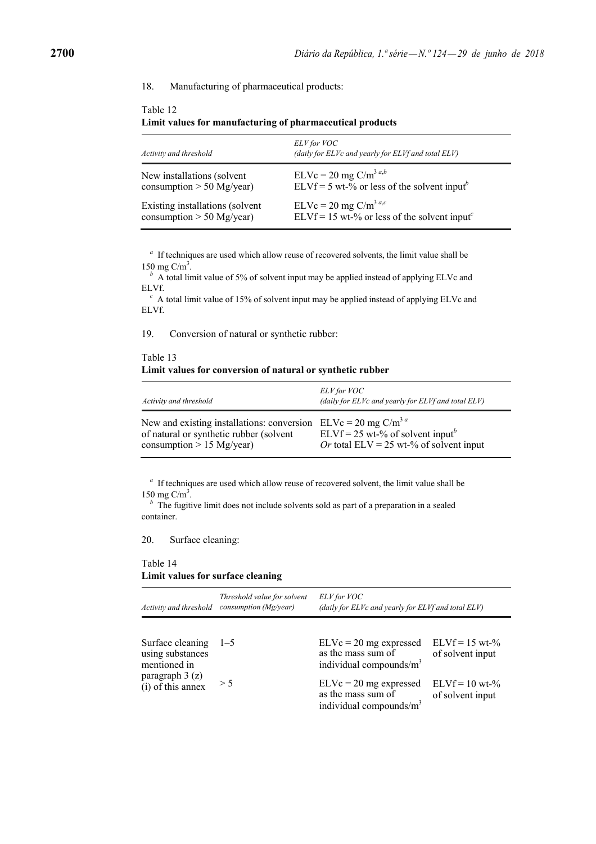#### 18. Manufacturing of pharmaceutical products:

| Activity and threshold          | ELV for VOC<br>(daily for ELVc and yearly for ELVf and total ELV)            |
|---------------------------------|------------------------------------------------------------------------------|
| New installations (solvent      | $ELVc = 20$ mg $C/m^{3 a,b}$                                                 |
| $\cosumption > 50$ Mg/year)     | ELVf = 5 wt-% or less of the solvent input <sup>b</sup>                      |
| Existing installations (solvent | $ELVc = 20$ mg $C/m3$ <sup>a,c</sup>                                         |
| consumption $> 50$ Mg/year)     | ELVf = 15 wt-% or less of the solvent input <sup><math>\epsilon</math></sup> |

# Table 12 **Limit values for manufacturing of pharmaceutical products**

*<sup>a</sup>* If techniques are used which allow reuse of recovered solvents, the limit value shall be 150 mg  $C/m<sup>3</sup>$ .

A total limit value of 5% of solvent input may be applied instead of applying ELVc and ELVf.

*<sup>c</sup>* A total limit value of 15% of solvent input may be applied instead of applying ELVc and ELVf.

19. Conversion of natural or synthetic rubber:

## Table 13 **Limit values for conversion of natural or synthetic rubber**

| Activity and threshold                     | ELV for VOC<br>(daily for ELVc and yearly for ELVf and total ELV) |
|--------------------------------------------|-------------------------------------------------------------------|
| New and existing installations: conversion | $ELVc = 20$ mg $C/m3$ <sup>a</sup>                                |
| of natural or synthetic rubber (solvent    | ELVf = 25 wt-% of solvent input <sup>b</sup>                      |
| consumption $> 15$ Mg/year)                | Or total ELV = 25 wt-% of solvent input                           |

*<sup>a</sup>* If techniques are used which allow reuse of recovered solvent, the limit value shall be 150 mg  $C/m<sup>3</sup>$ .

<sup>*b*</sup> The fugitive limit does not include solvents sold as part of a preparation in a sealed container.

20. Surface cleaning:

### Table 14 **Limit values for surface cleaning**

| Activity and threshold                                | Threshold value for solvent<br>consumption $(Mg/year)$ | (daily for ELVc and yearly for ELVf and total ELV)                           |                                       |
|-------------------------------------------------------|--------------------------------------------------------|------------------------------------------------------------------------------|---------------------------------------|
| Surface cleaning<br>using substances                  | $1 - 5$                                                | $ELVc = 20$ mg expressed<br>as the mass sum of                               | $ELVf = 15 wt-$ %<br>of solvent input |
| mentioned in<br>paragraph $3(z)$<br>(i) of this annex |                                                        | individual compounds/ $m3$                                                   |                                       |
|                                                       | > 5                                                    | $ELVc = 20$ mg expressed<br>as the mass sum of<br>individual compounds/ $m3$ | $ELVf = 10 wt-$ %<br>of solvent input |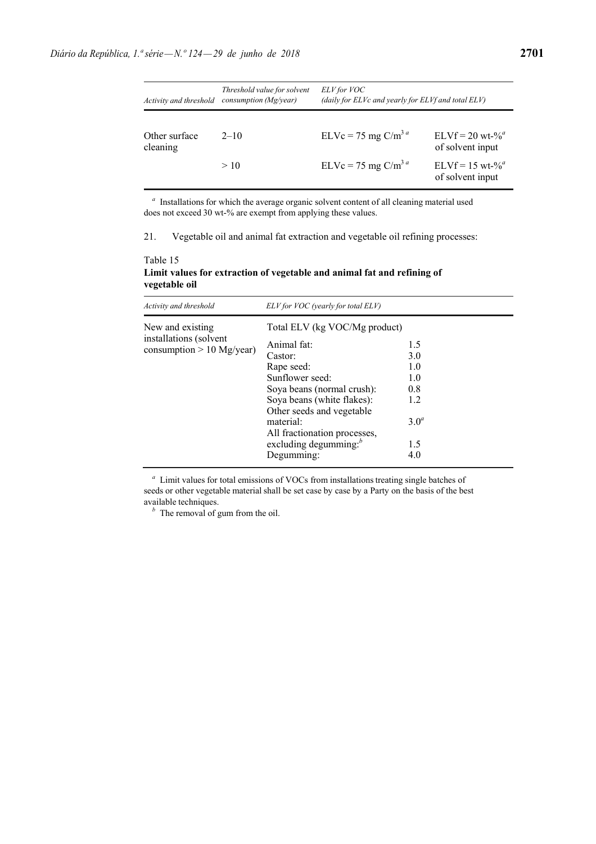| Activity and threshold    | Threshold value for solvent<br>consumption (Mg/year) | ELV for VOC<br>(daily for ELVc and yearly for ELVf and total ELV) |                                            |
|---------------------------|------------------------------------------------------|-------------------------------------------------------------------|--------------------------------------------|
| Other surface<br>cleaning | $2 - 10$                                             | $ELVc = 75$ mg $C/m3$ <sup>a</sup>                                | $ELVf = 20$ wt- $\%^a$<br>of solvent input |
|                           | >10                                                  | $ELVc = 75$ mg $C/m3$ <sup>a</sup>                                | $ELVf = 15$ wt- $\%^a$<br>of solvent input |

*<sup>a</sup>* Installations for which the average organic solvent content of all cleaning material used does not exceed 30 wt-% are exempt from applying these values.

21. Vegetable oil and animal fat extraction and vegetable oil refining processes:

Table 15 **Limit values for extraction of vegetable and animal fat and refining of vegetable oil**

| Activity and threshold                                | ELV for VOC (yearly for total ELV)                                                                                                                                                                                                               |                                                                          |  |  |  |  |  |
|-------------------------------------------------------|--------------------------------------------------------------------------------------------------------------------------------------------------------------------------------------------------------------------------------------------------|--------------------------------------------------------------------------|--|--|--|--|--|
| New and existing                                      | Total ELV (kg VOC/Mg product)                                                                                                                                                                                                                    |                                                                          |  |  |  |  |  |
| installations (solvent<br>consumption $> 10$ Mg/year) | Animal fat:<br>Castor:<br>Rape seed:<br>Sunflower seed:<br>Soya beans (normal crush):<br>Soya beans (white flakes):<br>Other seeds and vegetable<br>material:<br>All fractionation processes,<br>excluding degumming: <sup>b</sup><br>Degumming: | 1.5<br>3.0<br>1.0<br>1.0<br>0.8<br>1.2<br>3.0 <sup>a</sup><br>1.5<br>4.0 |  |  |  |  |  |

*<sup>a</sup>* Limit values for total emissions of VOCs from installations treating single batches of seeds or other vegetable material shall be set case by case by a Party on the basis of the best available techniques.

*<sup>b</sup>* The removal of gum from the oil.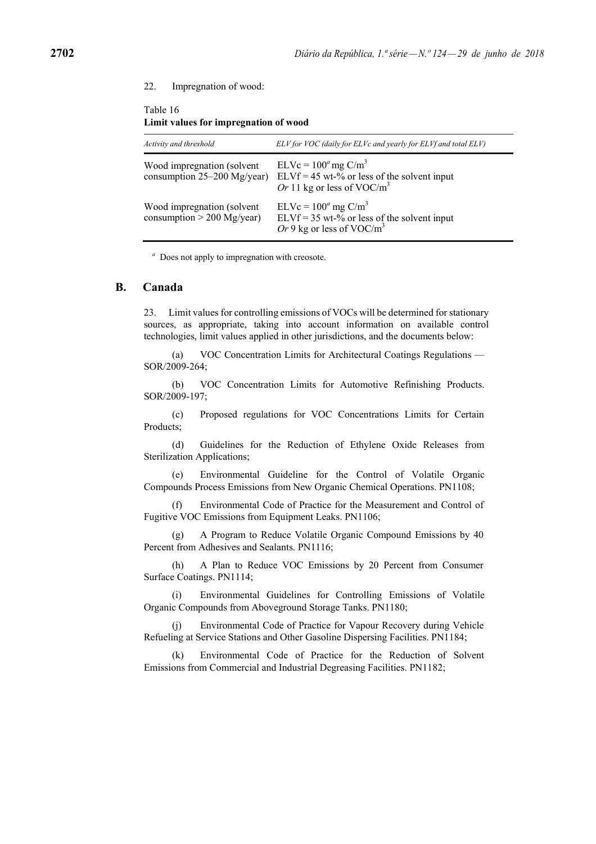#### 22. Impregnation of wood:

| Activity and threshold                                      | ELV for VOC (daily for ELVc and yearly for ELVf and total ELV)                                                             |
|-------------------------------------------------------------|----------------------------------------------------------------------------------------------------------------------------|
| Wood impregnation (solvent<br>consumption $25-200$ Mg/year) | $ELVc = 100a$ mg C/m <sup>3</sup><br>ELVf = 45 wt-% or less of the solvent input<br>Or 11 kg or less of VOC/m <sup>3</sup> |
| Wood impregnation (solvent<br>$\cosumption > 200$ Mg/year)  | $ELVc = 100a$ mg C/m <sup>3</sup><br>$ELVf = 35$ wt-% or less of the solvent input<br>Or 9 kg or less of VOC/ $m3$         |

### Table 16 **Limit values for impregnation of wood**

*<sup>a</sup>* Does not apply to impregnation with creosote.

### **B. Canada**

23. Limit values for controlling emissions of VOCs will be determined for stationary sources, as appropriate, taking into account information on available control technologies, limit values applied in other jurisdictions, and the documents below:

(a) VOC Concentration Limits for Architectural Coatings Regulations — SOR/2009-264;

(b) VOC Concentration Limits for Automotive Refinishing Products. SOR/2009-197;

(c) Proposed regulations for VOC Concentrations Limits for Certain Products;

(d) Guidelines for the Reduction of Ethylene Oxide Releases from Sterilization Applications;

(e) Environmental Guideline for the Control of Volatile Organic Compounds Process Emissions from New Organic Chemical Operations. PN1108;

(f) Environmental Code of Practice for the Measurement and Control of Fugitive VOC Emissions from Equipment Leaks. PN1106;

(g) A Program to Reduce Volatile Organic Compound Emissions by 40 Percent from Adhesives and Sealants. PN1116;

(h) A Plan to Reduce VOC Emissions by 20 Percent from Consumer Surface Coatings. PN1114;

(i) Environmental Guidelines for Controlling Emissions of Volatile Organic Compounds from Aboveground Storage Tanks. PN1180;

(j) Environmental Code of Practice for Vapour Recovery during Vehicle Refueling at Service Stations and Other Gasoline Dispersing Facilities. PN1184;

(k) Environmental Code of Practice for the Reduction of Solvent Emissions from Commercial and Industrial Degreasing Facilities. PN1182;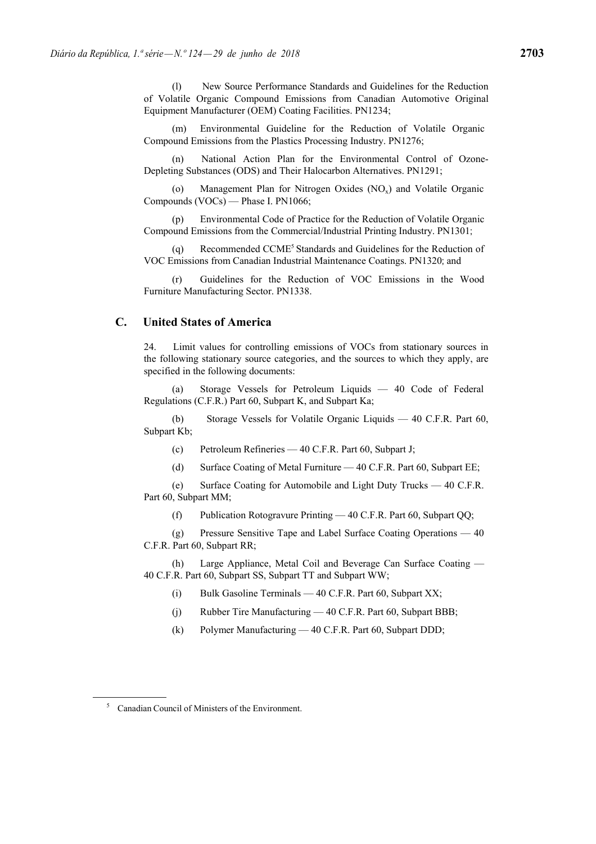(l) New Source Performance Standards and Guidelines for the Reduction of Volatile Organic Compound Emissions from Canadian Automotive Original Equipment Manufacturer (OEM) Coating Facilities. PN1234;

(m) Environmental Guideline for the Reduction of Volatile Organic Compound Emissions from the Plastics Processing Industry. PN1276;

(n) National Action Plan for the Environmental Control of Ozone-Depleting Substances (ODS) and Their Halocarbon Alternatives. PN1291;

(o) Management Plan for Nitrogen Oxides  $(NO<sub>x</sub>)$  and Volatile Organic Compounds (VOCs) — Phase I. PN1066;

(p) Environmental Code of Practice for the Reduction of Volatile Organic Compound Emissions from the Commercial/Industrial Printing Industry. PN1301;

(q) Recommended CCME5 Standards and Guidelines for the Reduction of VOC Emissions from Canadian Industrial Maintenance Coatings. PN1320; and

(r) Guidelines for the Reduction of VOC Emissions in the Wood Furniture Manufacturing Sector. PN1338.

## **C. United States of America**

24. Limit values for controlling emissions of VOCs from stationary sources in the following stationary source categories, and the sources to which they apply, are specified in the following documents:

(a) Storage Vessels for Petroleum Liquids — 40 Code of Federal Regulations (C.F.R.) Part 60, Subpart K, and Subpart Ka;

(b) Storage Vessels for Volatile Organic Liquids — 40 C.F.R. Part 60, Subpart Kb;

(c) Petroleum Refineries — 40 C.F.R. Part 60, Subpart J;

(d) Surface Coating of Metal Furniture — 40 C.F.R. Part 60, Subpart EE;

(e) Surface Coating for Automobile and Light Duty Trucks — 40 C.F.R. Part 60, Subpart MM;

(f) Publication Rotogravure Printing — 40 C.F.R. Part 60, Subpart QQ;

(g) Pressure Sensitive Tape and Label Surface Coating Operations — 40 C.F.R. Part 60, Subpart RR;

(h) Large Appliance, Metal Coil and Beverage Can Surface Coating — 40 C.F.R. Part 60, Subpart SS, Subpart TT and Subpart WW;

(i) Bulk Gasoline Terminals  $-40$  C.F.R. Part 60, Subpart XX;

(j) Rubber Tire Manufacturing — 40 C.F.R. Part 60, Subpart BBB;

(k) Polymer Manufacturing — 40 C.F.R. Part 60, Subpart DDD;

<sup>5</sup> Canadian Council of Ministers of the Environment.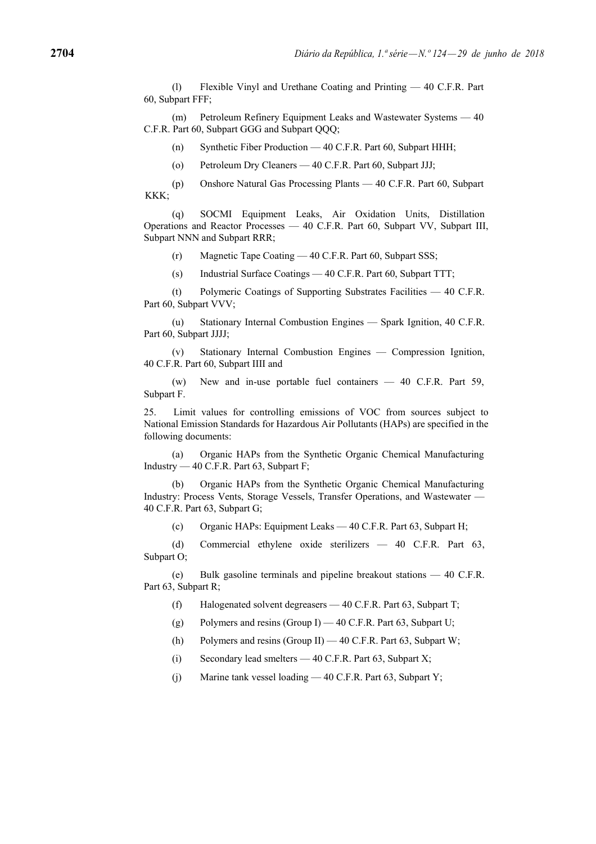(l) Flexible Vinyl and Urethane Coating and Printing — 40 C.F.R. Part 60, Subpart FFF;

(m) Petroleum Refinery Equipment Leaks and Wastewater Systems — 40 C.F.R. Part 60, Subpart GGG and Subpart OOO;

(n) Synthetic Fiber Production — 40 C.F.R. Part 60, Subpart HHH;

(o) Petroleum Dry Cleaners — 40 C.F.R. Part 60, Subpart JJJ;

(p) Onshore Natural Gas Processing Plants — 40 C.F.R. Part 60, Subpart KKK;

(q) SOCMI Equipment Leaks, Air Oxidation Units, Distillation Operations and Reactor Processes — 40 C.F.R. Part 60, Subpart VV, Subpart III, Subpart NNN and Subpart RRR;

(r) Magnetic Tape Coating — 40 C.F.R. Part 60, Subpart SSS;

(s) Industrial Surface Coatings — 40 C.F.R. Part 60, Subpart TTT;

(t) Polymeric Coatings of Supporting Substrates Facilities — 40 C.F.R. Part 60, Subpart VVV;

(u) Stationary Internal Combustion Engines — Spark Ignition, 40 C.F.R. Part 60, Subpart JJJJ;

(v) Stationary Internal Combustion Engines — Compression Ignition, 40 C.F.R. Part 60, Subpart IIII and

(w) New and in-use portable fuel containers — 40 C.F.R. Part 59, Subpart F.

25. Limit values for controlling emissions of VOC from sources subject to National Emission Standards for Hazardous Air Pollutants (HAPs) are specified in the following documents:

(a) Organic HAPs from the Synthetic Organic Chemical Manufacturing Industry — 40 C.F.R. Part 63, Subpart F;

(b) Organic HAPs from the Synthetic Organic Chemical Manufacturing Industry: Process Vents, Storage Vessels, Transfer Operations, and Wastewater — 40 C.F.R. Part 63, Subpart G;

(c) Organic HAPs: Equipment Leaks — 40 C.F.R. Part 63, Subpart H;

(d) Commercial ethylene oxide sterilizers — 40 C.F.R. Part 63, Subpart O;

(e) Bulk gasoline terminals and pipeline breakout stations — 40 C.F.R. Part 63, Subpart R;

(f) Halogenated solvent degreasers — 40 C.F.R. Part 63, Subpart T;

(g) Polymers and resins (Group I)  $-40$  C.F.R. Part 63, Subpart U;

(h) Polymers and resins (Group II) — 40 C.F.R. Part 63, Subpart W;

(i) Secondary lead smelters — 40 C.F.R. Part 63, Subpart X;

(j) Marine tank vessel loading — 40 C.F.R. Part 63, Subpart Y;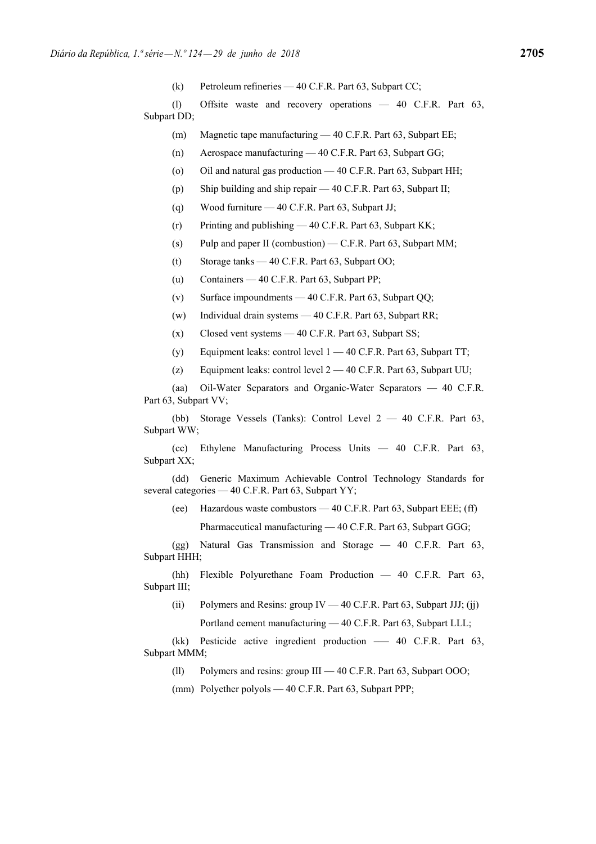(k) Petroleum refineries — 40 C.F.R. Part 63, Subpart CC;

(l) Offsite waste and recovery operations — 40 C.F.R. Part 63, Subpart DD;

- (m) Magnetic tape manufacturing 40 C.F.R. Part 63, Subpart EE;
- (n) Aerospace manufacturing 40 C.F.R. Part 63, Subpart GG;
- (o) Oil and natural gas production 40 C.F.R. Part 63, Subpart HH;
- (p) Ship building and ship repair 40 C.F.R. Part 63, Subpart II;
- (q) Wood furniture 40 C.F.R. Part 63, Subpart JJ;
- (r) Printing and publishing 40 C.F.R. Part 63, Subpart KK;
- (s) Pulp and paper II (combustion) C.F.R. Part 63, Subpart MM;
- (t) Storage tanks 40 C.F.R. Part 63, Subpart OO;
- (u) Containers 40 C.F.R. Part 63, Subpart PP;
- (v) Surface impoundments 40 C.F.R. Part 63, Subpart QQ;
- (w) Individual drain systems 40 C.F.R. Part 63, Subpart RR;
- (x) Closed vent systems 40 C.F.R. Part 63, Subpart SS;
- (y) Equipment leaks: control level 1 40 C.F.R. Part 63, Subpart TT;
- (z) Equipment leaks: control level  $2 40$  C.F.R. Part 63, Subpart UU;

(aa) Oil-Water Separators and Organic-Water Separators — 40 C.F.R. Part 63, Subpart VV;

(bb) Storage Vessels (Tanks): Control Level 2 — 40 C.F.R. Part 63, Subpart WW;

(cc) Ethylene Manufacturing Process Units — 40 C.F.R. Part 63, Subpart XX;

(dd) Generic Maximum Achievable Control Technology Standards for several categories — 40 C.F.R. Part 63, Subpart YY;

(ee) Hazardous waste combustors — 40 C.F.R. Part 63, Subpart EEE; (ff)

Pharmaceutical manufacturing — 40 C.F.R. Part 63, Subpart GGG;

(gg) Natural Gas Transmission and Storage — 40 C.F.R. Part 63, Subpart HHH;

(hh) Flexible Polyurethane Foam Production — 40 C.F.R. Part 63, Subpart III;

(ii) Polymers and Resins: group IV  $-40$  C.F.R. Part 63, Subpart JJJ; (ji)

Portland cement manufacturing — 40 C.F.R. Part 63, Subpart LLL;

(kk) Pesticide active ingredient production — 40 C.F.R. Part 63, Subpart MMM;

(ll) Polymers and resins: group III — 40 C.F.R. Part 63, Subpart OOO;

(mm) Polyether polyols — 40 C.F.R. Part 63, Subpart PPP;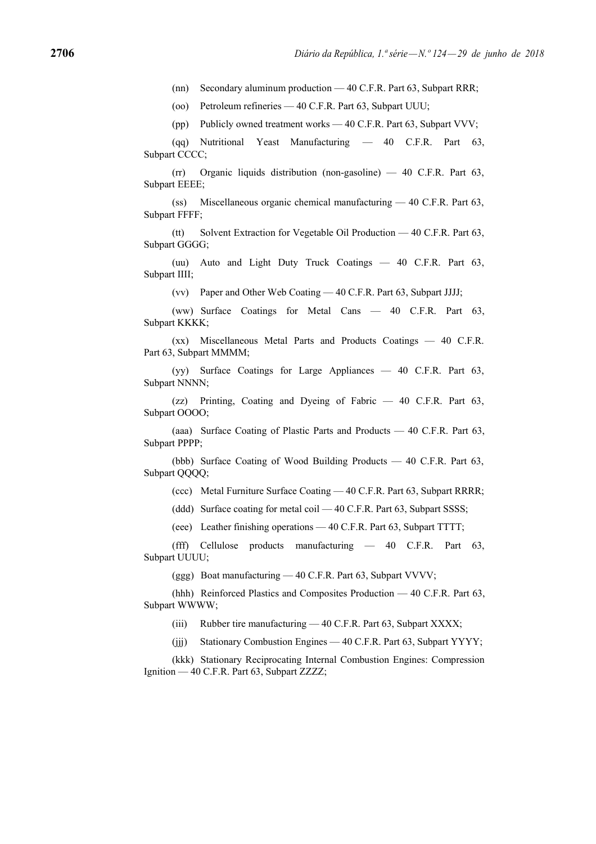(nn) Secondary aluminum production — 40 C.F.R. Part 63, Subpart RRR;

(oo) Petroleum refineries — 40 C.F.R. Part 63, Subpart UUU;

(pp) Publicly owned treatment works — 40 C.F.R. Part 63, Subpart VVV;

(qq) Nutritional Yeast Manufacturing — 40 C.F.R. Part 63, Subpart CCCC;

(rr) Organic liquids distribution (non-gasoline) — 40 C.F.R. Part 63, Subpart EEEE;

(ss) Miscellaneous organic chemical manufacturing — 40 C.F.R. Part 63, Subpart FFFF;

(tt) Solvent Extraction for Vegetable Oil Production — 40 C.F.R. Part 63, Subpart GGGG;

(uu) Auto and Light Duty Truck Coatings — 40 C.F.R. Part 63, Subpart IIII;

(vv) Paper and Other Web Coating — 40 C.F.R. Part 63, Subpart JJJJ;

(ww) Surface Coatings for Metal Cans — 40 C.F.R. Part 63, Subpart KKKK;

(xx) Miscellaneous Metal Parts and Products Coatings — 40 C.F.R. Part 63, Subpart MMMM;

(yy) Surface Coatings for Large Appliances — 40 C.F.R. Part 63, Subpart NNNN;

(zz) Printing, Coating and Dyeing of Fabric — 40 C.F.R. Part 63, Subpart OOOO;

(aaa) Surface Coating of Plastic Parts and Products — 40 C.F.R. Part 63, Subpart PPPP;

(bbb) Surface Coating of Wood Building Products — 40 C.F.R. Part 63, Subpart QQQQ;

(ccc) Metal Furniture Surface Coating — 40 C.F.R. Part 63, Subpart RRRR;

(ddd) Surface coating for metal coil — 40 C.F.R. Part 63, Subpart SSSS;

(eee) Leather finishing operations — 40 C.F.R. Part 63, Subpart TTTT;

(fff) Cellulose products manufacturing — 40 C.F.R. Part 63, Subpart UUUU;

(ggg) Boat manufacturing — 40 C.F.R. Part 63, Subpart VVVV;

(hhh) Reinforced Plastics and Composites Production — 40 C.F.R. Part 63, Subpart WWWW;

(iii) Rubber tire manufacturing — 40 C.F.R. Part 63, Subpart XXXX;

(jjj) Stationary Combustion Engines — 40 C.F.R. Part 63, Subpart YYYY;

(kkk) Stationary Reciprocating Internal Combustion Engines: Compression Ignition — 40 C.F.R. Part 63, Subpart ZZZZ;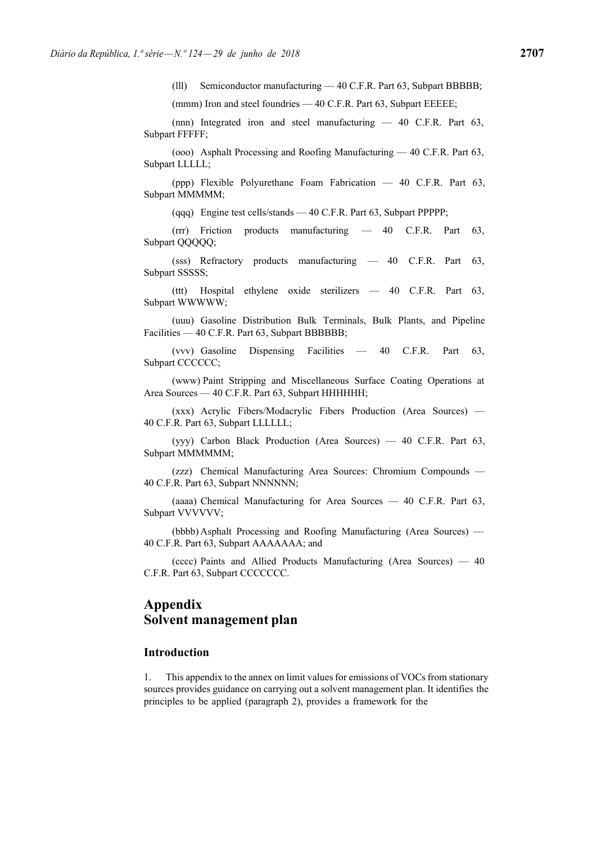(lll) Semiconductor manufacturing — 40 C.F.R. Part 63, Subpart BBBBB;

(mmm) Iron and steel foundries — 40 C.F.R. Part 63, Subpart EEEEE;

(nnn) Integrated iron and steel manufacturing — 40 C.F.R. Part 63, Subpart FFFFF;

(ooo) Asphalt Processing and Roofing Manufacturing — 40 C.F.R. Part 63, Subpart LLLLL;

(ppp) Flexible Polyurethane Foam Fabrication — 40 C.F.R. Part 63, Subpart MMMMM;

(qqq) Engine test cells/stands — 40 C.F.R. Part 63, Subpart PPPPP;

(rrr) Friction products manufacturing — 40 C.F.R. Part 63, Subpart QQQQQ;

(sss) Refractory products manufacturing — 40 C.F.R. Part 63, Subpart SSSSS;

(ttt) Hospital ethylene oxide sterilizers — 40 C.F.R. Part 63, Subpart WWWWW;

(uuu) Gasoline Distribution Bulk Terminals, Bulk Plants, and Pipeline Facilities — 40 C.F.R. Part 63, Subpart BBBBBB;

(vvv) Gasoline Dispensing Facilities — 40 C.F.R. Part 63, Subpart CCCCCC;

(www) Paint Stripping and Miscellaneous Surface Coating Operations at Area Sources — 40 C.F.R. Part 63, Subpart HHHHHH;

(xxx) Acrylic Fibers/Modacrylic Fibers Production (Area Sources) — 40 C.F.R. Part 63, Subpart LLLLLL;

(yyy) Carbon Black Production (Area Sources) — 40 C.F.R. Part 63, Subpart MMMMM;

(zzz) Chemical Manufacturing Area Sources: Chromium Compounds — 40 C.F.R. Part 63, Subpart NNNNNN;

(aaaa) Chemical Manufacturing for Area Sources — 40 C.F.R. Part 63, Subpart VVVVVV;

(bbbb) Asphalt Processing and Roofing Manufacturing (Area Sources) — 40 C.F.R. Part 63, Subpart AAAAAAA; and

(cccc) Paints and Allied Products Manufacturing (Area Sources) — 40 C.F.R. Part 63, Subpart CCCCCCC.

# **Appendix Solvent management plan**

#### **Introduction**

1. This appendix to the annex on limit values for emissions of VOCs from stationary sources provides guidance on carrying out a solvent management plan. It identifies the principles to be applied (paragraph 2), provides a framework for the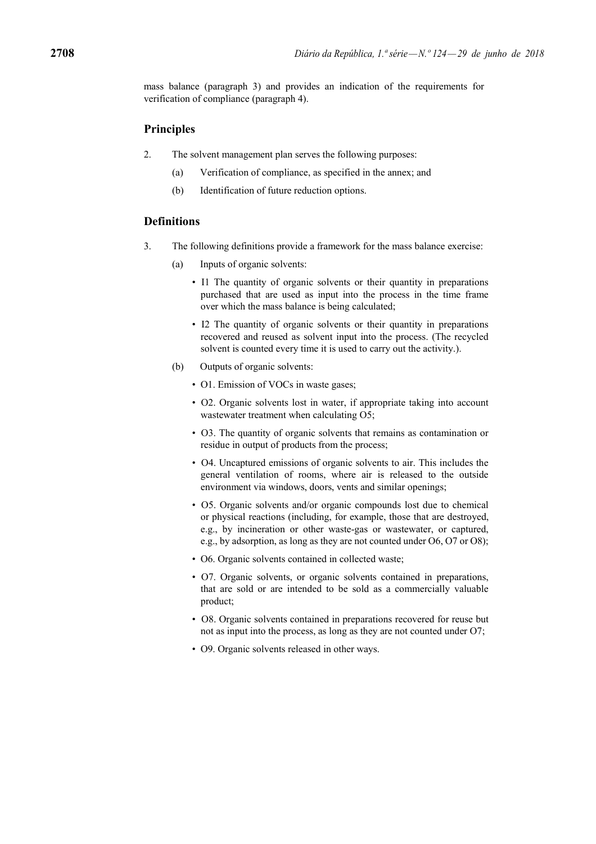mass balance (paragraph 3) and provides an indication of the requirements for verification of compliance (paragraph 4).

## **Principles**

- 2. The solvent management plan serves the following purposes:
	- (a) Verification of compliance, as specified in the annex; and
	- (b) Identification of future reduction options.

### **Definitions**

- 3. The following definitions provide a framework for the mass balance exercise:
	- (a) Inputs of organic solvents:
		- I1 The quantity of organic solvents or their quantity in preparations purchased that are used as input into the process in the time frame over which the mass balance is being calculated;
		- I2 The quantity of organic solvents or their quantity in preparations recovered and reused as solvent input into the process. (The recycled solvent is counted every time it is used to carry out the activity.).
	- (b) Outputs of organic solvents:
		- O1. Emission of VOCs in waste gases;
		- O2. Organic solvents lost in water, if appropriate taking into account wastewater treatment when calculating O5;
		- O3. The quantity of organic solvents that remains as contamination or residue in output of products from the process;
		- O4. Uncaptured emissions of organic solvents to air. This includes the general ventilation of rooms, where air is released to the outside environment via windows, doors, vents and similar openings;
		- O5. Organic solvents and/or organic compounds lost due to chemical or physical reactions (including, for example, those that are destroyed, e.g., by incineration or other waste-gas or wastewater, or captured, e.g., by adsorption, as long as they are not counted under O6, O7 or O8);
		- O6. Organic solvents contained in collected waste;
		- O7. Organic solvents, or organic solvents contained in preparations, that are sold or are intended to be sold as a commercially valuable product;
		- O8. Organic solvents contained in preparations recovered for reuse but not as input into the process, as long as they are not counted under O7;
		- O9. Organic solvents released in other ways.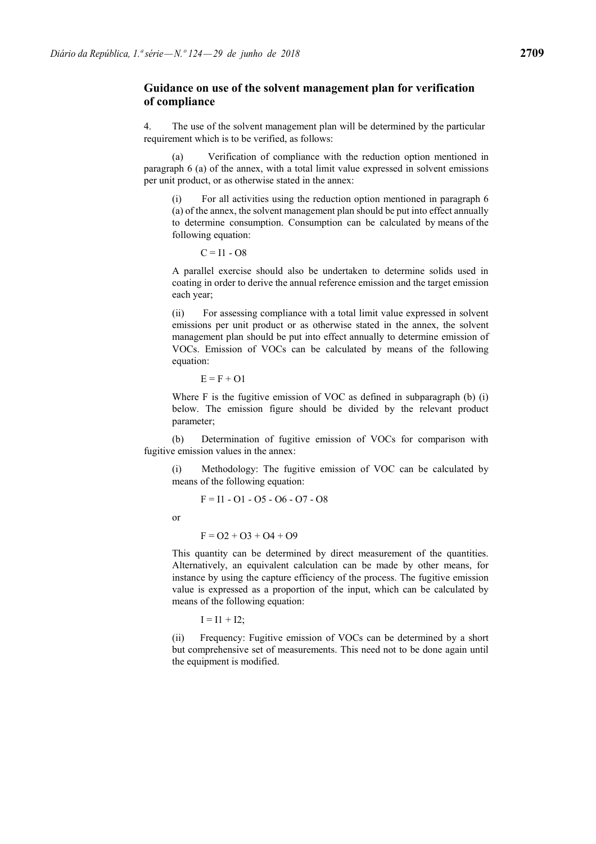### **Guidance on use of the solvent management plan for verification of compliance**

4. The use of the solvent management plan will be determined by the particular requirement which is to be verified, as follows:

Verification of compliance with the reduction option mentioned in paragraph 6 (a) of the annex, with a total limit value expressed in solvent emissions per unit product, or as otherwise stated in the annex:

For all activities using the reduction option mentioned in paragraph 6 (a) of the annex, the solvent management plan should be put into effect annually to determine consumption. Consumption can be calculated by means of the following equation:

 $C = 11 - O8$ 

A parallel exercise should also be undertaken to determine solids used in coating in order to derive the annual reference emission and the target emission each year;

(ii) For assessing compliance with a total limit value expressed in solvent emissions per unit product or as otherwise stated in the annex, the solvent management plan should be put into effect annually to determine emission of VOCs. Emission of VOCs can be calculated by means of the following equation:

 $E = F + O1$ 

Where F is the fugitive emission of VOC as defined in subparagraph (b) (i) below. The emission figure should be divided by the relevant product parameter;

(b) Determination of fugitive emission of VOCs for comparison with fugitive emission values in the annex:

(i) Methodology: The fugitive emission of VOC can be calculated by means of the following equation:

 $F = 11 - 01 - 05 - 06 - 07 - 08$ 

or

 $F = 02 + 03 + 04 + 09$ 

This quantity can be determined by direct measurement of the quantities. Alternatively, an equivalent calculation can be made by other means, for instance by using the capture efficiency of the process. The fugitive emission value is expressed as a proportion of the input, which can be calculated by means of the following equation:

 $I = I1 + I2$ ;

(ii) Frequency: Fugitive emission of VOCs can be determined by a short but comprehensive set of measurements. This need not to be done again until the equipment is modified.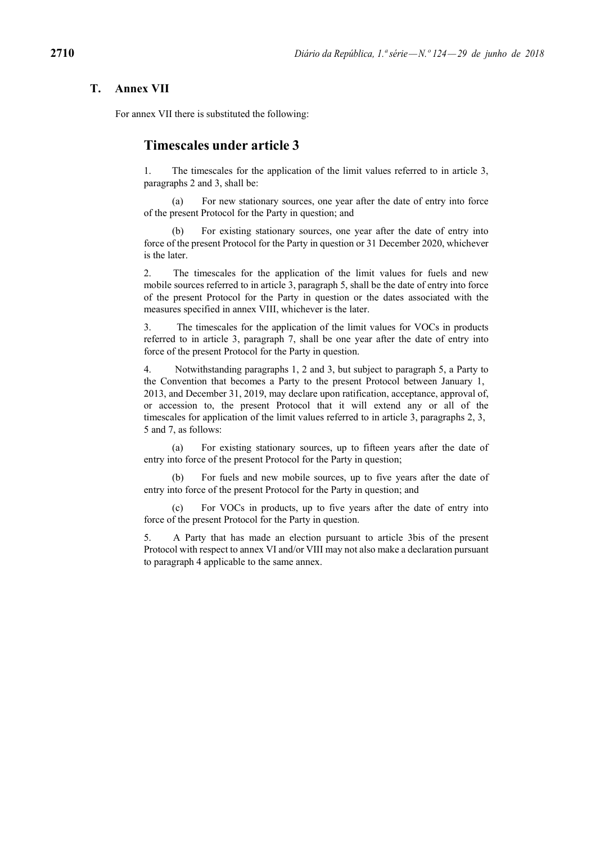### **T. Annex VII**

For annex VII there is substituted the following:

## **Timescales under article 3**

1. The timescales for the application of the limit values referred to in article 3, paragraphs 2 and 3, shall be:

(a) For new stationary sources, one year after the date of entry into force of the present Protocol for the Party in question; and

(b) For existing stationary sources, one year after the date of entry into force of the present Protocol for the Party in question or 31 December 2020, whichever is the later.

2. The timescales for the application of the limit values for fuels and new mobile sources referred to in article 3, paragraph 5, shall be the date of entry into force of the present Protocol for the Party in question or the dates associated with the measures specified in annex VIII, whichever is the later.

3. The timescales for the application of the limit values for VOCs in products referred to in article 3, paragraph 7, shall be one year after the date of entry into force of the present Protocol for the Party in question.

4. Notwithstanding paragraphs 1, 2 and 3, but subject to paragraph 5, a Party to the Convention that becomes a Party to the present Protocol between January 1, 2013, and December 31, 2019, may declare upon ratification, acceptance, approval of, or accession to, the present Protocol that it will extend any or all of the timescales for application of the limit values referred to in article 3, paragraphs 2, 3, 5 and 7, as follows:

(a) For existing stationary sources, up to fifteen years after the date of entry into force of the present Protocol for the Party in question;

(b) For fuels and new mobile sources, up to five years after the date of entry into force of the present Protocol for the Party in question; and

(c) For VOCs in products, up to five years after the date of entry into force of the present Protocol for the Party in question.

5. A Party that has made an election pursuant to article 3bis of the present Protocol with respect to annex VI and/or VIII may not also make a declaration pursuant to paragraph 4 applicable to the same annex.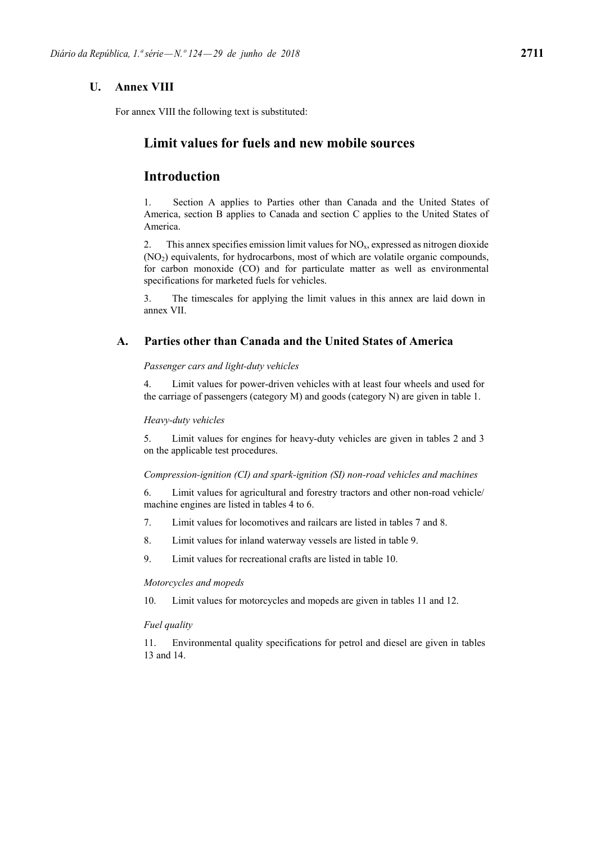## **U. Annex VIII**

For annex VIII the following text is substituted:

# **Limit values for fuels and new mobile sources**

# **Introduction**

1. Section A applies to Parties other than Canada and the United States of America, section B applies to Canada and section C applies to the United States of America.

2. This annex specifies emission limit values for  $NO<sub>x</sub>$ , expressed as nitrogen dioxide (NO2) equivalents, for hydrocarbons, most of which are volatile organic compounds, for carbon monoxide (CO) and for particulate matter as well as environmental specifications for marketed fuels for vehicles.

3. The timescales for applying the limit values in this annex are laid down in annex VII.

### **A. Parties other than Canada and the United States of America**

### *Passenger cars and light-duty vehicles*

4. Limit values for power-driven vehicles with at least four wheels and used for the carriage of passengers (category M) and goods (category N) are given in table 1.

#### *Heavy-duty vehicles*

5. Limit values for engines for heavy-duty vehicles are given in tables 2 and 3 on the applicable test procedures.

#### *Compression-ignition (CI) and spark-ignition (SI) non-road vehicles and machines*

6. Limit values for agricultural and forestry tractors and other non-road vehicle/ machine engines are listed in tables 4 to 6.

- 7. Limit values for locomotives and railcars are listed in tables 7 and 8.
- 8. Limit values for inland waterway vessels are listed in table 9.
- 9. Limit values for recreational crafts are listed in table 10.

#### *Motorcycles and mopeds*

10. Limit values for motorcycles and mopeds are given in tables 11 and 12.

#### *Fuel quality*

11. Environmental quality specifications for petrol and diesel are given in tables 13 and 14.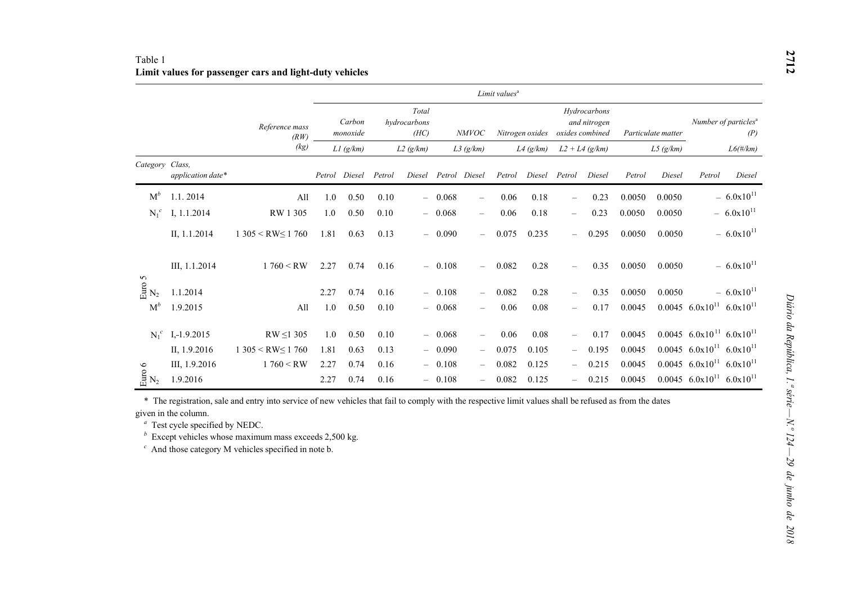### Table 1 **Limit values for passenger cars and light-duty vehicles**

|                                      |                   |                        | Limit values <sup>a</sup> |                    |        |                               |          |                                 |        |                 |                          |                                                 |        |                    |                                                    |                                         |
|--------------------------------------|-------------------|------------------------|---------------------------|--------------------|--------|-------------------------------|----------|---------------------------------|--------|-----------------|--------------------------|-------------------------------------------------|--------|--------------------|----------------------------------------------------|-----------------------------------------|
|                                      |                   | Reference mass<br>(RW) |                           | Carbon<br>monoxide |        | Total<br>hydrocarbons<br>(HC) |          | <b>NMVOC</b>                    |        | Nitrogen oxides |                          | Hydrocarbons<br>and nitrogen<br>oxides combined |        | Particulate matter |                                                    | Number of particles <sup>a</sup><br>(P) |
|                                      |                   | (kg)                   |                           | $L1$ (g/km)        |        | L2(g/km)                      |          | $L3$ (g/km)                     |        | $L4$ (g/km)     |                          | $L2 + L4 (g/km)$                                |        | L5(g/km)           |                                                    | $L6$ (#/km)                             |
| Category Class,                      | application date* |                        | Petrol                    | Diesel             | Petrol | Diesel                        | Petrol   | Diesel                          | Petrol | Diesel          | Petrol                   | Diesel                                          | Petrol | Diesel             | Petrol                                             | Diesel                                  |
| $M^b$                                | 1.1.2014          | All                    | 1.0                       | 0.50               | 0.10   |                               | $-0.068$ | $\overline{\phantom{0}}$        | 0.06   | 0.18            | $\overline{\phantom{0}}$ | 0.23                                            | 0.0050 | 0.0050             |                                                    | $-6.0x10^{11}$                          |
| $N_1^c$                              | I, 1.1.2014       | RW 1 305               | 1.0                       | 0.50               | 0.10   |                               | $-0.068$ | $\overbrace{\phantom{1232211}}$ | 0.06   | 0.18            | $\qquad \qquad -$        | 0.23                                            | 0.0050 | 0.0050             |                                                    | $-6.0x10^{11}$                          |
|                                      | II, 1.1.2014      | $1305 < R W \le 1760$  | 1.81                      | 0.63               | 0.13   |                               | $-0.090$ | $\overline{\phantom{0}}$        | 0.075  | 0.235           | $\overline{\phantom{0}}$ | 0.295                                           | 0.0050 | 0.0050             |                                                    | $-6.0x10^{11}$                          |
|                                      | III, 1.1.2014     | 1760 < RW              | 2.27                      | 0.74               | 0.16   |                               | $-0.108$ | $\overline{\phantom{0}}$        | 0.082  | 0.28            | $\overline{\phantom{0}}$ | 0.35                                            | 0.0050 | 0.0050             |                                                    | $-6.0x10^{11}$                          |
| $\lim_{\mathrm{M}_2}$ $\mathrm{S}_2$ | 1.1.2014          |                        | 2.27                      | 0.74               | 0.16   |                               | $-0.108$ | $\overline{\phantom{0}}$        | 0.082  | 0.28            | $\overline{\phantom{0}}$ | 0.35                                            | 0.0050 | 0.0050             |                                                    | $-6.0x10^{11}$                          |
| $M^b$                                | 1.9.2015          | All                    | 1.0                       | 0.50               | 0.10   |                               | $-0.068$ | $\overline{\phantom{0}}$        | 0.06   | 0.08            | $\overline{\phantom{0}}$ | 0.17                                            | 0.0045 | 0.0045             | $6.0x10^{11}$                                      | $6.0x10^{11}$                           |
| $N_1^c$                              | $I,-1.9.2015$     | $RW \leq 1305$         | 1.0                       | 0.50               | 0.10   |                               | $-0.068$ | $\overline{\phantom{0}}$        | 0.06   | 0.08            | $\overline{\phantom{0}}$ | 0.17                                            | 0.0045 |                    | $0.0045$ 6.0x10 <sup>11</sup> 6.0x10 <sup>11</sup> |                                         |
|                                      | II, 1.9.2016      | $1305 < RW \le 1760$   | 1.81                      | 0.63               | 0.13   | $\overline{\phantom{0}}$      | 0.090    | $\overline{\phantom{0}}$        | 0.075  | 0.105           | $\overline{\phantom{0}}$ | 0.195                                           | 0.0045 |                    | $0.0045$ 6.0x10 <sup>11</sup>                      | $6.0x10^{11}$                           |
|                                      | III, 1.9.2016     | 1760 < RW              | 2.27                      | 0.74               | 0.16   | $\overline{\phantom{0}}$      | 0.108    | $\qquad \qquad -$               | 0.082  | 0.125           | $\overline{\phantom{0}}$ | 0.215                                           | 0.0045 | 0.0045             | $6.0x10^{11}$                                      | $6.0x10^{11}$                           |
| $\mathop{\mathrm{Euv}}_\mathrm{2}$ o | 1.9.2016          |                        | 2.27                      | 0.74               | 0.16   |                               | 0.108    | $\qquad \qquad -$               | 0.082  | 0.125           | $\qquad \qquad -$        | 0.215                                           | 0.0045 |                    | $0.0045$ 6.0x10 <sup>11</sup>                      | $6.0x10^{11}$                           |

\* The registration, sale and entry into service of new vehicles that fail to comply with the respective limit values shall be refused as from the dates

given in the column.

*a* Test cycle specified by NEDC. *b* Except vehicles whose maximum mass exceeds 2,500 kg.

*c* And those category M vehicles specified in note b.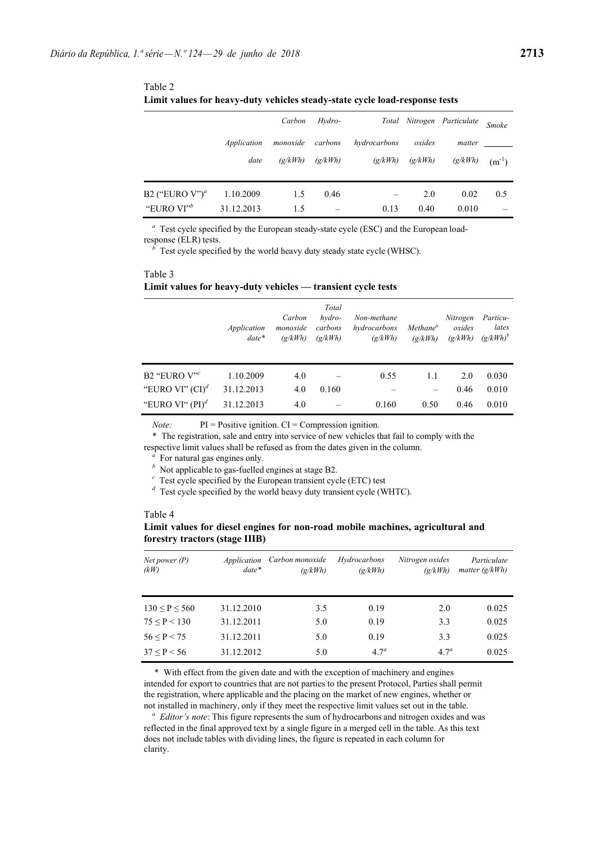|                               |             | Carbon   | Hydro-  |              |         | Total Nitrogen Particulate | <b>Smoke</b> |
|-------------------------------|-------------|----------|---------|--------------|---------|----------------------------|--------------|
|                               | Application | monoxide | carbons | hydrocarbons | oxides  | matter                     |              |
|                               | date        | (g/kWh)  | (g/kWh) | (g/kWh)      | (g/kWh) | (g/kWh)                    | $(m^{-1})$   |
| B2 ("EURO $V$ ") <sup>a</sup> | 1.10.2009   | 1.5      | 0.46    |              | 2.0     | 0.02                       | 0.5          |
| "EURO VI" <sup>b</sup>        | 31.12.2013  | 1.5      |         | 0.13         | 0.40    | 0.010                      |              |

Table 2 **Limit values for heavy-duty vehicles steady-state cycle load-response tests**

*<sup>a</sup>* Test cycle specified by the European steady-state cycle (ESC) and the European loadresponse (ELR) tests.

 $\bar{b}$  Test cycle specified by the world heavy duty steady state cycle (WHSC).

### Table 3 **Limit values for heavy-duty vehicles — transient cycle tests**

|                         | Application<br>$date*$ | Carbon<br>monoxide<br>(g/kWh) | Total<br>hydro-<br>carbons<br>(g/kWh) | Non-methane<br>hydrocarbons<br>(g/kWh) | Methane <sup>a</sup><br>$\left(\frac{\alpha}{kWh}\right)$ | Nitrogen<br>oxides<br>(g/kWh) | Particu-<br>lates<br>$(g/kWh)^b$ |
|-------------------------|------------------------|-------------------------------|---------------------------------------|----------------------------------------|-----------------------------------------------------------|-------------------------------|----------------------------------|
| B2 "EURO $V^{\prime c}$ | 1.10.2009              | 4.0                           |                                       | 0.55                                   | 1.1                                                       | 2.0                           | 0.030                            |
| "EURO VI" $(CI)^d$      | 31.12.2013             | 4.0                           | 0.160                                 |                                        |                                                           | 0.46                          | 0.010                            |
| "EURO VI" $(PI)^d$      | 31.12.2013             | 4.0                           |                                       | 0.160                                  | 0.50                                                      | 0.46                          | 0.010                            |

*Note:* PI = Positive ignition. CI = Compression ignition.

\* The registration, sale and entry into service of new vehicles that fail to comply with the respective limit values shall be refused as from the dates given in the column.

*<sup>a</sup>* For natural gas engines only.

- 
- *b* Not applicable to gas-fuelled engines at stage B2.<br>  $\frac{1}{2}$  C Test cycle specified by the European transient cycle (ETC) test
- $\alpha$  Test cycle specified by the world heavy duty transient cycle (WHTC).

#### Table 4

### **Limit values for diesel engines for non-road mobile machines, agricultural and forestry tractors (stage IIIB)**

| Net power $(P)$<br>(kW) | Application<br>$date*$ | Carbon monoxide<br>(g/kWh) | Hydrocarbons<br>(g/kWh) | Nitrogen oxides<br>$\left(\frac{\alpha}{kWh}\right)$ | Particulate<br>matter $(g/kWh)$ |
|-------------------------|------------------------|----------------------------|-------------------------|------------------------------------------------------|---------------------------------|
| 130 < P < 560           | 31.12.2010             | 3.5                        | 0.19                    | 2.0                                                  | 0.025                           |
| 75 < P < 130            | 31.12.2011             | 5.0                        | 0.19                    | 3.3                                                  | 0.025                           |
| 56 < P < 75             | 31.12.2011             | 5.0                        | 0.19                    | 3.3                                                  | 0.025                           |
| 37 < P < 56             | 31.12.2012             | 5.0                        | 4.7 <sup>a</sup>        | 4.7 <sup>a</sup>                                     | 0.025                           |

\* With effect from the given date and with the exception of machinery and engines intended for export to countries that are not parties to the present Protocol, Parties shall permit the registration, where applicable and the placing on the market of new engines, whether or not installed in machinery, only if they meet the respective limit values set out in the table.

*<sup>a</sup> Editor's note*: This figure represents the sum of hydrocarbons and nitrogen oxides and was reflected in the final approved text by a single figure in a merged cell in the table. As this text does not include tables with dividing lines, the figure is repeated in each column for clarity.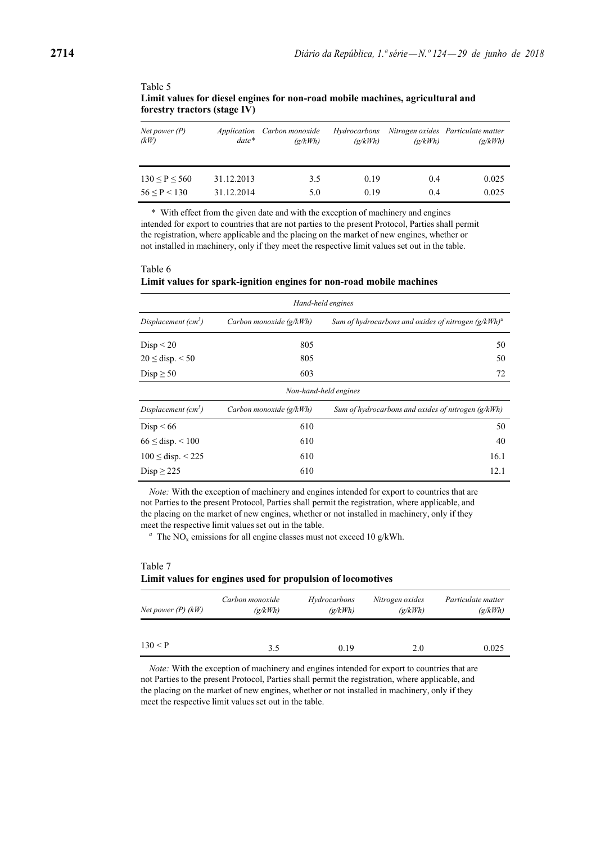| Net power $(P)$<br>(kW) | Application<br>$date*$ | Carbon monoxide<br>$\left(\frac{\alpha}{kWh}\right)$ | Hydrocarbons<br>$\left(\frac{\alpha}{kWh}\right)$ | $\left(\frac{\alpha}{kWh}\right)$ | Nitrogen oxides Particulate matter<br>$\left(\frac{g}{kWh}\right)$ |
|-------------------------|------------------------|------------------------------------------------------|---------------------------------------------------|-----------------------------------|--------------------------------------------------------------------|
| 130 < P < 560           | 31.12.2013             | 3.5                                                  | 0.19                                              | 0.4                               | 0.025                                                              |
| 56 < P < 130            | 31.12.2014             | 5.0                                                  | 0.19                                              | 0.4                               | 0.025                                                              |

Table 5 **Limit values for diesel engines for non-road mobile machines, agricultural and forestry tractors (stage IV)**

\* With effect from the given date and with the exception of machinery and engines intended for export to countries that are not parties to the present Protocol, Parties shall permit the registration, where applicable and the placing on the market of new engines, whether or not installed in machinery, only if they meet the respective limit values set out in the table.

#### Table 6 **Limit values for spark-ignition engines for non-road mobile machines**

| Hand-held engines        |                           |                                                        |  |  |  |
|--------------------------|---------------------------|--------------------------------------------------------|--|--|--|
| Displacement $(cm3)$     | Carbon monoxide $(g/kWh)$ | Sum of hydrocarbons and oxides of nitrogen $(g/kWh)^a$ |  |  |  |
| Disp < 20                | 805                       | 50                                                     |  |  |  |
| $20 \le$ disp. < 50      | 805                       | 50                                                     |  |  |  |
| Disp $\geq 50$           | 603                       | 72                                                     |  |  |  |
|                          |                           | Non-hand-held engines                                  |  |  |  |
| Displacement $(cm3)$     | Carbon monoxide $(g/kWh)$ | Sum of hydrocarbons and oxides of nitrogen $(g/kWh)$   |  |  |  |
| Disp < 66                | 610                       | 50                                                     |  |  |  |
| $66 \le$ disp. $\le 100$ | 610                       | 40                                                     |  |  |  |
| $100 \le$ disp. < 225    | 610                       | 16.1                                                   |  |  |  |
| $Disp \ge 225$           | 610                       | 12.1                                                   |  |  |  |

*Note:* With the exception of machinery and engines intended for export to countries that are not Parties to the present Protocol, Parties shall permit the registration, where applicable, and the placing on the market of new engines, whether or not installed in machinery, only if they meet the respective limit values set out in the table.

 $a<sup>a</sup>$  The NO<sub>x</sub> emissions for all engine classes must not exceed 10 g/kWh.

## Table 7 **Limit values for engines used for propulsion of locomotives**

| Net power $(P)$ $(kW)$ | Carbon monoxide<br>(g/kWh) | Hydrocarbons<br>(g/kWh) | Nitrogen oxides<br>$\left(\frac{\mathrm{g}}{\mathrm{k}}\right)$ | Particulate matter<br>(g/kWh) |
|------------------------|----------------------------|-------------------------|-----------------------------------------------------------------|-------------------------------|
|                        |                            |                         |                                                                 |                               |
| 130 < P                | 3.5                        | 0.19                    | 2.0                                                             | 0.025                         |

*Note:* With the exception of machinery and engines intended for export to countries that are not Parties to the present Protocol, Parties shall permit the registration, where applicable, and the placing on the market of new engines, whether or not installed in machinery, only if they meet the respective limit values set out in the table.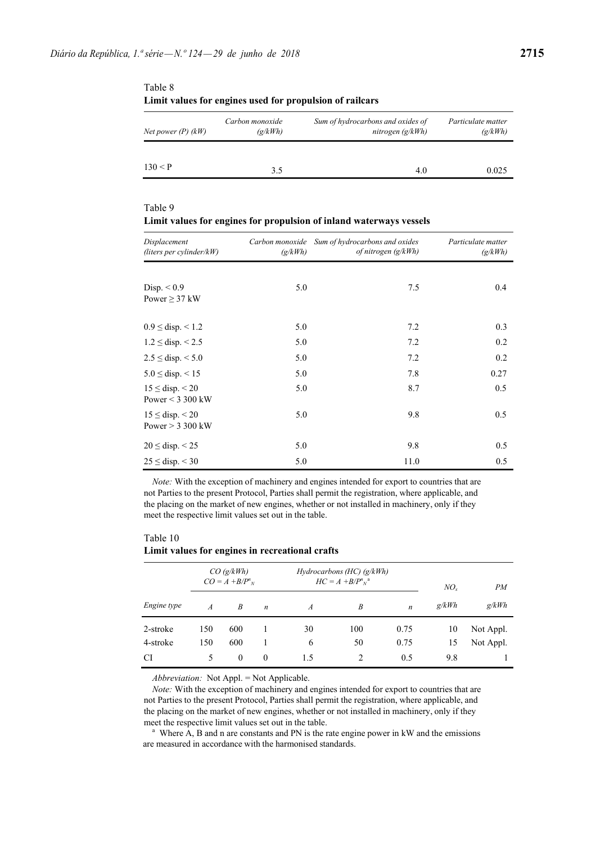| Net power $(P)$ $(kW)$ | Carbon monoxide<br>(g/kWh) | Sum of hydrocarbons and oxides of<br>nitrogen $(g/kWh)$ | Particulate matter<br>(g/kWh) |
|------------------------|----------------------------|---------------------------------------------------------|-------------------------------|
|                        |                            |                                                         |                               |
| 130 < P                | 3.5                        | 4.0                                                     | 0.025                         |

Table 8 **Limit values for engines used for propulsion of railcars**

## Table 9 **Limit values for engines for propulsion of inland waterways vessels**

| Displacement<br>(liters per cylinder/ $kW$ )  | (g/kWh) | Carbon monoxide Sum of hydrocarbons and oxides<br>of nitrogen $(g/kWh)$ | Particulate matter<br>(g/kWh) |  |
|-----------------------------------------------|---------|-------------------------------------------------------------------------|-------------------------------|--|
|                                               |         |                                                                         |                               |  |
| Disp. $< 0.9$<br>Power $\geq$ 37 kW           | 5.0     | 7.5                                                                     | 0.4                           |  |
| $0.9 \le$ disp. $\le 1.2$                     | 5.0     | 7.2                                                                     | 0.3                           |  |
| $1.2 \le$ disp. $\le 2.5$                     | 5.0     | 7.2                                                                     | 0.2                           |  |
| $2.5 \le$ disp. $< 5.0$                       | 5.0     | 7.2                                                                     | 0.2                           |  |
| $5.0 \le$ disp. $< 15$                        | 5.0     | 7.8                                                                     | 0.27                          |  |
| $15 \le$ disp. < 20<br>Power $<$ 3 300 kW     | 5.0     | 8.7                                                                     | 0.5                           |  |
| $15 \le$ disp. $\le$ 20<br>Power $>$ 3 300 kW | 5.0     | 9.8                                                                     | 0.5                           |  |
| $20 \le$ disp. < 25                           | 5.0     | 9.8                                                                     | 0.5                           |  |
| $25 \le$ disp. < 30                           | 5.0     | 11.0                                                                    | 0.5                           |  |

*Note:* With the exception of machinery and engines intended for export to countries that are not Parties to the present Protocol, Parties shall permit the registration, where applicable, and the placing on the market of new engines, whether or not installed in machinery, only if they meet the respective limit values set out in the table.

#### Table 10 **Limit values for engines in recreational crafts**

|                    |                | CO(g/kWh)<br>$CO = A + B/P^n$ <sub>N</sub> |                  |                  | Hydrocarbons (HC) (g/kWh)<br>$HC = A + B/P^n{}_{N}$ <sup>a</sup> |                  | $NO_{r}$ | PM        |
|--------------------|----------------|--------------------------------------------|------------------|------------------|------------------------------------------------------------------|------------------|----------|-----------|
| <i>Engine type</i> | $\overline{A}$ | B                                          | $\boldsymbol{n}$ | $\boldsymbol{A}$ | B                                                                | $\boldsymbol{n}$ | g/kWh    | g/kWh     |
| 2-stroke           | 150            | 600                                        |                  | 30               | 100                                                              | 0.75             | 10       | Not Appl. |
| 4-stroke           | 150            | 600                                        |                  | 6                | 50                                                               | 0.75             | 15       | Not Appl. |
| <b>CI</b>          | 5.             | $\theta$                                   | $\theta$         | 1.5              | 2                                                                | 0.5              | 9.8      |           |

*Abbreviation:* Not Appl. = Not Applicable.

*Note:* With the exception of machinery and engines intended for export to countries that are not Parties to the present Protocol, Parties shall permit the registration, where applicable, and the placing on the market of new engines, whether or not installed in machinery, only if they

meet the respective limit values set out in the table.<br><sup>a</sup> Where A, B and n are constants and PN is the rate engine power in kW and the emissions are measured in accordance with the harmonised standards.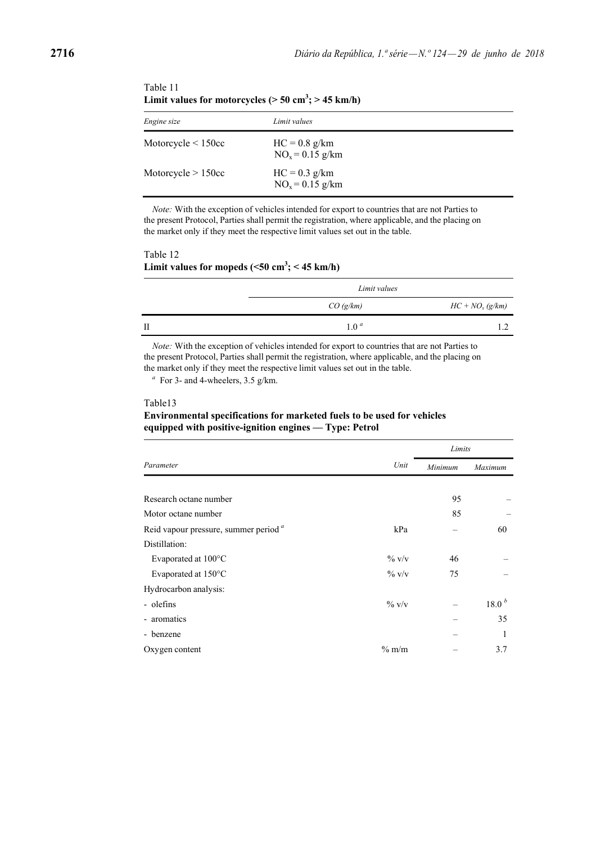| Engine size              | Limit values                          |
|--------------------------|---------------------------------------|
| Motorcycle $\leq 150$ cc | $HC = 0.8$ g/km<br>$NO_x = 0.15$ g/km |
| Motorcycle $> 150cc$     | $HC = 0.3$ g/km<br>$NO_x = 0.15$ g/km |

| Table 11                                                             |  |
|----------------------------------------------------------------------|--|
| Limit values for motorcycles ( $> 50$ cm <sup>3</sup> ; $> 45$ km/h) |  |

*Note:* With the exception of vehicles intended for export to countries that are not Parties to the present Protocol, Parties shall permit the registration, where applicable, and the placing on the market only if they meet the respective limit values set out in the table.

### Table 12 Limit values for mopeds  $(<50 \text{ cm}^3; < 45 \text{ km/h})$

|   | Limit values |                   |  |
|---|--------------|-------------------|--|
|   | CO(g/km)     | $HC + NOx (g/km)$ |  |
| П | $1 \theta^a$ |                   |  |

*Note:* With the exception of vehicles intended for export to countries that are not Parties to the present Protocol, Parties shall permit the registration, where applicable, and the placing on the market only if they meet the respective limit values set out in the table.

 $a$  For 3- and 4-wheelers, 3.5 g/km.

#### Table13

### **Environmental specifications for marketed fuels to be used for vehicles equipped with positive-ignition engines — Type: Petrol**

|                                                  |          | Limits  |                   |  |
|--------------------------------------------------|----------|---------|-------------------|--|
| Parameter                                        | Unit     | Minimum | Maximum           |  |
|                                                  |          |         |                   |  |
| Research octane number                           |          | 95      |                   |  |
| Motor octane number                              |          | 85      |                   |  |
| Reid vapour pressure, summer period <sup>a</sup> | kPa      |         | 60                |  |
| Distillation:                                    |          |         |                   |  |
| Evaporated at 100°C                              | $\%$ V/V | 46      |                   |  |
| Evaporated at 150°C                              | $\%$ V/V | 75      |                   |  |
| Hydrocarbon analysis:                            |          |         |                   |  |
| - olefins                                        | $\%$ V/V |         | 18.0 <sup>b</sup> |  |
| - aromatics                                      |          |         | 35                |  |
| - benzene                                        |          |         |                   |  |
| Oxygen content                                   | $\%$ m/m |         | 3.7               |  |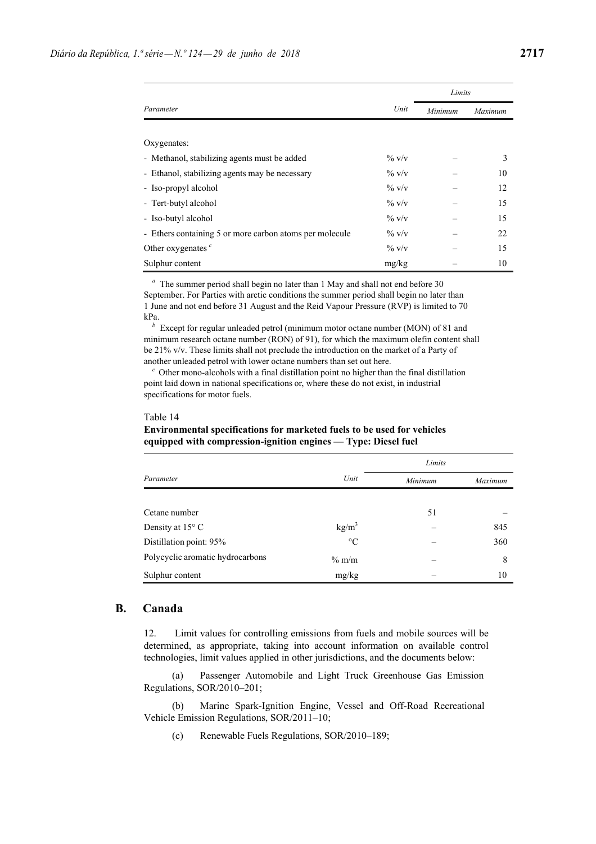|                                                         |          | Limits  |         |  |
|---------------------------------------------------------|----------|---------|---------|--|
| Parameter                                               | Unit     | Minimum | Maximum |  |
|                                                         |          |         |         |  |
| Oxygenates:                                             |          |         |         |  |
| - Methanol, stabilizing agents must be added            | $\%$ V/V |         | 3       |  |
| - Ethanol, stabilizing agents may be necessary          | $\%$ V/V |         | 10      |  |
| - Iso-propyl alcohol                                    | $\%$ V/V |         | 12      |  |
| - Tert-butyl alcohol                                    | $\%$ V/V |         | 15      |  |
| - Iso-butyl alcohol                                     | $\%$ V/V |         | 15      |  |
| - Ethers containing 5 or more carbon atoms per molecule | $\%$ V/V |         | 22      |  |
| Other oxygenates $c$                                    | $\%$ V/V |         | 15      |  |
| Sulphur content                                         | mg/kg    |         | 10      |  |

*<sup>a</sup>* The summer period shall begin no later than 1 May and shall not end before 30 September. For Parties with arctic conditions the summer period shall begin no later than 1 June and not end before 31 August and the Reid Vapour Pressure (RVP) is limited to 70 kPa.

*<sup>b</sup>* Except for regular unleaded petrol (minimum motor octane number (MON) of 81 and minimum research octane number (RON) of 91), for which the maximum olefin content shall be 21% v/v. These limits shall not preclude the introduction on the market of a Party of another unleaded petrol with lower octane numbers than set out here.

*<sup>c</sup>* Other mono-alcohols with a final distillation point no higher than the final distillation point laid down in national specifications or, where these do not exist, in industrial specifications for motor fuels.

#### Table 14

### **Environmental specifications for marketed fuels to be used for vehicles equipped with compression-ignition engines — Type: Diesel fuel**

|                                  |                   | Limits  |         |  |
|----------------------------------|-------------------|---------|---------|--|
| Parameter                        | Unit              | Minimum | Maximum |  |
|                                  |                   |         |         |  |
| Cetane number                    |                   | 51      |         |  |
| Density at $15^{\circ}$ C        | kg/m <sup>3</sup> |         | 845     |  |
| Distillation point: 95%          | $\rm ^{\circ}C$   |         | 360     |  |
| Polycyclic aromatic hydrocarbons | $\%$ m/m          |         | 8       |  |
| Sulphur content                  | mg/kg             |         | 10      |  |

## **B. Canada**

12. Limit values for controlling emissions from fuels and mobile sources will be determined, as appropriate, taking into account information on available control technologies, limit values applied in other jurisdictions, and the documents below:

(a) Passenger Automobile and Light Truck Greenhouse Gas Emission Regulations, SOR/2010–201;

(b) Marine Spark-Ignition Engine, Vessel and Off-Road Recreational Vehicle Emission Regulations, SOR/2011–10;

(c) Renewable Fuels Regulations, SOR/2010–189;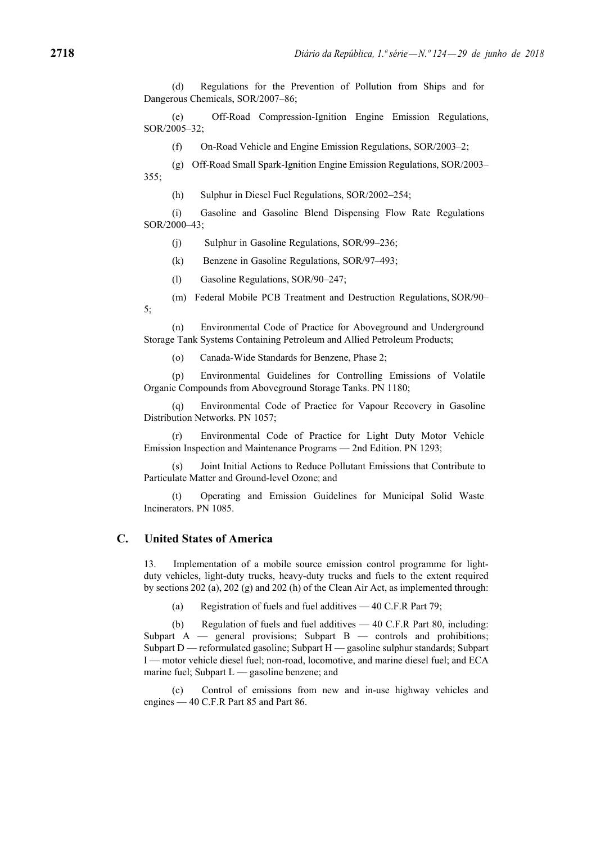(d) Regulations for the Prevention of Pollution from Ships and for Dangerous Chemicals, SOR/2007–86;

(e) Off-Road Compression-Ignition Engine Emission Regulations, SOR/2005–32;

(f) On-Road Vehicle and Engine Emission Regulations, SOR/2003–2;

(g) Off-Road Small Spark-Ignition Engine Emission Regulations, SOR/2003– 355;

(h) Sulphur in Diesel Fuel Regulations, SOR/2002–254;

(i) Gasoline and Gasoline Blend Dispensing Flow Rate Regulations SOR/2000–43;

(j) Sulphur in Gasoline Regulations, SOR/99–236;

(k) Benzene in Gasoline Regulations, SOR/97–493;

(l) Gasoline Regulations, SOR/90–247;

(m) Federal Mobile PCB Treatment and Destruction Regulations, SOR/90– 5;

(n) Environmental Code of Practice for Aboveground and Underground Storage Tank Systems Containing Petroleum and Allied Petroleum Products;

(o) Canada-Wide Standards for Benzene, Phase 2;

(p) Environmental Guidelines for Controlling Emissions of Volatile Organic Compounds from Aboveground Storage Tanks. PN 1180;

(q) Environmental Code of Practice for Vapour Recovery in Gasoline Distribution Networks. PN 1057;

(r) Environmental Code of Practice for Light Duty Motor Vehicle Emission Inspection and Maintenance Programs — 2nd Edition. PN 1293;

Joint Initial Actions to Reduce Pollutant Emissions that Contribute to Particulate Matter and Ground-level Ozone; and

(t) Operating and Emission Guidelines for Municipal Solid Waste Incinerators. PN 1085.

## **C. United States of America**

13. Implementation of a mobile source emission control programme for lightduty vehicles, light-duty trucks, heavy-duty trucks and fuels to the extent required by sections 202 (a), 202 (g) and 202 (h) of the Clean Air Act, as implemented through:

(a) Registration of fuels and fuel additives — 40 C.F.R Part 79;

(b) Regulation of fuels and fuel additives — 40 C.F.R Part 80, including: Subpart A — general provisions; Subpart B — controls and prohibitions; Subpart D — reformulated gasoline; Subpart H — gasoline sulphur standards; Subpart I — motor vehicle diesel fuel; non-road, locomotive, and marine diesel fuel; and ECA marine fuel; Subpart  $L$  — gasoline benzene; and

Control of emissions from new and in-use highway vehicles and engines — 40 C.F.R Part 85 and Part 86.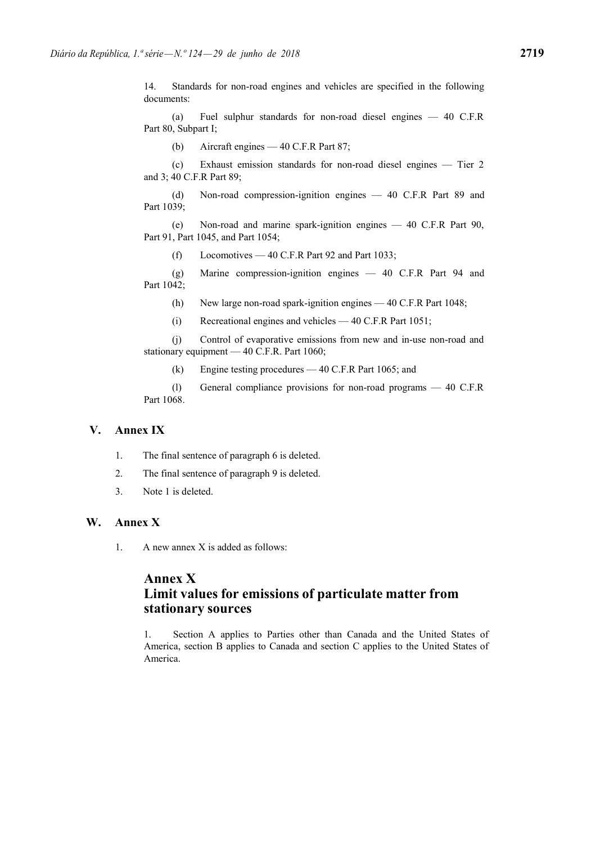14. Standards for non-road engines and vehicles are specified in the following documents:

(a) Fuel sulphur standards for non-road diesel engines — 40 C.F.R Part 80, Subpart I;

(b) Aircraft engines — 40 C.F.R Part 87;

(c) Exhaust emission standards for non-road diesel engines — Tier 2 and 3; 40 C.F.R Part 89;

(d) Non-road compression-ignition engines — 40 C.F.R Part 89 and Part 1039;

(e) Non-road and marine spark-ignition engines — 40 C.F.R Part 90, Part 91, Part 1045, and Part 1054;

(f) Locomotives — 40 C.F.R Part 92 and Part 1033;

(g) Marine compression-ignition engines — 40 C.F.R Part 94 and Part 1042;

(h) New large non-road spark-ignition engines — 40 C.F.R Part 1048;

(i) Recreational engines and vehicles — 40 C.F.R Part 1051;

(j) Control of evaporative emissions from new and in-use non-road and stationary equipment — 40 C.F.R. Part 1060;

(k) Engine testing procedures — 40 C.F.R Part 1065; and

(l) General compliance provisions for non-road programs — 40 C.F.R Part 1068.

## **V. Annex IX**

- 1. The final sentence of paragraph 6 is deleted.
- 2. The final sentence of paragraph 9 is deleted.
- 3. Note 1 is deleted.

# **W. Annex X**

1. A new annex X is added as follows:

# **Annex X Limit values for emissions of particulate matter from stationary sources**

1. Section A applies to Parties other than Canada and the United States of America, section B applies to Canada and section C applies to the United States of America.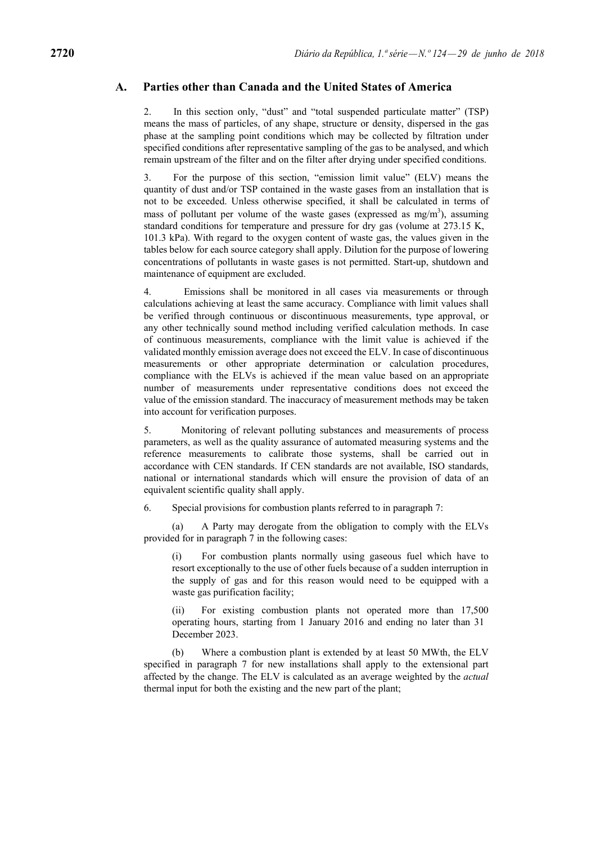### **A. Parties other than Canada and the United States of America**

2. In this section only, "dust" and "total suspended particulate matter" (TSP) means the mass of particles, of any shape, structure or density, dispersed in the gas phase at the sampling point conditions which may be collected by filtration under specified conditions after representative sampling of the gas to be analysed, and which remain upstream of the filter and on the filter after drying under specified conditions.

3. For the purpose of this section, "emission limit value" (ELV) means the quantity of dust and/or TSP contained in the waste gases from an installation that is not to be exceeded. Unless otherwise specified, it shall be calculated in terms of mass of pollutant per volume of the waste gases (expressed as  $mg/m<sup>3</sup>$ ), assuming standard conditions for temperature and pressure for dry gas (volume at 273.15 K, 101.3 kPa). With regard to the oxygen content of waste gas, the values given in the tables below for each source category shall apply. Dilution for the purpose of lowering concentrations of pollutants in waste gases is not permitted. Start-up, shutdown and maintenance of equipment are excluded.

4. Emissions shall be monitored in all cases via measurements or through calculations achieving at least the same accuracy. Compliance with limit values shall be verified through continuous or discontinuous measurements, type approval, or any other technically sound method including verified calculation methods. In case of continuous measurements, compliance with the limit value is achieved if the validated monthly emission average does not exceed the ELV. In case of discontinuous measurements or other appropriate determination or calculation procedures, compliance with the ELVs is achieved if the mean value based on an appropriate number of measurements under representative conditions does not exceed the value of the emission standard. The inaccuracy of measurement methods may be taken into account for verification purposes.

5. Monitoring of relevant polluting substances and measurements of process parameters, as well as the quality assurance of automated measuring systems and the reference measurements to calibrate those systems, shall be carried out in accordance with CEN standards. If CEN standards are not available, ISO standards, national or international standards which will ensure the provision of data of an equivalent scientific quality shall apply.

6. Special provisions for combustion plants referred to in paragraph 7:

(a) A Party may derogate from the obligation to comply with the ELVs provided for in paragraph 7 in the following cases:

(i) For combustion plants normally using gaseous fuel which have to resort exceptionally to the use of other fuels because of a sudden interruption in the supply of gas and for this reason would need to be equipped with a waste gas purification facility;

For existing combustion plants not operated more than 17,500 operating hours, starting from 1 January 2016 and ending no later than 31 December 2023.

(b) Where a combustion plant is extended by at least 50 MWth, the ELV specified in paragraph 7 for new installations shall apply to the extensional part affected by the change. The ELV is calculated as an average weighted by the *actual*  thermal input for both the existing and the new part of the plant;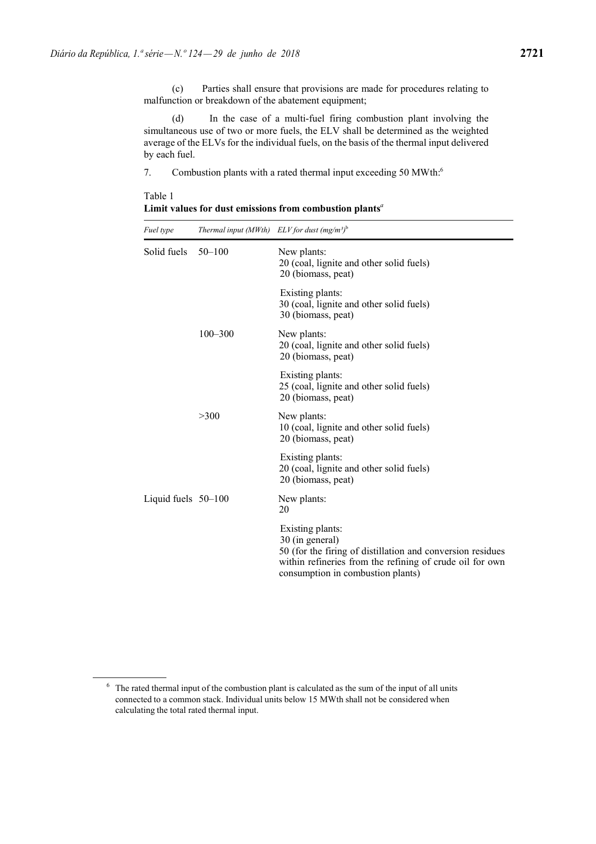(c) Parties shall ensure that provisions are made for procedures relating to malfunction or breakdown of the abatement equipment;

(d) In the case of a multi-fuel firing combustion plant involving the simultaneous use of two or more fuels, the ELV shall be determined as the weighted average of the ELVs for the individual fuels, on the basis of the thermal input delivered by each fuel.

7. Combustion plants with a rated thermal input exceeding 50 MWth:<sup>6</sup>

*Fuel type Thermal input (MWth) ELV for dust (mg/m³)*<sup>b</sup> Solid fuels 50–100 New plants: 20 (coal, lignite and other solid fuels) 20 (biomass, peat) Existing plants: 30 (coal, lignite and other solid fuels) 30 (biomass, peat) 100–300 New plants: 20 (coal, lignite and other solid fuels) 20 (biomass, peat) Existing plants: 25 (coal, lignite and other solid fuels) 20 (biomass, peat) >300 New plants: 10 (coal, lignite and other solid fuels) 20 (biomass, peat) Existing plants: 20 (coal, lignite and other solid fuels) 20 (biomass, peat) Liquid fuels 50–100 New plants: 20 Existing plants: 30 (in general) 50 (for the firing of distillation and conversion residues within refineries from the refining of crude oil for own consumption in combustion plants)

Table 1 **Limit values for dust emissions from combustion plants***<sup>a</sup>*

<sup>&</sup>lt;sup>6</sup> The rated thermal input of the combustion plant is calculated as the sum of the input of all units connected to a common stack. Individual units below 15 MWth shall not be considered when calculating the total rated thermal input.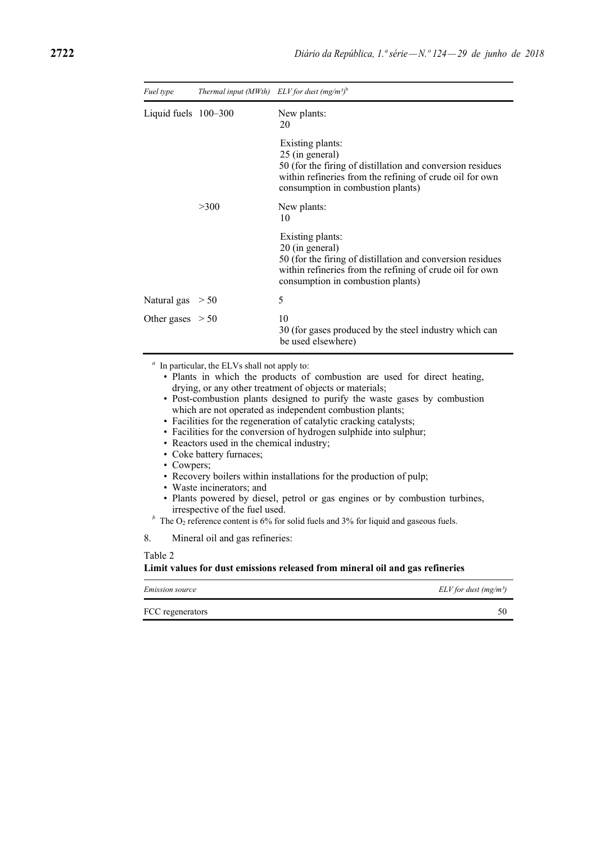| Fuel type              | Thermal input (MWth) ELV for dust (mg/m <sup>3)b</sup> |                                                                                                                                                                                                    |
|------------------------|--------------------------------------------------------|----------------------------------------------------------------------------------------------------------------------------------------------------------------------------------------------------|
| Liquid fuels $100-300$ |                                                        | New plants:<br>20                                                                                                                                                                                  |
|                        |                                                        | Existing plants:<br>25 (in general)<br>50 (for the firing of distillation and conversion residues<br>within refineries from the refining of crude oil for own<br>consumption in combustion plants) |
|                        | >300                                                   | New plants:<br>10                                                                                                                                                                                  |
|                        |                                                        | Existing plants:<br>20 (in general)<br>50 (for the firing of distillation and conversion residues<br>within refineries from the refining of crude oil for own<br>consumption in combustion plants) |
| Natural gas $> 50$     |                                                        | 5                                                                                                                                                                                                  |
| Other gases $> 50$     |                                                        | 10<br>30 (for gases produced by the steel industry which can<br>be used elsewhere)                                                                                                                 |

*<sup>a</sup>* In particular, the ELVs shall not apply to:

- Plants in which the products of combustion are used for direct heating, drying, or any other treatment of objects or materials;
- Post-combustion plants designed to purify the waste gases by combustion which are not operated as independent combustion plants;
- Facilities for the regeneration of catalytic cracking catalysts;
- Facilities for the conversion of hydrogen sulphide into sulphur;
- Reactors used in the chemical industry;
- Coke battery furnaces;
- Cowpers;
- Recovery boilers within installations for the production of pulp;
- Waste incinerators; and
- Plants powered by diesel, petrol or gas engines or by combustion turbines, irrespective of the fuel used.
- <sup>*b*</sup> The O<sub>2</sub> reference content is 6% for solid fuels and 3% for liquid and gaseous fuels.

8. Mineral oil and gas refineries:

Table 2

#### **Limit values for dust emissions released from mineral oil and gas refineries**

| Emission source  | $ELV$ for dust (mg/m <sup>3</sup> ) |
|------------------|-------------------------------------|
| FCC regenerators |                                     |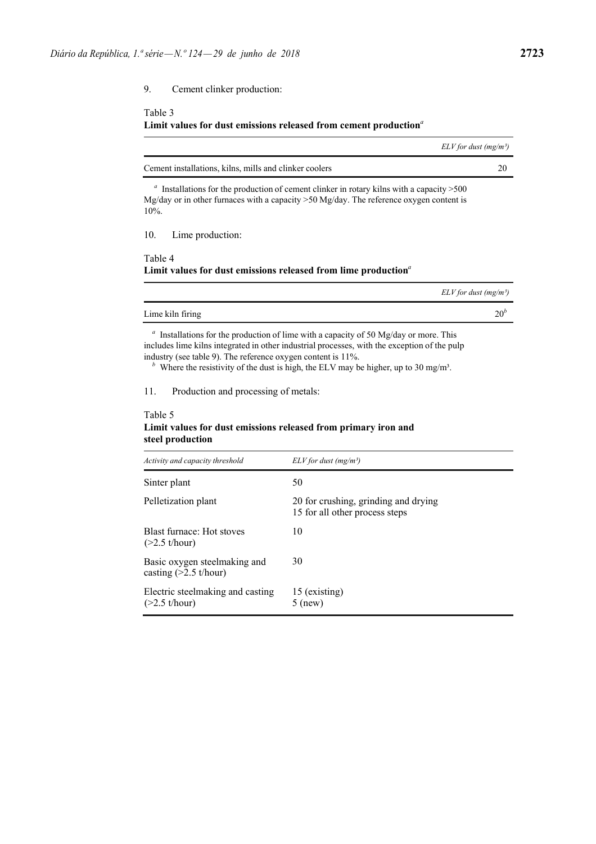9. Cement clinker production:

# Table 3 **Limit values for dust emissions released from cement production***<sup>a</sup>*

| $ELV$ for dust (mg/m <sup>3</sup> )                                                                                                                                                                |    |
|----------------------------------------------------------------------------------------------------------------------------------------------------------------------------------------------------|----|
| Cement installations, kilns, mills and clinker coolers                                                                                                                                             | 20 |
| Installations for the production of cement clinker in rotary kilns with a capacity $>500$<br>Mg/day or in other furnaces with a capacity $>50$ Mg/day. The reference oxygen content is<br>$10\%$ . |    |
| Lime production:<br>10.                                                                                                                                                                            |    |
| Table 4<br>Limit values for dust emissions released from lime production <sup>a</sup>                                                                                                              |    |
| $ELV$ for dust (mg/m <sup>3</sup> )                                                                                                                                                                |    |

| Lime kiln firing |  |
|------------------|--|
|                  |  |

<sup>a</sup> Installations for the production of lime with a capacity of 50 Mg/day or more. This includes lime kilns integrated in other industrial processes, with the exception of the pulp industry (see table 9). The reference oxygen content is 11%.

<sup>*b*</sup> Where the resistivity of the dust is high, the ELV may be higher, up to 30 mg/m<sup>3</sup>.

11. Production and processing of metals:

### Table 5 **Limit values for dust emissions released from primary iron and steel production**

| Activity and capacity threshold                         | $ELV$ for dust (mg/m <sup>3</sup> )                                    |
|---------------------------------------------------------|------------------------------------------------------------------------|
| Sinter plant                                            | 50                                                                     |
| Pelletization plant                                     | 20 for crushing, grinding and drying<br>15 for all other process steps |
| Blast furnace: Hot stoves<br>$(>2.5$ t/hour)            | 10                                                                     |
| Basic oxygen steelmaking and<br>casting $(>2.5$ t/hour) | 30                                                                     |
| Electric steelmaking and casting<br>$(>2.5$ t/hour)     | 15 (existing)<br>$5$ (new)                                             |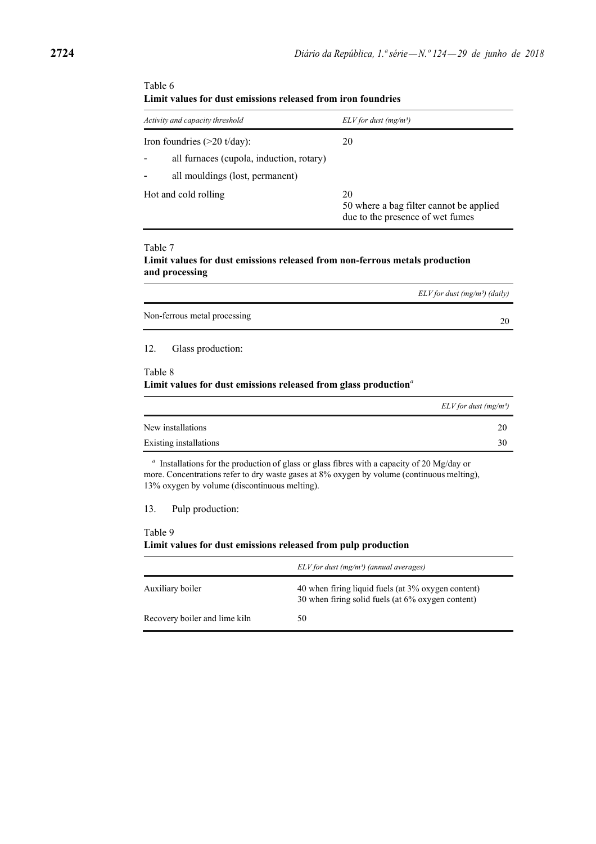| Activity and capacity threshold          | $ELV$ for dust (mg/m <sup>3</sup> )                                               |
|------------------------------------------|-----------------------------------------------------------------------------------|
| Iron foundries $(>20 \text{ t/day})$ :   | 20                                                                                |
| all furnaces (cupola, induction, rotary) |                                                                                   |
| all mouldings (lost, permanent)          |                                                                                   |
| Hot and cold rolling                     | 20<br>50 where a bag filter cannot be applied<br>due to the presence of wet fumes |

## Table 6 **Limit values for dust emissions released from iron foundries**

#### Table 7

## **Limit values for dust emissions released from non-ferrous metals production and processing**

|                              | $ELV$ for dust (mg/m <sup>3</sup> ) (daily) |
|------------------------------|---------------------------------------------|
| Non-ferrous metal processing |                                             |
|                              |                                             |

12. Glass production:

#### Table 8 **Limit values for dust emissions released from glass production***<sup>a</sup>*

|                        | $ELV$ for dust (mg/m <sup>3</sup> ) |
|------------------------|-------------------------------------|
| New installations      | 20                                  |
| Existing installations | 30                                  |

*<sup>a</sup>* Installations for the production of glass or glass fibres with a capacity of 20 Mg/day or more. Concentrations refer to dry waste gases at 8% oxygen by volume (continuous melting), 13% oxygen by volume (discontinuous melting).

13. Pulp production:

## Table 9

#### **Limit values for dust emissions released from pulp production**

|                               | $ELV$ for dust (mg/m <sup>3</sup> ) (annual averages)                                                   |
|-------------------------------|---------------------------------------------------------------------------------------------------------|
| Auxiliary boiler              | 40 when firing liquid fuels (at 3% oxygen content)<br>30 when firing solid fuels (at 6% oxygen content) |
| Recovery boiler and lime kiln | 50                                                                                                      |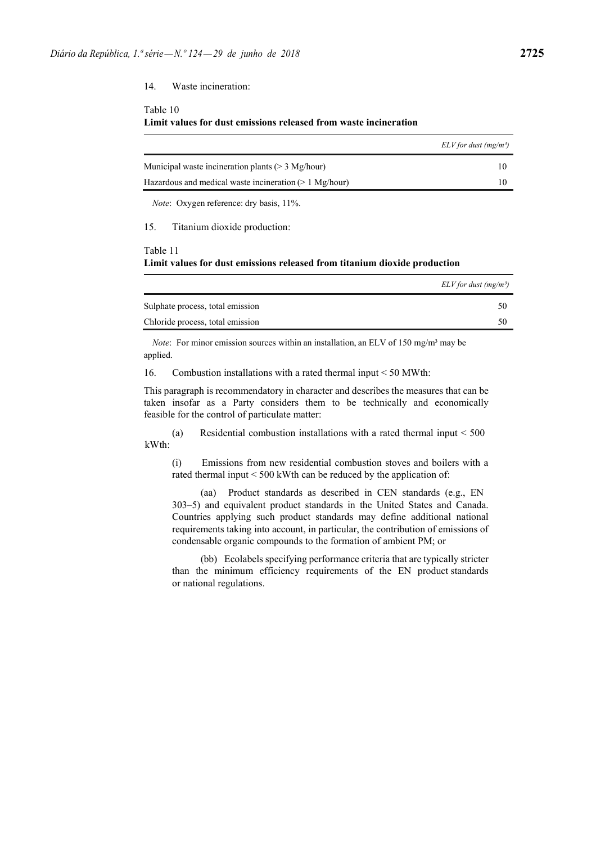14. Waste incineration:

#### Table 10

#### **Limit values for dust emissions released from waste incineration**

|                                                         | $ELV$ for dust (mg/m <sup>3</sup> ) |
|---------------------------------------------------------|-------------------------------------|
| Municipal waste incineration plants ( $>$ 3 Mg/hour)    |                                     |
| Hazardous and medical waste incineration $(>1$ Mg/hour) |                                     |

*Note*: Oxygen reference: dry basis, 11%.

15. Titanium dioxide production:

#### Table 11 **Limit values for dust emissions released from titanium dioxide production**

|                                  | $ELV$ for dust (mg/m <sup>3</sup> ) |
|----------------------------------|-------------------------------------|
| Sulphate process, total emission | 50                                  |
| Chloride process, total emission | 50                                  |

*Note*: For minor emission sources within an installation, an ELV of 150 mg/m<sup>3</sup> may be applied.

16. Combustion installations with a rated thermal input < 50 MWth:

This paragraph is recommendatory in character and describes the measures that can be taken insofar as a Party considers them to be technically and economically feasible for the control of particulate matter:

(a) Residential combustion installations with a rated thermal input < 500 kWth:

(i) Emissions from new residential combustion stoves and boilers with a rated thermal input < 500 kWth can be reduced by the application of:

(aa) Product standards as described in CEN standards (e.g., EN 303–5) and equivalent product standards in the United States and Canada. Countries applying such product standards may define additional national requirements taking into account, in particular, the contribution of emissions of condensable organic compounds to the formation of ambient PM; or

(bb) Ecolabels specifying performance criteria that are typically stricter than the minimum efficiency requirements of the EN product standards or national regulations.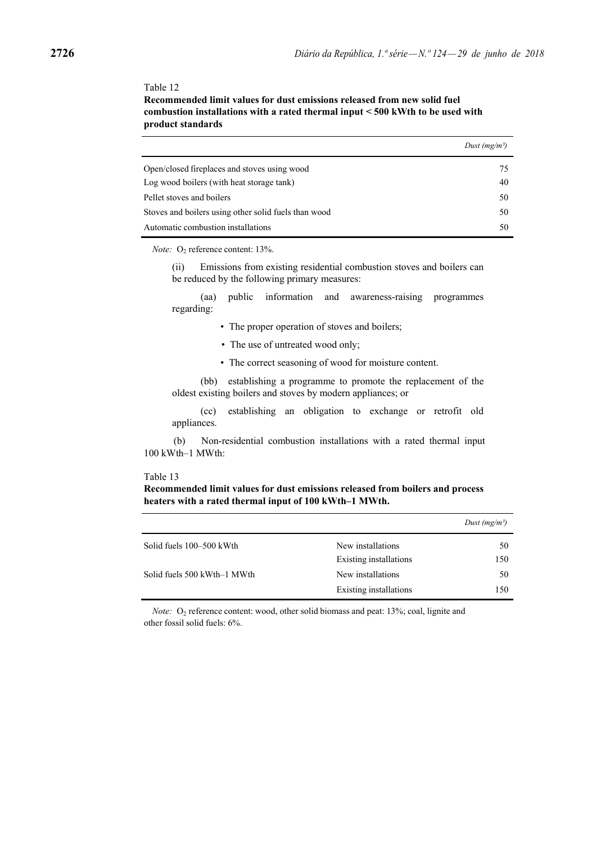#### Table 12

**Recommended limit values for dust emissions released from new solid fuel combustion installations with a rated thermal input < 500 kWth to be used with product standards**

|                                                      | Dust $(mg/m^3)$ |
|------------------------------------------------------|-----------------|
| Open/closed fireplaces and stoves using wood         | 75              |
| Log wood boilers (with heat storage tank)            | 40              |
| Pellet stoves and boilers                            | 50              |
| Stoves and boilers using other solid fuels than wood | 50              |
| Automatic combustion installations                   | 50              |

*Note:* O<sub>2</sub> reference content: 13%.

(ii) Emissions from existing residential combustion stoves and boilers can be reduced by the following primary measures:

(aa) public information and awareness-raising programmes regarding:

- The proper operation of stoves and boilers;
- The use of untreated wood only;
- The correct seasoning of wood for moisture content.

(bb) establishing a programme to promote the replacement of the oldest existing boilers and stoves by modern appliances; or

(cc) establishing an obligation to exchange or retrofit old appliances.

(b) Non-residential combustion installations with a rated thermal input 100 kWth–1 MWth:

#### Table 13

#### **Recommended limit values for dust emissions released from boilers and process heaters with a rated thermal input of 100 kWth–1 MWth.**

|                             |                        | Dust $(mg/m^3)$ |
|-----------------------------|------------------------|-----------------|
| Solid fuels 100–500 kWth    | New installations      | 50              |
|                             | Existing installations | 150             |
| Solid fuels 500 kWth–1 MWth | New installations      | 50              |
|                             | Existing installations | 150             |
|                             |                        |                 |

*Note:* O<sub>2</sub> reference content: wood, other solid biomass and peat: 13%; coal, lignite and other fossil solid fuels: 6%.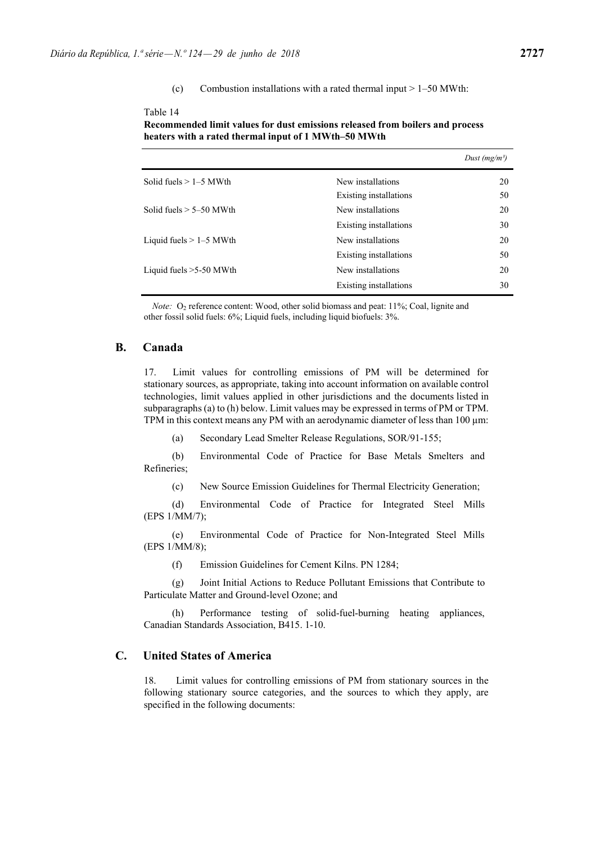#### (c) Combustion installations with a rated thermal input  $> 1-50$  MWth:

#### Table 14

| Recommended limit values for dust emissions released from boilers and process |
|-------------------------------------------------------------------------------|
| heaters with a rated thermal input of 1 MWth–50 MWth                          |

|                           |                        | Dust (mg/m <sup>3</sup> ) |
|---------------------------|------------------------|---------------------------|
| Solid fuels $> 1-5$ MWth  | New installations      | 20                        |
|                           | Existing installations | 50                        |
| Solid fuels $> 5-50$ MWth | New installations      | 20                        |
|                           | Existing installations | 30                        |
| Liquid fuels $> 1-5$ MWth | New installations      | 20                        |
|                           | Existing installations | 50                        |
| Liquid fuels $>5-50$ MWth | New installations      | 20                        |
|                           | Existing installations | 30                        |

*Note:* O<sub>2</sub> reference content: Wood, other solid biomass and peat: 11%; Coal, lignite and other fossil solid fuels: 6%; Liquid fuels, including liquid biofuels: 3%.

# **B. Canada**

17. Limit values for controlling emissions of PM will be determined for stationary sources, as appropriate, taking into account information on available control technologies, limit values applied in other jurisdictions and the documents listed in subparagraphs (a) to (h) below. Limit values may be expressed in terms of PM or TPM. TPM in this context means any PM with an aerodynamic diameter of less than  $100 \mu m$ :

(a) Secondary Lead Smelter Release Regulations, SOR/91-155;

(b) Environmental Code of Practice for Base Metals Smelters and Refineries;

(c) New Source Emission Guidelines for Thermal Electricity Generation;

(d) Environmental Code of Practice for Integrated Steel Mills (EPS 1/MM/7);

(e) Environmental Code of Practice for Non-Integrated Steel Mills (EPS 1/MM/8);

(f) Emission Guidelines for Cement Kilns. PN 1284;

(g) Joint Initial Actions to Reduce Pollutant Emissions that Contribute to Particulate Matter and Ground-level Ozone; and

(h) Performance testing of solid-fuel-burning heating appliances, Canadian Standards Association, B415. 1-10.

## **C. United States of America**

18. Limit values for controlling emissions of PM from stationary sources in the following stationary source categories, and the sources to which they apply, are specified in the following documents: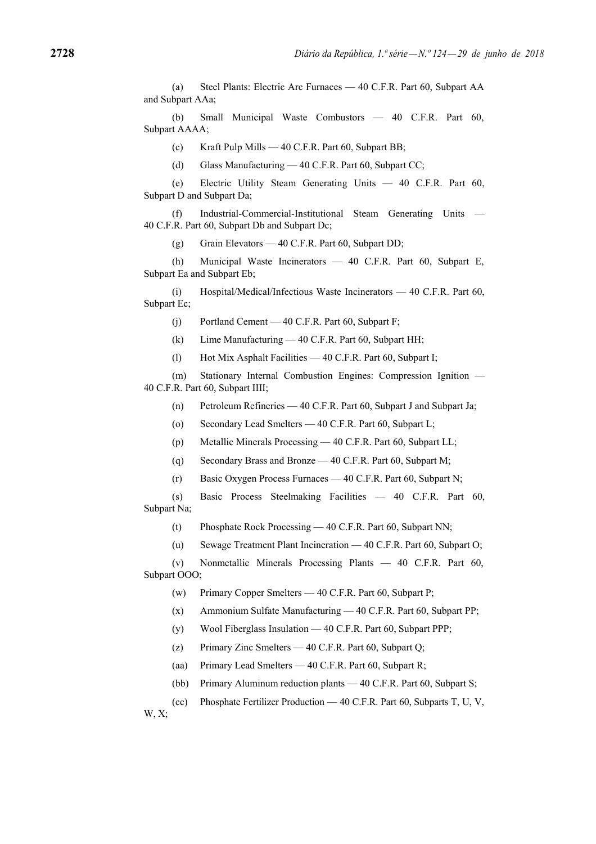(a) Steel Plants: Electric Arc Furnaces — 40 C.F.R. Part 60, Subpart AA and Subpart AAa;

(b) Small Municipal Waste Combustors — 40 C.F.R. Part 60, Subpart AAAA;

(c) Kraft Pulp Mills — 40 C.F.R. Part 60, Subpart BB;

(d) Glass Manufacturing — 40 C.F.R. Part 60, Subpart CC;

(e) Electric Utility Steam Generating Units — 40 C.F.R. Part 60, Subpart D and Subpart Da;

(f) Industrial-Commercial-Institutional Steam Generating Units — 40 C.F.R. Part 60, Subpart Db and Subpart Dc;

(g) Grain Elevators — 40 C.F.R. Part 60, Subpart DD;

(h) Municipal Waste Incinerators — 40 C.F.R. Part 60, Subpart E, Subpart Ea and Subpart Eb;

(i) Hospital/Medical/Infectious Waste Incinerators — 40 C.F.R. Part 60, Subpart Ec;

(j) Portland Cement — 40 C.F.R. Part 60, Subpart F;

(k) Lime Manufacturing — 40 C.F.R. Part 60, Subpart HH;

(l) Hot Mix Asphalt Facilities — 40 C.F.R. Part 60, Subpart I;

(m) Stationary Internal Combustion Engines: Compression Ignition — 40 C.F.R. Part 60, Subpart IIII;

(n) Petroleum Refineries — 40 C.F.R. Part 60, Subpart J and Subpart Ja;

(o) Secondary Lead Smelters — 40 C.F.R. Part 60, Subpart L;

(p) Metallic Minerals Processing — 40 C.F.R. Part 60, Subpart LL;

(q) Secondary Brass and Bronze — 40 C.F.R. Part 60, Subpart M;

(r) Basic Oxygen Process Furnaces — 40 C.F.R. Part 60, Subpart N;

(s) Basic Process Steelmaking Facilities — 40 C.F.R. Part 60, Subpart Na;

(t) Phosphate Rock Processing — 40 C.F.R. Part 60, Subpart NN;

(u) Sewage Treatment Plant Incineration — 40 C.F.R. Part 60, Subpart O;

(v) Nonmetallic Minerals Processing Plants — 40 C.F.R. Part 60, Subpart OOO;

(w) Primary Copper Smelters — 40 C.F.R. Part 60, Subpart P;

(x) Ammonium Sulfate Manufacturing — 40 C.F.R. Part 60, Subpart PP;

(y) Wool Fiberglass Insulation — 40 C.F.R. Part 60, Subpart PPP;

(z) Primary Zinc Smelters — 40 C.F.R. Part 60, Subpart Q;

(aa) Primary Lead Smelters — 40 C.F.R. Part 60, Subpart R;

(bb) Primary Aluminum reduction plants — 40 C.F.R. Part 60, Subpart S;

(cc) Phosphate Fertilizer Production — 40 C.F.R. Part 60, Subparts T, U, V,

W, X;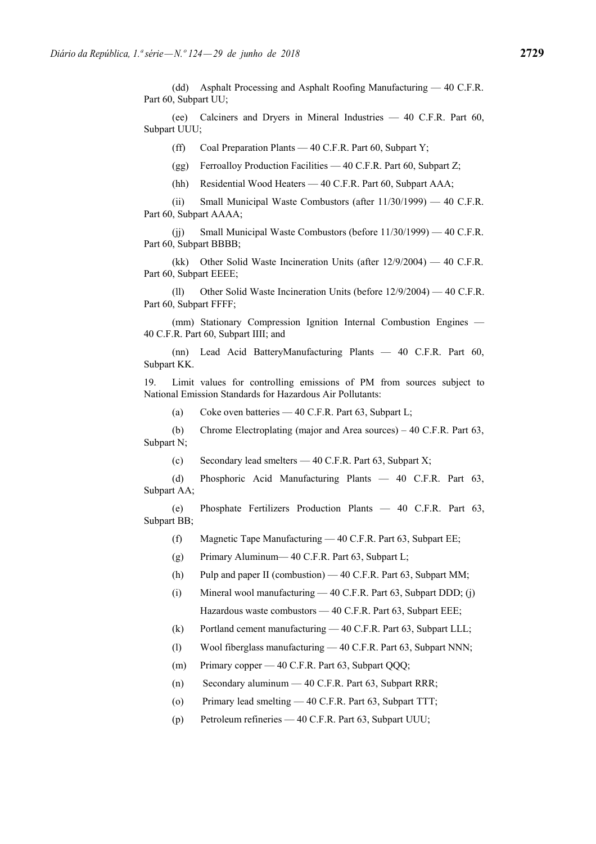(dd) Asphalt Processing and Asphalt Roofing Manufacturing — 40 C.F.R. Part 60, Subpart UU;

(ee) Calciners and Dryers in Mineral Industries — 40 C.F.R. Part 60, Subpart UUU;

(ff) Coal Preparation Plants — 40 C.F.R. Part 60, Subpart Y;

(gg) Ferroalloy Production Facilities — 40 C.F.R. Part 60, Subpart Z;

(hh) Residential Wood Heaters — 40 C.F.R. Part 60, Subpart AAA;

(ii) Small Municipal Waste Combustors (after 11/30/1999) — 40 C.F.R. Part 60, Subpart AAAA;

(jj) Small Municipal Waste Combustors (before 11/30/1999) — 40 C.F.R. Part 60, Subpart BBBB;

(kk) Other Solid Waste Incineration Units (after 12/9/2004) — 40 C.F.R. Part 60, Subpart EEEE;

(ll) Other Solid Waste Incineration Units (before 12/9/2004) — 40 C.F.R. Part 60, Subpart FFFF;

(mm) Stationary Compression Ignition Internal Combustion Engines — 40 C.F.R. Part 60, Subpart IIII; and

(nn) Lead Acid BatteryManufacturing Plants — 40 C.F.R. Part 60, Subpart KK.

19. Limit values for controlling emissions of PM from sources subject to National Emission Standards for Hazardous Air Pollutants:

(a) Coke oven batteries — 40 C.F.R. Part 63, Subpart L;

(b) Chrome Electroplating (major and Area sources) – 40 C.F.R. Part 63, Subpart N;

(c) Secondary lead smelters  $-40$  C.F.R. Part 63, Subpart X;

(d) Phosphoric Acid Manufacturing Plants — 40 C.F.R. Part 63, Subpart AA;

(e) Phosphate Fertilizers Production Plants — 40 C.F.R. Part 63, Subpart BB;

(f) Magnetic Tape Manufacturing — 40 C.F.R. Part 63, Subpart EE;

(g) Primary Aluminum— 40 C.F.R. Part 63, Subpart L;

(h) Pulp and paper II (combustion) — 40 C.F.R. Part 63, Subpart MM;

(i) Mineral wool manufacturing — 40 C.F.R. Part 63, Subpart DDD; (j) Hazardous waste combustors — 40 C.F.R. Part 63, Subpart EEE;

(k) Portland cement manufacturing — 40 C.F.R. Part 63, Subpart LLL;

(l) Wool fiberglass manufacturing — 40 C.F.R. Part 63, Subpart NNN;

(m) Primary copper — 40 C.F.R. Part 63, Subpart QQQ;

(n) Secondary aluminum — 40 C.F.R. Part 63, Subpart RRR;

(o) Primary lead smelting — 40 C.F.R. Part 63, Subpart TTT;

(p) Petroleum refineries — 40 C.F.R. Part 63, Subpart UUU;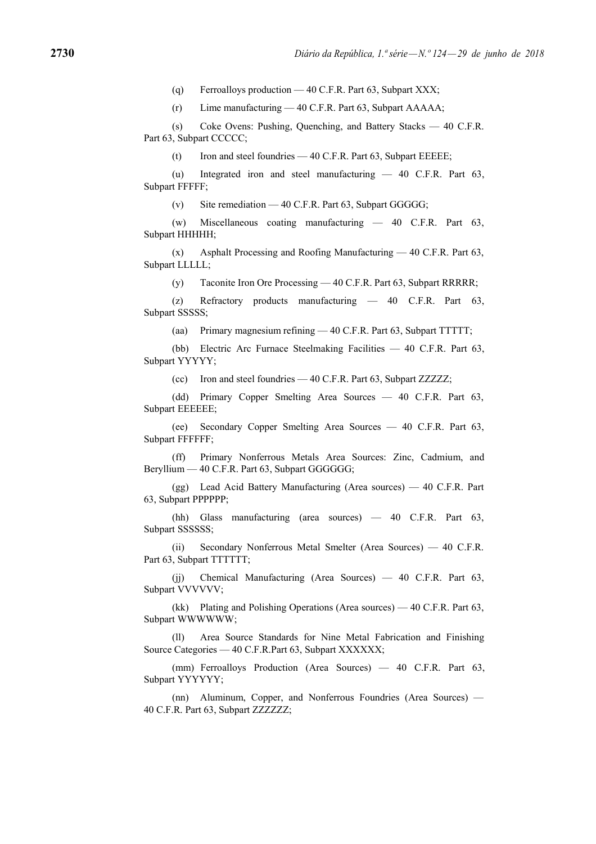(q) Ferroalloys production — 40 C.F.R. Part 63, Subpart XXX;

(r) Lime manufacturing — 40 C.F.R. Part 63, Subpart AAAAA;

(s) Coke Ovens: Pushing, Quenching, and Battery Stacks — 40 C.F.R. Part 63, Subpart CCCCC:

(t) Iron and steel foundries — 40 C.F.R. Part 63, Subpart EEEEE;

(u) Integrated iron and steel manufacturing — 40 C.F.R. Part 63, Subpart FFFFF;

(v) Site remediation — 40 C.F.R. Part 63, Subpart GGGGG;

(w) Miscellaneous coating manufacturing — 40 C.F.R. Part 63, Subpart HHHHH;

(x) Asphalt Processing and Roofing Manufacturing — 40 C.F.R. Part 63, Subpart LLLLL;

(y) Taconite Iron Ore Processing — 40 C.F.R. Part 63, Subpart RRRRR;

(z) Refractory products manufacturing — 40 C.F.R. Part 63, Subpart SSSSS;

(aa) Primary magnesium refining — 40 C.F.R. Part 63, Subpart TTTTT;

(bb) Electric Arc Furnace Steelmaking Facilities — 40 C.F.R. Part 63, Subpart YYYYY;

(cc) Iron and steel foundries — 40 C.F.R. Part 63, Subpart ZZZZZ;

(dd) Primary Copper Smelting Area Sources — 40 C.F.R. Part 63, Subpart EEEEEE;

(ee) Secondary Copper Smelting Area Sources — 40 C.F.R. Part 63, Subpart FFFFFF;

(ff) Primary Nonferrous Metals Area Sources: Zinc, Cadmium, and Beryllium — 40 C.F.R. Part 63, Subpart GGGGGG;

(gg) Lead Acid Battery Manufacturing (Area sources) — 40 C.F.R. Part 63, Subpart PPPPPP;

(hh) Glass manufacturing (area sources) — 40 C.F.R. Part 63, Subpart SSSSSS;

(ii) Secondary Nonferrous Metal Smelter (Area Sources) — 40 C.F.R. Part 63, Subpart TTTTTT;

(jj) Chemical Manufacturing (Area Sources) — 40 C.F.R. Part 63, Subpart VVVVVV;

(kk) Plating and Polishing Operations (Area sources) — 40 C.F.R. Part 63, Subpart WWWWWW;

(ll) Area Source Standards for Nine Metal Fabrication and Finishing Source Categories — 40 C.F.R.Part 63, Subpart XXXXXX;

(mm) Ferroalloys Production (Area Sources) — 40 C.F.R. Part 63, Subpart YYYYYY;

(nn) Aluminum, Copper, and Nonferrous Foundries (Area Sources) — 40 C.F.R. Part 63, Subpart ZZZZZZ;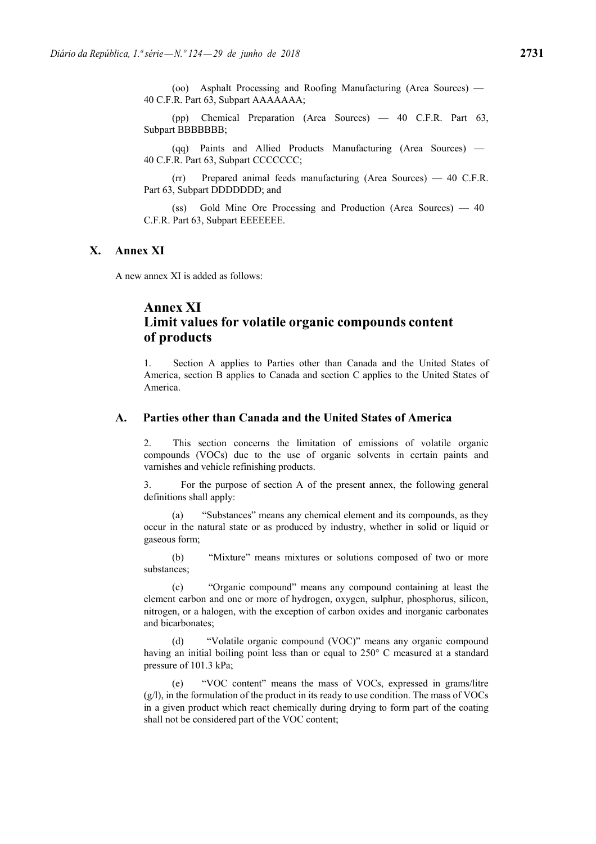(oo) Asphalt Processing and Roofing Manufacturing (Area Sources) — 40 C.F.R. Part 63, Subpart AAAAAAA;

(pp) Chemical Preparation (Area Sources) — 40 C.F.R. Part 63, Subpart BBBBBBB:

(qq) Paints and Allied Products Manufacturing (Area Sources) — 40 C.F.R. Part 63, Subpart CCCCCCC;

(rr) Prepared animal feeds manufacturing (Area Sources) — 40 C.F.R. Part 63, Subpart DDDDDDD; and

(ss) Gold Mine Ore Processing and Production (Area Sources) — 40 C.F.R. Part 63, Subpart EEEEEEE.

## **X. Annex XI**

A new annex XI is added as follows:

# **Annex XI Limit values for volatile organic compounds content of products**

1. Section A applies to Parties other than Canada and the United States of America, section B applies to Canada and section C applies to the United States of America.

## **A. Parties other than Canada and the United States of America**

2. This section concerns the limitation of emissions of volatile organic compounds (VOCs) due to the use of organic solvents in certain paints and varnishes and vehicle refinishing products.

3. For the purpose of section A of the present annex, the following general definitions shall apply:

(a) "Substances" means any chemical element and its compounds, as they occur in the natural state or as produced by industry, whether in solid or liquid or gaseous form;

(b) "Mixture" means mixtures or solutions composed of two or more substances;

(c) "Organic compound" means any compound containing at least the element carbon and one or more of hydrogen, oxygen, sulphur, phosphorus, silicon, nitrogen, or a halogen, with the exception of carbon oxides and inorganic carbonates and bicarbonates;

(d) "Volatile organic compound (VOC)" means any organic compound having an initial boiling point less than or equal to 250° C measured at a standard pressure of 101.3 kPa;

(e) "VOC content" means the mass of VOCs, expressed in grams/litre (g/l), in the formulation of the product in its ready to use condition. The mass of VOCs in a given product which react chemically during drying to form part of the coating shall not be considered part of the VOC content;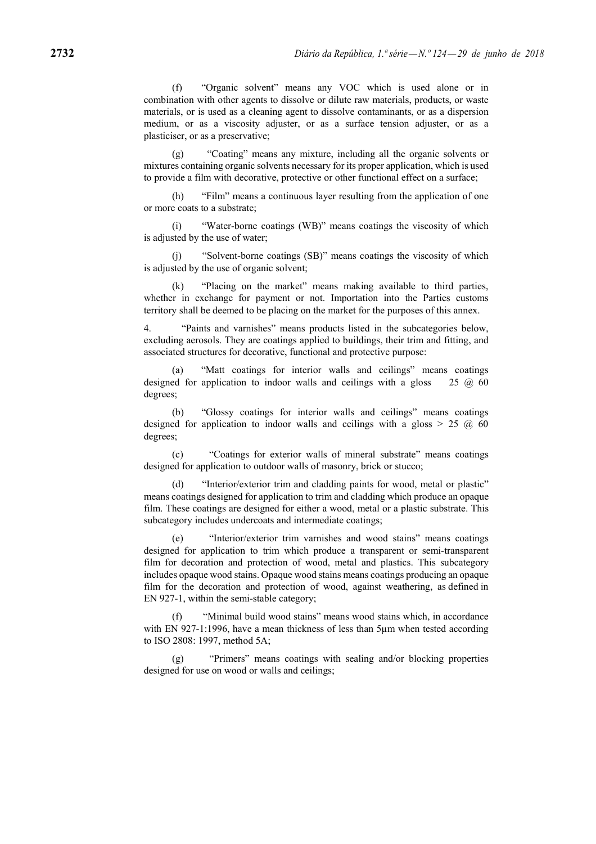(f) "Organic solvent" means any VOC which is used alone or in combination with other agents to dissolve or dilute raw materials, products, or waste materials, or is used as a cleaning agent to dissolve contaminants, or as a dispersion medium, or as a viscosity adjuster, or as a surface tension adjuster, or as a plasticiser, or as a preservative;

"Coating" means any mixture, including all the organic solvents or mixtures containing organic solvents necessary for its proper application, which is used to provide a film with decorative, protective or other functional effect on a surface;

(h) "Film" means a continuous layer resulting from the application of one or more coats to a substrate;

(i) "Water-borne coatings (WB)" means coatings the viscosity of which is adjusted by the use of water;

(j) "Solvent-borne coatings (SB)" means coatings the viscosity of which is adjusted by the use of organic solvent;

"Placing on the market" means making available to third parties, whether in exchange for payment or not. Importation into the Parties customs territory shall be deemed to be placing on the market for the purposes of this annex.

4. "Paints and varnishes" means products listed in the subcategories below, excluding aerosols. They are coatings applied to buildings, their trim and fitting, and associated structures for decorative, functional and protective purpose:

(a) "Matt coatings for interior walls and ceilings" means coatings designed for application to indoor walls and ceilings with a gloss  $25 \quad \textcircled{a}$  60 degrees;

(b) "Glossy coatings for interior walls and ceilings" means coatings designed for application to indoor walls and ceilings with a gloss  $> 25$  (a) 60 degrees;

(c) "Coatings for exterior walls of mineral substrate" means coatings designed for application to outdoor walls of masonry, brick or stucco;

(d) "Interior/exterior trim and cladding paints for wood, metal or plastic" means coatings designed for application to trim and cladding which produce an opaque film. These coatings are designed for either a wood, metal or a plastic substrate. This subcategory includes undercoats and intermediate coatings;

(e) "Interior/exterior trim varnishes and wood stains" means coatings designed for application to trim which produce a transparent or semi-transparent film for decoration and protection of wood, metal and plastics. This subcategory includes opaque wood stains. Opaque wood stains means coatings producing an opaque film for the decoration and protection of wood, against weathering, as defined in EN 927-1, within the semi-stable category;

(f) "Minimal build wood stains" means wood stains which, in accordance with EN 927-1:1996, have a mean thickness of less than  $5\mu$ m when tested according to ISO 2808: 1997, method 5A;

(g) "Primers" means coatings with sealing and/or blocking properties designed for use on wood or walls and ceilings;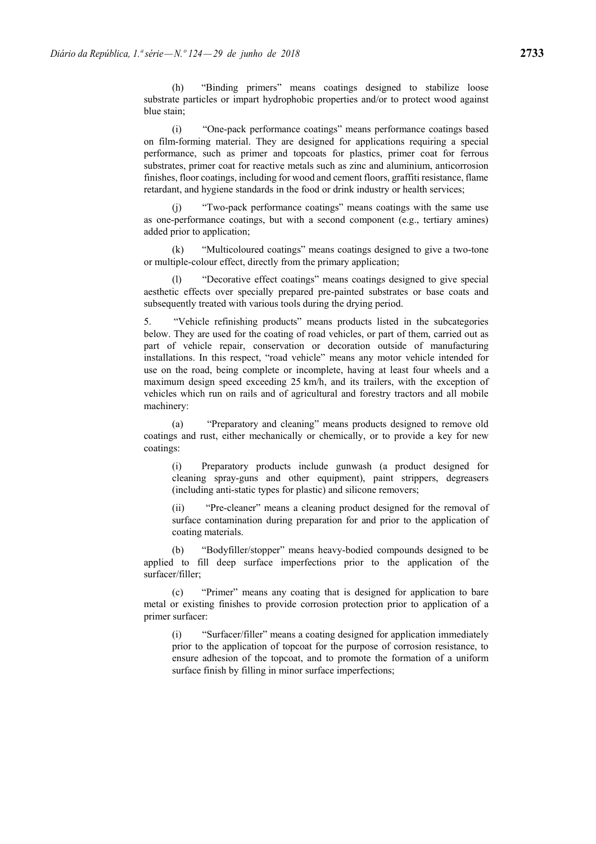(h) "Binding primers" means coatings designed to stabilize loose substrate particles or impart hydrophobic properties and/or to protect wood against blue stain;

(i) "One-pack performance coatings" means performance coatings based on film-forming material. They are designed for applications requiring a special performance, such as primer and topcoats for plastics, primer coat for ferrous substrates, primer coat for reactive metals such as zinc and aluminium, anticorrosion finishes, floor coatings, including for wood and cement floors, graffiti resistance, flame retardant, and hygiene standards in the food or drink industry or health services;

(j) "Two-pack performance coatings" means coatings with the same use as one-performance coatings, but with a second component (e.g., tertiary amines) added prior to application;

(k) "Multicoloured coatings" means coatings designed to give a two-tone or multiple-colour effect, directly from the primary application;

"Decorative effect coatings" means coatings designed to give special aesthetic effects over specially prepared pre-painted substrates or base coats and subsequently treated with various tools during the drying period.

5. "Vehicle refinishing products" means products listed in the subcategories below. They are used for the coating of road vehicles, or part of them, carried out as part of vehicle repair, conservation or decoration outside of manufacturing installations. In this respect, "road vehicle" means any motor vehicle intended for use on the road, being complete or incomplete, having at least four wheels and a maximum design speed exceeding 25 km/h, and its trailers, with the exception of vehicles which run on rails and of agricultural and forestry tractors and all mobile machinery:

(a) "Preparatory and cleaning" means products designed to remove old coatings and rust, either mechanically or chemically, or to provide a key for new coatings:

(i) Preparatory products include gunwash (a product designed for cleaning spray-guns and other equipment), paint strippers, degreasers (including anti-static types for plastic) and silicone removers;

(ii) "Pre-cleaner" means a cleaning product designed for the removal of surface contamination during preparation for and prior to the application of coating materials.

(b) "Bodyfiller/stopper" means heavy-bodied compounds designed to be applied to fill deep surface imperfections prior to the application of the surfacer/filler;

(c) "Primer" means any coating that is designed for application to bare metal or existing finishes to provide corrosion protection prior to application of a primer surfacer:

(i) "Surfacer/filler" means a coating designed for application immediately prior to the application of topcoat for the purpose of corrosion resistance, to ensure adhesion of the topcoat, and to promote the formation of a uniform surface finish by filling in minor surface imperfections;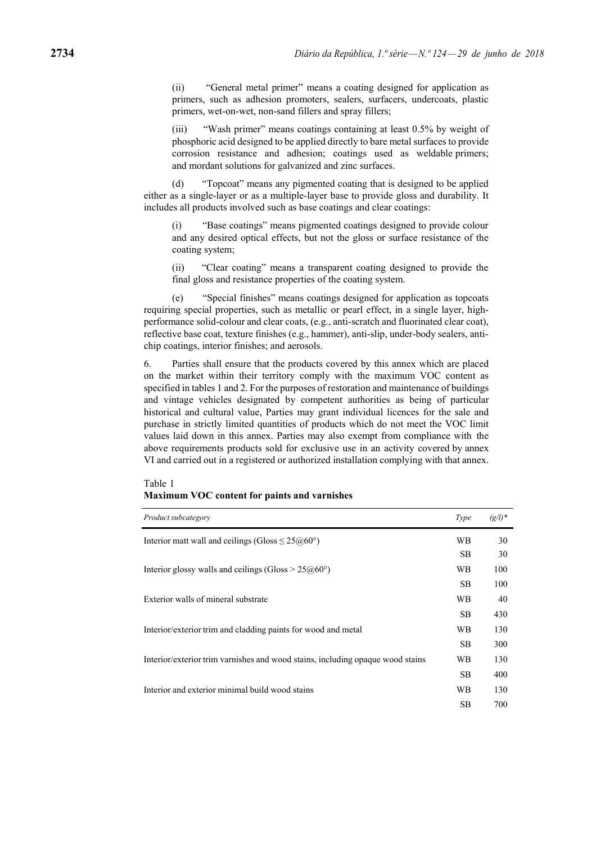(ii) "General metal primer" means a coating designed for application as primers, such as adhesion promoters, sealers, surfacers, undercoats, plastic primers, wet-on-wet, non-sand fillers and spray fillers;

(iii) "Wash primer" means coatings containing at least 0.5% by weight of phosphoric acid designed to be applied directly to bare metal surfaces to provide corrosion resistance and adhesion; coatings used as weldable primers; and mordant solutions for galvanized and zinc surfaces.

(d) "Topcoat" means any pigmented coating that is designed to be applied either as a single-layer or as a multiple-layer base to provide gloss and durability. It includes all products involved such as base coatings and clear coatings:

(i) "Base coatings" means pigmented coatings designed to provide colour and any desired optical effects, but not the gloss or surface resistance of the coating system;

(ii) "Clear coating" means a transparent coating designed to provide the final gloss and resistance properties of the coating system.

(e) "Special finishes" means coatings designed for application as topcoats requiring special properties, such as metallic or pearl effect, in a single layer, highperformance solid-colour and clear coats, (e.g., anti-scratch and fluorinated clear coat), reflective base coat, texture finishes (e.g., hammer), anti-slip, under-body sealers, antichip coatings, interior finishes; and aerosols.

6. Parties shall ensure that the products covered by this annex which are placed on the market within their territory comply with the maximum VOC content as specified in tables 1 and 2. For the purposes of restoration and maintenance of buildings and vintage vehicles designated by competent authorities as being of particular historical and cultural value, Parties may grant individual licences for the sale and purchase in strictly limited quantities of products which do not meet the VOC limit values laid down in this annex. Parties may also exempt from compliance with the above requirements products sold for exclusive use in an activity covered by annex VI and carried out in a registered or authorized installation complying with that annex.

| Table 1                                      |  |
|----------------------------------------------|--|
| Maximum VOC content for paints and varnishes |  |

| Product subcategory                                                            | Type      | $(g/l)^*$ |
|--------------------------------------------------------------------------------|-----------|-----------|
| Interior matt wall and ceilings (Gloss $\leq 25 \omega/60^{\circ}$ )           | WB        | 30        |
|                                                                                | <b>SB</b> | 30        |
| Interior glossy walls and ceilings (Gloss $> 25 \textcircled{a} 60^{\circ}$ )  | WВ        | 100       |
|                                                                                | <b>SB</b> | 100       |
| Exterior walls of mineral substrate                                            | WВ        | 40        |
|                                                                                | <b>SB</b> | 430       |
| Interior/exterior trim and cladding paints for wood and metal                  | WB        | 130       |
|                                                                                | <b>SB</b> | 300       |
| Interior/exterior trim varnishes and wood stains, including opaque wood stains | WB        | 130       |
|                                                                                | <b>SB</b> | 400       |
| Interior and exterior minimal build wood stains                                | WВ        | 130       |
|                                                                                | <b>SB</b> | 700       |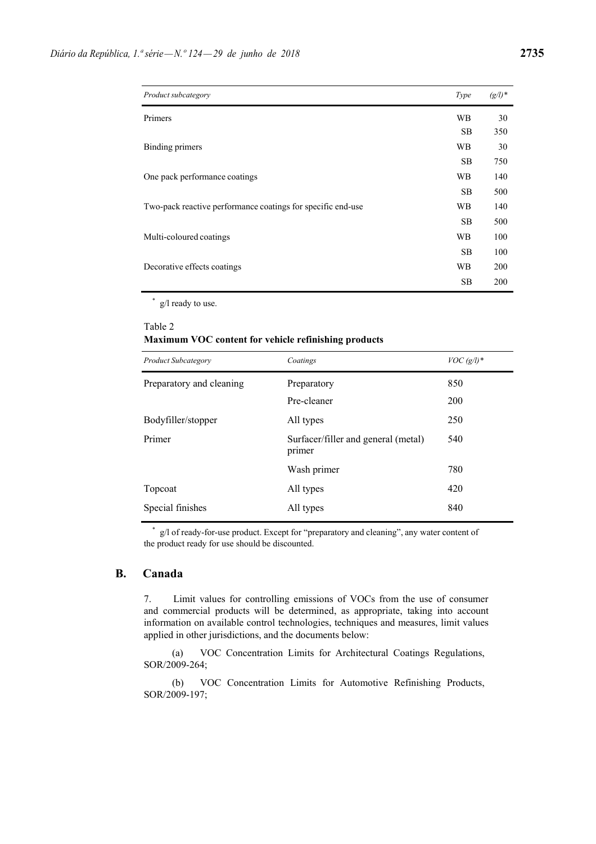| Product subcategory                                         | Type      | $(g/l)^*$ |
|-------------------------------------------------------------|-----------|-----------|
| Primers                                                     | <b>WB</b> | 30        |
|                                                             | <b>SB</b> | 350       |
| Binding primers                                             | <b>WB</b> | 30        |
|                                                             | <b>SB</b> | 750       |
| One pack performance coatings                               | WB        | 140       |
|                                                             | <b>SB</b> | 500       |
| Two-pack reactive performance coatings for specific end-use | WB        | 140       |
|                                                             | <b>SB</b> | 500       |
| Multi-coloured coatings                                     | WВ        | 100       |
|                                                             | <b>SB</b> | 100       |
| Decorative effects coatings                                 | WB        | 200       |
|                                                             | <b>SB</b> | 200       |

\* g/l ready to use.

# Table 2

## **Maximum VOC content for vehicle refinishing products**

| <b>Product Subcategory</b> | Coatings                                      | $VOC(g/l)*$ |
|----------------------------|-----------------------------------------------|-------------|
| Preparatory and cleaning   | Preparatory                                   | 850         |
|                            | Pre-cleaner                                   | 200         |
| Bodyfiller/stopper         | All types                                     | 250         |
| Primer                     | Surfacer/filler and general (metal)<br>primer | 540         |
|                            | Wash primer                                   | 780         |
| Topcoat                    | All types                                     | 420         |
| Special finishes           | All types                                     | 840         |

\* g/l of ready-for-use product. Except for "preparatory and cleaning", any water content of the product ready for use should be discounted.

## **B. Canada**

7. Limit values for controlling emissions of VOCs from the use of consumer and commercial products will be determined, as appropriate, taking into account information on available control technologies, techniques and measures, limit values applied in other jurisdictions, and the documents below:

(a) VOC Concentration Limits for Architectural Coatings Regulations, SOR/2009-264;

(b) VOC Concentration Limits for Automotive Refinishing Products, SOR/2009-197;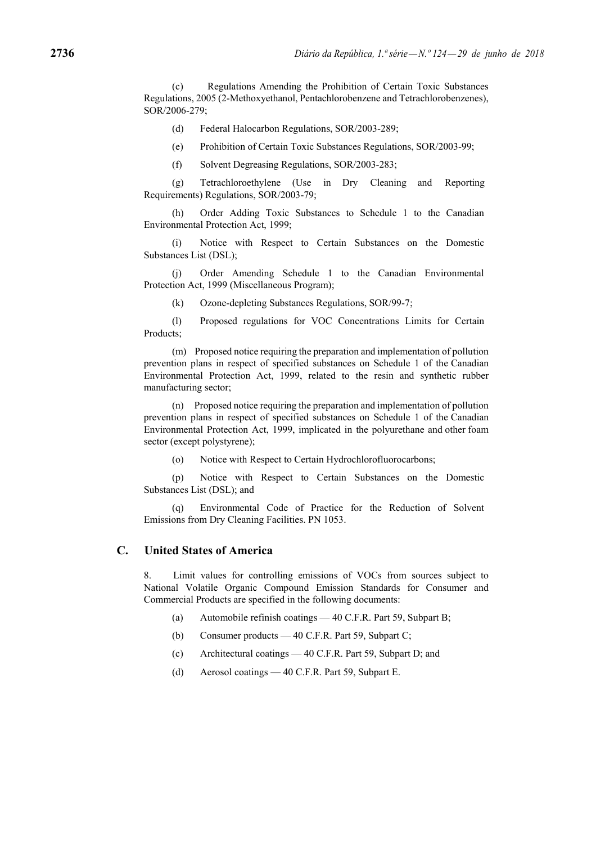(c) Regulations Amending the Prohibition of Certain Toxic Substances Regulations, 2005 (2-Methoxyethanol, Pentachlorobenzene and Tetrachlorobenzenes), SOR/2006-279;

(d) Federal Halocarbon Regulations, SOR/2003-289;

(e) Prohibition of Certain Toxic Substances Regulations, SOR/2003-99;

(f) Solvent Degreasing Regulations, SOR/2003-283;

(g) Tetrachloroethylene (Use in Dry Cleaning and Reporting Requirements) Regulations, SOR/2003-79;

(h) Order Adding Toxic Substances to Schedule 1 to the Canadian Environmental Protection Act, 1999;

(i) Notice with Respect to Certain Substances on the Domestic Substances List (DSL);

(j) Order Amending Schedule 1 to the Canadian Environmental Protection Act, 1999 (Miscellaneous Program);

(k) Ozone-depleting Substances Regulations, SOR/99-7;

(l) Proposed regulations for VOC Concentrations Limits for Certain Products;

(m) Proposed notice requiring the preparation and implementation of pollution prevention plans in respect of specified substances on Schedule 1 of the Canadian Environmental Protection Act, 1999, related to the resin and synthetic rubber manufacturing sector;

(n) Proposed notice requiring the preparation and implementation of pollution prevention plans in respect of specified substances on Schedule 1 of the Canadian Environmental Protection Act, 1999, implicated in the polyurethane and other foam sector (except polystyrene);

(o) Notice with Respect to Certain Hydrochlorofluorocarbons;

(p) Notice with Respect to Certain Substances on the Domestic Substances List (DSL); and

(q) Environmental Code of Practice for the Reduction of Solvent Emissions from Dry Cleaning Facilities. PN 1053.

## **C. United States of America**

8. Limit values for controlling emissions of VOCs from sources subject to National Volatile Organic Compound Emission Standards for Consumer and Commercial Products are specified in the following documents:

- (a) Automobile refinish coatings 40 C.F.R. Part 59, Subpart B;
- (b) Consumer products 40 C.F.R. Part 59, Subpart C;
- (c) Architectural coatings 40 C.F.R. Part 59, Subpart D; and
- (d) Aerosol coatings 40 C.F.R. Part 59, Subpart E.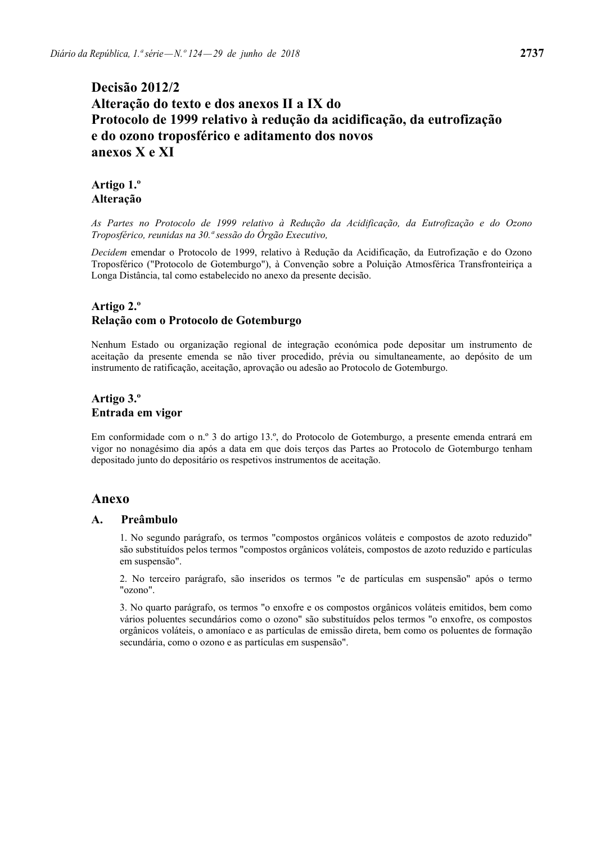# **Decisão 2012/2 Alteração do texto e dos anexos II a IX do Protocolo de 1999 relativo à redução da acidificação, da eutrofização e do ozono troposférico e aditamento dos novos anexos X e XI**

# **Artigo 1.º Alteração**

*As Partes no Protocolo de 1999 relativo à Redução da Acidificação, da Eutrofização e do Ozono Troposférico, reunidas na 30.ª sessão do Órgão Executivo,* 

*Decidem* emendar o Protocolo de 1999, relativo à Redução da Acidificação, da Eutrofização e do Ozono Troposférico ("Protocolo de Gotemburgo"), à Convenção sobre a Poluição Atmosférica Transfronteiriça a Longa Distância, tal como estabelecido no anexo da presente decisão.

# **Artigo 2.º Relação com o Protocolo de Gotemburgo**

Nenhum Estado ou organização regional de integração económica pode depositar um instrumento de aceitação da presente emenda se não tiver procedido, prévia ou simultaneamente, ao depósito de um instrumento de ratificação, aceitação, aprovação ou adesão ao Protocolo de Gotemburgo.

# **Artigo 3.º Entrada em vigor**

Em conformidade com o n.º 3 do artigo 13.º, do Protocolo de Gotemburgo, a presente emenda entrará em vigor no nonagésimo dia após a data em que dois terços das Partes ao Protocolo de Gotemburgo tenham depositado junto do depositário os respetivos instrumentos de aceitação.

# **Anexo**

## **A. Preâmbulo**

1. No segundo parágrafo, os termos "compostos orgânicos voláteis e compostos de azoto reduzido" são substituídos pelos termos "compostos orgânicos voláteis, compostos de azoto reduzido e partículas em suspensão".

2. No terceiro parágrafo, são inseridos os termos "e de partículas em suspensão" após o termo "ozono".

3. No quarto parágrafo, os termos "o enxofre e os compostos orgânicos voláteis emitidos, bem como vários poluentes secundários como o ozono" são substituídos pelos termos "o enxofre, os compostos orgânicos voláteis, o amoníaco e as partículas de emissão direta, bem como os poluentes de formação secundária, como o ozono e as partículas em suspensão".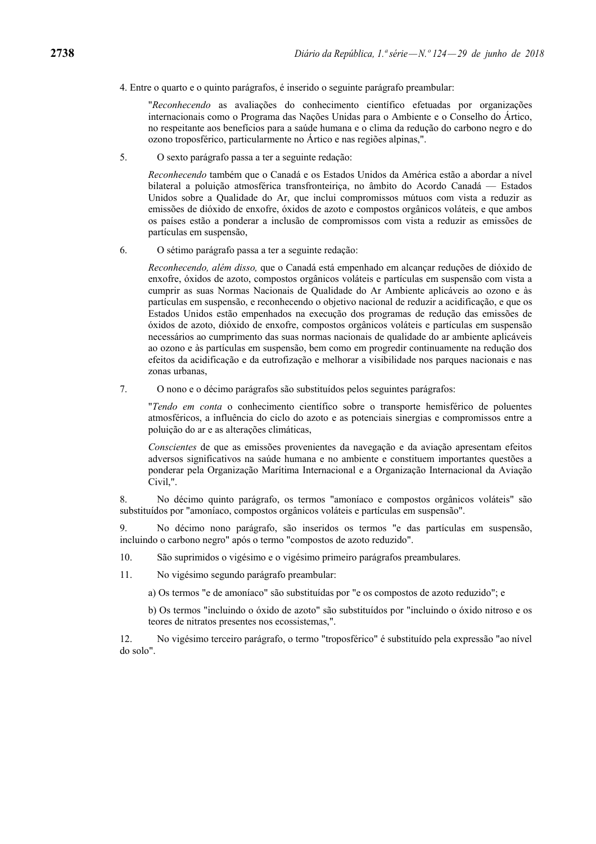4. Entre o quarto e o quinto parágrafos, é inserido o seguinte parágrafo preambular:

"*Reconhecendo* as avaliações do conhecimento científico efetuadas por organizações internacionais como o Programa das Nações Unidas para o Ambiente e o Conselho do Ártico, no respeitante aos benefícios para a saúde humana e o clima da redução do carbono negro e do ozono troposférico, particularmente no Ártico e nas regiões alpinas,".

5. O sexto parágrafo passa a ter a seguinte redação:

*Reconhecendo* também que o Canadá e os Estados Unidos da América estão a abordar a nível bilateral a poluição atmosférica transfronteiriça, no âmbito do Acordo Canadá — Estados Unidos sobre a Qualidade do Ar, que inclui compromissos mútuos com vista a reduzir as emissões de dióxido de enxofre, óxidos de azoto e compostos orgânicos voláteis, e que ambos os países estão a ponderar a inclusão de compromissos com vista a reduzir as emissões de partículas em suspensão,

6. O sétimo parágrafo passa a ter a seguinte redação:

*Reconhecendo, além disso,* que o Canadá está empenhado em alcançar reduções de dióxido de enxofre, óxidos de azoto, compostos orgânicos voláteis e partículas em suspensão com vista a cumprir as suas Normas Nacionais de Qualidade do Ar Ambiente aplicáveis ao ozono e às partículas em suspensão, e reconhecendo o objetivo nacional de reduzir a acidificação, e que os Estados Unidos estão empenhados na execução dos programas de redução das emissões de óxidos de azoto, dióxido de enxofre, compostos orgânicos voláteis e partículas em suspensão necessários ao cumprimento das suas normas nacionais de qualidade do ar ambiente aplicáveis ao ozono e às partículas em suspensão, bem como em progredir continuamente na redução dos efeitos da acidificação e da eutrofização e melhorar a visibilidade nos parques nacionais e nas zonas urbanas,

7. O nono e o décimo parágrafos são substituídos pelos seguintes parágrafos:

"*Tendo em conta* o conhecimento científico sobre o transporte hemisférico de poluentes atmosféricos, a influência do ciclo do azoto e as potenciais sinergias e compromissos entre a poluição do ar e as alterações climáticas,

*Conscientes* de que as emissões provenientes da navegação e da aviação apresentam efeitos adversos significativos na saúde humana e no ambiente e constituem importantes questões a ponderar pela Organização Marítima Internacional e a Organização Internacional da Aviação Civil,".

8. No décimo quinto parágrafo, os termos "amoníaco e compostos orgânicos voláteis" são substituídos por "amoníaco, compostos orgânicos voláteis e partículas em suspensão".

9. No décimo nono parágrafo, são inseridos os termos "e das partículas em suspensão, incluindo o carbono negro" após o termo "compostos de azoto reduzido".

- 10. São suprimidos o vigésimo e o vigésimo primeiro parágrafos preambulares.
- 11. No vigésimo segundo parágrafo preambular:

a) Os termos "e de amoníaco" são substituídas por "e os compostos de azoto reduzido"; e

b) Os termos "incluindo o óxido de azoto" são substituídos por "incluindo o óxido nitroso e os teores de nitratos presentes nos ecossistemas,".

12. No vigésimo terceiro parágrafo, o termo "troposférico" é substituído pela expressão "ao nível do solo".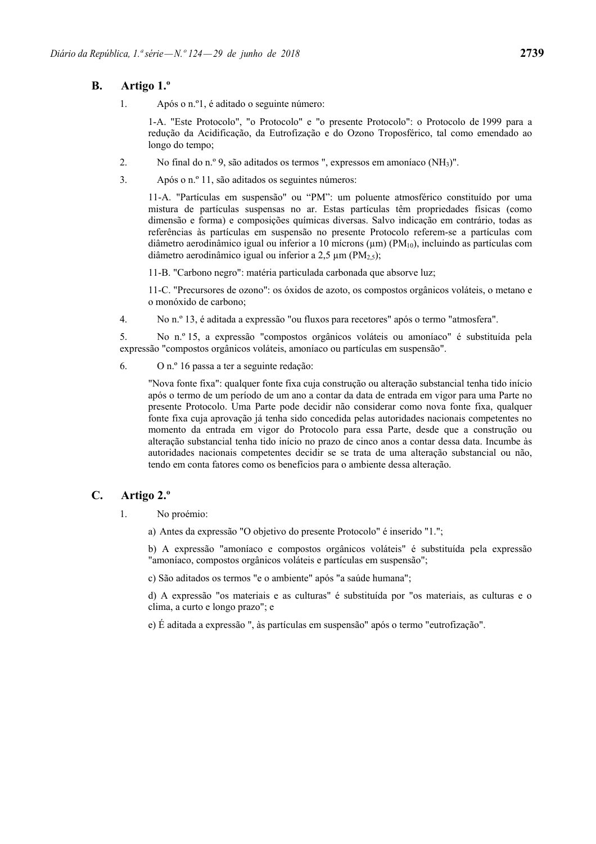# **B. Artigo 1.º**

1. Após o n.º1, é aditado o seguinte número:

1-A. "Este Protocolo", "o Protocolo" e "o presente Protocolo": o Protocolo de 1999 para a redução da Acidificação, da Eutrofização e do Ozono Troposférico, tal como emendado ao longo do tempo;

- 2. No final do n.º 9, são aditados os termos ", expressos em amoníaco (NH3)".
- 3. Após o n.º 11, são aditados os seguintes números:

11-A. "Partículas em suspensão" ou "PM": um poluente atmosférico constituído por uma mistura de partículas suspensas no ar. Estas partículas têm propriedades físicas (como dimensão e forma) e composições químicas diversas. Salvo indicação em contrário, todas as referências às partículas em suspensão no presente Protocolo referem-se a partículas com diâmetro aerodinâmico igual ou inferior a 10 mícrons ( $\mu$ m) (PM<sub>10</sub>), incluindo as partículas com diâmetro aerodinâmico igual ou inferior a 2,5  $\mu$ m (PM<sub>2,5</sub>);

11-B. "Carbono negro": matéria particulada carbonada que absorve luz;

11-C. "Precursores de ozono": os óxidos de azoto, os compostos orgânicos voláteis, o metano e o monóxido de carbono;

4. No n.º 13, é aditada a expressão "ou fluxos para recetores" após o termo "atmosfera".

5. No n.º 15, a expressão "compostos orgânicos voláteis ou amoníaco" é substituída pela expressão "compostos orgânicos voláteis, amoníaco ou partículas em suspensão".

6. O n.º 16 passa a ter a seguinte redação:

"Nova fonte fixa": qualquer fonte fixa cuja construção ou alteração substancial tenha tido início após o termo de um período de um ano a contar da data de entrada em vigor para uma Parte no presente Protocolo. Uma Parte pode decidir não considerar como nova fonte fixa, qualquer fonte fixa cuja aprovação já tenha sido concedida pelas autoridades nacionais competentes no momento da entrada em vigor do Protocolo para essa Parte, desde que a construção ou alteração substancial tenha tido início no prazo de cinco anos a contar dessa data. Incumbe às autoridades nacionais competentes decidir se se trata de uma alteração substancial ou não, tendo em conta fatores como os benefícios para o ambiente dessa alteração.

# **C. Artigo 2.º**

- 1. No proémio:
	- a) Antes da expressão "O objetivo do presente Protocolo" é inserido "1.";

b) A expressão "amoníaco e compostos orgânicos voláteis" é substituída pela expressão "amoníaco, compostos orgânicos voláteis e partículas em suspensão";

c) São aditados os termos "e o ambiente" após "a saúde humana";

d) A expressão "os materiais e as culturas" é substituída por "os materiais, as culturas e o clima, a curto e longo prazo"; e

e) É aditada a expressão ", às partículas em suspensão" após o termo "eutrofização".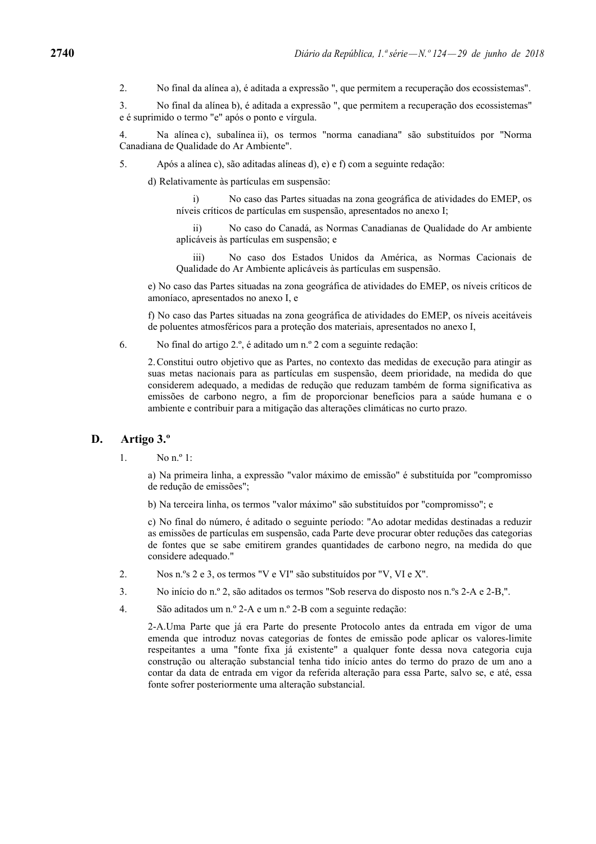2. No final da alínea a), é aditada a expressão ", que permitem a recuperação dos ecossistemas".

3. No final da alínea b), é aditada a expressão ", que permitem a recuperação dos ecossistemas" e é suprimido o termo "e" após o ponto e vírgula.

4. Na alínea c), subalínea ii), os termos "norma canadiana" são substituídos por "Norma Canadiana de Qualidade do Ar Ambiente".

5. Após a alínea c), são aditadas alíneas d), e) e f) com a seguinte redação:

d) Relativamente às partículas em suspensão:

i) No caso das Partes situadas na zona geográfica de atividades do EMEP, os níveis críticos de partículas em suspensão, apresentados no anexo I;

 ii) No caso do Canadá, as Normas Canadianas de Qualidade do Ar ambiente aplicáveis às partículas em suspensão; e

 iii) No caso dos Estados Unidos da América, as Normas Cacionais de Qualidade do Ar Ambiente aplicáveis às partículas em suspensão.

e) No caso das Partes situadas na zona geográfica de atividades do EMEP, os níveis críticos de amoníaco, apresentados no anexo I, e

f) No caso das Partes situadas na zona geográfica de atividades do EMEP, os níveis aceitáveis de poluentes atmosféricos para a proteção dos materiais, apresentados no anexo I,

6. No final do artigo 2.º, é aditado um n.º 2 com a seguinte redação:

2. Constitui outro objetivo que as Partes, no contexto das medidas de execução para atingir as suas metas nacionais para as partículas em suspensão, deem prioridade, na medida do que considerem adequado, a medidas de redução que reduzam também de forma significativa as emissões de carbono negro, a fim de proporcionar benefícios para a saúde humana e o ambiente e contribuir para a mitigação das alterações climáticas no curto prazo.

#### **D. Artigo 3.º**

1. No  $n^o 1$ .

a) Na primeira linha, a expressão "valor máximo de emissão" é substituída por "compromisso de redução de emissões";

b) Na terceira linha, os termos "valor máximo" são substituídos por "compromisso"; e

c) No final do número, é aditado o seguinte período: "Ao adotar medidas destinadas a reduzir as emissões de partículas em suspensão, cada Parte deve procurar obter reduções das categorias de fontes que se sabe emitirem grandes quantidades de carbono negro, na medida do que considere adequado."

- 2. Nos n.ºs 2 e 3, os termos "V e VI" são substituídos por "V, VI e X".
- 3. No início do n.º 2, são aditados os termos "Sob reserva do disposto nos n.ºs 2-A e 2-B,".
- 4. São aditados um n.º 2-A e um n.º 2-B com a seguinte redação:

2-A.Uma Parte que já era Parte do presente Protocolo antes da entrada em vigor de uma emenda que introduz novas categorias de fontes de emissão pode aplicar os valores-limite respeitantes a uma "fonte fixa já existente" a qualquer fonte dessa nova categoria cuja construção ou alteração substancial tenha tido início antes do termo do prazo de um ano a contar da data de entrada em vigor da referida alteração para essa Parte, salvo se, e até, essa fonte sofrer posteriormente uma alteração substancial.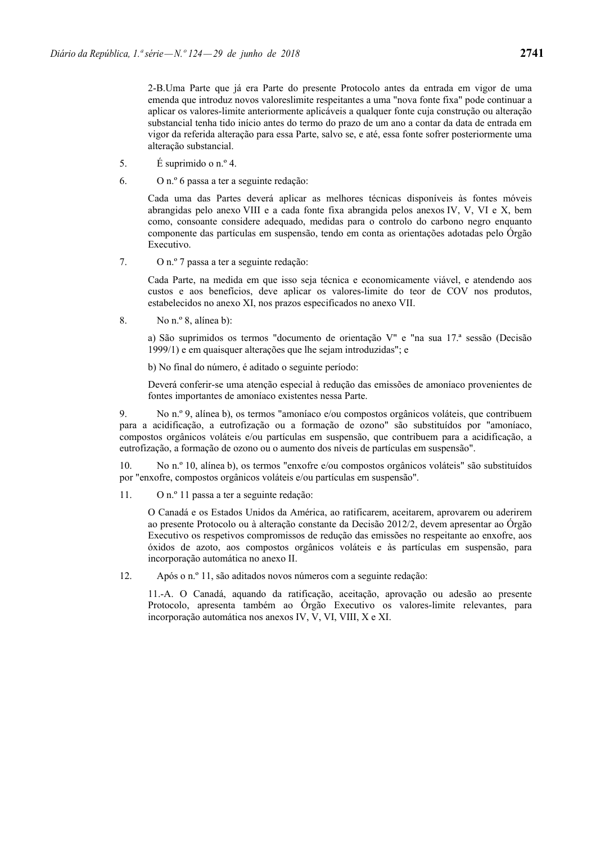2-B.Uma Parte que já era Parte do presente Protocolo antes da entrada em vigor de uma emenda que introduz novos valoreslimite respeitantes a uma "nova fonte fixa" pode continuar a aplicar os valores-limite anteriormente aplicáveis a qualquer fonte cuja construção ou alteração substancial tenha tido início antes do termo do prazo de um ano a contar da data de entrada em vigor da referida alteração para essa Parte, salvo se, e até, essa fonte sofrer posteriormente uma alteração substancial.

- 5.  $\acute{E}$  suprimido o n.º 4.
- 6. O n.º 6 passa a ter a seguinte redação:

Cada uma das Partes deverá aplicar as melhores técnicas disponíveis às fontes móveis abrangidas pelo anexo VIII e a cada fonte fixa abrangida pelos anexos IV, V, VI e X, bem como, consoante considere adequado, medidas para o controlo do carbono negro enquanto componente das partículas em suspensão, tendo em conta as orientações adotadas pelo Órgão Executivo.

7. O n.º 7 passa a ter a seguinte redação:

Cada Parte, na medida em que isso seja técnica e economicamente viável, e atendendo aos custos e aos benefícios, deve aplicar os valores-limite do teor de COV nos produtos, estabelecidos no anexo XI, nos prazos especificados no anexo VII.

8. No n.º 8, alínea b):

a) São suprimidos os termos "documento de orientação V" e "na sua 17.ª sessão (Decisão 1999/1) e em quaisquer alterações que lhe sejam introduzidas"; e

b) No final do número, é aditado o seguinte período:

Deverá conferir-se uma atenção especial à redução das emissões de amoníaco provenientes de fontes importantes de amoníaco existentes nessa Parte.

9. No n.º 9, alínea b), os termos "amoníaco e/ou compostos orgânicos voláteis, que contribuem para a acidificação, a eutrofização ou a formação de ozono" são substituídos por "amoníaco, compostos orgânicos voláteis e/ou partículas em suspensão, que contribuem para a acidificação, a eutrofização, a formação de ozono ou o aumento dos níveis de partículas em suspensão".

10. No n.º 10, alínea b), os termos "enxofre e/ou compostos orgânicos voláteis" são substituídos por "enxofre, compostos orgânicos voláteis e/ou partículas em suspensão".

11. O n.º 11 passa a ter a seguinte redação:

O Canadá e os Estados Unidos da América, ao ratificarem, aceitarem, aprovarem ou aderirem ao presente Protocolo ou à alteração constante da Decisão 2012/2, devem apresentar ao Órgão Executivo os respetivos compromissos de redução das emissões no respeitante ao enxofre, aos óxidos de azoto, aos compostos orgânicos voláteis e às partículas em suspensão, para incorporação automática no anexo II.

12. Após o n.º 11, são aditados novos números com a seguinte redação:

11.-A. O Canadá, aquando da ratificação, aceitação, aprovação ou adesão ao presente Protocolo, apresenta também ao Órgão Executivo os valores-limite relevantes, para incorporação automática nos anexos IV, V, VI, VIII, X e XI.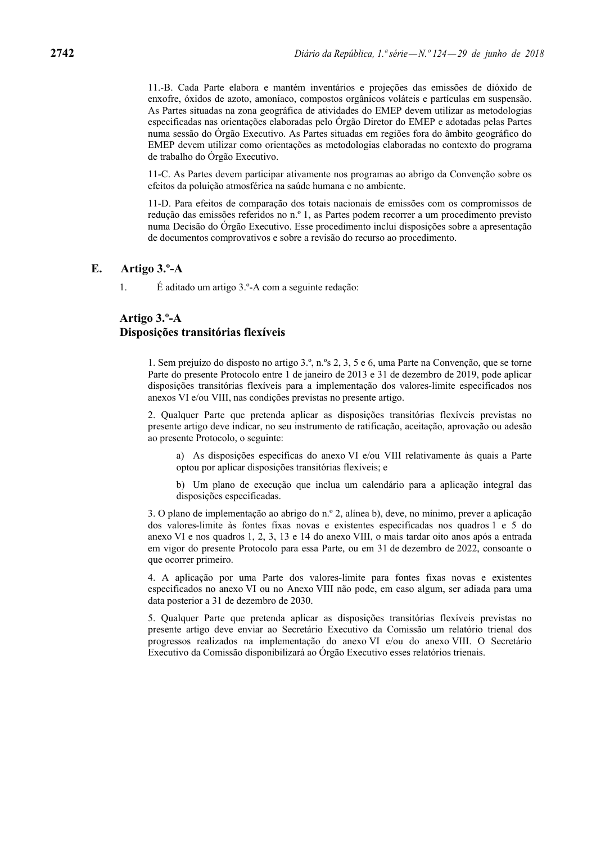11.-B. Cada Parte elabora e mantém inventários e projeções das emissões de dióxido de enxofre, óxidos de azoto, amoníaco, compostos orgânicos voláteis e partículas em suspensão. As Partes situadas na zona geográfica de atividades do EMEP devem utilizar as metodologias especificadas nas orientações elaboradas pelo Órgão Diretor do EMEP e adotadas pelas Partes numa sessão do Órgão Executivo. As Partes situadas em regiões fora do âmbito geográfico do EMEP devem utilizar como orientações as metodologias elaboradas no contexto do programa de trabalho do Órgão Executivo.

11-C. As Partes devem participar ativamente nos programas ao abrigo da Convenção sobre os efeitos da poluição atmosférica na saúde humana e no ambiente.

11-D. Para efeitos de comparação dos totais nacionais de emissões com os compromissos de redução das emissões referidos no n.º 1, as Partes podem recorrer a um procedimento previsto numa Decisão do Órgão Executivo. Esse procedimento inclui disposições sobre a apresentação de documentos comprovativos e sobre a revisão do recurso ao procedimento.

### **E. Artigo 3.º-A**

1. É aditado um artigo 3.º-A com a seguinte redação:

# **Artigo 3.º-A Disposições transitórias flexíveis**

1. Sem prejuízo do disposto no artigo 3.º, n.ºs 2, 3, 5 e 6, uma Parte na Convenção, que se torne Parte do presente Protocolo entre 1 de janeiro de 2013 e 31 de dezembro de 2019, pode aplicar disposições transitórias flexíveis para a implementação dos valores-limite especificados nos anexos VI e/ou VIII, nas condições previstas no presente artigo.

2. Qualquer Parte que pretenda aplicar as disposições transitórias flexíveis previstas no presente artigo deve indicar, no seu instrumento de ratificação, aceitação, aprovação ou adesão ao presente Protocolo, o seguinte:

a) As disposições específicas do anexo VI e/ou VIII relativamente às quais a Parte optou por aplicar disposições transitórias flexíveis; e

b) Um plano de execução que inclua um calendário para a aplicação integral das disposições especificadas.

3. O plano de implementação ao abrigo do n.º 2, alínea b), deve, no mínimo, prever a aplicação dos valores-limite às fontes fixas novas e existentes especificadas nos quadros 1 e 5 do anexo VI e nos quadros 1, 2, 3, 13 e 14 do anexo VIII, o mais tardar oito anos após a entrada em vigor do presente Protocolo para essa Parte, ou em 31 de dezembro de 2022, consoante o que ocorrer primeiro.

4. A aplicação por uma Parte dos valores-limite para fontes fixas novas e existentes especificados no anexo VI ou no Anexo VIII não pode, em caso algum, ser adiada para uma data posterior a 31 de dezembro de 2030.

5. Qualquer Parte que pretenda aplicar as disposições transitórias flexíveis previstas no presente artigo deve enviar ao Secretário Executivo da Comissão um relatório trienal dos progressos realizados na implementação do anexo VI e/ou do anexo VIII. O Secretário Executivo da Comissão disponibilizará ao Órgão Executivo esses relatórios trienais.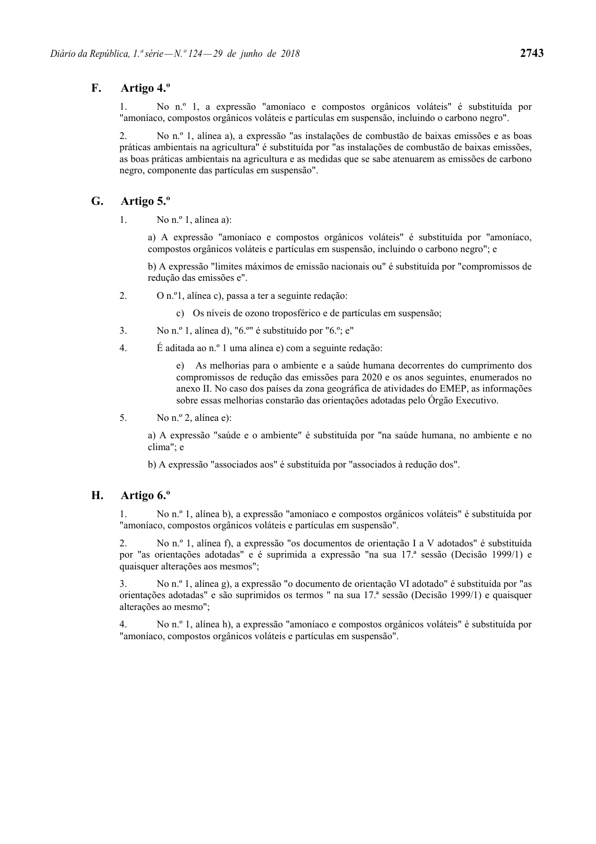## **F. Artigo 4.º**

1. No n.º 1, a expressão "amoníaco e compostos orgânicos voláteis" é substituída por "amoníaco, compostos orgânicos voláteis e partículas em suspensão, incluindo o carbono negro".

2. No n.º 1, alínea a), a expressão "as instalações de combustão de baixas emissões e as boas práticas ambientais na agricultura" é substituída por "as instalações de combustão de baixas emissões, as boas práticas ambientais na agricultura e as medidas que se sabe atenuarem as emissões de carbono negro, componente das partículas em suspensão".

## **G. Artigo 5.º**

1. No  $n^{\circ}$  1, alinea a):

a) A expressão "amoníaco e compostos orgânicos voláteis" é substituída por "amoníaco, compostos orgânicos voláteis e partículas em suspensão, incluindo o carbono negro"; e

b) A expressão "limites máximos de emissão nacionais ou" é substituída por "compromissos de redução das emissões e".

2. O n.º1, alínea c), passa a ter a seguinte redação:

c) Os níveis de ozono troposférico e de partículas em suspensão;

- 3. No n.º 1, alínea d), "6.º" é substituído por "6.º; e"
- 4. É aditada ao n.º 1 uma alínea e) com a seguinte redação:

e) As melhorias para o ambiente e a saúde humana decorrentes do cumprimento dos compromissos de redução das emissões para 2020 e os anos seguintes, enumerados no anexo II. No caso dos países da zona geográfica de atividades do EMEP, as informações sobre essas melhorias constarão das orientações adotadas pelo Órgão Executivo.

5. No n.º 2, alínea e):

a) A expressão "saúde e o ambiente" é substituída por "na saúde humana, no ambiente e no clima"; e

b) A expressão "associados aos" é substituída por "associados à redução dos".

## **H. Artigo 6.º**

1. No n.º 1, alínea b), a expressão "amoníaco e compostos orgânicos voláteis" é substituída por "amoníaco, compostos orgânicos voláteis e partículas em suspensão".

2. No n.º 1, alínea f), a expressão "os documentos de orientação I a V adotados" é substituída por "as orientações adotadas" e é suprimida a expressão "na sua 17.ª sessão (Decisão 1999/1) e quaisquer alterações aos mesmos";

3. No n.º 1, alínea g), a expressão "o documento de orientação VI adotado" é substituída por "as orientações adotadas" e são suprimidos os termos " na sua 17.ª sessão (Decisão 1999/1) e quaisquer alterações ao mesmo";

4. No n.º 1, alínea h), a expressão "amoníaco e compostos orgânicos voláteis" é substituída por "amoníaco, compostos orgânicos voláteis e partículas em suspensão".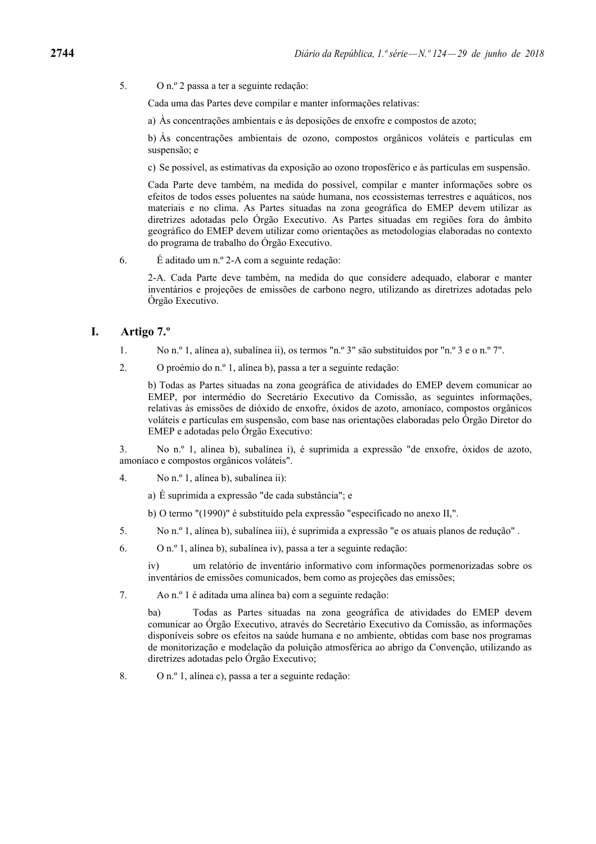5. O n.º 2 passa a ter a seguinte redação:

Cada uma das Partes deve compilar e manter informações relativas:

a) Às concentrações ambientais e às deposições de enxofre e compostos de azoto;

b) Às concentrações ambientais de ozono, compostos orgânicos voláteis e partículas em suspensão; e

c) Se possível, as estimativas da exposição ao ozono troposférico e às partículas em suspensão.

Cada Parte deve também, na medida do possível, compilar e manter informações sobre os efeitos de todos esses poluentes na saúde humana, nos ecossistemas terrestres e aquáticos, nos materiais e no clima. As Partes situadas na zona geográfica do EMEP devem utilizar as diretrizes adotadas pelo Órgão Executivo. As Partes situadas em regiões fora do âmbito geográfico do EMEP devem utilizar como orientações as metodologias elaboradas no contexto do programa de trabalho do Órgão Executivo.

6. É aditado um n.º 2-A com a seguinte redação:

2-A. Cada Parte deve também, na medida do que considere adequado, elaborar e manter inventários e projeções de emissões de carbono negro, utilizando as diretrizes adotadas pelo Órgão Executivo.

## **I. Artigo 7.º**

- 1. No n.º 1, alínea a), subalínea ii), os termos "n.º 3" são substituídos por "n.º 3 e o n.º 7".
- 2. O proémio do n.º 1, alínea b), passa a ter a seguinte redação:

b) Todas as Partes situadas na zona geográfica de atividades do EMEP devem comunicar ao EMEP, por intermédio do Secretário Executivo da Comissão, as seguintes informações, relativas às emissões de dióxido de enxofre, óxidos de azoto, amoníaco, compostos orgânicos voláteis e partículas em suspensão, com base nas orientações elaboradas pelo Órgão Diretor do EMEP e adotadas pelo Órgão Executivo:

3. No n.º 1, alínea b), subalínea i), é suprimida a expressão "de enxofre, óxidos de azoto, amoníaco e compostos orgânicos voláteis".

- 4. No n.º 1, alínea b), subalínea ii):
	- a) É suprimida a expressão "de cada substância"; e
	- b) O termo "(1990)" é substituído pela expressão "especificado no anexo II,".
- 5. No n.º 1, alínea b), subalínea iii), é suprimida a expressão "e os atuais planos de redução" .
- 6. O n.º 1, alínea b), subalínea iv), passa a ter a seguinte redação:

iv) um relatório de inventário informativo com informações pormenorizadas sobre os inventários de emissões comunicados, bem como as projeções das emissões;

7. Ao n.º 1 é aditada uma alínea ba) com a seguinte redação:

ba) Todas as Partes situadas na zona geográfica de atividades do EMEP devem comunicar ao Órgão Executivo, através do Secretário Executivo da Comissão, as informações disponíveis sobre os efeitos na saúde humana e no ambiente, obtidas com base nos programas de monitorização e modelação da poluição atmosférica ao abrigo da Convenção, utilizando as diretrizes adotadas pelo Órgão Executivo;

8. O n.º 1, alínea c), passa a ter a seguinte redação: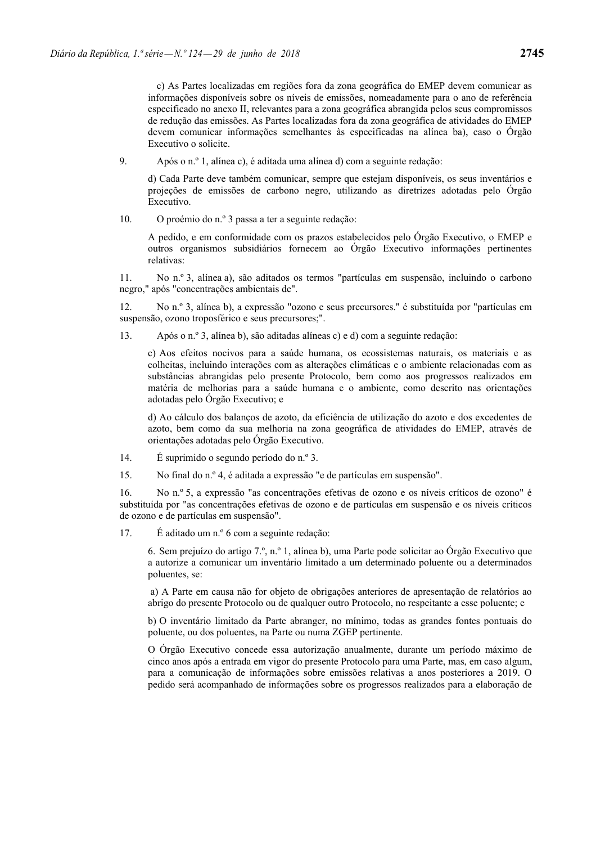c) As Partes localizadas em regiões fora da zona geográfica do EMEP devem comunicar as informações disponíveis sobre os níveis de emissões, nomeadamente para o ano de referência especificado no anexo II, relevantes para a zona geográfica abrangida pelos seus compromissos de redução das emissões. As Partes localizadas fora da zona geográfica de atividades do EMEP devem comunicar informações semelhantes às especificadas na alínea ba), caso o Órgão Executivo o solicite.

9. Após o n.º 1, alínea c), é aditada uma alínea d) com a seguinte redação:

d) Cada Parte deve também comunicar, sempre que estejam disponíveis, os seus inventários e projeções de emissões de carbono negro, utilizando as diretrizes adotadas pelo Órgão Executivo.

10. O proémio do n.º 3 passa a ter a seguinte redação:

A pedido, e em conformidade com os prazos estabelecidos pelo Órgão Executivo, o EMEP e outros organismos subsidiários fornecem ao Órgão Executivo informações pertinentes relativas:

11. No n.º 3, alínea a), são aditados os termos "partículas em suspensão, incluindo o carbono negro," após "concentrações ambientais de".

12. No n.º 3, alínea b), a expressão "ozono e seus precursores." é substituída por "partículas em suspensão, ozono troposférico e seus precursores;".

13. Após o n.º 3, alínea b), são aditadas alíneas c) e d) com a seguinte redação:

c) Aos efeitos nocivos para a saúde humana, os ecossistemas naturais, os materiais e as colheitas, incluindo interações com as alterações climáticas e o ambiente relacionadas com as substâncias abrangidas pelo presente Protocolo, bem como aos progressos realizados em matéria de melhorias para a saúde humana e o ambiente, como descrito nas orientações adotadas pelo Órgão Executivo; e

d) Ao cálculo dos balanços de azoto, da eficiência de utilização do azoto e dos excedentes de azoto, bem como da sua melhoria na zona geográfica de atividades do EMEP, através de orientações adotadas pelo Órgão Executivo.

- 14. É suprimido o segundo período do n.º 3.
- 15. No final do n.º 4, é aditada a expressão "e de partículas em suspensão".

16. No n.º 5, a expressão "as concentrações efetivas de ozono e os níveis críticos de ozono" é substituída por "as concentrações efetivas de ozono e de partículas em suspensão e os níveis críticos de ozono e de partículas em suspensão".

17. É aditado um n.º 6 com a seguinte redação:

6. Sem prejuízo do artigo 7.º, n.º 1, alínea b), uma Parte pode solicitar ao Órgão Executivo que a autorize a comunicar um inventário limitado a um determinado poluente ou a determinados poluentes, se:

 a) A Parte em causa não for objeto de obrigações anteriores de apresentação de relatórios ao abrigo do presente Protocolo ou de qualquer outro Protocolo, no respeitante a esse poluente; e

b) O inventário limitado da Parte abranger, no mínimo, todas as grandes fontes pontuais do poluente, ou dos poluentes, na Parte ou numa ZGEP pertinente.

O Órgão Executivo concede essa autorização anualmente, durante um período máximo de cinco anos após a entrada em vigor do presente Protocolo para uma Parte, mas, em caso algum, para a comunicação de informações sobre emissões relativas a anos posteriores a 2019. O pedido será acompanhado de informações sobre os progressos realizados para a elaboração de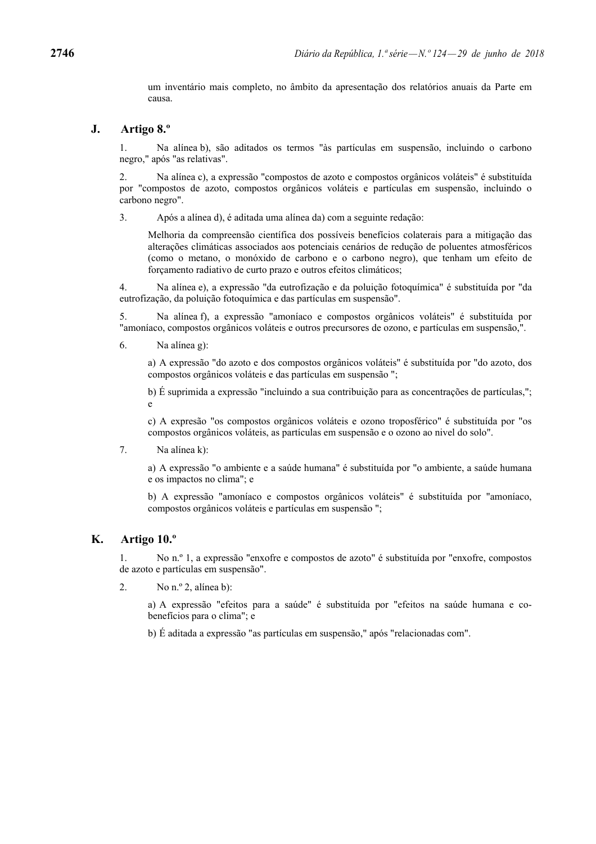um inventário mais completo, no âmbito da apresentação dos relatórios anuais da Parte em causa.

### **J. Artigo 8.º**

1. Na alínea b), são aditados os termos "às partículas em suspensão, incluindo o carbono negro," após "as relativas".

2. Na alínea c), a expressão "compostos de azoto e compostos orgânicos voláteis" é substituída por "compostos de azoto, compostos orgânicos voláteis e partículas em suspensão, incluindo o carbono negro".

3. Após a alínea d), é aditada uma alínea da) com a seguinte redação:

Melhoria da compreensão científica dos possíveis benefícios colaterais para a mitigação das alterações climáticas associados aos potenciais cenários de redução de poluentes atmosféricos (como o metano, o monóxido de carbono e o carbono negro), que tenham um efeito de forçamento radiativo de curto prazo e outros efeitos climáticos;

4. Na alínea e), a expressão "da eutrofização e da poluição fotoquímica" é substituída por "da eutrofização, da poluição fotoquímica e das partículas em suspensão".

5. Na alínea f), a expressão "amoníaco e compostos orgânicos voláteis" é substituída por "amoníaco, compostos orgânicos voláteis e outros precursores de ozono, e partículas em suspensão,".

6. Na alínea g):

a) A expressão "do azoto e dos compostos orgânicos voláteis" é substituída por "do azoto, dos compostos orgânicos voláteis e das partículas em suspensão ";

b) É suprimida a expressão "incluindo a sua contribuição para as concentrações de partículas,"; e

c) A expresão "os compostos orgânicos voláteis e ozono troposférico" é substituída por "os compostos orgânicos voláteis, as partículas em suspensão e o ozono ao nivel do solo".

7. Na alínea k):

a) A expressão "o ambiente e a saúde humana" é substituída por "o ambiente, a saúde humana e os impactos no clima"; e

b) A expressão "amoníaco e compostos orgânicos voláteis" é substituída por "amoníaco, compostos orgânicos voláteis e partículas em suspensão ";

# **K. Artigo 10.º**

1. No n.º 1, a expressão "enxofre e compostos de azoto" é substituída por "enxofre, compostos de azoto e partículas em suspensão".

2. No  $n^{\circ}$  2, alinea b):

a) A expressão "efeitos para a saúde" é substituída por "efeitos na saúde humana e cobenefícios para o clima"; e

b) É aditada a expressão "as partículas em suspensão," após "relacionadas com".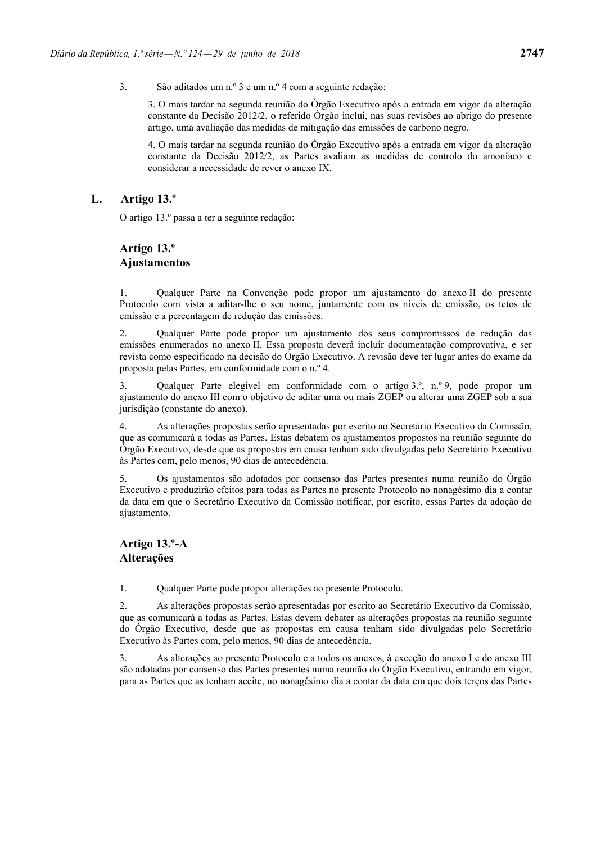3. São aditados um n.º 3 e um n.º 4 com a seguinte redação:

3. O mais tardar na segunda reunião do Órgão Executivo após a entrada em vigor da alteração constante da Decisão 2012/2, o referido Órgão inclui, nas suas revisões ao abrigo do presente artigo, uma avaliação das medidas de mitigação das emissões de carbono negro.

4. O mais tardar na segunda reunião do Órgão Executivo após a entrada em vigor da alteração constante da Decisão 2012/2, as Partes avaliam as medidas de controlo do amoníaco e considerar a necessidade de rever o anexo IX.

## **L. Artigo 13.º**

O artigo 13.º passa a ter a seguinte redação:

# **Artigo 13.º Ajustamentos**

1. Qualquer Parte na Convenção pode propor um ajustamento do anexo II do presente Protocolo com vista a aditar-lhe o seu nome, juntamente com os níveis de emissão, os tetos de emissão e a percentagem de redução das emissões.

2. Qualquer Parte pode propor um ajustamento dos seus compromissos de redução das emissões enumerados no anexo II. Essa proposta deverá incluir documentação comprovativa, e ser revista como especificado na decisão do Órgão Executivo. A revisão deve ter lugar antes do exame da proposta pelas Partes, em conformidade com o n.º 4.

3. Qualquer Parte elegível em conformidade com o artigo 3.º, n.º 9, pode propor um ajustamento do anexo III com o objetivo de aditar uma ou mais ZGEP ou alterar uma ZGEP sob a sua jurisdição (constante do anexo).

4. As alterações propostas serão apresentadas por escrito ao Secretário Executivo da Comissão, que as comunicará a todas as Partes. Estas debatem os ajustamentos propostos na reunião seguinte do Órgão Executivo, desde que as propostas em causa tenham sido divulgadas pelo Secretário Executivo às Partes com, pelo menos, 90 dias de antecedência.

5. Os ajustamentos são adotados por consenso das Partes presentes numa reunião do Órgão Executivo e produzirão efeitos para todas as Partes no presente Protocolo no nonagésimo dia a contar da data em que o Secretário Executivo da Comissão notificar, por escrito, essas Partes da adoção do ajustamento.

## **Artigo 13.º-A Alterações**

1. Qualquer Parte pode propor alterações ao presente Protocolo.

2. As alterações propostas serão apresentadas por escrito ao Secretário Executivo da Comissão, que as comunicará a todas as Partes. Estas devem debater as alterações propostas na reunião seguinte do Órgão Executivo, desde que as propostas em causa tenham sido divulgadas pelo Secretário Executivo às Partes com, pelo menos, 90 dias de antecedência.

3. As alterações ao presente Protocolo e a todos os anexos, à exceção do anexo I e do anexo III são adotadas por consenso das Partes presentes numa reunião do Órgão Executivo, entrando em vigor, para as Partes que as tenham aceite, no nonagésimo dia a contar da data em que dois terços das Partes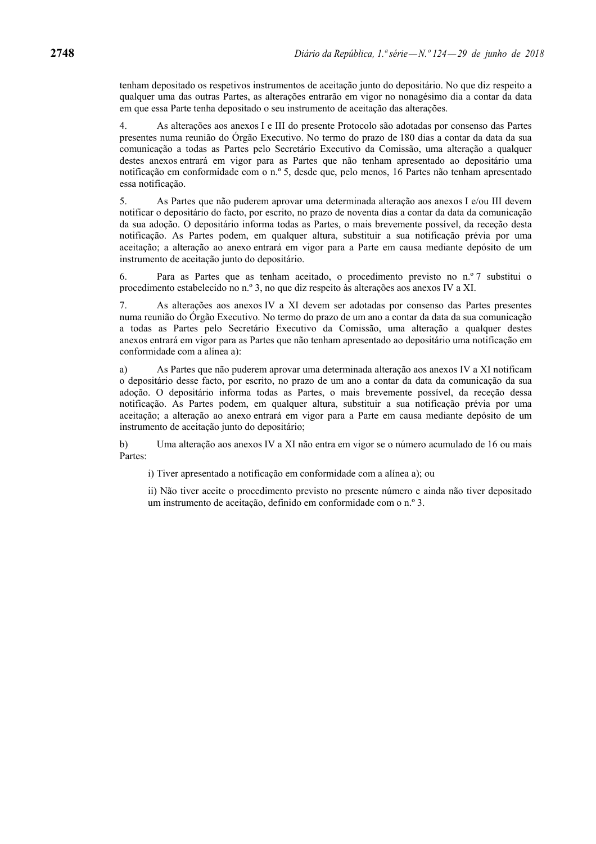tenham depositado os respetivos instrumentos de aceitação junto do depositário. No que diz respeito a qualquer uma das outras Partes, as alterações entrarão em vigor no nonagésimo dia a contar da data em que essa Parte tenha depositado o seu instrumento de aceitação das alterações.

4. As alterações aos anexos I e III do presente Protocolo são adotadas por consenso das Partes presentes numa reunião do Órgão Executivo. No termo do prazo de 180 dias a contar da data da sua comunicação a todas as Partes pelo Secretário Executivo da Comissão, uma alteração a qualquer destes anexos entrará em vigor para as Partes que não tenham apresentado ao depositário uma notificação em conformidade com o n.º 5, desde que, pelo menos, 16 Partes não tenham apresentado essa notificação.

5. As Partes que não puderem aprovar uma determinada alteração aos anexos I e/ou III devem notificar o depositário do facto, por escrito, no prazo de noventa dias a contar da data da comunicação da sua adoção. O depositário informa todas as Partes, o mais brevemente possível, da receção desta notificação. As Partes podem, em qualquer altura, substituir a sua notificação prévia por uma aceitação; a alteração ao anexo entrará em vigor para a Parte em causa mediante depósito de um instrumento de aceitação junto do depositário.

6. Para as Partes que as tenham aceitado, o procedimento previsto no n.º 7 substitui o procedimento estabelecido no n.º 3, no que diz respeito às alterações aos anexos IV a XI.

7. As alterações aos anexos IV a XI devem ser adotadas por consenso das Partes presentes numa reunião do Órgão Executivo. No termo do prazo de um ano a contar da data da sua comunicação a todas as Partes pelo Secretário Executivo da Comissão, uma alteração a qualquer destes anexos entrará em vigor para as Partes que não tenham apresentado ao depositário uma notificação em conformidade com a alínea a):

a) As Partes que não puderem aprovar uma determinada alteração aos anexos IV a XI notificam o depositário desse facto, por escrito, no prazo de um ano a contar da data da comunicação da sua adoção. O depositário informa todas as Partes, o mais brevemente possível, da receção dessa notificação. As Partes podem, em qualquer altura, substituir a sua notificação prévia por uma aceitação; a alteração ao anexo entrará em vigor para a Parte em causa mediante depósito de um instrumento de aceitação junto do depositário;

b) Uma alteração aos anexos IV a XI não entra em vigor se o número acumulado de 16 ou mais Partes:

i) Tiver apresentado a notificação em conformidade com a alínea a); ou

ii) Não tiver aceite o procedimento previsto no presente número e ainda não tiver depositado um instrumento de aceitação, definido em conformidade com o n.º 3.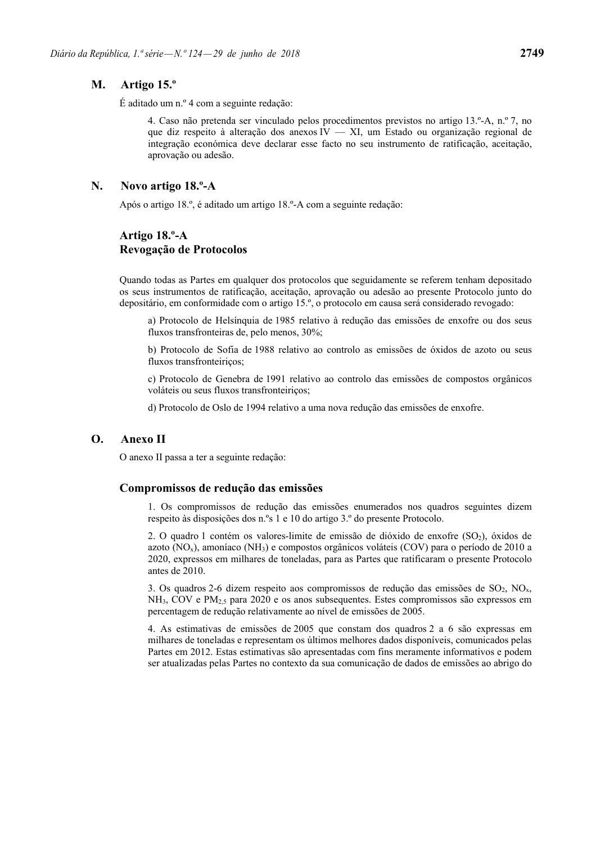#### **M. Artigo 15.º**

É aditado um n.º 4 com a seguinte redação:

4. Caso não pretenda ser vinculado pelos procedimentos previstos no artigo 13.º-A, n.º 7, no que diz respeito à alteração dos anexos IV — XI, um Estado ou organização regional de integração económica deve declarar esse facto no seu instrumento de ratificação, aceitação, aprovação ou adesão.

#### **N. Novo artigo 18.º-A**

Após o artigo 18.º, é aditado um artigo 18.º-A com a seguinte redação:

## **Artigo 18.º-A Revogação de Protocolos**

Quando todas as Partes em qualquer dos protocolos que seguidamente se referem tenham depositado os seus instrumentos de ratificação, aceitação, aprovação ou adesão ao presente Protocolo junto do depositário, em conformidade com o artigo 15.º, o protocolo em causa será considerado revogado:

a) Protocolo de Helsínquia de 1985 relativo à redução das emissões de enxofre ou dos seus fluxos transfronteiras de, pelo menos, 30%;

b) Protocolo de Sofia de 1988 relativo ao controlo as emissões de óxidos de azoto ou seus fluxos transfronteiriços;

c) Protocolo de Genebra de 1991 relativo ao controlo das emissões de compostos orgânicos voláteis ou seus fluxos transfronteiriços;

d) Protocolo de Oslo de 1994 relativo a uma nova redução das emissões de enxofre.

## **O. Anexo II**

O anexo II passa a ter a seguinte redação:

#### **Compromissos de redução das emissões**

1. Os compromissos de redução das emissões enumerados nos quadros seguintes dizem respeito às disposições dos n.ºs 1 e 10 do artigo 3.º do presente Protocolo.

2. O quadro 1 contém os valores-limite de emissão de dióxido de enxofre (SO<sub>2</sub>), óxidos de azoto ( $NO<sub>x</sub>$ ), amoníaco ( $NH<sub>3</sub>$ ) e compostos orgânicos voláteis (COV) para o período de 2010 a 2020, expressos em milhares de toneladas, para as Partes que ratificaram o presente Protocolo antes de 2010.

3. Os quadros 2-6 dizem respeito aos compromissos de redução das emissões de  $SO_2$ ,  $NO_x$ ,  $NH<sub>3</sub>$ , COV e PM<sub>25</sub> para 2020 e os anos subsequentes. Estes compromissos são expressos em percentagem de redução relativamente ao nível de emissões de 2005.

4. As estimativas de emissões de 2005 que constam dos quadros 2 a 6 são expressas em milhares de toneladas e representam os últimos melhores dados disponíveis, comunicados pelas Partes em 2012. Estas estimativas são apresentadas com fins meramente informativos e podem ser atualizadas pelas Partes no contexto da sua comunicação de dados de emissões ao abrigo do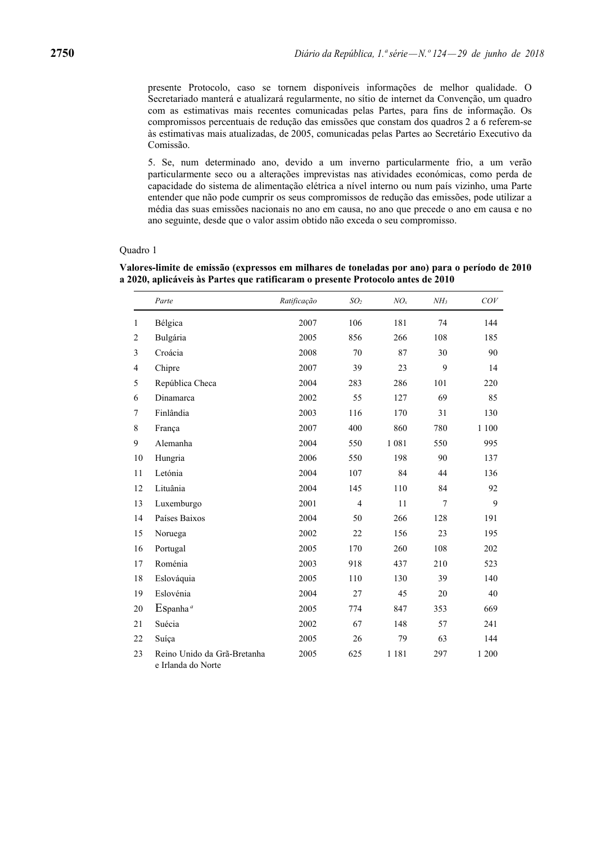presente Protocolo, caso se tornem disponíveis informações de melhor qualidade. O Secretariado manterá e atualizará regularmente, no sítio de internet da Convenção, um quadro com as estimativas mais recentes comunicadas pelas Partes, para fins de informação. Os compromissos percentuais de redução das emissões que constam dos quadros 2 a 6 referem-se às estimativas mais atualizadas, de 2005, comunicadas pelas Partes ao Secretário Executivo da Comissão.

5. Se, num determinado ano, devido a um inverno particularmente frio, a um verão particularmente seco ou a alterações imprevistas nas atividades económicas, como perda de capacidade do sistema de alimentação elétrica a nível interno ou num país vizinho, uma Parte entender que não pode cumprir os seus compromissos de redução das emissões, pode utilizar a média das suas emissões nacionais no ano em causa, no ano que precede o ano em causa e no ano seguinte, desde que o valor assim obtido não exceda o seu compromisso.

#### Quadro 1

|                | Parte                                             | Ratificação | SO <sub>2</sub> | $NO_{r}$ | NH <sub>3</sub> | $\cal COV$ |
|----------------|---------------------------------------------------|-------------|-----------------|----------|-----------------|------------|
| 1              | Bélgica                                           | 2007        | 106             | 181      | 74              | 144        |
| $\overline{c}$ | Bulgária                                          | 2005        | 856             | 266      | 108             | 185        |
| 3              | Croácia                                           | 2008        | 70              | 87       | 30              | 90         |
| $\overline{4}$ | Chipre                                            | 2007        | 39              | 23       | 9               | 14         |
| 5              | República Checa                                   | 2004        | 283             | 286      | 101             | 220        |
| 6              | Dinamarca                                         | 2002        | 55              | 127      | 69              | 85         |
| $\overline{7}$ | Finlândia                                         | 2003        | 116             | 170      | 31              | 130        |
| 8              | França                                            | 2007        | 400             | 860      | 780             | 1 100      |
| 9              | Alemanha                                          | 2004        | 550             | 1 0 8 1  | 550             | 995        |
| 10             | Hungria                                           | 2006        | 550             | 198      | 90              | 137        |
| 11             | Letónia                                           | 2004        | 107             | 84       | 44              | 136        |
| 12             | Lituânia                                          | 2004        | 145             | 110      | 84              | 92         |
| 13             | Luxemburgo                                        | 2001        | $\overline{4}$  | 11       | $\overline{7}$  | 9          |
| 14             | Países Baixos                                     | 2004        | 50              | 266      | 128             | 191        |
| 15             | Noruega                                           | 2002        | 22              | 156      | 23              | 195        |
| 16             | Portugal                                          | 2005        | 170             | 260      | 108             | 202        |
| 17             | Roménia                                           | 2003        | 918             | 437      | 210             | 523        |
| 18             | Eslováquia                                        | 2005        | 110             | 130      | 39              | 140        |
| 19             | Eslovénia                                         | 2004        | 27              | 45       | 20              | 40         |
| 20             | $E$ Spanha <sup>a</sup>                           | 2005        | 774             | 847      | 353             | 669        |
| 21             | Suécia                                            | 2002        | 67              | 148      | 57              | 241        |
| 22             | Suíça                                             | 2005        | 26              | 79       | 63              | 144        |
| 23             | Reino Unido da Grã-Bretanha<br>e Irlanda do Norte | 2005        | 625             | 1 1 8 1  | 297             | 1 200      |

**Valores-limite de emissão (expressos em milhares de toneladas por ano) para o período de 2010 a 2020, aplicáveis às Partes que ratificaram o presente Protocolo antes de 2010**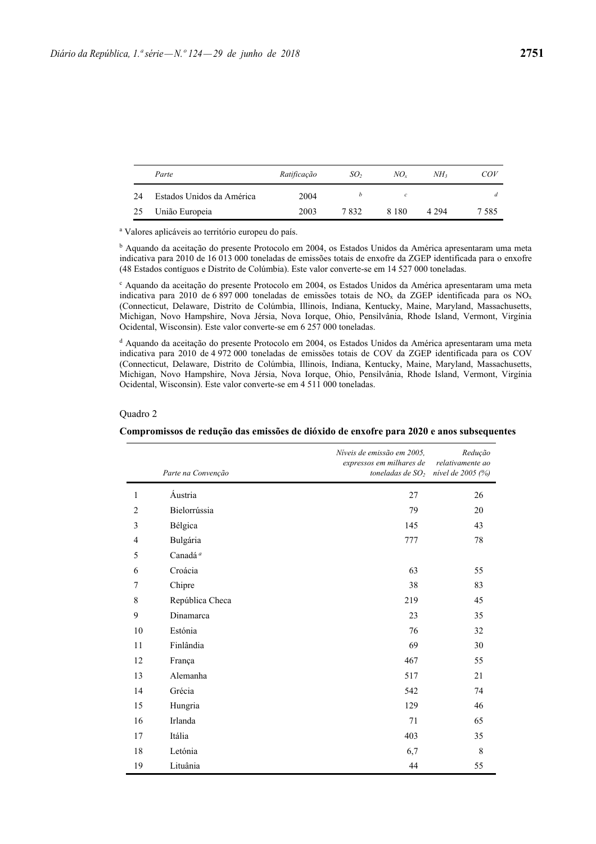|     | Parte                     | Ratificação | SO,  | NO.     | NH3     | COV  |
|-----|---------------------------|-------------|------|---------|---------|------|
| 24  | Estados Unidos da América | 2004        |      | с       |         |      |
| -25 | União Europeia            | 2003        | 7832 | 8 1 8 0 | 4 2 9 4 | 7585 |

a Valores aplicáveis ao território europeu do país.

b Aquando da aceitação do presente Protocolo em 2004, os Estados Unidos da América apresentaram uma meta indicativa para 2010 de 16 013 000 toneladas de emissões totais de enxofre da ZGEP identificada para o enxofre (48 Estados contíguos e Distrito de Colúmbia). Este valor converte-se em 14 527 000 toneladas.

c Aquando da aceitação do presente Protocolo em 2004, os Estados Unidos da América apresentaram uma meta indicativa para 2010 de 6 897 000 toneladas de emissões totais de NO<sub>x</sub> da ZGEP identificada para os NO<sub>x</sub> (Connecticut, Delaware, Distrito de Colúmbia, Illinois, Indiana, Kentucky, Maine, Maryland, Massachusetts, Michigan, Novo Hampshire, Nova Jérsia, Nova Iorque, Ohio, Pensilvânia, Rhode Island, Vermont, Virgínia Ocidental, Wisconsin). Este valor converte-se em 6 257 000 toneladas.

d Aquando da aceitação do presente Protocolo em 2004, os Estados Unidos da América apresentaram uma meta indicativa para 2010 de 4 972 000 toneladas de emissões totais de COV da ZGEP identificada para os COV (Connecticut, Delaware, Distrito de Colúmbia, Illinois, Indiana, Kentucky, Maine, Maryland, Massachusetts, Michigan, Novo Hampshire, Nova Jérsia, Nova Iorque, Ohio, Pensilvânia, Rhode Island, Vermont, Virgínia Ocidental, Wisconsin). Este valor converte-se em 4 511 000 toneladas.

#### Quadro 2

|                | Parte na Convenção  | Níveis de emissão em 2005,<br>expressos em milhares de<br>toneladas de $SO2$ | Redução<br>relativamente ao<br>nível de 2005 (%) |
|----------------|---------------------|------------------------------------------------------------------------------|--------------------------------------------------|
| 1              | Áustria             | 27                                                                           | 26                                               |
| $\overline{2}$ | Bielorrússia        | 79                                                                           | 20                                               |
| 3              | Bélgica             | 145                                                                          | 43                                               |
| $\overline{4}$ | Bulgária            | 777                                                                          | 78                                               |
| 5              | Canadá <sup>a</sup> |                                                                              |                                                  |
| 6              | Croácia             | 63                                                                           | 55                                               |
| 7              | Chipre              | 38                                                                           | 83                                               |
| 8              | República Checa     | 219                                                                          | 45                                               |
| 9              | Dinamarca           | 23                                                                           | 35                                               |
| 10             | Estónia             | 76                                                                           | 32                                               |
| 11             | Finlândia           | 69                                                                           | 30                                               |
| 12             | França              | 467                                                                          | 55                                               |
| 13             | Alemanha            | 517                                                                          | 21                                               |
| 14             | Grécia              | 542                                                                          | 74                                               |
| 15             | Hungria             | 129                                                                          | 46                                               |
| 16             | Irlanda             | 71                                                                           | 65                                               |
| 17             | Itália              | 403                                                                          | 35                                               |
| 18             | Letónia             | 6,7                                                                          | 8                                                |
| 19             | Lituânia            | 44                                                                           | 55                                               |

**Compromissos de redução das emissões de dióxido de enxofre para 2020 e anos subsequentes**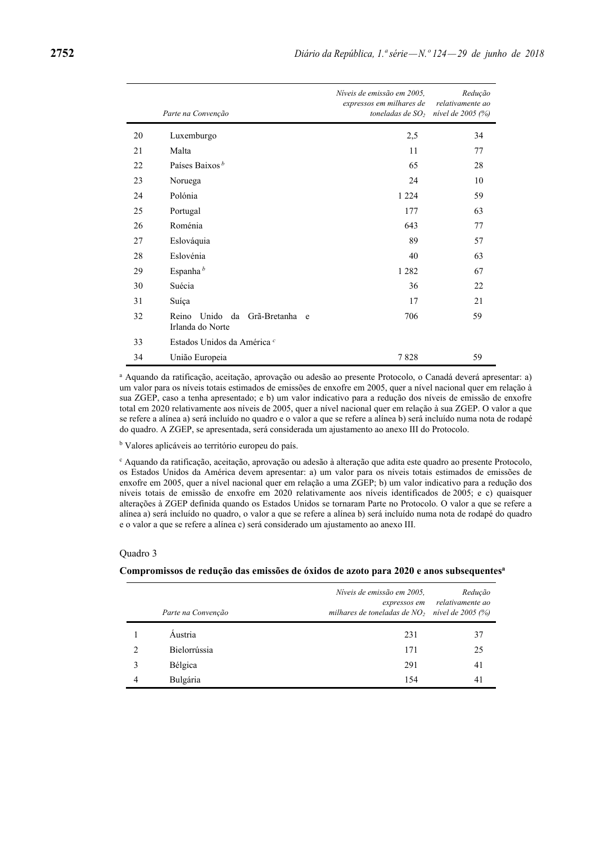|    | Parte na Convenção                                         | Níveis de emissão em 2005.<br>expressos em milhares de<br>toneladas de $SO2$ | Redução<br>relativamente ao<br>nivel de 2005 (%) |
|----|------------------------------------------------------------|------------------------------------------------------------------------------|--------------------------------------------------|
| 20 | Luxemburgo                                                 | 2,5                                                                          | 34                                               |
| 21 | Malta                                                      | 11                                                                           | 77                                               |
| 22 | Países Baixos <sup>b</sup>                                 | 65                                                                           | 28                                               |
| 23 | Noruega                                                    | 24                                                                           | 10                                               |
| 24 | Polónia                                                    | 1 2 2 4                                                                      | 59                                               |
| 25 | Portugal                                                   | 177                                                                          | 63                                               |
| 26 | Roménia                                                    | 643                                                                          | 77                                               |
| 27 | Eslováquia                                                 | 89                                                                           | 57                                               |
| 28 | Eslovénia                                                  | 40                                                                           | 63                                               |
| 29 | Espanha <sup>b</sup>                                       | 1 2 8 2                                                                      | 67                                               |
| 30 | Suécia                                                     | 36                                                                           | 22                                               |
| 31 | Suíça                                                      | 17                                                                           | 21                                               |
| 32 | Unido<br>Reino<br>da<br>Grã-Bretanha e<br>Irlanda do Norte | 706                                                                          | 59                                               |
| 33 | Estados Unidos da América <sup>c</sup>                     |                                                                              |                                                  |
| 34 | União Europeia                                             | 7828                                                                         | 59                                               |

a Aquando da ratificação, aceitação, aprovação ou adesão ao presente Protocolo, o Canadá deverá apresentar: a) um valor para os níveis totais estimados de emissões de enxofre em 2005, quer a nível nacional quer em relação à sua ZGEP, caso a tenha apresentado; e b) um valor indicativo para a redução dos níveis de emissão de enxofre total em 2020 relativamente aos níveis de 2005, quer a nível nacional quer em relação à sua ZGEP. O valor a que se refere a alínea a) será incluído no quadro e o valor a que se refere a alínea b) será incluído numa nota de rodapé do quadro. A ZGEP, se apresentada, será considerada um ajustamento ao anexo III do Protocolo.

<sup>b</sup> Valores aplicáveis ao território europeu do país.

c Aquando da ratificação, aceitação, aprovação ou adesão à alteração que adita este quadro ao presente Protocolo, os Estados Unidos da América devem apresentar: a) um valor para os níveis totais estimados de emissões de enxofre em 2005, quer a nível nacional quer em relação a uma ZGEP; b) um valor indicativo para a redução dos níveis totais de emissão de enxofre em 2020 relativamente aos níveis identificados de 2005; e c) quaisquer alterações à ZGEP definida quando os Estados Unidos se tornaram Parte no Protocolo. O valor a que se refere a alínea a) será incluído no quadro, o valor a que se refere a alínea b) será incluído numa nota de rodapé do quadro e o valor a que se refere a alínea c) será considerado um ajustamento ao anexo III.

#### Quadro 3

#### **Compromissos de redução das emissões de óxidos de azoto para 2020 e anos subsequentesa**

|                               | Parte na Convenção | Níveis de emissão em 2005,<br>expressos em<br>milhares de toneladas de $NO_2$ nível de 2005 (%) | Redução<br>relativamente ao |
|-------------------------------|--------------------|-------------------------------------------------------------------------------------------------|-----------------------------|
|                               | Áustria            | 231                                                                                             | 37                          |
| $\mathfrak{D}_{\mathfrak{p}}$ | Bielorrússia       | 171                                                                                             | 25                          |
| 3                             | Bélgica            | 291                                                                                             | 41                          |
| 4                             | Bulgária           | 154                                                                                             | 41                          |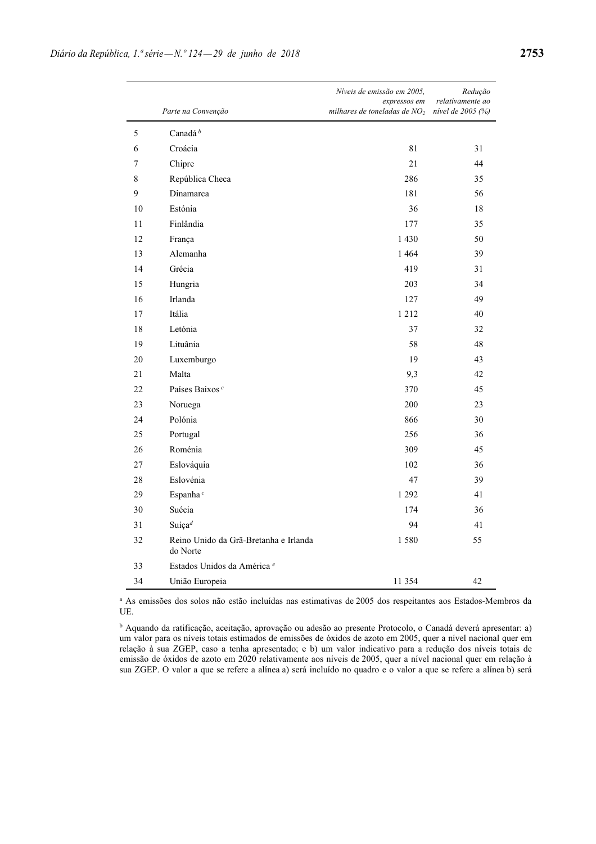|    |                                                   | Níveis de emissão em 2005,<br>expressos em | Redução<br>relativamente ao |
|----|---------------------------------------------------|--------------------------------------------|-----------------------------|
|    | Parte na Convenção                                | milhares de toneladas de $NO2$             | nível de 2005 (%)           |
| 5  | Canadá <sup>b</sup>                               |                                            |                             |
| 6  | Croácia                                           | 81                                         | 31                          |
| 7  | Chipre                                            | 21                                         | 44                          |
| 8  | República Checa                                   | 286                                        | 35                          |
| 9  | Dinamarca                                         | 181                                        | 56                          |
| 10 | Estónia                                           | 36                                         | 18                          |
| 11 | Finlândia                                         | 177                                        | 35                          |
| 12 | França                                            | 1 4 3 0                                    | 50                          |
| 13 | Alemanha                                          | 1 4 6 4                                    | 39                          |
| 14 | Grécia                                            | 419                                        | 31                          |
| 15 | Hungria                                           | 203                                        | 34                          |
| 16 | Irlanda                                           | 127                                        | 49                          |
| 17 | Itália                                            | 1 2 1 2                                    | 40                          |
| 18 | Letónia                                           | 37                                         | 32                          |
| 19 | Lituânia                                          | 58                                         | 48                          |
| 20 | Luxemburgo                                        | 19                                         | 43                          |
| 21 | Malta                                             | 9,3                                        | 42                          |
| 22 | Países Baixos <sup>c</sup>                        | 370                                        | 45                          |
| 23 | Noruega                                           | 200                                        | 23                          |
| 24 | Polónia                                           | 866                                        | 30                          |
| 25 | Portugal                                          | 256                                        | 36                          |
| 26 | Roménia                                           | 309                                        | 45                          |
| 27 | Eslováquia                                        | 102                                        | 36                          |
| 28 | Eslovénia                                         | 47                                         | 39                          |
| 29 | Espanha <sup>c</sup>                              | 1 2 9 2                                    | 41                          |
| 30 | Suécia                                            | 174                                        | 36                          |
| 31 | Suíça <sup>d</sup>                                | 94                                         | 41                          |
| 32 | Reino Unido da Grã-Bretanha e Irlanda<br>do Norte | 1580                                       | 55                          |
| 33 | Estados Unidos da América <sup>e</sup>            |                                            |                             |
| 34 | União Europeia                                    | 11 354                                     | 42                          |

a As emissões dos solos não estão incluídas nas estimativas de 2005 dos respeitantes aos Estados-Membros da UE.

b Aquando da ratificação, aceitação, aprovação ou adesão ao presente Protocolo, o Canadá deverá apresentar: a) um valor para os níveis totais estimados de emissões de óxidos de azoto em 2005, quer a nível nacional quer em relação à sua ZGEP, caso a tenha apresentado; e b) um valor indicativo para a redução dos níveis totais de emissão de óxidos de azoto em 2020 relativamente aos níveis de 2005, quer a nível nacional quer em relação à sua ZGEP. O valor a que se refere a alínea a) será incluído no quadro e o valor a que se refere a alínea b) será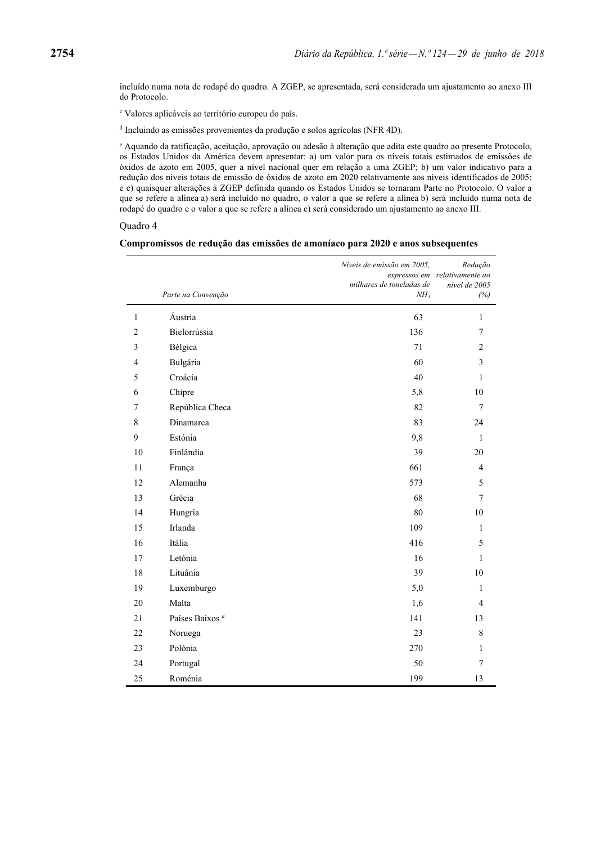incluído numa nota de rodapé do quadro. A ZGEP, se apresentada, será considerada um ajustamento ao anexo III do Protocolo.

c Valores aplicáveis ao território europeu do país.

d Incluindo as emissões provenientes da produção e solos agrícolas (NFR 4D).

e Aquando da ratificação, aceitação, aprovação ou adesão à alteração que adita este quadro ao presente Protocolo, os Estados Unidos da América devem apresentar: a) um valor para os níveis totais estimados de emissões de óxidos de azoto em 2005, quer a nível nacional quer em relação a uma ZGEP; b) um valor indicativo para a redução dos níveis totais de emissão de óxidos de azoto em 2020 relativamente aos níveis identificados de 2005; e c) quaisquer alterações à ZGEP definida quando os Estados Unidos se tornaram Parte no Protocolo. O valor a que se refere a alínea a) será incluído no quadro, o valor a que se refere a alínea b) será incluído numa nota de rodapé do quadro e o valor a que se refere a alínea c) será considerado um ajustamento ao anexo III.

Quadro 4

#### **Compromissos de redução das emissões de amoníaco para 2020 e anos subsequentes**

|                |                            | Níveis de emissão em 2005, | Redução<br>expressos em relativamente ao |
|----------------|----------------------------|----------------------------|------------------------------------------|
|                |                            | milhares de toneladas de   | nível de 2005                            |
|                | Parte na Convenção         | NH <sub>3</sub>            | (%)                                      |
| $\,1\,$        | Áustria                    | 63                         | $\mathbf{1}$                             |
| $\overline{c}$ | Bielorrússia               | 136                        | 7                                        |
| 3              | Bélgica                    | 71                         | $\overline{c}$                           |
| $\overline{4}$ | Bulgária                   | 60                         | 3                                        |
| 5              | Croácia                    | 40                         | $\mathbf{1}$                             |
| 6              | Chipre                     | 5,8                        | 10                                       |
| $\overline{7}$ | República Checa            | 82                         | $\tau$                                   |
| $\,8\,$        | Dinamarca                  | 83                         | 24                                       |
| 9              | Estónia                    | 9,8                        | $\mathbf{1}$                             |
| 10             | Finlândia                  | 39                         | 20                                       |
| 11             | França                     | 661                        | $\overline{4}$                           |
| 12             | Alemanha                   | 573                        | 5                                        |
| 13             | Grécia                     | 68                         | $\overline{7}$                           |
| 14             | Hungria                    | 80                         | 10                                       |
| 15             | Irlanda                    | 109                        | $\mathbf{1}$                             |
| 16             | Itália                     | 416                        | 5                                        |
| 17             | Letónia                    | 16                         | $\mathbf{1}$                             |
| 18             | Lituânia                   | 39                         | 10                                       |
| 19             | Luxemburgo                 | 5,0                        | 1                                        |
| 20             | Malta                      | 1,6                        | $\overline{4}$                           |
| 21             | Países Baixos <sup>a</sup> | 141                        | 13                                       |
| 22             | Noruega                    | 23                         | $\,8\,$                                  |
| 23             | Polónia                    | 270                        | $\mathbf{1}$                             |
| 24             | Portugal                   | 50                         | $\overline{7}$                           |
| 25             | Roménia                    | 199                        | 13                                       |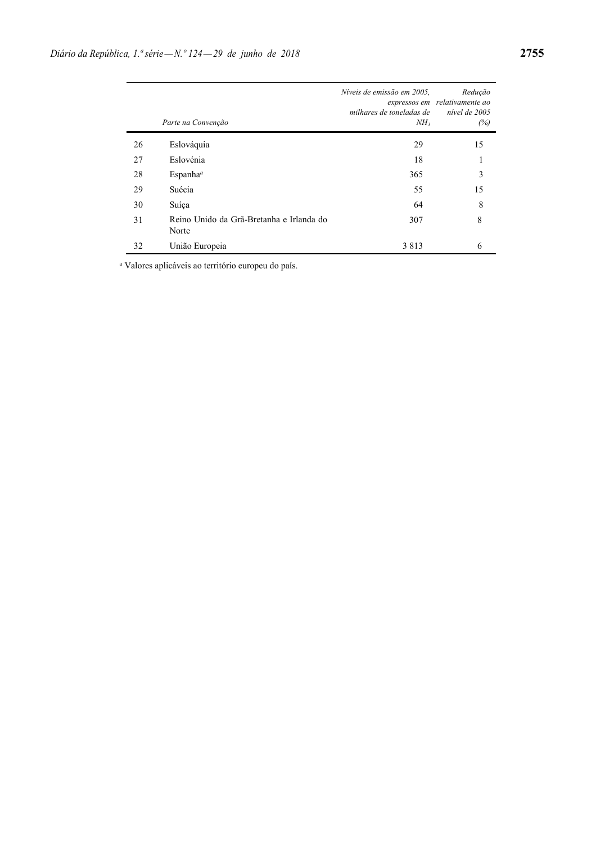|    | Parte na Convenção                                | Níveis de emissão em 2005.<br>milhares de toneladas de<br>NH <sub>3</sub> | Redução<br>expressos em relativamente ao<br>nível de 2005<br>(%) |
|----|---------------------------------------------------|---------------------------------------------------------------------------|------------------------------------------------------------------|
| 26 | Eslováquia                                        | 29                                                                        | 15                                                               |
| 27 | Eslovénia                                         | 18                                                                        | 1                                                                |
| 28 | Espanha <sup>a</sup>                              | 365                                                                       | 3                                                                |
| 29 | Suécia                                            | 55                                                                        | 15                                                               |
| 30 | Suíça                                             | 64                                                                        | 8                                                                |
| 31 | Reino Unido da Grã-Bretanha e Irlanda do<br>Norte | 307                                                                       | 8                                                                |
| 32 | União Europeia                                    | 3813                                                                      | 6                                                                |

a Valores aplicáveis ao território europeu do país.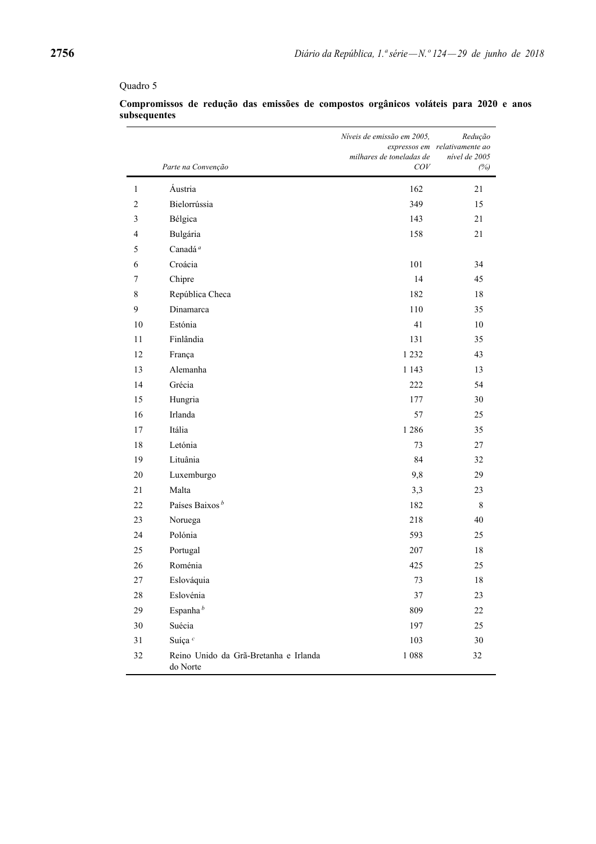# Quadro 5

|                | Parte na Convenção                                | Níveis de emissão em 2005,<br>milhares de toneladas de<br>COV | Redução<br>expressos em relativamente ao<br>nível de 2005<br>(%) |
|----------------|---------------------------------------------------|---------------------------------------------------------------|------------------------------------------------------------------|
| $\mathbf{1}$   | Áustria                                           | 162                                                           | 21                                                               |
| $\overline{c}$ | Bielorrússia                                      | 349                                                           | 15                                                               |
| 3              | Bélgica                                           | 143                                                           | 21                                                               |
| 4              | Bulgária                                          | 158                                                           | 21                                                               |
| 5              | Canadá <sup>a</sup>                               |                                                               |                                                                  |
| 6              | Croácia                                           | 101                                                           | 34                                                               |
| 7              | Chipre                                            | 14                                                            | 45                                                               |
| $\,$ 8 $\,$    | República Checa                                   | 182                                                           | 18                                                               |
| 9              | Dinamarca                                         | 110                                                           | 35                                                               |
| 10             | Estónia                                           | 41                                                            | 10                                                               |
| 11             | Finlândia                                         | 131                                                           | 35                                                               |
| 12             | França                                            | 1 2 3 2                                                       | 43                                                               |
| 13             | Alemanha                                          | 1 1 4 3                                                       | 13                                                               |
| 14             | Grécia                                            | 222                                                           | 54                                                               |
| 15             | Hungria                                           | 177                                                           | 30                                                               |
| 16             | Irlanda                                           | 57                                                            | 25                                                               |
| 17             | Itália                                            | 1 2 8 6                                                       | 35                                                               |
| 18             | Letónia                                           | 73                                                            | 27                                                               |
| 19             | Lituânia                                          | 84                                                            | 32                                                               |
| 20             | Luxemburgo                                        | 9,8                                                           | 29                                                               |
| 21             | Malta                                             | 3,3                                                           | 23                                                               |
| 22             | Países Baixos <sup>b</sup>                        | 182                                                           | 8                                                                |
| 23             | Noruega                                           | 218                                                           | 40                                                               |
| 24             | Polónia                                           | 593                                                           | 25                                                               |
| 25             | Portugal                                          | 207                                                           | 18                                                               |
| 26             | Roménia                                           | 425                                                           | 25                                                               |
| 27             | Eslováquia                                        | 73                                                            | 18                                                               |
| $28\,$         | Eslovénia                                         | 37                                                            | 23                                                               |
| 29             | Espanha <sup>b</sup>                              | 809                                                           | 22                                                               |
| $30\,$         | Suécia                                            | 197                                                           | 25                                                               |
| 31             | Suíça <sup>c</sup>                                | 103                                                           | $30\,$                                                           |
| 32             | Reino Unido da Grã-Bretanha e Irlanda<br>do Norte | $1\;088$                                                      | 32                                                               |

## **Compromissos de redução das emissões de compostos orgânicos voláteis para 2020 e anos subsequentes**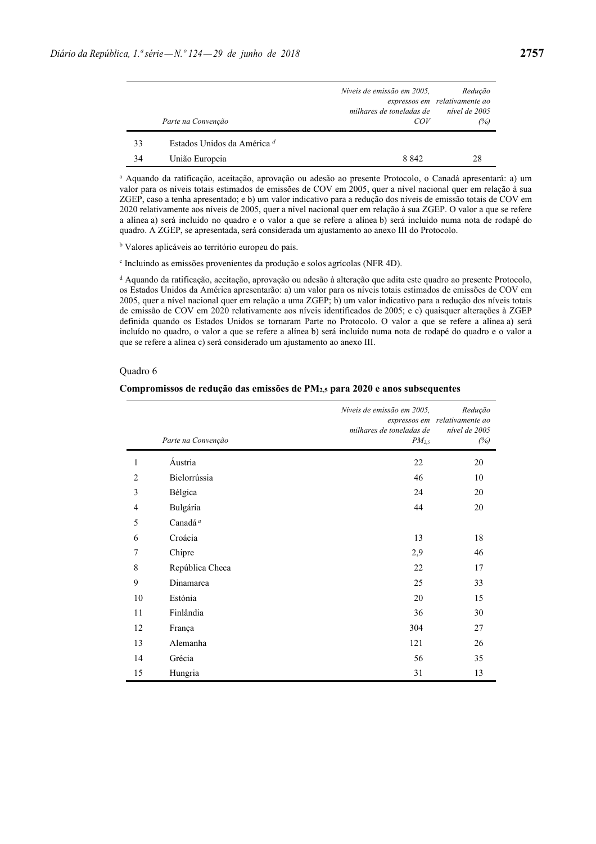|    | Parte na Convenção                     | Níveis de emissão em 2005,<br>milhares de toneladas de<br>COV | Reducão<br>expressos em relativamente ao<br>nível de 2005<br>(%) |
|----|----------------------------------------|---------------------------------------------------------------|------------------------------------------------------------------|
| 33 | Estados Unidos da América <sup>d</sup> |                                                               |                                                                  |
| 34 | União Europeia                         | 8 8 4 2                                                       | 28                                                               |

a Aquando da ratificação, aceitação, aprovação ou adesão ao presente Protocolo, o Canadá apresentará: a) um valor para os níveis totais estimados de emissões de COV em 2005, quer a nível nacional quer em relação à sua ZGEP, caso a tenha apresentado; e b) um valor indicativo para a redução dos níveis de emissão totais de COV em 2020 relativamente aos níveis de 2005, quer a nível nacional quer em relação à sua ZGEP. O valor a que se refere a alínea a) será incluído no quadro e o valor a que se refere a alínea b) será incluído numa nota de rodapé do quadro. A ZGEP, se apresentada, será considerada um ajustamento ao anexo III do Protocolo.

<sup>b</sup> Valores aplicáveis ao território europeu do país.

c Incluindo as emissões provenientes da produção e solos agrícolas (NFR 4D).

d Aquando da ratificação, aceitação, aprovação ou adesão à alteração que adita este quadro ao presente Protocolo, os Estados Unidos da América apresentarão: a) um valor para os níveis totais estimados de emissões de COV em 2005, quer a nível nacional quer em relação a uma ZGEP; b) um valor indicativo para a redução dos níveis totais de emissão de COV em 2020 relativamente aos níveis identificados de 2005; e c) quaisquer alterações à ZGEP definida quando os Estados Unidos se tornaram Parte no Protocolo. O valor a que se refere a alínea a) será incluído no quadro, o valor a que se refere a alínea b) será incluído numa nota de rodapé do quadro e o valor a que se refere a alínea c) será considerado um ajustamento ao anexo III.

#### Quadro 6

#### **Compromissos de redução das emissões de PM2,5 para 2020 e anos subsequentes**

|                | Parte na Convenção  | Níveis de emissão em 2005,<br>milhares de toneladas de<br>$PM_{2,5}$ | Redução<br>expressos em relativamente ao<br>nível de 2005<br>(%) |
|----------------|---------------------|----------------------------------------------------------------------|------------------------------------------------------------------|
| 1              | Áustria             | 22                                                                   | 20                                                               |
| $\overline{2}$ | Bielorrússia        | 46                                                                   | 10                                                               |
| 3              | Bélgica             | 24                                                                   | 20                                                               |
| 4              | Bulgária            | 44                                                                   | 20                                                               |
| 5              | Canadá <sup>a</sup> |                                                                      |                                                                  |
| 6              | Croácia             | 13                                                                   | 18                                                               |
| 7              | Chipre              | 2,9                                                                  | 46                                                               |
| 8              | República Checa     | 22                                                                   | 17                                                               |
| 9              | Dinamarca           | 25                                                                   | 33                                                               |
| 10             | Estónia             | 20                                                                   | 15                                                               |
| 11             | Finlândia           | 36                                                                   | 30                                                               |
| 12             | França              | 304                                                                  | 27                                                               |
| 13             | Alemanha            | 121                                                                  | 26                                                               |
| 14             | Grécia              | 56                                                                   | 35                                                               |
| 15             | Hungria             | 31                                                                   | 13                                                               |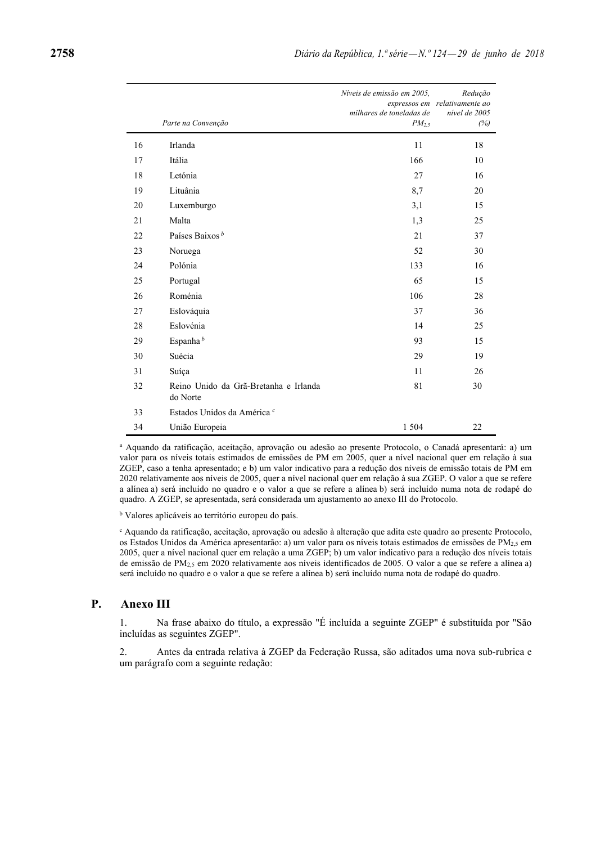|    | Parte na Convenção                                | Níveis de emissão em 2005,<br>milhares de toneladas de<br>$PM_{2,5}$ | Redução<br>expressos em relativamente ao<br>nível de 2005<br>(%) |
|----|---------------------------------------------------|----------------------------------------------------------------------|------------------------------------------------------------------|
| 16 | Irlanda                                           | 11                                                                   | 18                                                               |
| 17 | Itália                                            | 166                                                                  | 10                                                               |
| 18 | Letónia                                           | 27                                                                   | 16                                                               |
| 19 | Lituânia                                          | 8,7                                                                  | 20                                                               |
| 20 | Luxemburgo                                        | 3,1                                                                  | 15                                                               |
| 21 | Malta                                             | 1,3                                                                  | 25                                                               |
| 22 | Países Baixos <sup>b</sup>                        | 21                                                                   | 37                                                               |
| 23 | Noruega                                           | 52                                                                   | 30                                                               |
| 24 | Polónia                                           | 133                                                                  | 16                                                               |
| 25 | Portugal                                          | 65                                                                   | 15                                                               |
| 26 | Roménia                                           | 106                                                                  | 28                                                               |
| 27 | Eslováquia                                        | 37                                                                   | 36                                                               |
| 28 | Eslovénia                                         | 14                                                                   | 25                                                               |
| 29 | Espanha <sup>b</sup>                              | 93                                                                   | 15                                                               |
| 30 | Suécia                                            | 29                                                                   | 19                                                               |
| 31 | Suíça                                             | 11                                                                   | 26                                                               |
| 32 | Reino Unido da Grã-Bretanha e Irlanda<br>do Norte | 81                                                                   | 30                                                               |
| 33 | Estados Unidos da América <sup>c</sup>            |                                                                      |                                                                  |
| 34 | União Europeia                                    | 1 5 0 4                                                              | 22                                                               |

a Aquando da ratificação, aceitação, aprovação ou adesão ao presente Protocolo, o Canadá apresentará: a) um valor para os níveis totais estimados de emissões de PM em 2005, quer a nível nacional quer em relação à sua ZGEP, caso a tenha apresentado; e b) um valor indicativo para a redução dos níveis de emissão totais de PM em 2020 relativamente aos níveis de 2005, quer a nível nacional quer em relação à sua ZGEP. O valor a que se refere a alínea a) será incluído no quadro e o valor a que se refere a alínea b) será incluído numa nota de rodapé do quadro. A ZGEP, se apresentada, será considerada um ajustamento ao anexo III do Protocolo.

<sup>b</sup> Valores aplicáveis ao território europeu do país.

c Aquando da ratificação, aceitação, aprovação ou adesão à alteração que adita este quadro ao presente Protocolo, os Estados Unidos da América apresentarão: a) um valor para os níveis totais estimados de emissões de PM2,5 em 2005, quer a nível nacional quer em relação a uma ZGEP; b) um valor indicativo para a redução dos níveis totais de emissão de PM<sub>2,5</sub> em 2020 relativamente aos níveis identificados de 2005. O valor a que se refere a alínea a) será incluído no quadro e o valor a que se refere a alínea b) será incluído numa nota de rodapé do quadro.

#### **P. Anexo III**

1. Na frase abaixo do título, a expressão "É incluída a seguinte ZGEP" é substituída por "São incluídas as seguintes ZGEP".

2. Antes da entrada relativa à ZGEP da Federação Russa, são aditados uma nova sub-rubrica e um parágrafo com a seguinte redação: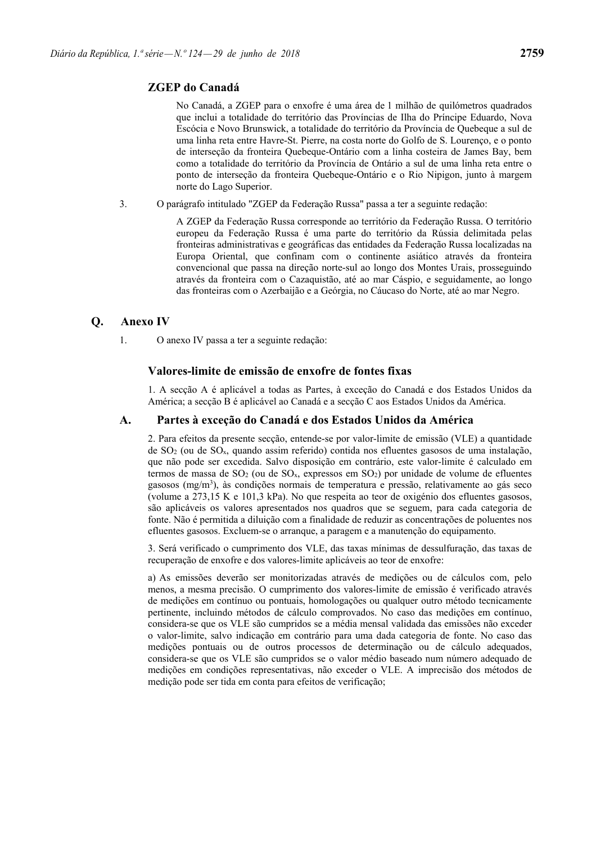# **ZGEP do Canadá**

No Canadá, a ZGEP para o enxofre é uma área de 1 milhão de quilómetros quadrados que inclui a totalidade do território das Províncias de Ilha do Príncipe Eduardo, Nova Escócia e Novo Brunswick, a totalidade do território da Província de Quebeque a sul de uma linha reta entre Havre-St. Pierre, na costa norte do Golfo de S. Lourenço, e o ponto de interseção da fronteira Quebeque-Ontário com a linha costeira de James Bay, bem como a totalidade do território da Província de Ontário a sul de uma linha reta entre o ponto de interseção da fronteira Quebeque-Ontário e o Rio Nipigon, junto à margem norte do Lago Superior.

3. O parágrafo intitulado "ZGEP da Federação Russa" passa a ter a seguinte redação:

A ZGEP da Federação Russa corresponde ao território da Federação Russa. O território europeu da Federação Russa é uma parte do território da Rússia delimitada pelas fronteiras administrativas e geográficas das entidades da Federação Russa localizadas na Europa Oriental, que confinam com o continente asiático através da fronteira convencional que passa na direção norte-sul ao longo dos Montes Urais, prosseguindo através da fronteira com o Cazaquistão, até ao mar Cáspio, e seguidamente, ao longo das fronteiras com o Azerbaijão e a Geórgia, no Cáucaso do Norte, até ao mar Negro.

# **Q. Anexo IV**

1. O anexo IV passa a ter a seguinte redação:

# **Valores-limite de emissão de enxofre de fontes fixas**

1. A secção A é aplicável a todas as Partes, à exceção do Canadá e dos Estados Unidos da América; a secção B é aplicável ao Canadá e a secção C aos Estados Unidos da América.

# **A. Partes à exceção do Canadá e dos Estados Unidos da América**

2. Para efeitos da presente secção, entende-se por valor-limite de emissão (VLE) a quantidade de  $SO<sub>2</sub>$  (ou de  $SO<sub>x</sub>$ , quando assim referido) contida nos efluentes gasosos de uma instalação. que não pode ser excedida. Salvo disposição em contrário, este valor-limite é calculado em termos de massa de  $SO_2$  (ou de  $SO_3$ , expressos em  $SO_2$ ) por unidade de volume de efluentes gasosos (mg/m<sup>3</sup>), às condições normais de temperatura e pressão, relativamente ao gás seco (volume a 273,15 K e 101,3 kPa). No que respeita ao teor de oxigénio dos efluentes gasosos, são aplicáveis os valores apresentados nos quadros que se seguem, para cada categoria de fonte. Não é permitida a diluição com a finalidade de reduzir as concentrações de poluentes nos efluentes gasosos. Excluem-se o arranque, a paragem e a manutenção do equipamento.

3. Será verificado o cumprimento dos VLE, das taxas mínimas de dessulfuração, das taxas de recuperação de enxofre e dos valores-limite aplicáveis ao teor de enxofre:

a) As emissões deverão ser monitorizadas através de medições ou de cálculos com, pelo menos, a mesma precisão. O cumprimento dos valores-limite de emissão é verificado através de medições em contínuo ou pontuais, homologações ou qualquer outro método tecnicamente pertinente, incluindo métodos de cálculo comprovados. No caso das medições em contínuo, considera-se que os VLE são cumpridos se a média mensal validada das emissões não exceder o valor-limite, salvo indicação em contrário para uma dada categoria de fonte. No caso das medições pontuais ou de outros processos de determinação ou de cálculo adequados, considera-se que os VLE são cumpridos se o valor médio baseado num número adequado de medições em condições representativas, não exceder o VLE. A imprecisão dos métodos de medição pode ser tida em conta para efeitos de verificação;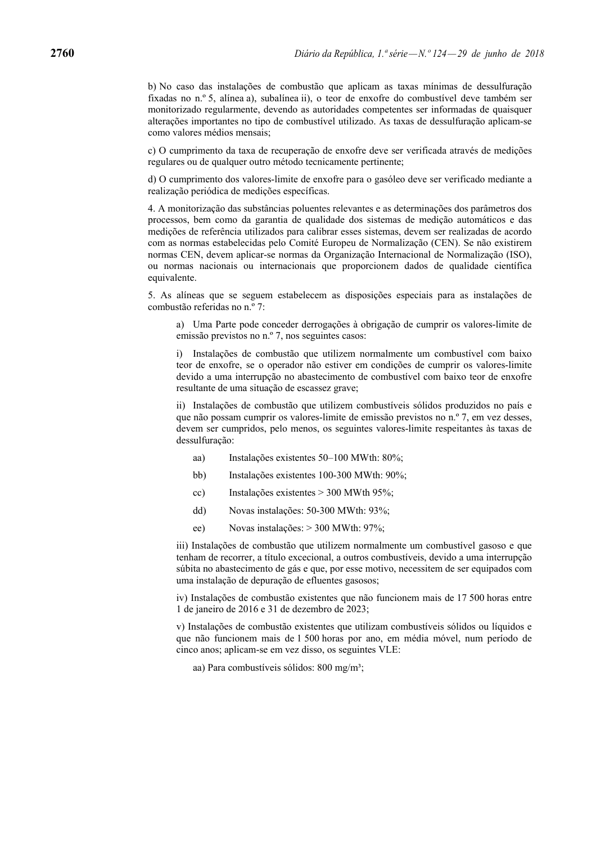b) No caso das instalações de combustão que aplicam as taxas mínimas de dessulfuração fixadas no n.º 5, alínea a), subalínea ii), o teor de enxofre do combustível deve também ser monitorizado regularmente, devendo as autoridades competentes ser informadas de quaisquer alterações importantes no tipo de combustível utilizado. As taxas de dessulfuração aplicam-se como valores médios mensais;

c) O cumprimento da taxa de recuperação de enxofre deve ser verificada através de medições regulares ou de qualquer outro método tecnicamente pertinente;

d) O cumprimento dos valores-limite de enxofre para o gasóleo deve ser verificado mediante a realização periódica de medições específicas.

4. A monitorização das substâncias poluentes relevantes e as determinações dos parâmetros dos processos, bem como da garantia de qualidade dos sistemas de medição automáticos e das medições de referência utilizados para calibrar esses sistemas, devem ser realizadas de acordo com as normas estabelecidas pelo Comité Europeu de Normalização (CEN). Se não existirem normas CEN, devem aplicar-se normas da Organização Internacional de Normalização (ISO), ou normas nacionais ou internacionais que proporcionem dados de qualidade científica equivalente.

5. As alíneas que se seguem estabelecem as disposições especiais para as instalações de combustão referidas no n.º 7:

a) Uma Parte pode conceder derrogações à obrigação de cumprir os valores-limite de emissão previstos no n.º 7, nos seguintes casos:

i) Instalações de combustão que utilizem normalmente um combustível com baixo teor de enxofre, se o operador não estiver em condições de cumprir os valores-limite devido a uma interrupção no abastecimento de combustível com baixo teor de enxofre resultante de uma situação de escassez grave;

ii) Instalações de combustão que utilizem combustíveis sólidos produzidos no país e que não possam cumprir os valores-limite de emissão previstos no n.º 7, em vez desses, devem ser cumpridos, pelo menos, os seguintes valores-limite respeitantes às taxas de dessulfuração:

- aa) Instalações existentes 50–100 MWth: 80%;
- bb) Instalações existentes 100-300 MWth: 90%;
- cc) Instalações existentes > 300 MWth 95%;
- dd) Novas instalações: 50-300 MWth: 93%;
- ee) Novas instalações: > 300 MWth: 97%;

iii) Instalações de combustão que utilizem normalmente um combustível gasoso e que tenham de recorrer, a título excecional, a outros combustíveis, devido a uma interrupção súbita no abastecimento de gás e que, por esse motivo, necessitem de ser equipados com uma instalação de depuração de efluentes gasosos;

iv) Instalações de combustão existentes que não funcionem mais de 17 500 horas entre 1 de janeiro de 2016 e 31 de dezembro de 2023;

v) Instalações de combustão existentes que utilizam combustíveis sólidos ou líquidos e que não funcionem mais de 1 500 horas por ano, em média móvel, num período de cinco anos; aplicam-se em vez disso, os seguintes VLE:

aa) Para combustíveis sólidos: 800 mg/m<sup>3</sup>;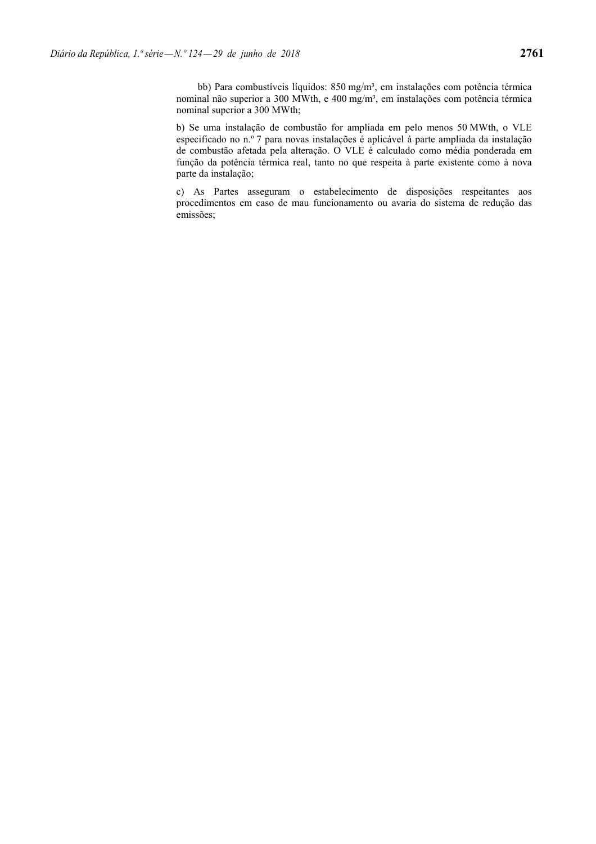bb) Para combustíveis líquidos: 850 mg/m<sup>3</sup>, em instalações com potência térmica nominal não superior a 300 MWth, e 400 mg/m<sup>3</sup>, em instalações com potência térmica nominal superior a 300 MWth;

b) Se uma instalação de combustão for ampliada em pelo menos 50 MWth, o VLE especificado no n.º 7 para novas instalações é aplicável à parte ampliada da instalação de combustão afetada pela alteração. O VLE é calculado como média ponderada em função da potência térmica real, tanto no que respeita à parte existente como à nova parte da instalação;

c) As Partes asseguram o estabelecimento de disposições respeitantes aos procedimentos em caso de mau funcionamento ou avaria do sistema de redução das emissões;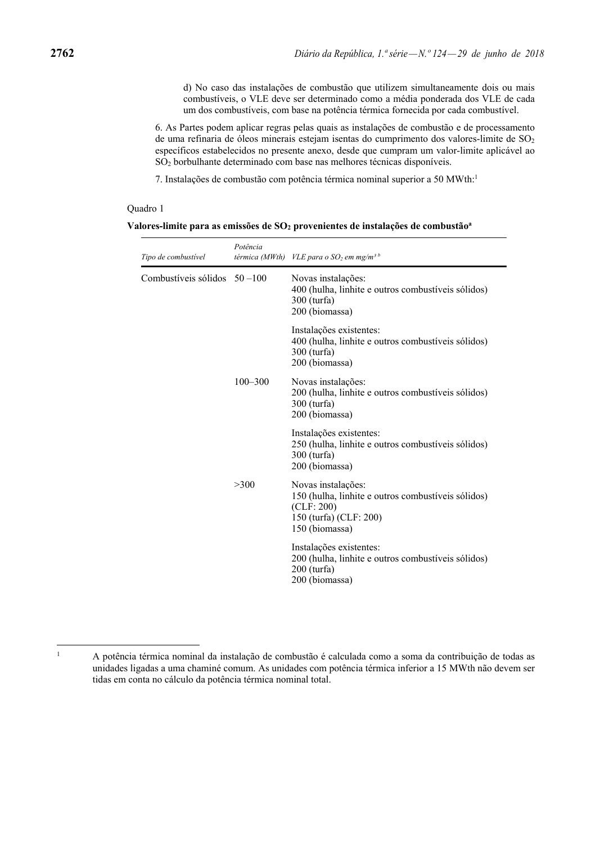d) No caso das instalações de combustão que utilizem simultaneamente dois ou mais combustíveis, o VLE deve ser determinado como a média ponderada dos VLE de cada um dos combustíveis, com base na potência térmica fornecida por cada combustível.

6. As Partes podem aplicar regras pelas quais as instalações de combustão e de processamento de uma refinaria de óleos minerais estejam isentas do cumprimento dos valores-limite de SO<sub>2</sub> específicos estabelecidos no presente anexo, desde que cumpram um valor-limite aplicável ao SO2 borbulhante determinado com base nas melhores técnicas disponíveis.

7. Instalações de combustão com potência térmica nominal superior a 50 MWth:1

### Quadro 1

L,

| Tipo de combustível           | Potência    | térmica (MWth) VLE para o SO <sub>2</sub> em mg/m <sup>3 b</sup>                                                                   |
|-------------------------------|-------------|------------------------------------------------------------------------------------------------------------------------------------|
| Combustíveis sólidos $50-100$ |             | Novas instalações:<br>400 (hulha, linhite e outros combustíveis sólidos)<br>300 (turfa)<br>200 (biomassa)                          |
|                               |             | Instalações existentes:<br>400 (hulha, linhite e outros combustíveis sólidos)<br>300 (turfa)<br>200 (biomassa)                     |
|                               | $100 - 300$ | Novas instalações:<br>200 (hulha, linhite e outros combustíveis sólidos)<br>300 (turfa)<br>200 (biomassa)                          |
|                               |             | Instalações existentes:<br>250 (hulha, linhite e outros combustíveis sólidos)<br>300 (turfa)<br>200 (biomassa)                     |
|                               | >300        | Novas instalações:<br>150 (hulha, linhite e outros combustíveis sólidos)<br>(CLF: 200)<br>150 (turfa) (CLF: 200)<br>150 (biomassa) |
|                               |             | Instalações existentes:<br>200 (hulha, linhite e outros combustíveis sólidos)<br>$200$ (turfa)<br>200 (biomassa)                   |

1

A potência térmica nominal da instalação de combustão é calculada como a soma da contribuição de todas as unidades ligadas a uma chaminé comum. As unidades com potência térmica inferior a 15 MWth não devem ser tidas em conta no cálculo da potência térmica nominal total.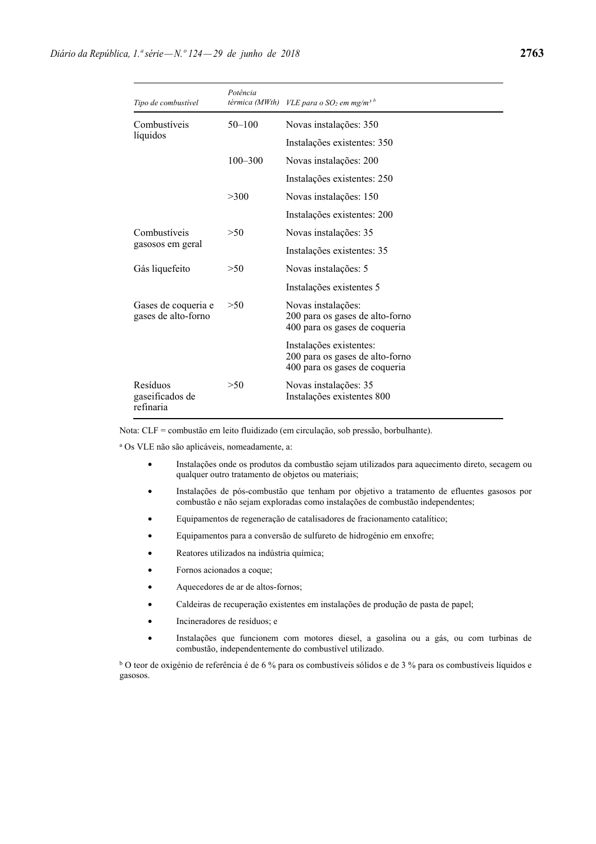| Tipo de combustível                        | Potência    | térmica (MWth) VLE para o SO <sub>2</sub> em mg/m <sup>3 b</sup>                            |
|--------------------------------------------|-------------|---------------------------------------------------------------------------------------------|
| Combustíveis                               | $50 - 100$  | Novas instalações: 350                                                                      |
| líquidos                                   |             | Instalações existentes: 350                                                                 |
|                                            | $100 - 300$ | Novas instalações: 200                                                                      |
|                                            |             | Instalações existentes: 250                                                                 |
|                                            | >300        | Novas instalações: 150                                                                      |
|                                            |             | Instalações existentes: 200                                                                 |
| Combustíveis                               | >50         | Novas instalações: 35                                                                       |
| gasosos em geral                           |             | Instalações existentes: 35                                                                  |
| Gás liquefeito                             | >50         | Novas instalações: 5                                                                        |
|                                            |             | Instalações existentes 5                                                                    |
| Gases de coqueria e<br>gases de alto-forno | >50         | Novas instalações:<br>200 para os gases de alto-forno<br>400 para os gases de coqueria      |
|                                            |             | Instalações existentes:<br>200 para os gases de alto-forno<br>400 para os gases de coqueria |
| Resíduos<br>gaseificados de<br>refinaria   | >50         | Novas instalações: 35<br>Instalações existentes 800                                         |

Nota: CLF = combustão em leito fluidizado (em circulação, sob pressão, borbulhante).

a Os VLE não são aplicáveis, nomeadamente, a:

- Instalações onde os produtos da combustão sejam utilizados para aquecimento direto, secagem ou qualquer outro tratamento de objetos ou materiais;
- Instalações de pós-combustão que tenham por objetivo a tratamento de efluentes gasosos por combustão e não sejam exploradas como instalações de combustão independentes;
- Equipamentos de regeneração de catalisadores de fracionamento catalítico;
- Equipamentos para a conversão de sulfureto de hidrogénio em enxofre;
- Reatores utilizados na indústria química;
- Fornos acionados a coque;
- Aquecedores de ar de altos-fornos;
- Caldeiras de recuperação existentes em instalações de produção de pasta de papel;
- Incineradores de resíduos; e
- Instalações que funcionem com motores diesel, a gasolina ou a gás, ou com turbinas de combustão, independentemente do combustível utilizado.

<sup>b</sup> O teor de oxigénio de referência é de 6 % para os combustíveis sólidos e de 3 % para os combustíveis líquidos e gasosos.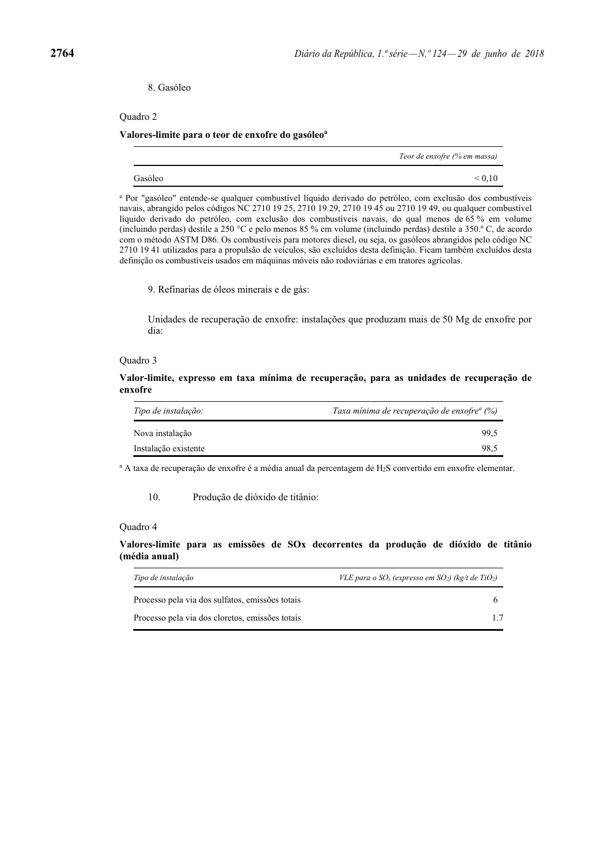8. Gasóleo

Quadro 2

#### **Valores-limite para o teor de enxofre do gasóleoa**

|         | Teor de enxofre (% em massa)           |
|---------|----------------------------------------|
| Gasóleo | $\stackrel{<}{\scriptstyle \sim} 0.10$ |

a Por "gasóleo" entende-se qualquer combustível líquido derivado do petróleo, com exclusão dos combustíveis navais, abrangido pelos códigos NC 2710 19 25, 2710 19 29, 2710 19 45 ou 2710 19 49, ou qualquer combustível líquido derivado do petróleo, com exclusão dos combustíveis navais, do qual menos de 65 % em volume (incluindo perdas) destile a 250 °C e pelo menos 85 % em volume (incluindo perdas) destile a 350.º C, de acordo com o método ASTM D86. Os combustíveis para motores diesel, ou seja, os gasóleos abrangidos pelo código NC 2710 19 41 utilizados para a propulsão de veículos, são excluídos desta definição. Ficam também excluídos desta definição os combustíveis usados em máquinas móveis não rodoviárias e em tratores agrícolas.

9. Refinarias de óleos minerais e de gás:

Unidades de recuperação de enxofre: instalações que produzam mais de 50 Mg de enxofre por dia:

### Quadro 3

**Valor-limite, expresso em taxa mínima de recuperação, para as unidades de recuperação de enxofre** 

| Tipo de instalação:  | Taxa mínima de recuperação de enxofre <sup>a</sup> (%) |
|----------------------|--------------------------------------------------------|
| Nova instalação      | 99.5                                                   |
| Instalação existente | 98.5                                                   |

a A taxa de recuperação de enxofre é a média anual da percentagem de H2S convertido em enxofre elementar.

10. Produção de dióxido de titânio:

#### Quadro 4

**Valores-limite para as emissões de SOx decorrentes da produção de dióxido de titânio (média anual)** 

| Tipo de instalação                              | VLE para o SO <sub>x</sub> (expresso em SO <sub>2</sub> ) (kg/t de TiO <sub>2</sub> ) |  |
|-------------------------------------------------|---------------------------------------------------------------------------------------|--|
| Processo pela via dos sulfatos, emissões totais |                                                                                       |  |
| Processo pela via dos cloretos, emissões totais |                                                                                       |  |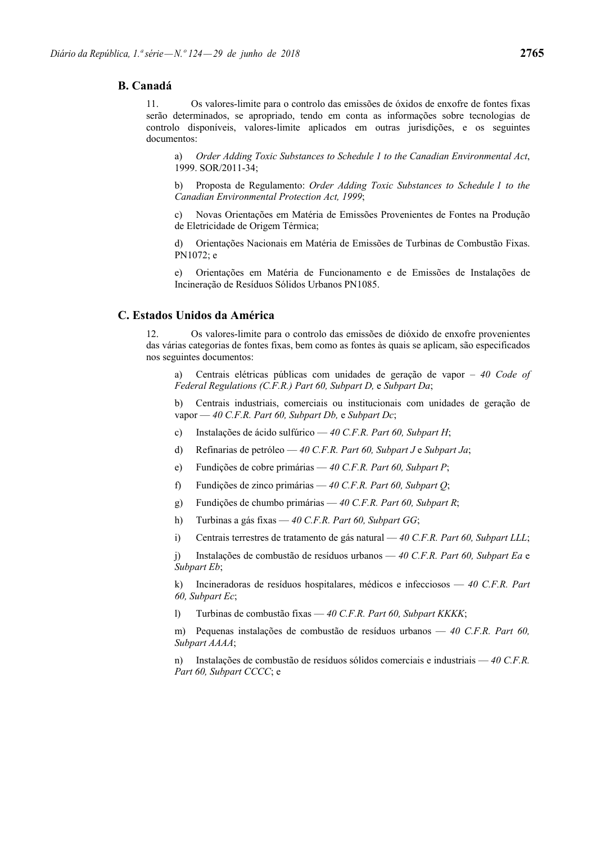## **B. Canadá**

11. Os valores-limite para o controlo das emissões de óxidos de enxofre de fontes fixas serão determinados, se apropriado, tendo em conta as informações sobre tecnologias de controlo disponíveis, valores-limite aplicados em outras jurisdições, e os seguintes documentos:

a) *Order Adding Toxic Substances to Schedule 1 to the Canadian Environmental Act*, 1999. SOR/2011-34;

b) Proposta de Regulamento: *Order Adding Toxic Substances to Schedule 1 to the Canadian Environmental Protection Act, 1999*;

c) Novas Orientações em Matéria de Emissões Provenientes de Fontes na Produção de Eletricidade de Origem Térmica;

d) Orientações Nacionais em Matéria de Emissões de Turbinas de Combustão Fixas. PN1072; e

e) Orientações em Matéria de Funcionamento e de Emissões de Instalações de Incineração de Resíduos Sólidos Urbanos PN1085.

## **C. Estados Unidos da América**

12. Os valores-limite para o controlo das emissões de dióxido de enxofre provenientes das várias categorias de fontes fixas, bem como as fontes às quais se aplicam, são especificados nos seguintes documentos:

a) Centrais elétricas públicas com unidades de geração de vapor – *40 Code of Federal Regulations (C.F.R.) Part 60, Subpart D,* e *Subpart Da*;

b) Centrais industriais, comerciais ou institucionais com unidades de geração de vapor — *40 C.F.R. Part 60, Subpart Db,* e *Subpart Dc*;

- c) Instalações de ácido sulfúrico *40 C.F.R. Part 60, Subpart H*;
- d) Refinarias de petróleo *40 C.F.R. Part 60, Subpart J* e *Subpart Ja*;
- e) Fundições de cobre primárias *40 C.F.R. Part 60, Subpart P*;
- f) Fundições de zinco primárias *40 C.F.R. Part 60, Subpart Q*;
- g) Fundições de chumbo primárias *40 C.F.R. Part 60, Subpart R*;
- h) Turbinas a gás fixas *40 C.F.R. Part 60, Subpart GG*;
- i) Centrais terrestres de tratamento de gás natural *40 C.F.R. Part 60, Subpart LLL*;

j) Instalações de combustão de resíduos urbanos — *40 C.F.R. Part 60, Subpart Ea* e *Subpart Eb*;

k) Incineradoras de resíduos hospitalares, médicos e infecciosos — *40 C.F.R. Part 60, Subpart Ec*;

l) Turbinas de combustão fixas — *40 C.F.R. Part 60, Subpart KKKK*;

m) Pequenas instalações de combustão de resíduos urbanos — *40 C.F.R. Part 60, Subpart AAAA*;

n) Instalações de combustão de resíduos sólidos comerciais e industriais — *40 C.F.R. Part 60, Subpart CCCC*; e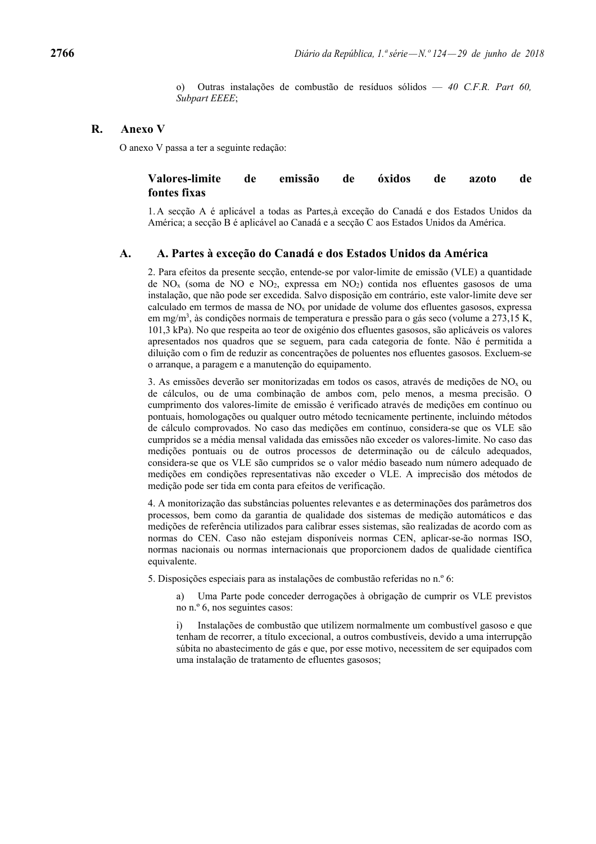o) Outras instalações de combustão de resíduos sólidos — *40 C.F.R. Part 60, Subpart EEEE*;

## **R. Anexo V**

O anexo V passa a ter a seguinte redação:

## **Valores-limite de emissão de óxidos de azoto de fontes fixas**

1. A secção A é aplicável a todas as Partes,à exceção do Canadá e dos Estados Unidos da América; a secção B é aplicável ao Canadá e a secção C aos Estados Unidos da América.

## **A. A. Partes à exceção do Canadá e dos Estados Unidos da América**

2. Para efeitos da presente secção, entende-se por valor-limite de emissão (VLE) a quantidade de  $NO<sub>x</sub>$  (soma de NO e NO<sub>2</sub>, expressa em NO<sub>2</sub>) contida nos efluentes gasosos de uma instalação, que não pode ser excedida. Salvo disposição em contrário, este valor-limite deve ser calculado em termos de massa de NOx por unidade de volume dos efluentes gasosos, expressa em mg/m<sup>3</sup>, às condições normais de temperatura e pressão para o gás seco (volume a 273,15 K, 101,3 kPa). No que respeita ao teor de oxigénio dos efluentes gasosos, são aplicáveis os valores apresentados nos quadros que se seguem, para cada categoria de fonte. Não é permitida a diluição com o fim de reduzir as concentrações de poluentes nos efluentes gasosos. Excluem-se o arranque, a paragem e a manutenção do equipamento.

3. As emissões deverão ser monitorizadas em todos os casos, através de medições de  $NO<sub>x</sub>$  ou de cálculos, ou de uma combinação de ambos com, pelo menos, a mesma precisão. O cumprimento dos valores-limite de emissão é verificado através de medições em contínuo ou pontuais, homologações ou qualquer outro método tecnicamente pertinente, incluindo métodos de cálculo comprovados. No caso das medições em contínuo, considera-se que os VLE são cumpridos se a média mensal validada das emissões não exceder os valores-limite. No caso das medições pontuais ou de outros processos de determinação ou de cálculo adequados, considera-se que os VLE são cumpridos se o valor médio baseado num número adequado de medições em condições representativas não exceder o VLE. A imprecisão dos métodos de medição pode ser tida em conta para efeitos de verificação.

4. A monitorização das substâncias poluentes relevantes e as determinações dos parâmetros dos processos, bem como da garantia de qualidade dos sistemas de medição automáticos e das medições de referência utilizados para calibrar esses sistemas, são realizadas de acordo com as normas do CEN. Caso não estejam disponíveis normas CEN, aplicar-se-ão normas ISO, normas nacionais ou normas internacionais que proporcionem dados de qualidade científica equivalente.

5. Disposições especiais para as instalações de combustão referidas no n.º 6:

a) Uma Parte pode conceder derrogações à obrigação de cumprir os VLE previstos no n.º 6, nos seguintes casos:

i) Instalações de combustão que utilizem normalmente um combustível gasoso e que tenham de recorrer, a título excecional, a outros combustíveis, devido a uma interrupção súbita no abastecimento de gás e que, por esse motivo, necessitem de ser equipados com uma instalação de tratamento de efluentes gasosos;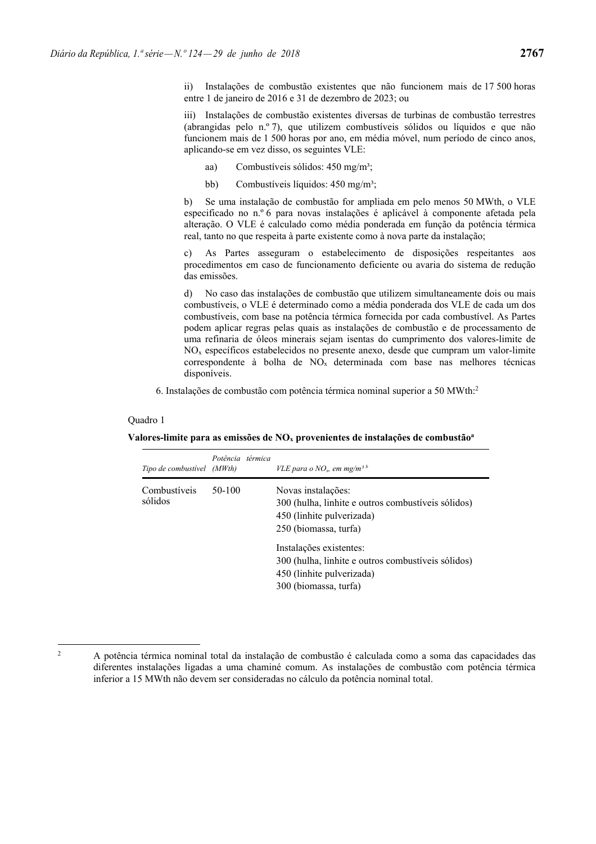ii) Instalações de combustão existentes que não funcionem mais de 17 500 horas entre 1 de janeiro de 2016 e 31 de dezembro de 2023; ou

iii) Instalações de combustão existentes diversas de turbinas de combustão terrestres (abrangidas pelo n.º 7), que utilizem combustíveis sólidos ou líquidos e que não funcionem mais de 1 500 horas por ano, em média móvel, num período de cinco anos, aplicando-se em vez disso, os seguintes VLE:

- aa) Combustíveis sólidos: 450 mg/m<sup>3</sup>;
- bb) Combustíveis líquidos: 450 mg/m<sup>3</sup>;

b) Se uma instalação de combustão for ampliada em pelo menos 50 MWth, o VLE especificado no n.º 6 para novas instalações é aplicável à componente afetada pela alteração. O VLE é calculado como média ponderada em função da potência térmica real, tanto no que respeita à parte existente como à nova parte da instalação;

c) As Partes asseguram o estabelecimento de disposições respeitantes aos procedimentos em caso de funcionamento deficiente ou avaria do sistema de redução das emissões.

d) No caso das instalações de combustão que utilizem simultaneamente dois ou mais combustíveis, o VLE é determinado como a média ponderada dos VLE de cada um dos combustíveis, com base na potência térmica fornecida por cada combustível. As Partes podem aplicar regras pelas quais as instalações de combustão e de processamento de uma refinaria de óleos minerais sejam isentas do cumprimento dos valores-limite de NOx específicos estabelecidos no presente anexo, desde que cumpram um valor-limite correspondente à bolha de NOx determinada com base nas melhores técnicas disponíveis.

6. Instalações de combustão com potência térmica nominal superior a 50 MWth:2

#### Quadro 1

| Tipo de combustível (MWth) | Potência térmica | VLE para o NO <sub>x</sub> , em mg/m <sup>3b</sup>                                                                                                                                                                                                                    |
|----------------------------|------------------|-----------------------------------------------------------------------------------------------------------------------------------------------------------------------------------------------------------------------------------------------------------------------|
| Combustíveis<br>sólidos    | 50-100           | Novas instalações:<br>300 (hulha, linhite e outros combustíveis sólidos)<br>450 (linhite pulverizada)<br>250 (biomassa, turfa)<br>Instalações existentes:<br>300 (hulha, linhite e outros combustíveis sólidos)<br>450 (linhite pulverizada)<br>300 (biomassa, turfa) |

**Valores-limite para as emissões de NOx provenientes de instalações de combustãoa**

<sup>2</sup>

A potência térmica nominal total da instalação de combustão é calculada como a soma das capacidades das diferentes instalações ligadas a uma chaminé comum. As instalações de combustão com potência térmica inferior a 15 MWth não devem ser consideradas no cálculo da potência nominal total.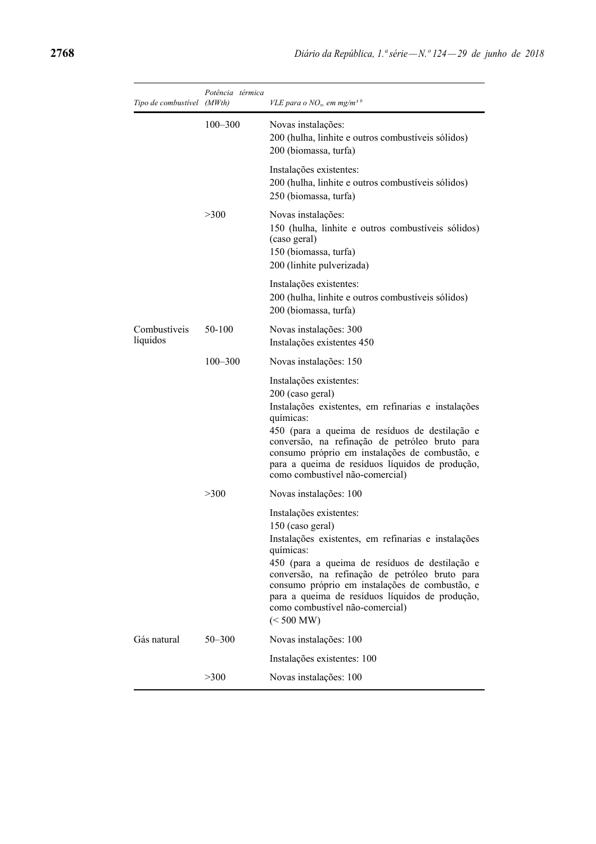| Tipo de combustível (MWth) | Potência térmica | VLE para o NO <sub>x</sub> , em mg/m <sup>3 b</sup>                                                                                                                                                                                                                                                                                                                       |
|----------------------------|------------------|---------------------------------------------------------------------------------------------------------------------------------------------------------------------------------------------------------------------------------------------------------------------------------------------------------------------------------------------------------------------------|
|                            | $100 - 300$      | Novas instalações:<br>200 (hulha, linhite e outros combustíveis sólidos)<br>200 (biomassa, turfa)                                                                                                                                                                                                                                                                         |
|                            |                  | Instalações existentes:<br>200 (hulha, linhite e outros combustíveis sólidos)<br>250 (biomassa, turfa)                                                                                                                                                                                                                                                                    |
|                            | >300             | Novas instalações:<br>150 (hulha, linhite e outros combustíveis sólidos)<br>(caso geral)<br>150 (biomassa, turfa)<br>200 (linhite pulverizada)                                                                                                                                                                                                                            |
|                            |                  | Instalações existentes:<br>200 (hulha, linhite e outros combustíveis sólidos)<br>200 (biomassa, turfa)                                                                                                                                                                                                                                                                    |
| Combustíveis<br>líquidos   | 50-100           | Novas instalações: 300<br>Instalações existentes 450                                                                                                                                                                                                                                                                                                                      |
|                            | $100 - 300$      | Novas instalações: 150                                                                                                                                                                                                                                                                                                                                                    |
|                            |                  | Instalações existentes:<br>200 (caso geral)<br>Instalações existentes, em refinarias e instalações<br>químicas:<br>450 (para a queima de resíduos de destilação e<br>conversão, na refinação de petróleo bruto para<br>consumo próprio em instalações de combustão, e<br>para a queima de resíduos líquidos de produção,<br>como combustível não-comercial)               |
|                            | >300             | Novas instalações: 100                                                                                                                                                                                                                                                                                                                                                    |
|                            |                  | Instalações existentes:<br>150 (caso geral)<br>Instalações existentes, em refinarias e instalações<br>químicas:<br>450 (para a queima de resíduos de destilação e<br>conversão, na refinação de petróleo bruto para<br>consumo próprio em instalações de combustão, e<br>para a queima de resíduos líquidos de produção,<br>como combustível não-comercial)<br>(< 500 MW) |
| Gás natural                | $50 - 300$       | Novas instalações: 100                                                                                                                                                                                                                                                                                                                                                    |
|                            |                  | Instalações existentes: 100                                                                                                                                                                                                                                                                                                                                               |
|                            | >300             | Novas instalações: 100                                                                                                                                                                                                                                                                                                                                                    |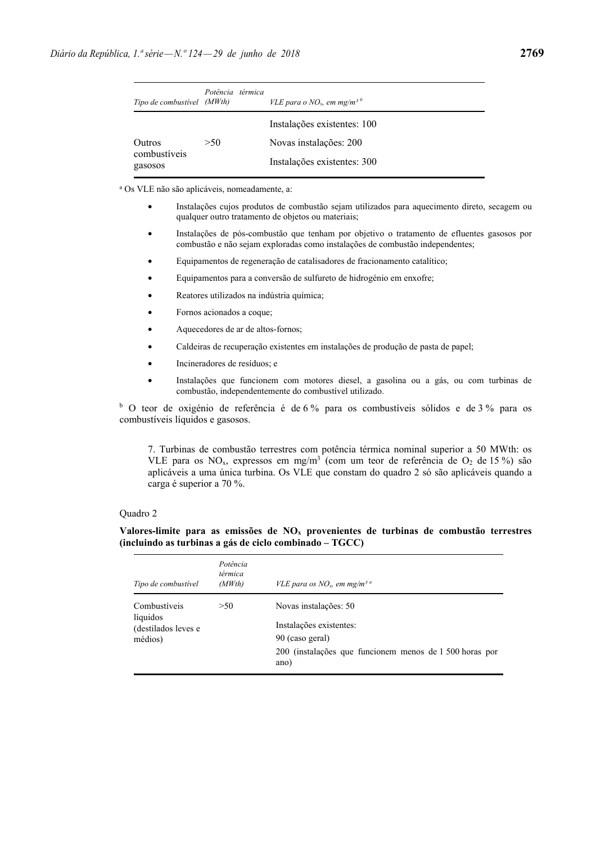| Tipo de combustível (MWth)        | Potência térmica | VLE para o NO <sub>x</sub> , em mg/m <sup>3b</sup>    |
|-----------------------------------|------------------|-------------------------------------------------------|
|                                   |                  | Instalações existentes: 100                           |
| Outros<br>combustíveis<br>gasosos | >50              | Novas instalações: 200<br>Instalações existentes: 300 |

a Os VLE não são aplicáveis, nomeadamente, a:

- Instalações cujos produtos de combustão sejam utilizados para aquecimento direto, secagem ou qualquer outro tratamento de objetos ou materiais;
- Instalações de pós-combustão que tenham por objetivo o tratamento de efluentes gasosos por combustão e não sejam exploradas como instalações de combustão independentes;
- Equipamentos de regeneração de catalisadores de fracionamento catalítico;
- Equipamentos para a conversão de sulfureto de hidrogénio em enxofre;
- Reatores utilizados na indústria química;
- Fornos acionados a coque;
- Aquecedores de ar de altos-fornos;
- Caldeiras de recuperação existentes em instalações de produção de pasta de papel;
- Incineradores de resíduos; e
- Instalações que funcionem com motores diesel, a gasolina ou a gás, ou com turbinas de combustão, independentemente do combustível utilizado.

<sup>b</sup> O teor de oxigénio de referência é de 6% para os combustíveis sólidos e de 3% para os combustíveis líquidos e gasosos.

7. Turbinas de combustão terrestres com potência térmica nominal superior a 50 MWth: os VLE para os  $NO_x$ , expressos em mg/m<sup>3</sup> (com um teor de referência de  $O_2$  de 15 %) são aplicáveis a uma única turbina. Os VLE que constam do quadro 2 só são aplicáveis quando a carga é superior a 70 %.

### Quadro 2

## **Valores-limite para as emissões de NOx provenientes de turbinas de combustão terrestres (incluindo as turbinas a gás de ciclo combinado – TGCC)**

| Tipo de combustível                                        | Potência<br>térmica<br>(MWth) | VLE para os $NOx$ , em mg/m <sup>3 a</sup>                                                                                             |
|------------------------------------------------------------|-------------------------------|----------------------------------------------------------------------------------------------------------------------------------------|
| Combustíveis<br>líquidos<br>(destilados leves e<br>médios) | >50                           | Novas instalações: 50<br>Instalações existentes:<br>90 (caso geral)<br>200 (instalações que funcionem menos de 1 500 horas por<br>ano) |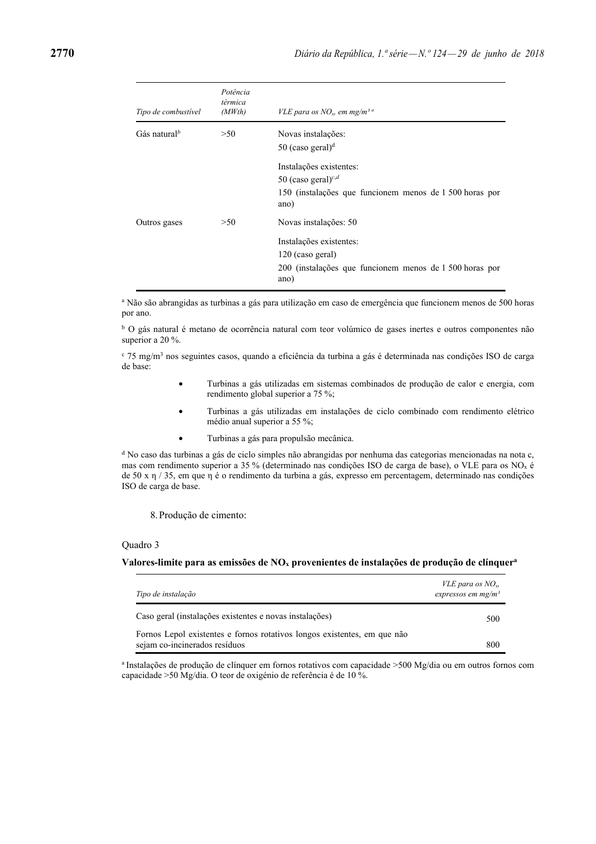| Tipo de combustível      | Potência<br>térmica<br>(MWth) | VLE para os $NOv$ , em mg/m <sup>3 a</sup>                                                                                              |
|--------------------------|-------------------------------|-----------------------------------------------------------------------------------------------------------------------------------------|
| Gás natural <sup>b</sup> | >50                           | Novas instalações:<br>50 (caso geral) $d$                                                                                               |
|                          |                               | Instalações existentes:<br>50 (caso geral) <sup>c,d</sup><br>150 (instalações que funcionem menos de 1 500 horas por<br>ano)            |
| Outros gases             | >50                           | Novas instalações: 50<br>Instalações existentes:<br>120 (caso geral)<br>200 (instalações que funcionem menos de 1 500 horas por<br>ano) |

a Não são abrangidas as turbinas a gás para utilização em caso de emergência que funcionem menos de 500 horas por ano.

<sup>b</sup> O gás natural é metano de ocorrência natural com teor volúmico de gases inertes e outros componentes não superior a 20 %.

<sup>c</sup> 75 mg/m<sup>3</sup> nos seguintes casos, quando a eficiência da turbina a gás é determinada nas condições ISO de carga de base:

- Turbinas a gás utilizadas em sistemas combinados de produção de calor e energia, com rendimento global superior a 75 %;
- Turbinas a gás utilizadas em instalações de ciclo combinado com rendimento elétrico médio anual superior a 55 %;
- Turbinas a gás para propulsão mecânica.

<sup>d</sup> No caso das turbinas a gás de ciclo simples não abrangidas por nenhuma das categorias mencionadas na nota c, mas com rendimento superior a 35 % (determinado nas condições ISO de carga de base), o VLE para os NOx é de 50 x  $\eta$  / 35, em que  $\eta$  é o rendimento da turbina a gás, expresso em percentagem, determinado nas condições ISO de carga de base.

8. Produção de cimento:

#### Quadro 3

#### **Valores-limite para as emissões de NOx provenientes de instalações de produção de clínquera**

| Tipo de instalação                                                                                        | <i>VLE para os</i> $NOv$<br>expressos em mg/m <sup>3</sup> |
|-----------------------------------------------------------------------------------------------------------|------------------------------------------------------------|
| Caso geral (instalações existentes e novas instalações)                                                   | 500                                                        |
| Fornos Lepol existentes e fornos rotativos longos existentes, em que não<br>sejam co-incinerados resíduos | 800                                                        |

<sup>a</sup> Instalações de produção de clínquer em fornos rotativos com capacidade >500 Mg/dia ou em outros fornos com capacidade >50 Mg/dia. O teor de oxigénio de referência é de 10 %.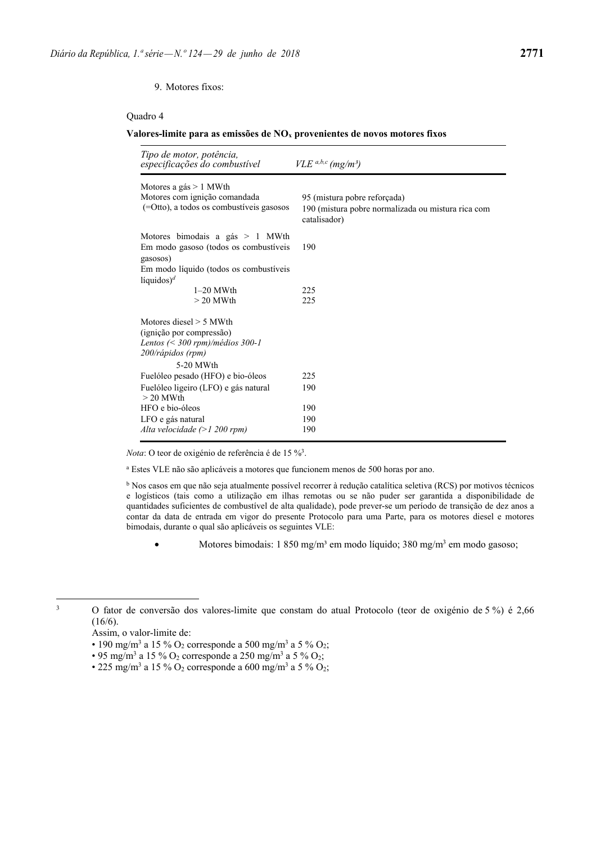### 9. Motores fixos:

### Quadro 4

#### **Valores-limite para as emissões de NOx provenientes de novos motores fixos**

| Tipo de motor, potência,<br>especificações do combustível                                                                                       | $VLE^{a,b,c}$ (mg/m <sup>3</sup> )                                                                 |
|-------------------------------------------------------------------------------------------------------------------------------------------------|----------------------------------------------------------------------------------------------------|
| Motores a gás $> 1$ MWth<br>Motores com ignição comandada<br>$(=O)$ tto), a todos os combustíveis gasosos                                       | 95 (mistura pobre reforçada)<br>190 (mistura pobre normalizada ou mistura rica com<br>catalisador) |
| Motores bimodais a gás $> 1$ MWth<br>Em modo gasoso (todos os combustíveis<br>gasosos)                                                          | 190                                                                                                |
| Em modo líquido (todos os combustíveis<br>líquidos) <sup>d</sup>                                                                                |                                                                                                    |
| $1-20$ MWth<br>$> 20$ MWth                                                                                                                      | 225<br>225                                                                                         |
| Motores diesel $> 5$ MWth<br>(ignição por compressão)<br>Lentos $\left( \leq 300$ rpm $\right)$ /médios 300-1<br>200/rápidos (rpm)<br>5-20 MWth |                                                                                                    |
| Fuelóleo pesado (HFO) e bio-óleos                                                                                                               | 225                                                                                                |
| Fuelóleo ligeiro (LFO) e gás natural<br>$> 20$ MWth                                                                                             | 190                                                                                                |
| HFO e bio-óleos                                                                                                                                 | 190                                                                                                |
| LFO e gás natural<br>Alta velocidade $(>1 200$ rpm)                                                                                             | 190<br>190                                                                                         |

*Nota*: O teor de oxigénio de referência é de 15 %<sup>3</sup>.

a Estes VLE não são aplicáveis a motores que funcionem menos de 500 horas por ano.

b Nos casos em que não seja atualmente possível recorrer à redução catalítica seletiva (RCS) por motivos técnicos e logísticos (tais como a utilização em ilhas remotas ou se não puder ser garantida a disponibilidade de quantidades suficientes de combustível de alta qualidade), pode prever-se um período de transição de dez anos a contar da data de entrada em vigor do presente Protocolo para uma Parte, para os motores diesel e motores bimodais, durante o qual são aplicáveis os seguintes VLE:

• Motores bimodais:  $1\,850\,\mathrm{mg/m^3}$  em modo líquido;  $380\,\mathrm{mg/m^3}$  em modo gasoso;

3

 O fator de conversão dos valores-limite que constam do atual Protocolo (teor de oxigénio de 5 %) é 2,66  $(16/6)$ .

- 190 mg/m<sup>3</sup> a 15 % O<sub>2</sub> corresponde a 500 mg/m<sup>3</sup> a 5 % O<sub>2</sub>;
- 95 mg/m<sup>3</sup> a 15 % O<sub>2</sub> corresponde a 250 mg/m<sup>3</sup> a 5 % O<sub>2</sub>;
- 225 mg/m<sup>3</sup> a 15 % O<sub>2</sub> corresponde a 600 mg/m<sup>3</sup> a 5 % O<sub>2</sub>;

Assim, o valor-limite de: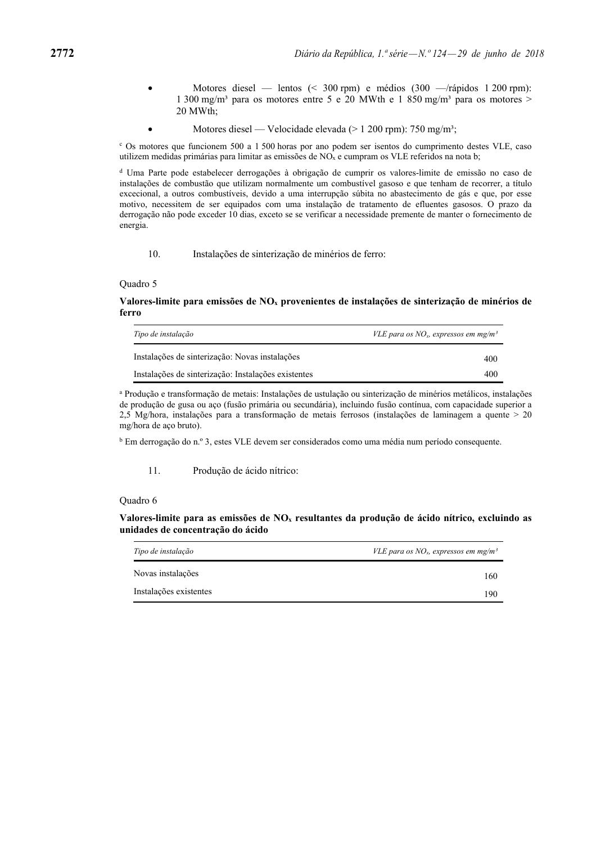- Motores diesel lentos (< 300 rpm) e médios (300 —/rápidos 1 200 rpm): 1 300 mg/m<sup>3</sup> para os motores entre 5 e 20 MWth e 1 850 mg/m<sup>3</sup> para os motores > 20 MWth;
- Motores diesel Velocidade elevada (> 1 200 rpm): 750 mg/m<sup>3</sup>;

c Os motores que funcionem 500 a 1 500 horas por ano podem ser isentos do cumprimento destes VLE, caso utilizem medidas primárias para limitar as emissões de  $NO<sub>x</sub>$  e cumpram os VLE referidos na nota b;

d Uma Parte pode estabelecer derrogações à obrigação de cumprir os valores-limite de emissão no caso de instalações de combustão que utilizam normalmente um combustível gasoso e que tenham de recorrer, a título excecional, a outros combustíveis, devido a uma interrupção súbita no abastecimento de gás e que, por esse motivo, necessitem de ser equipados com uma instalação de tratamento de efluentes gasosos. O prazo da derrogação não pode exceder 10 dias, exceto se se verificar a necessidade premente de manter o fornecimento de energia.

10. Instalações de sinterização de minérios de ferro:

#### Quadro 5

### **Valores-limite para emissões de NOx provenientes de instalações de sinterização de minérios de ferro**

| Tipo de instalação                                  | VLE para os $NOx$ , expressos em mg/m <sup>3</sup> |
|-----------------------------------------------------|----------------------------------------------------|
| Instalações de sinterização: Novas instalações      | 400                                                |
| Instalações de sinterização: Instalações existentes | 400                                                |

a Produção e transformação de metais: Instalações de ustulação ou sinterização de minérios metálicos, instalações de produção de gusa ou aço (fusão primária ou secundária), incluindo fusão contínua, com capacidade superior a 2,5 Mg/hora, instalações para a transformação de metais ferrosos (instalações de laminagem a quente > 20 mg/hora de aço bruto).

b Em derrogação do n.º 3, estes VLE devem ser considerados como uma média num período consequente.

11. Produção de ácido nítrico:

#### Quadro 6

**Valores-limite para as emissões de NOx resultantes da produção de ácido nítrico, excluindo as unidades de concentração do ácido** 

| Tipo de instalação<br>VLE para os $NO_x$ , expressos em mg/m <sup>3</sup> |     |
|---------------------------------------------------------------------------|-----|
| Novas instalações                                                         | 160 |
| Instalações existentes                                                    | 190 |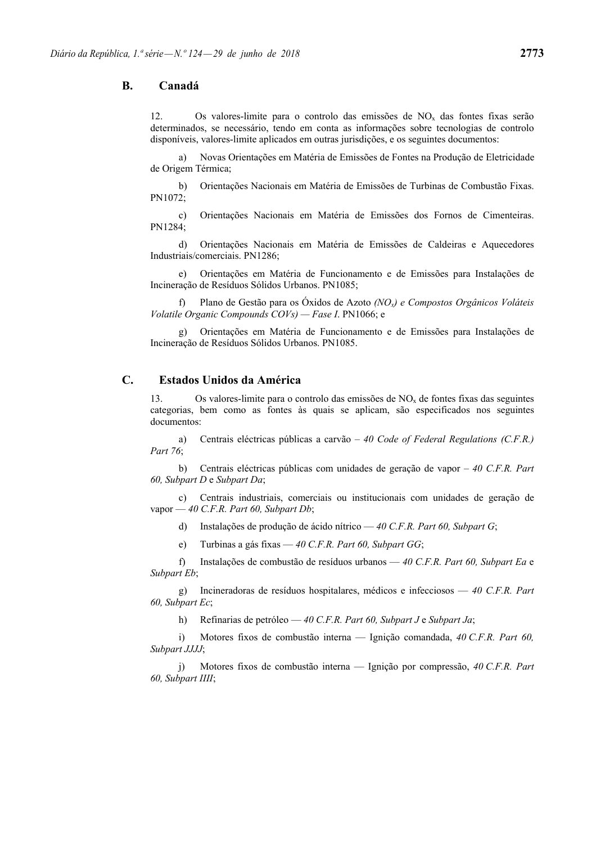## **B. Canadá**

12. Os valores-limite para o controlo das emissões de  $NO<sub>x</sub>$  das fontes fixas serão determinados, se necessário, tendo em conta as informações sobre tecnologias de controlo disponíveis, valores-limite aplicados em outras jurisdições, e os seguintes documentos:

 a) Novas Orientações em Matéria de Emissões de Fontes na Produção de Eletricidade de Origem Térmica;

 b) Orientações Nacionais em Matéria de Emissões de Turbinas de Combustão Fixas. PN1072;

 c) Orientações Nacionais em Matéria de Emissões dos Fornos de Cimenteiras. PN1284;

 d) Orientações Nacionais em Matéria de Emissões de Caldeiras e Aquecedores Industriais/comerciais. PN1286;

 e) Orientações em Matéria de Funcionamento e de Emissões para Instalações de Incineração de Resíduos Sólidos Urbanos. PN1085;

 f) Plano de Gestão para os Óxidos de Azoto *(NOx) e Compostos Orgânicos Voláteis Volatile Organic Compounds COVs) — Fase I*. PN1066; e

 g) Orientações em Matéria de Funcionamento e de Emissões para Instalações de Incineração de Resíduos Sólidos Urbanos. PN1085.

## **C. Estados Unidos da América**

13. Os valores-limite para o controlo das emissões de  $NO<sub>x</sub>$  de fontes fixas das seguintes categorias, bem como as fontes às quais se aplicam, são especificados nos seguintes documentos:

 a) Centrais eléctricas públicas a carvão – *40 Code of Federal Regulations (C.F.R.) Part 76*;

 b) Centrais eléctricas públicas com unidades de geração de vapor – *40 C.F.R. Part 60, Subpart D* e *Subpart Da*;

 c) Centrais industriais, comerciais ou institucionais com unidades de geração de vapor — *40 C.F.R. Part 60, Subpart Db*;

d) Instalações de produção de ácido nítrico — *40 C.F.R. Part 60, Subpart G*;

e) Turbinas a gás fixas — *40 C.F.R. Part 60, Subpart GG*;

 f) Instalações de combustão de resíduos urbanos — *40 C.F.R. Part 60, Subpart Ea* e *Subpart Eb*;

 g) Incineradoras de resíduos hospitalares, médicos e infecciosos — *40 C.F.R. Part 60, Subpart Ec*;

h) Refinarias de petróleo — *40 C.F.R. Part 60, Subpart J* e *Subpart Ja*;

 i) Motores fixos de combustão interna — Ignição comandada, *40 C.F.R. Part 60, Subpart JJJJ*;

 j) Motores fixos de combustão interna — Ignição por compressão, *40 C.F.R. Part 60, Subpart IIII*;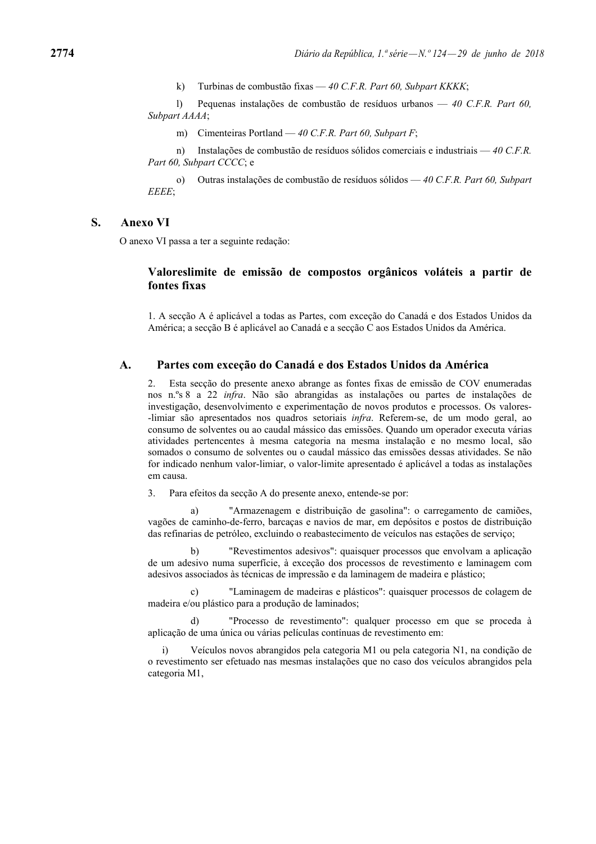k) Turbinas de combustão fixas — *40 C.F.R. Part 60, Subpart KKKK*;

 l) Pequenas instalações de combustão de resíduos urbanos — *40 C.F.R. Part 60, Subpart AAAA*;

m) Cimenteiras Portland — *40 C.F.R. Part 60, Subpart F*;

 n) Instalações de combustão de resíduos sólidos comerciais e industriais — *40 C.F.R. Part 60, Subpart CCCC*; e

 o) Outras instalações de combustão de resíduos sólidos — *40 C.F.R. Part 60, Subpart EEEE*;

### **S. Anexo VI**

O anexo VI passa a ter a seguinte redação:

## **Valoreslimite de emissão de compostos orgânicos voláteis a partir de fontes fixas**

1. A secção A é aplicável a todas as Partes, com exceção do Canadá e dos Estados Unidos da América; a secção B é aplicável ao Canadá e a secção C aos Estados Unidos da América.

## **A. Partes com exceção do Canadá e dos Estados Unidos da América**

2. Esta secção do presente anexo abrange as fontes fixas de emissão de COV enumeradas nos n.ºs 8 a 22 *infra*. Não são abrangidas as instalações ou partes de instalações de investigação, desenvolvimento e experimentação de novos produtos e processos. Os valores- -limiar são apresentados nos quadros setoriais *infra*. Referem-se, de um modo geral, ao consumo de solventes ou ao caudal mássico das emissões. Quando um operador executa várias atividades pertencentes à mesma categoria na mesma instalação e no mesmo local, são somados o consumo de solventes ou o caudal mássico das emissões dessas atividades. Se não for indicado nenhum valor-limiar, o valor-limite apresentado é aplicável a todas as instalações em causa.

3. Para efeitos da secção A do presente anexo, entende-se por:

 a) "Armazenagem e distribuição de gasolina": o carregamento de camiões, vagões de caminho-de-ferro, barcaças e navios de mar, em depósitos e postos de distribuição das refinarias de petróleo, excluindo o reabastecimento de veículos nas estações de serviço;

 b) "Revestimentos adesivos": quaisquer processos que envolvam a aplicação de um adesivo numa superfície, à exceção dos processos de revestimento e laminagem com adesivos associados às técnicas de impressão e da laminagem de madeira e plástico;

 c) "Laminagem de madeiras e plásticos": quaisquer processos de colagem de madeira e/ou plástico para a produção de laminados;

"Processo de revestimento": qualquer processo em que se proceda à aplicação de uma única ou várias películas contínuas de revestimento em:

 i) Veículos novos abrangidos pela categoria M1 ou pela categoria N1, na condição de o revestimento ser efetuado nas mesmas instalações que no caso dos veículos abrangidos pela categoria M1,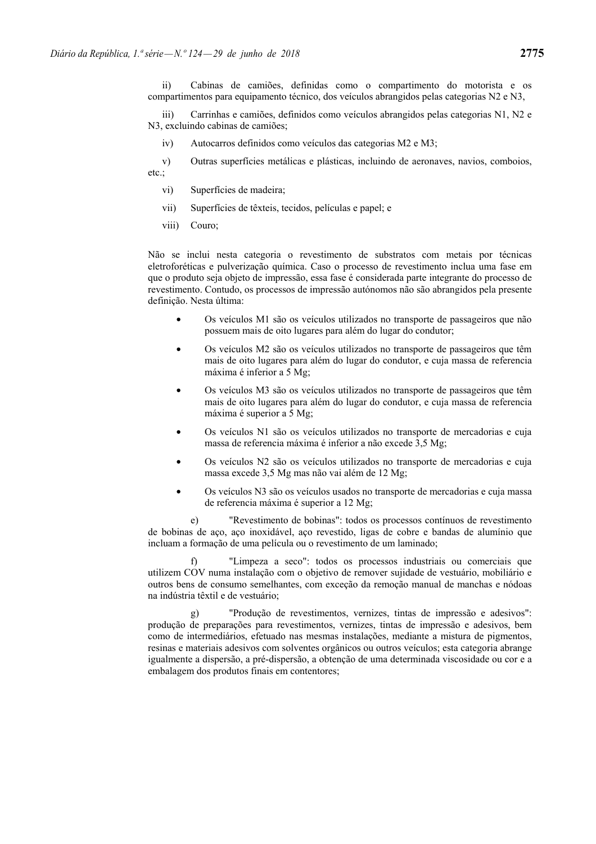ii) Cabinas de camiões, definidas como o compartimento do motorista e os compartimentos para equipamento técnico, dos veículos abrangidos pelas categorias N2 e N3,

 iii) Carrinhas e camiões, definidos como veículos abrangidos pelas categorias N1, N2 e N3, excluindo cabinas de camiões;

iv) Autocarros definidos como veículos das categorias M2 e M3;

 v) Outras superfícies metálicas e plásticas, incluindo de aeronaves, navios, comboios, etc.;

- vi) Superfícies de madeira;
- vii) Superfícies de têxteis, tecidos, películas e papel; e
- viii) Couro;

Não se inclui nesta categoria o revestimento de substratos com metais por técnicas eletroforéticas e pulverização química. Caso o processo de revestimento inclua uma fase em que o produto seja objeto de impressão, essa fase é considerada parte integrante do processo de revestimento. Contudo, os processos de impressão autónomos não são abrangidos pela presente definição. Nesta última:

- Os veículos M1 são os veículos utilizados no transporte de passageiros que não possuem mais de oito lugares para além do lugar do condutor;
- Os veículos M2 são os veículos utilizados no transporte de passageiros que têm mais de oito lugares para além do lugar do condutor, e cuja massa de referencia máxima é inferior a 5 Mg;
- Os veículos M3 são os veículos utilizados no transporte de passageiros que têm mais de oito lugares para além do lugar do condutor, e cuja massa de referencia máxima é superior a 5 Mg;
- Os veículos N1 são os veículos utilizados no transporte de mercadorias e cuja massa de referencia máxima é inferior a não excede 3,5 Mg;
- Os veículos N2 são os veículos utilizados no transporte de mercadorias e cuja massa excede 3,5 Mg mas não vai além de 12 Mg;
- Os veículos N3 são os veículos usados no transporte de mercadorias e cuja massa de referencia máxima é superior a 12 Mg;

 e) "Revestimento de bobinas": todos os processos contínuos de revestimento de bobinas de aço, aço inoxidável, aço revestido, ligas de cobre e bandas de alumínio que incluam a formação de uma película ou o revestimento de um laminado;

 f) "Limpeza a seco": todos os processos industriais ou comerciais que utilizem COV numa instalação com o objetivo de remover sujidade de vestuário, mobiliário e outros bens de consumo semelhantes, com exceção da remoção manual de manchas e nódoas na indústria têxtil e de vestuário;

 g) "Produção de revestimentos, vernizes, tintas de impressão e adesivos": produção de preparações para revestimentos, vernizes, tintas de impressão e adesivos, bem como de intermediários, efetuado nas mesmas instalações, mediante a mistura de pigmentos, resinas e materiais adesivos com solventes orgânicos ou outros veículos; esta categoria abrange igualmente a dispersão, a pré-dispersão, a obtenção de uma determinada viscosidade ou cor e a embalagem dos produtos finais em contentores;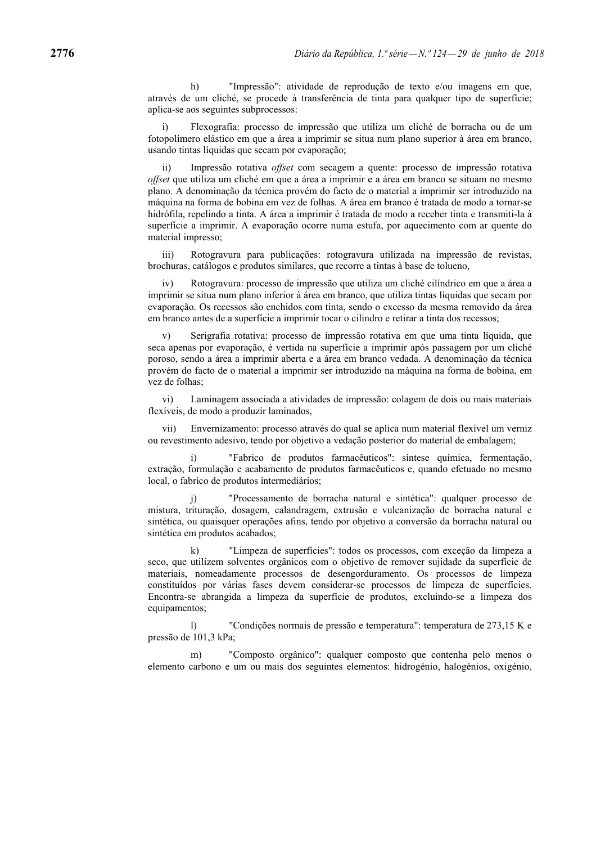h) "Impressão": atividade de reprodução de texto e/ou imagens em que, através de um cliché, se procede à transferência de tinta para qualquer tipo de superfície; aplica-se aos seguintes subprocessos:

 i) Flexografia: processo de impressão que utiliza um cliché de borracha ou de um fotopolímero elástico em que a área a imprimir se situa num plano superior à área em branco, usando tintas líquidas que secam por evaporação;

 ii) Impressão rotativa *offset* com secagem a quente: processo de impressão rotativa *offset* que utiliza um cliché em que a área a imprimir e a área em branco se situam no mesmo plano. A denominação da técnica provém do facto de o material a imprimir ser introduzido na máquina na forma de bobina em vez de folhas. A área em branco é tratada de modo a tornar-se hidrófila, repelindo a tinta. A área a imprimir é tratada de modo a receber tinta e transmiti-la à superfície a imprimir. A evaporação ocorre numa estufa, por aquecimento com ar quente do material impresso;

 iii) Rotogravura para publicações: rotogravura utilizada na impressão de revistas, brochuras, catálogos e produtos similares, que recorre a tintas à base de tolueno,

Rotogravura: processo de impressão que utiliza um cliché cilíndrico em que a área a imprimir se situa num plano inferior à área em branco, que utiliza tintas líquidas que secam por evaporação. Os recessos são enchidos com tinta, sendo o excesso da mesma removido da área em branco antes de a superfície a imprimir tocar o cilindro e retirar a tinta dos recessos;

Serigrafia rotativa: processo de impressão rotativa em que uma tinta líquida, que seca apenas por evaporação, é vertida na superfície a imprimir após passagem por um cliché poroso, sendo a área a imprimir aberta e a área em branco vedada. A denominação da técnica provém do facto de o material a imprimir ser introduzido na máquina na forma de bobina, em vez de folhas;

 vi) Laminagem associada a atividades de impressão: colagem de dois ou mais materiais flexíveis, de modo a produzir laminados,

 vii) Envernizamento: processo através do qual se aplica num material flexível um verniz ou revestimento adesivo, tendo por objetivo a vedação posterior do material de embalagem;

 i) "Fabrico de produtos farmacêuticos": síntese química, fermentação, extração, formulação e acabamento de produtos farmacêuticos e, quando efetuado no mesmo local, o fabrico de produtos intermediários;

 j) "Processamento de borracha natural e sintética": qualquer processo de mistura, trituração, dosagem, calandragem, extrusão e vulcanização de borracha natural e sintética, ou quaisquer operações afins, tendo por objetivo a conversão da borracha natural ou sintética em produtos acabados;

 k) "Limpeza de superfícies": todos os processos, com exceção da limpeza a seco, que utilizem solventes orgânicos com o objetivo de remover sujidade da superfície de materiais, nomeadamente processos de desengorduramento. Os processos de limpeza constituídos por várias fases devem considerar-se processos de limpeza de superfícies. Encontra-se abrangida a limpeza da superfície de produtos, excluindo-se a limpeza dos equipamentos;

 l) "Condições normais de pressão e temperatura": temperatura de 273,15 K e pressão de 101,3 kPa;

 m) "Composto orgânico": qualquer composto que contenha pelo menos o elemento carbono e um ou mais dos seguintes elementos: hidrogénio, halogénios, oxigénio,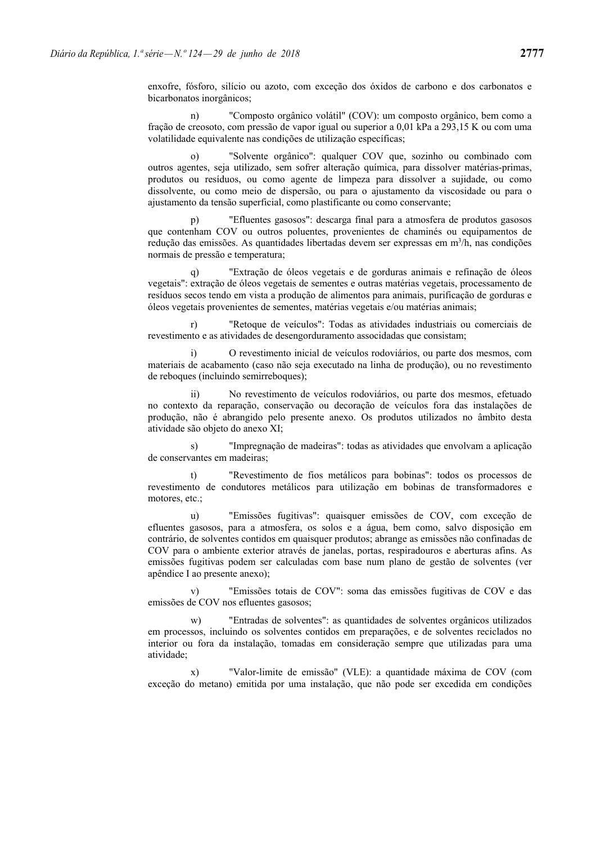enxofre, fósforo, silício ou azoto, com exceção dos óxidos de carbono e dos carbonatos e bicarbonatos inorgânicos;

 n) "Composto orgânico volátil" (COV): um composto orgânico, bem como a fração de creosoto, com pressão de vapor igual ou superior a 0,01 kPa a 293,15 K ou com uma volatilidade equivalente nas condições de utilização específicas;

"Solvente orgânico": qualquer COV que, sozinho ou combinado com outros agentes, seja utilizado, sem sofrer alteração química, para dissolver matérias-primas, produtos ou resíduos, ou como agente de limpeza para dissolver a sujidade, ou como dissolvente, ou como meio de dispersão, ou para o ajustamento da viscosidade ou para o ajustamento da tensão superficial, como plastificante ou como conservante;

"Efluentes gasosos": descarga final para a atmosfera de produtos gasosos que contenham COV ou outros poluentes, provenientes de chaminés ou equipamentos de redução das emissões. As quantidades libertadas devem ser expressas em m<sup>3</sup>/h, nas condições normais de pressão e temperatura;

 q) "Extração de óleos vegetais e de gorduras animais e refinação de óleos vegetais": extração de óleos vegetais de sementes e outras matérias vegetais, processamento de resíduos secos tendo em vista a produção de alimentos para animais, purificação de gorduras e óleos vegetais provenientes de sementes, matérias vegetais e/ou matérias animais;

 r) "Retoque de veículos": Todas as atividades industriais ou comerciais de revestimento e as atividades de desengorduramento associdadas que consistam;

 i) O revestimento inicial de veículos rodoviários, ou parte dos mesmos, com materiais de acabamento (caso não seja executado na linha de produção), ou no revestimento de reboques (incluindo semirreboques);

 ii) No revestimento de veículos rodoviários, ou parte dos mesmos, efetuado no contexto da reparação, conservação ou decoração de veículos fora das instalações de produção, não é abrangido pelo presente anexo. Os produtos utilizados no âmbito desta atividade são objeto do anexo XI;

 s) "Impregnação de madeiras": todas as atividades que envolvam a aplicação de conservantes em madeiras;

 t) "Revestimento de fios metálicos para bobinas": todos os processos de revestimento de condutores metálicos para utilização em bobinas de transformadores e motores, etc.;

 u) "Emissões fugitivas": quaisquer emissões de COV, com exceção de efluentes gasosos, para a atmosfera, os solos e a água, bem como, salvo disposição em contrário, de solventes contidos em quaisquer produtos; abrange as emissões não confinadas de COV para o ambiente exterior através de janelas, portas, respiradouros e aberturas afins. As emissões fugitivas podem ser calculadas com base num plano de gestão de solventes (ver apêndice I ao presente anexo);

 v) "Emissões totais de COV": soma das emissões fugitivas de COV e das emissões de COV nos efluentes gasosos;

 w) "Entradas de solventes": as quantidades de solventes orgânicos utilizados em processos, incluindo os solventes contidos em preparações, e de solventes reciclados no interior ou fora da instalação, tomadas em consideração sempre que utilizadas para uma atividade;

 x) "Valor-limite de emissão" (VLE): a quantidade máxima de COV (com exceção do metano) emitida por uma instalação, que não pode ser excedida em condições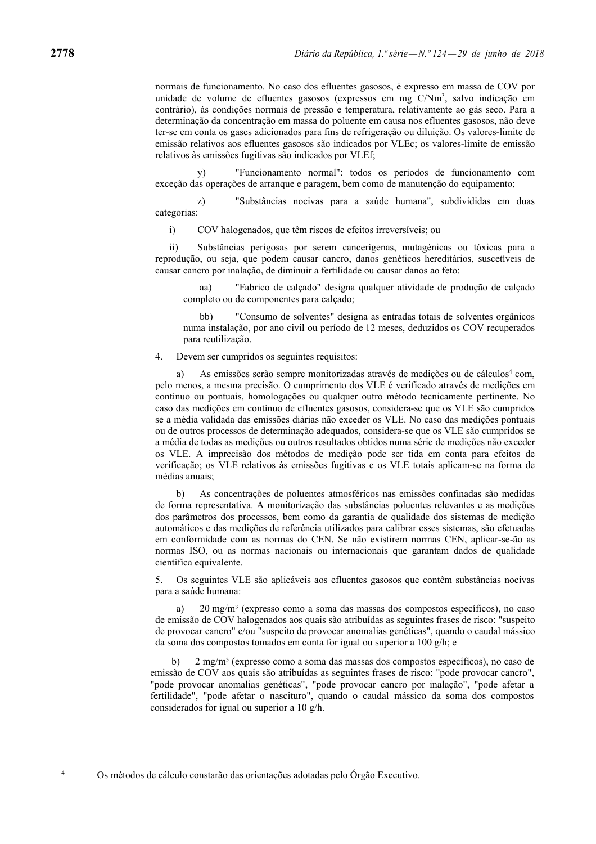normais de funcionamento. No caso dos efluentes gasosos, é expresso em massa de COV por unidade de volume de efluentes gasosos (expressos em mg C/Nm3 , salvo indicação em contrário), às condições normais de pressão e temperatura, relativamente ao gás seco. Para a determinação da concentração em massa do poluente em causa nos efluentes gasosos, não deve ter-se em conta os gases adicionados para fins de refrigeração ou diluição. Os valores-limite de emissão relativos aos efluentes gasosos são indicados por VLEc; os valores-limite de emissão relativos às emissões fugitivas são indicados por VLEf;

 y) "Funcionamento normal": todos os períodos de funcionamento com exceção das operações de arranque e paragem, bem como de manutenção do equipamento;

 z) "Substâncias nocivas para a saúde humana", subdivididas em duas categorias:

i) COV halogenados, que têm riscos de efeitos irreversíveis; ou

 ii) Substâncias perigosas por serem cancerígenas, mutagénicas ou tóxicas para a reprodução, ou seja, que podem causar cancro, danos genéticos hereditários, suscetíveis de causar cancro por inalação, de diminuir a fertilidade ou causar danos ao feto:

 aa) "Fabrico de calçado" designa qualquer atividade de produção de calçado completo ou de componentes para calçado;

 bb) "Consumo de solventes" designa as entradas totais de solventes orgânicos numa instalação, por ano civil ou período de 12 meses, deduzidos os COV recuperados para reutilização.

4. Devem ser cumpridos os seguintes requisitos:

a) As emissões serão sempre monitorizadas através de medições ou de cálculos<sup>4</sup> com, pelo menos, a mesma precisão. O cumprimento dos VLE é verificado através de medições em contínuo ou pontuais, homologações ou qualquer outro método tecnicamente pertinente. No caso das medições em contínuo de efluentes gasosos, considera-se que os VLE são cumpridos se a média validada das emissões diárias não exceder os VLE. No caso das medições pontuais ou de outros processos de determinação adequados, considera-se que os VLE são cumpridos se a média de todas as medições ou outros resultados obtidos numa série de medições não exceder os VLE. A imprecisão dos métodos de medição pode ser tida em conta para efeitos de verificação; os VLE relativos às emissões fugitivas e os VLE totais aplicam-se na forma de médias anuais;

 b) As concentrações de poluentes atmosféricos nas emissões confinadas são medidas de forma representativa. A monitorização das substâncias poluentes relevantes e as medições dos parâmetros dos processos, bem como da garantia de qualidade dos sistemas de medição automáticos e das medições de referência utilizados para calibrar esses sistemas, são efetuadas em conformidade com as normas do CEN. Se não existirem normas CEN, aplicar-se-ão as normas ISO, ou as normas nacionais ou internacionais que garantam dados de qualidade científica equivalente.

5. Os seguintes VLE são aplicáveis aos efluentes gasosos que contêm substâncias nocivas para a saúde humana:

 a) 20 mg/m³ (expresso como a soma das massas dos compostos específicos), no caso de emissão de COV halogenados aos quais são atribuídas as seguintes frases de risco: "suspeito de provocar cancro" e/ou "suspeito de provocar anomalias genéticas", quando o caudal mássico da soma dos compostos tomados em conta for igual ou superior a 100 g/h; e

b) 2 mg/m<sup>3</sup> (expresso como a soma das massas dos compostos específicos), no caso de emissão de COV aos quais são atribuídas as seguintes frases de risco: "pode provocar cancro", "pode provocar anomalias genéticas", "pode provocar cancro por inalação", "pode afetar a fertilidade", "pode afetar o nascituro", quando o caudal mássico da soma dos compostos considerados for igual ou superior a 10 g/h.

Os métodos de cálculo constarão das orientações adotadas pelo Órgão Executivo.

4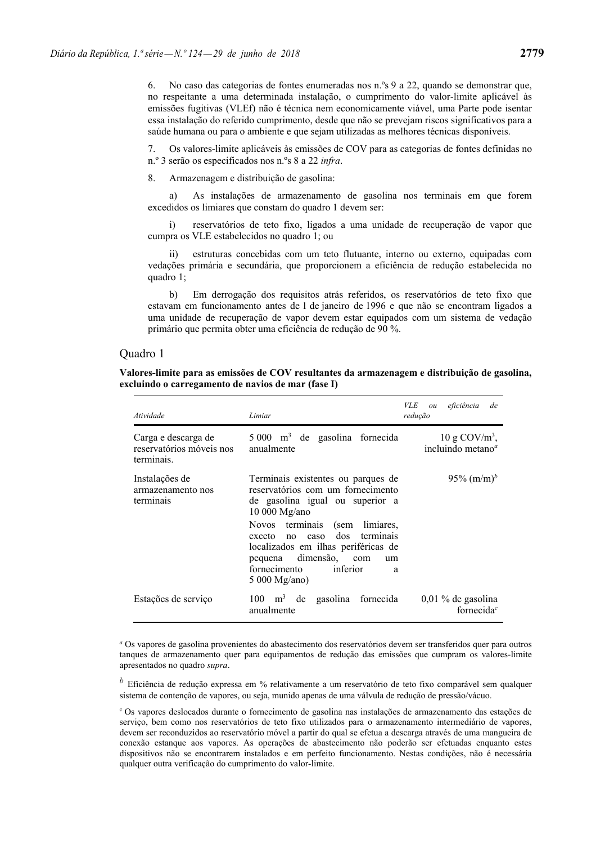6. No caso das categorias de fontes enumeradas nos n.ºs 9 a 22, quando se demonstrar que, no respeitante a uma determinada instalação, o cumprimento do valor-limite aplicável às emissões fugitivas (VLEf) não é técnica nem economicamente viável, uma Parte pode isentar essa instalação do referido cumprimento, desde que não se prevejam riscos significativos para a saúde humana ou para o ambiente e que sejam utilizadas as melhores técnicas disponíveis.

7. Os valores-limite aplicáveis às emissões de COV para as categorias de fontes definidas no n.º 3 serão os especificados nos n.ºs 8 a 22 *infra*.

8. Armazenagem e distribuição de gasolina:

 a) As instalações de armazenamento de gasolina nos terminais em que forem excedidos os limiares que constam do quadro 1 devem ser:

 i) reservatórios de teto fixo, ligados a uma unidade de recuperação de vapor que cumpra os VLE estabelecidos no quadro 1; ou

 ii) estruturas concebidas com um teto flutuante, interno ou externo, equipadas com vedações primária e secundária, que proporcionem a eficiência de redução estabelecida no quadro 1;

 b) Em derrogação dos requisitos atrás referidos, os reservatórios de teto fixo que estavam em funcionamento antes de 1 de janeiro de 1996 e que não se encontram ligados a uma unidade de recuperação de vapor devem estar equipados com um sistema de vedação primário que permita obter uma eficiência de redução de 90 %.

### Quadro 1

|  |                                                    | Valores-limite para as emissões de COV resultantes da armazenagem e distribuição de gasolina, |  |
|--|----------------------------------------------------|-----------------------------------------------------------------------------------------------|--|
|  | excluindo o carregamento de navios de mar (fase I) |                                                                                               |  |

| Atividade                                                     | Limiar                                                                                                                                                                                                                                                                                                                               | VLE<br>eficiência<br>de<br>ou<br>redução                         |
|---------------------------------------------------------------|--------------------------------------------------------------------------------------------------------------------------------------------------------------------------------------------------------------------------------------------------------------------------------------------------------------------------------------|------------------------------------------------------------------|
| Carga e descarga de<br>reservatórios móveis nos<br>terminais. | $5000$ m <sup>3</sup> de gasolina fornecida<br>anualmente                                                                                                                                                                                                                                                                            | $10 \text{ g COV/m}^3$ ,<br>incluindo metano <sup><i>a</i></sup> |
| Instalações de<br>armazenamento nos<br>terminais              | Terminais existentes ou parques de<br>reservatórios com um fornecimento<br>de gasolina igual ou superior a<br>10 000 Mg/ano<br>Novos terminais (sem<br>limiares.<br>dos terminais<br>exceto no<br>caso<br>localizados em ilhas periféricas de<br>dimensão,<br>pequena<br>com<br>um<br>fornecimento<br>inferior<br>a<br>5 000 Mg/ano) | 95% $(m/m)^{p}$                                                  |
| Estações de serviço                                           | 100 -<br>m <sup>3</sup><br>gasolina<br>fornecida<br>de<br>anualmente                                                                                                                                                                                                                                                                 | $0,01\%$ de gasolina<br>fornecida <sup><math>c</math></sup>      |

*<sup>a</sup>* Os vapores de gasolina provenientes do abastecimento dos reservatórios devem ser transferidos quer para outros tanques de armazenamento quer para equipamentos de redução das emissões que cumpram os valores-limite apresentados no quadro *supra*.

*<sup>b</sup>* Eficiência de redução expressa em % relativamente a um reservatório de teto fixo comparável sem qualquer sistema de contenção de vapores, ou seja, munido apenas de uma válvula de redução de pressão/vácuo.

<sup>c</sup> Os vapores deslocados durante o fornecimento de gasolina nas instalações de armazenamento das estações de serviço, bem como nos reservatórios de teto fixo utilizados para o armazenamento intermediário de vapores, devem ser reconduzidos ao reservatório móvel a partir do qual se efetua a descarga através de uma mangueira de conexão estanque aos vapores. As operações de abastecimento não poderão ser efetuadas enquanto estes dispositivos não se encontrarem instalados e em perfeito funcionamento. Nestas condições, não é necessária qualquer outra verificação do cumprimento do valor-limite.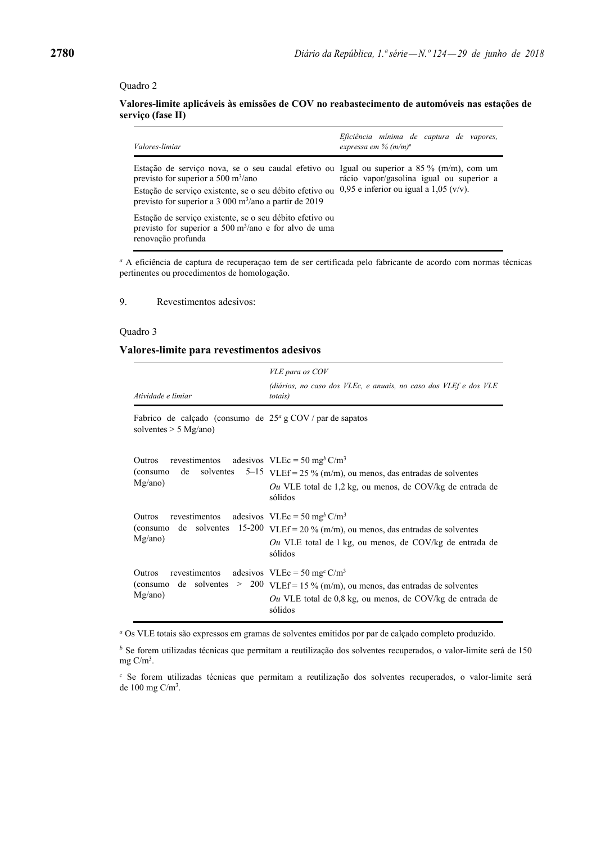### Quadro 2

## **Valores-limite aplicáveis às emissões de COV no reabastecimento de automóveis nas estações de serviço (fase II)**

| <i>Valores-limiar</i>                                                                                                                                                                                                                                                                   | Eficiência mínima de captura de vapores,<br>expressa em % $(m/m)^a$                  |
|-----------------------------------------------------------------------------------------------------------------------------------------------------------------------------------------------------------------------------------------------------------------------------------------|--------------------------------------------------------------------------------------|
| Estação de serviço nova, se o seu caudal efetivo ou Igual ou superior a $85\%$ (m/m), com um<br>previsto for superior a 500 m <sup>3</sup> /ano<br>Estação de serviço existente, se o seu débito efetivo ou<br>previsto for superior a $3\,000 \text{ m}^3/\text{ano}$ a partir de 2019 | rácio vapor/gasolina igual ou superior a<br>0.95 e inferior ou igual a $1.05$ (v/v). |
| Estação de serviço existente, se o seu débito efetivo ou<br>previsto for superior a 500 m <sup>3</sup> /ano e for alvo de uma<br>renovação profunda                                                                                                                                     |                                                                                      |

*<sup>a</sup>* A eficiência de captura de recuperaçao tem de ser certificada pelo fabricante de acordo com normas técnicas pertinentes ou procedimentos de homologação.

9. Revestimentos adesivos:

### Quadro 3

## **Valores-limite para revestimentos adesivos**

| Atividade e limiar                                                                                                                   | VLE para os COV<br>(diários, no caso dos VLEc, e anuais, no caso dos VLEf e dos VLE<br><i>totais</i> )                                                           |
|--------------------------------------------------------------------------------------------------------------------------------------|------------------------------------------------------------------------------------------------------------------------------------------------------------------|
| Fabrico de calçado (consumo de $25^{\circ}$ g COV / par de sapatos<br>solventes $> 5$ Mg/ano)                                        |                                                                                                                                                                  |
| revestimentos adesivos VLEc = 50 mg <sup>b</sup> C/m <sup>3</sup><br>Outros<br>de<br>(consumo)<br>Mg/ano)                            | solventes $5-15$ VLEf = 25 % (m/m), ou menos, das entradas de solventes<br>Ou VLE total de 1,2 kg, ou menos, de COV/kg de entrada de<br>sólidos                  |
| revestimentos adesivos VLEc = 50 mg <sup>b</sup> C/m <sup>3</sup><br><b>Outros</b><br>15-200<br>de solventes<br>(consumo)<br>Mg/ano) | VLEf = $20\%$ (m/m), ou menos, das entradas de solventes<br>Ou VLE total de 1 kg, ou menos, de COV/kg de entrada de<br>sólidos                                   |
| revestimentos adesivos VLEc = 50 mg <sup>c</sup> C/m <sup>3</sup><br>Outros<br>Mg/ano)                                               | (consumo de solventes > 200 $VLEf = 15 \% (m/m)$ , ou menos, das entradas de solventes<br>Ou VLE total de $0,8$ kg, ou menos, de COV/kg de entrada de<br>sólidos |

*<sup>a</sup>* Os VLE totais são expressos em gramas de solventes emitidos por par de calçado completo produzido.

*b* Se forem utilizadas técnicas que permitam a reutilização dos solventes recuperados, o valor-limite será de 150 mg  $C/m<sup>3</sup>$ .

*c* Se forem utilizadas técnicas que permitam a reutilização dos solventes recuperados, o valor-limite será de  $100 \text{ mg C/m}^3$ .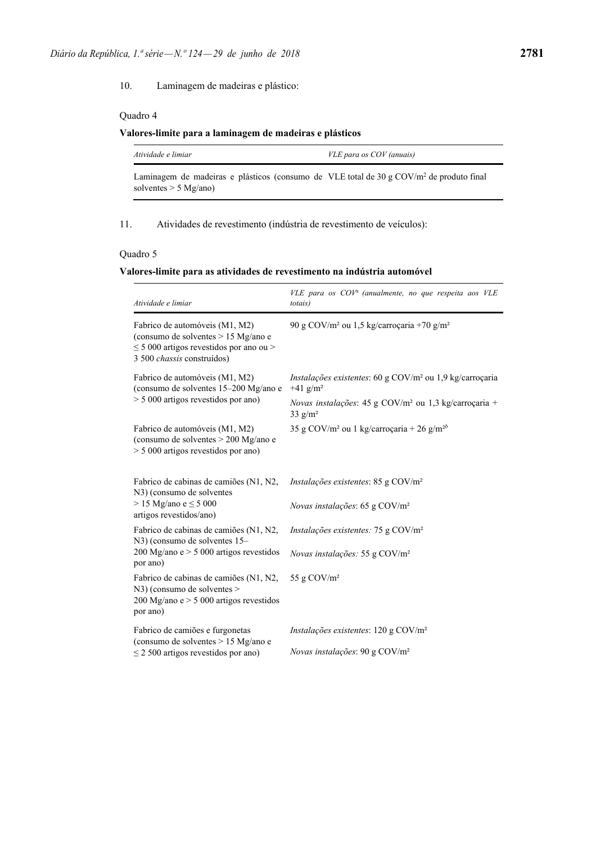10. Laminagem de madeiras e plástico:

## Quadro 4

## **Valores-limite para a laminagem de madeiras e plásticos**

| Atividade e limiar                                                                                  | VLE para os COV (anuais) |  |
|-----------------------------------------------------------------------------------------------------|--------------------------|--|
| Laminagem de madeiras e plásticos (consumo de VLE total de 30 g COV/m <sup>2</sup> de produto final |                          |  |

solventes > 5 Mg/ano)

11. Atividades de revestimento (indústria de revestimento de veículos):

### Quadro 5

## **Valores-limite para as atividades de revestimento na indústria automóvel**

| Atividade e limiar                                                                                                                                  | VLE para os COV <sup>a</sup> (anualmente, no que respeita aos VLE<br>totais)                    |
|-----------------------------------------------------------------------------------------------------------------------------------------------------|-------------------------------------------------------------------------------------------------|
| Fabrico de automóveis (M1, M2)<br>(consumo de solventes > 15 Mg/ano e<br>$\leq$ 5 000 artigos revestidos por ano ou ><br>3 500 chassis construídos) | 90 g COV/m <sup>2</sup> ou 1,5 kg/carroçaria +70 g/m <sup>2</sup>                               |
| Fabrico de automóveis (M1, M2)<br>(consumo de solventes 15-200 Mg/ano e                                                                             | <i>Instalações existentes</i> : 60 g $COV/m^2$ ou 1,9 kg/carroçaria<br>$+41$ g/m <sup>2</sup>   |
| > 5 000 artigos revestidos por ano)                                                                                                                 | <i>Novas instalações</i> : 45 g COV/m <sup>2</sup> ou 1,3 kg/carroçaria +<br>$33 \text{ g/m}^2$ |
| Fabrico de automóveis (M1, M2)<br>(consumo de solventes > 200 Mg/ano e<br>> 5 000 artigos revestidos por ano)                                       | 35 g COV/m <sup>2</sup> ou 1 kg/carroçaria + 26 g/m <sup>2b</sup>                               |
| Fabrico de cabinas de camiões (N1, N2,<br>N3) (consumo de solventes<br>$> 15$ Mg/ano e $\leq 5$ 000<br>artigos revestidos/ano)                      | <i>Instalações existentes</i> : $85 g COV/m2$<br>Novas instalações: 65 g COV/m <sup>2</sup>     |
| Fabrico de cabinas de camiões (N1, N2,<br>N3) (consumo de solventes 15–                                                                             | <i>Instalações existentes:</i> 75 g $COV/m^2$                                                   |
| 200 Mg/ano e $> 5000$ artigos revestidos<br>por ano)                                                                                                | Novas instalações: 55 g COV/m <sup>2</sup>                                                      |
| Fabrico de cabinas de camiões (N1, N2,<br>$N3$ ) (consumo de solventes ><br>200 Mg/ano e > 5 000 artigos revestidos<br>por ano)                     | 55 g COV/m <sup>2</sup>                                                                         |
| Fabrico de camiões e furgonetas<br>(consumo de solventes > 15 Mg/ano e                                                                              | Instalações existentes: 120 g COV/m <sup>2</sup>                                                |
| $\leq$ 2 500 artigos revestidos por ano)                                                                                                            | Novas instalações: 90 g $COV/m^2$                                                               |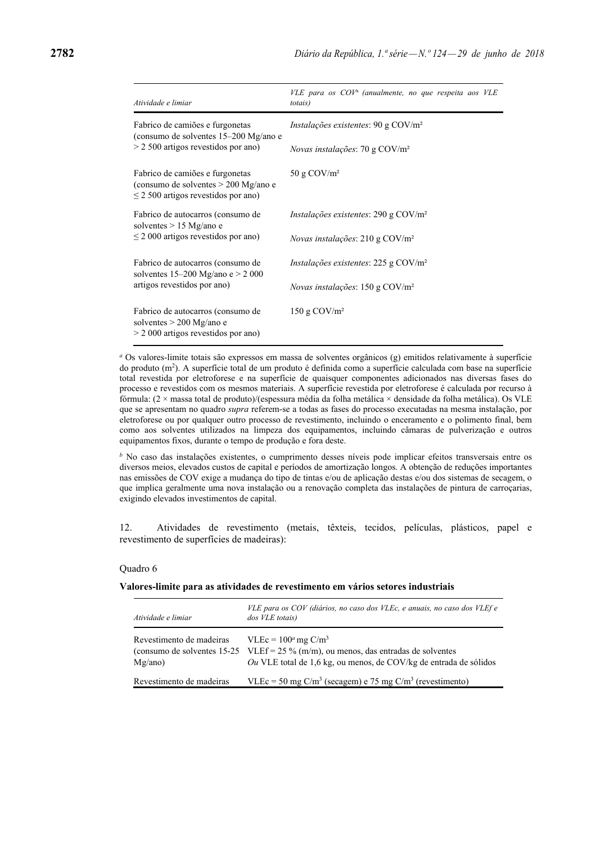| Atividade e limiar                                                                                                    | $VLE$ para os $COV^a$ (anualmente, no que respeita aos VLE<br><i>totais</i> ) |
|-----------------------------------------------------------------------------------------------------------------------|-------------------------------------------------------------------------------|
| Fabrico de camiões e furgonetas<br>(consumo de solventes 15–200 Mg/ano e                                              | <i>Instalações existentes</i> : 90 g $COV/m^2$                                |
| $> 2500$ artigos revestidos por ano)                                                                                  | <i>Novas instalações:</i> 70 g $COV/m^2$                                      |
| Fabrico de camiões e furgonetas<br>(consumo de solventes $> 200$ Mg/ano e<br>$\leq$ 2 500 artigos revestidos por ano) | 50 g $COV/m^2$                                                                |
| Fabrico de autocarros (consumo de<br>solventes $> 15$ Mg/ano e<br>$\leq$ 2 000 artigos revestidos por ano)            | <i>Instalações existentes</i> : $290 \text{ g } \text{COV/m}^2$               |
|                                                                                                                       | <i>Novas instalações:</i> 210 g $COV/m^2$                                     |
| Fabrico de autocarros (consumo de<br>solventes $15-200$ Mg/ano e > 2 000<br>artigos revestidos por ano)               | <i>Instalações existentes</i> : $225$ g $COV/m2$                              |
|                                                                                                                       | <i>Novas instalações</i> : 150 g $COV/m^2$                                    |
| Fabrico de autocarros (consumo de<br>solventes $> 200$ Mg/ano e<br>$> 2000$ artigos revestidos por ano)               | $150$ g COV/m <sup>2</sup>                                                    |

*<sup>a</sup>* Os valores-limite totais são expressos em massa de solventes orgânicos (g) emitidos relativamente à superfície do produto (m2). A superfície total de um produto é definida como a superfície calculada com base na superfície total revestida por eletroforese e na superfície de quaisquer componentes adicionados nas diversas fases do processo e revestidos com os mesmos materiais. A superfície revestida por eletroforese é calculada por recurso à fórmula: (2 × massa total de produto)/(espessura média da folha metálica × densidade da folha metálica). Os VLE que se apresentam no quadro *supra* referem-se a todas as fases do processo executadas na mesma instalação, por eletroforese ou por qualquer outro processo de revestimento, incluindo o enceramento e o polimento final, bem como aos solventes utilizados na limpeza dos equipamentos, incluindo câmaras de pulverização e outros equipamentos fixos, durante o tempo de produção e fora deste.

*<sup>b</sup>* No caso das instalações existentes, o cumprimento desses níveis pode implicar efeitos transversais entre os diversos meios, elevados custos de capital e períodos de amortização longos. A obtenção de reduções importantes nas emissões de COV exige a mudança do tipo de tintas e/ou de aplicação destas e/ou dos sistemas de secagem, o que implica geralmente uma nova instalação ou a renovação completa das instalações de pintura de carroçarias, exigindo elevados investimentos de capital.

12. Atividades de revestimento (metais, têxteis, tecidos, películas, plásticos, papel e revestimento de superfícies de madeiras):

#### Quadro 6

### **Valores-limite para as atividades de revestimento em vários setores industriais**

| Atividade e limiar                  | VLE para os COV (diários, no caso dos VLEc, e anuais, no caso dos VLEf e<br>dos VLE totais)                                                                                                          |
|-------------------------------------|------------------------------------------------------------------------------------------------------------------------------------------------------------------------------------------------------|
| Revestimento de madeiras<br>Mg/ano) | $VLEc = 100^a$ mg C/m <sup>3</sup><br>(consumo de solventes 15-25 VLEf = 25 % (m/m), ou menos, das entradas de solventes<br><i>Ou</i> VLE total de 1,6 kg, ou menos, de COV/kg de entrada de sólidos |
| Revestimento de madeiras            | VLEc = 50 mg C/m <sup>3</sup> (secagem) e 75 mg C/m <sup>3</sup> (revestimento)                                                                                                                      |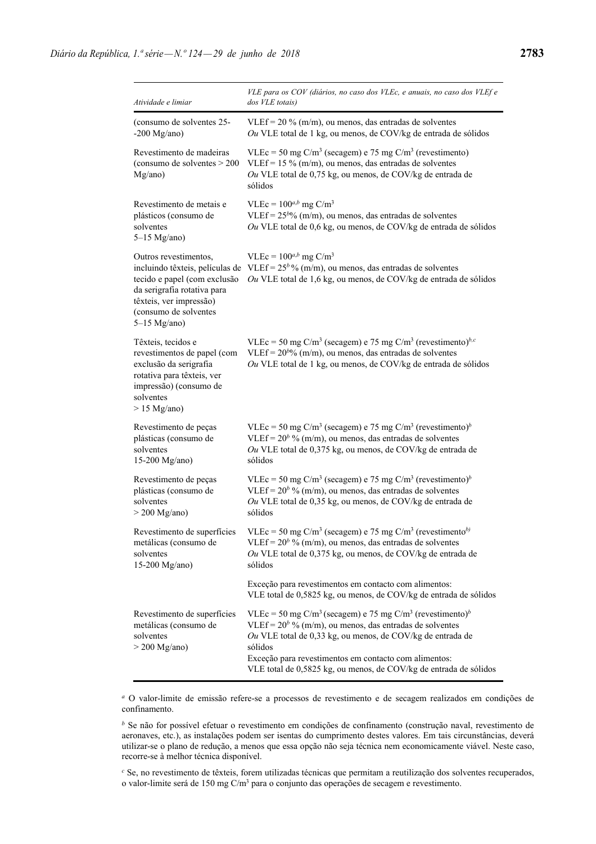| Atividade e limiar                                                                                                                                                                            | VLE para os COV (diários, no caso dos VLEc, e anuais, no caso dos VLEf e<br>dos VLE totais)                                                                                                                                                                                                                                                                       |
|-----------------------------------------------------------------------------------------------------------------------------------------------------------------------------------------------|-------------------------------------------------------------------------------------------------------------------------------------------------------------------------------------------------------------------------------------------------------------------------------------------------------------------------------------------------------------------|
| (consumo de solventes 25-<br>$-200$ Mg/ano)                                                                                                                                                   | VLEf = $20\%$ (m/m), ou menos, das entradas de solventes<br>Ou VLE total de 1 kg, ou menos, de COV/kg de entrada de sólidos                                                                                                                                                                                                                                       |
| Revestimento de madeiras<br>(consumo de solventes > 200<br>Mg/ano)                                                                                                                            | VLEc = 50 mg $C/m^3$ (secagem) e 75 mg $C/m^3$ (revestimento)<br>VLEf = $15\%$ (m/m), ou menos, das entradas de solventes<br>Ou VLE total de 0,75 kg, ou menos, de COV/kg de entrada de<br>sólidos                                                                                                                                                                |
| Revestimento de metais e<br>plásticos (consumo de<br>solventes<br>$5-15$ Mg/ano)                                                                                                              | VLEc = $100^{a,b}$ mg C/m <sup>3</sup><br>VLEf = $25^{b_0/2}$ (m/m), ou menos, das entradas de solventes<br>Ou VLE total de 0,6 kg, ou menos, de COV/kg de entrada de sólidos                                                                                                                                                                                     |
| Outros revestimentos,<br>incluindo têxteis, películas de<br>tecido e papel (com exclusão<br>da serigrafia rotativa para<br>têxteis, ver impressão)<br>(consumo de solventes<br>$5-15$ Mg/ano) | VLEc = $100^{a,b}$ mg C/m <sup>3</sup><br>VLEf = $25^b$ % (m/m), ou menos, das entradas de solventes<br>Ou VLE total de 1,6 kg, ou menos, de COV/kg de entrada de sólidos                                                                                                                                                                                         |
| Têxteis, tecidos e<br>revestimentos de papel (com<br>exclusão da serigrafia<br>rotativa para têxteis, ver<br>impressão) (consumo de<br>solventes<br>$> 15$ Mg/ano)                            | VLEc = 50 mg C/m <sup>3</sup> (secagem) e 75 mg C/m <sup>3</sup> (revestimento) <sup>b,c</sup><br>VLEf = $20^{b_0/6}$ (m/m), ou menos, das entradas de solventes<br>Ou VLE total de 1 kg, ou menos, de COV/kg de entrada de sólidos                                                                                                                               |
| Revestimento de peças<br>plásticas (consumo de<br>solventes<br>15-200 Mg/ano)                                                                                                                 | VLEc = 50 mg C/m <sup>3</sup> (secagem) e 75 mg C/m <sup>3</sup> (revestimento) <sup>b</sup><br>VLEf = $20^b$ % (m/m), ou menos, das entradas de solventes<br>Ou VLE total de 0,375 kg, ou menos, de COV/kg de entrada de<br>sólidos                                                                                                                              |
| Revestimento de peças<br>plásticas (consumo de<br>solventes<br>$>$ 200 Mg/ano)                                                                                                                | VLEc = 50 mg C/m <sup>3</sup> (secagem) e 75 mg C/m <sup>3</sup> (revestimento) <sup>b</sup><br>VLEf = $20^b$ % (m/m), ou menos, das entradas de solventes<br>Ou VLE total de 0,35 kg, ou menos, de COV/kg de entrada de<br>sólidos                                                                                                                               |
| metálicas (consumo de<br>solventes<br>15-200 Mg/ano)                                                                                                                                          | Revestimento de superfícies VLEc = 50 mg $C/m^3$ (secagem) e 75 mg $C/m^3$ (revestimento <sup>b)</sup><br>VLEf = $20^b$ % (m/m), ou menos, das entradas de solventes<br>Ou VLE total de 0,375 kg, ou menos, de COV/kg de entrada de<br>sólidos                                                                                                                    |
|                                                                                                                                                                                               | Exceção para revestimentos em contacto com alimentos:<br>VLE total de 0,5825 kg, ou menos, de COV/kg de entrada de sólidos                                                                                                                                                                                                                                        |
| Revestimento de superfícies<br>metálicas (consumo de<br>solventes<br>$>$ 200 Mg/ano)                                                                                                          | VLEc = 50 mg C/m <sup>3</sup> (secagem) e 75 mg C/m <sup>3</sup> (revestimento) <sup>b</sup><br>VLEf = $20^b$ % (m/m), ou menos, das entradas de solventes<br>Ou VLE total de 0,33 kg, ou menos, de COV/kg de entrada de<br>sólidos<br>Exceção para revestimentos em contacto com alimentos:<br>VLE total de 0,5825 kg, ou menos, de COV/kg de entrada de sólidos |

*a* O valor-limite de emissão refere-se a processos de revestimento e de secagem realizados em condições de confinamento.

*b* Se não for possível efetuar o revestimento em condições de confinamento (construção naval, revestimento de aeronaves, etc.), as instalações podem ser isentas do cumprimento destes valores. Em tais circunstâncias, deverá utilizar-se o plano de redução, a menos que essa opção não seja técnica nem economicamente viável. Neste caso, recorre-se à melhor técnica disponível.

*c* Se, no revestimento de têxteis, forem utilizadas técnicas que permitam a reutilização dos solventes recuperados, o valor-limite será de 150 mg C/m3 para o conjunto das operações de secagem e revestimento.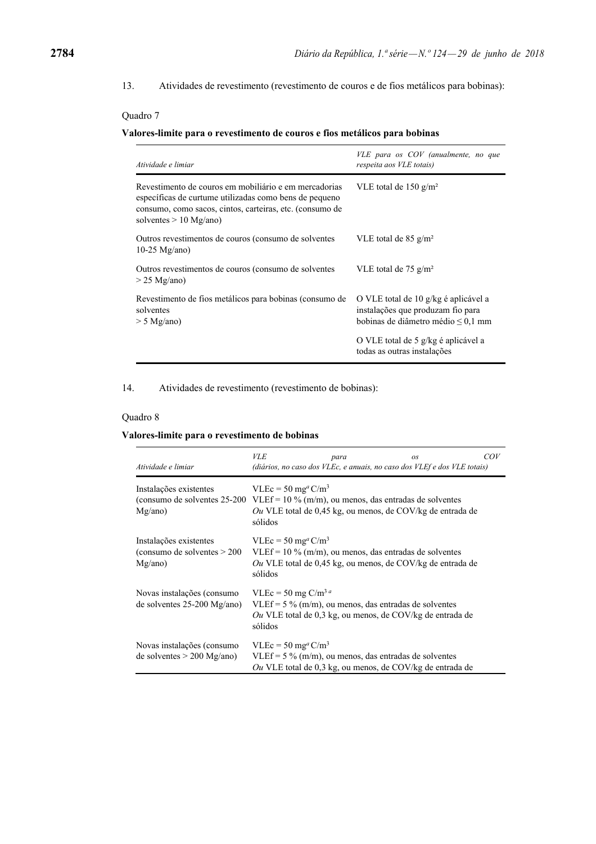13. Atividades de revestimento (revestimento de couros e de fios metálicos para bobinas):

## Quadro 7

## **Valores-limite para o revestimento de couros e fios metálicos para bobinas**

| Atividade e limiar                                                                                                                                                                                      | VLE para os COV (anualmente, no que<br>respeita aos VLE totais)                                                      |
|---------------------------------------------------------------------------------------------------------------------------------------------------------------------------------------------------------|----------------------------------------------------------------------------------------------------------------------|
| Revestimento de couros em mobiliário e em mercadorias<br>específicas de curtume utilizadas como bens de pequeno<br>consumo, como sacos, cintos, carteiras, etc. (consumo de<br>solventes $> 10$ Mg/ano) | VLE total de 150 g/m <sup>2</sup>                                                                                    |
| Outros revestimentos de couros (consumo de solventes<br>$10-25$ Mg/ano)                                                                                                                                 | VLE total de 85 g/m <sup>2</sup>                                                                                     |
| Outros revestimentos de couros (consumo de solventes<br>$>$ 25 Mg/ano)                                                                                                                                  | VLE total de 75 $g/m^2$                                                                                              |
| Revestimento de fios metálicos para bobinas (consumo de<br>solventes<br>$> 5$ Mg/ano)                                                                                                                   | O VLE total de 10 g/kg é aplicável a<br>instalações que produzam fio para<br>bobinas de diâmetro médio $\leq 0.1$ mm |
|                                                                                                                                                                                                         | O VLE total de 5 g/kg é aplicável a<br>todas as outras instalações                                                   |

14. Atividades de revestimento (revestimento de bobinas):

## Quadro 8

## **Valores-limite para o revestimento de bobinas**

| Atividade e limiar                                                 | <b>VLE</b><br>para                                                                                                                                                   | <b>OS</b><br>(diários, no caso dos VLEc, e anuais, no caso dos VLEf e dos VLE totais)                                    | COV |
|--------------------------------------------------------------------|----------------------------------------------------------------------------------------------------------------------------------------------------------------------|--------------------------------------------------------------------------------------------------------------------------|-----|
| Instalações existentes<br>(consumo de solventes 25-200)<br>Mg/ano) | $VLEc = 50$ mg <sup>a</sup> C/m <sup>3</sup><br>sólidos                                                                                                              | VLEf = $10\%$ (m/m), ou menos, das entradas de solventes<br>Ou VLE total de 0,45 kg, ou menos, de COV/kg de entrada de   |     |
| Instalações existentes<br>(consumo de solventes $>$ 200<br>Mg/ano) | $VLEc = 50$ mg <sup>a</sup> C/m <sup>3</sup><br>sólidos                                                                                                              | $VLEf = 10\%$ (m/m), ou menos, das entradas de solventes<br>Ou VLE total de $0.45$ kg, ou menos, de COV/kg de entrada de |     |
| Novas instalações (consumo<br>de solventes $25-200$ Mg/ano)        | VLEc = 50 mg C/m <sup>3 a</sup><br>VLEf = $5\%$ (m/m), ou menos, das entradas de solventes<br>Ou VLE total de $0.3$ kg, ou menos, de COV/kg de entrada de<br>sólidos |                                                                                                                          |     |
| Novas instalações (consumo<br>de solventes $> 200$ Mg/ano)         | $VLEc = 50$ mg <sup>a</sup> C/m <sup>3</sup>                                                                                                                         | VLEf = $5\%$ (m/m), ou menos, das entradas de solventes<br>Ou VLE total de 0,3 kg, ou menos, de COV/kg de entrada de     |     |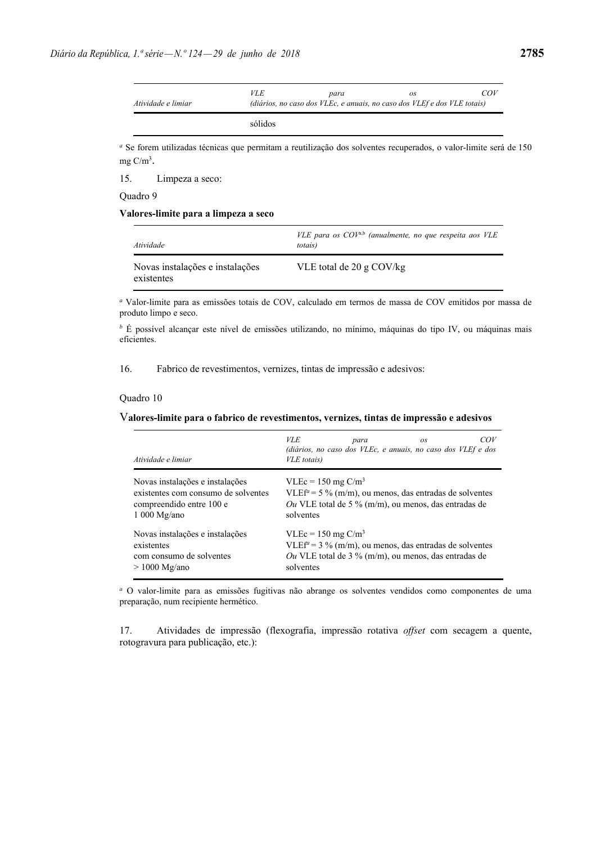sólidos

*<sup>a</sup>* Se forem utilizadas técnicas que permitam a reutilização dos solventes recuperados, o valor-limite será de 150 mg C/m3.

15. Limpeza a seco:

Quadro 9

### **Valores-limite para a limpeza a seco**

| Atividade                                     | VLE para os $COV^{a,b}$ (anualmente, no que respeita aos VLE<br><i>totais</i> ) |
|-----------------------------------------------|---------------------------------------------------------------------------------|
| Novas instalações e instalações<br>existentes | VLE total de 20 g $COV/kg$                                                      |

*<sup>a</sup>* Valor-limite para as emissões totais de COV, calculado em termos de massa de COV emitidos por massa de produto limpo e seco.

*<sup>b</sup>* É possível alcançar este nível de emissões utilizando, no mínimo, máquinas do tipo IV, ou máquinas mais eficientes.

16. Fabrico de revestimentos, vernizes, tintas de impressão e adesivos:

### Quadro 10

### V**alores-limite para o fabrico de revestimentos, vernizes, tintas de impressão e adesivos**

| Atividade e limiar                  | <i>VLE</i><br>COV<br>para<br><b>OS</b><br>(diários, no caso dos VLEc, e anuais, no caso dos VLEf e dos<br>VLE totais) |
|-------------------------------------|-----------------------------------------------------------------------------------------------------------------------|
| Novas instalações e instalações     | $VLEc = 150$ mg $C/m3$                                                                                                |
| existentes com consumo de solventes | $VLEf^{\alpha} = 5\%$ (m/m), ou menos, das entradas de solventes                                                      |
| compreendido entre 100 e            | Ou VLE total de 5 % (m/m), ou menos, das entradas de                                                                  |
| $1000$ Mg/ano                       | solventes                                                                                                             |
| Novas instalações e instalações     | $VLEc = 150$ mg $C/m3$                                                                                                |
| existentes                          | $VLEf^{\alpha} = 3$ % (m/m), ou menos, das entradas de solventes                                                      |
| com consumo de solventes            | Ou VLE total de 3 % (m/m), ou menos, das entradas de                                                                  |
| $> 1000$ Mg/ano                     | solventes                                                                                                             |

*<sup>a</sup>* O valor-limite para as emissões fugitivas não abrange os solventes vendidos como componentes de uma preparação, num recipiente hermético.

17. Atividades de impressão (flexografia, impressão rotativa *offset* com secagem a quente, rotogravura para publicação, etc.):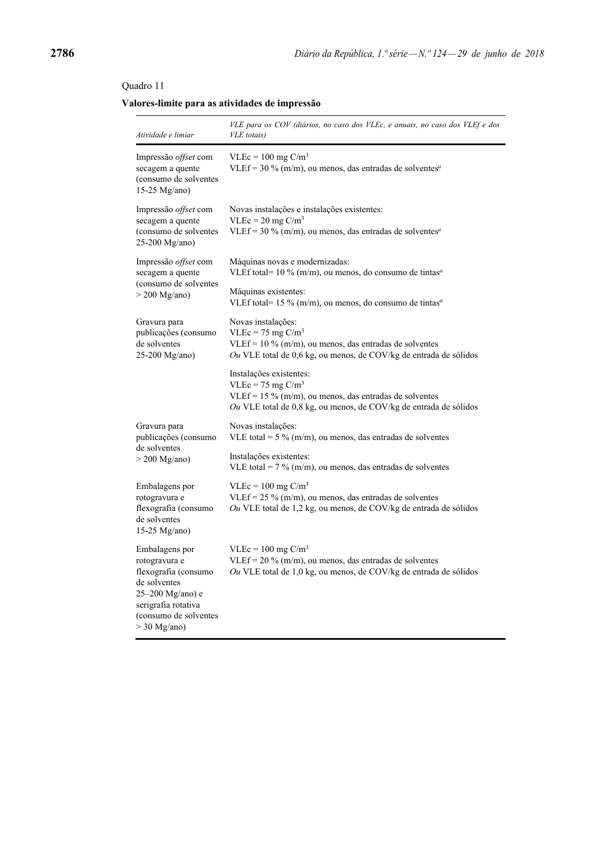## Quadro 11

## **Valores-limite para as atividades de impressão**

| Atividade e limiar                                                                                                                                            | VLE para os COV (diários, no caso dos VLEc, e anuais, no caso dos VLEf e dos<br>VLE totais)                                                                                       |
|---------------------------------------------------------------------------------------------------------------------------------------------------------------|-----------------------------------------------------------------------------------------------------------------------------------------------------------------------------------|
| Impressão offset com<br>secagem a quente<br>(consumo de solventes<br>15-25 Mg/ano)                                                                            | $VLEc = 100$ mg $C/m3$<br>VLEf = $30\%$ (m/m), ou menos, das entradas de solventes <sup>a</sup>                                                                                   |
| Impressão offset com<br>secagem a quente<br>(consumo de solventes<br>25-200 Mg/ano)                                                                           | Novas instalações e instalações existentes:<br>$VLEc = 20$ mg $C/m3$<br>VLEf = 30 % (m/m), ou menos, das entradas de solventes <sup><i>a</i></sup>                                |
| Impressão offset com<br>secagem a quente                                                                                                                      | Máquinas novas e modernizadas:<br>VLEf total= $10\%$ (m/m), ou menos, do consumo de tintas <sup>a</sup>                                                                           |
| (consumo de solventes<br>$>$ 200 Mg/ano)                                                                                                                      | Máquinas existentes:<br>VLEf total= 15 % (m/m), ou menos, do consumo de tintas <sup><i>a</i></sup>                                                                                |
| Gravura para<br>publicações (consumo<br>de solventes<br>25-200 Mg/ano)                                                                                        | Novas instalações:<br>$VLEc = 75$ mg $C/m3$<br>VLEf = $10\%$ (m/m), ou menos, das entradas de solventes<br>Ou VLE total de 0,6 kg, ou menos, de COV/kg de entrada de sólidos      |
|                                                                                                                                                               | Instalações existentes:<br>$VLEc = 75$ mg $C/m3$<br>VLEf = $15\%$ (m/m), ou menos, das entradas de solventes<br>Ou VLE total de 0,8 kg, ou menos, de COV/kg de entrada de sólidos |
| Gravura para<br>publicações (consumo                                                                                                                          | Novas instalações:<br>VLE total = $5\%$ (m/m), ou menos, das entradas de solventes                                                                                                |
| de solventes<br>$>$ 200 Mg/ano)                                                                                                                               | Instalações existentes:<br>VLE total = $7\%$ (m/m), ou menos, das entradas de solventes                                                                                           |
| Embalagens por<br>rotogravura e<br>flexografia (consumo<br>de solventes<br>15-25 Mg/ano)                                                                      | $VLEc = 100$ mg $C/m3$<br>VLEf = $25\%$ (m/m), ou menos, das entradas de solventes<br>Ou VLE total de 1,2 kg, ou menos, de COV/kg de entrada de sólidos                           |
| Embalagens por<br>rotogravura e<br>flexografia (consumo<br>de solventes<br>25-200 Mg/ano) e<br>serigrafia rotativa<br>(consumo de solventes<br>$>$ 30 Mg/ano) | $VLEc = 100$ mg $C/m3$<br>VLEf = $20\%$ (m/m), ou menos, das entradas de solventes<br>Ou VLE total de 1,0 kg, ou menos, de COV/kg de entrada de sólidos                           |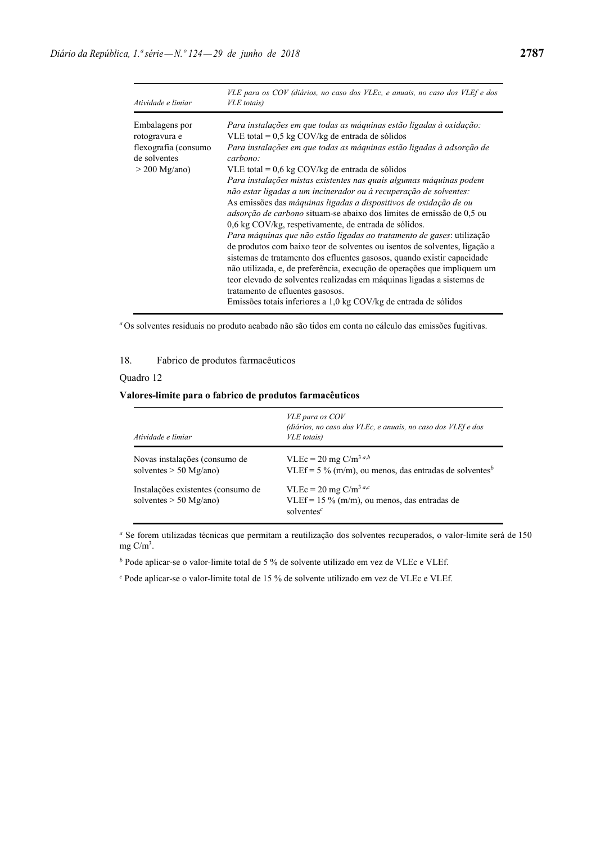| Atividade e limiar                                                                         | VLE para os COV (diários, no caso dos VLEc, e anuais, no caso dos VLEf e dos<br>VLE totais)                                                                                                                                                                                                                                                                                                                                                                                                                                                                                                                                                                                                                                                                                                                                                                                                                                                                                                                                                                                                                                           |
|--------------------------------------------------------------------------------------------|---------------------------------------------------------------------------------------------------------------------------------------------------------------------------------------------------------------------------------------------------------------------------------------------------------------------------------------------------------------------------------------------------------------------------------------------------------------------------------------------------------------------------------------------------------------------------------------------------------------------------------------------------------------------------------------------------------------------------------------------------------------------------------------------------------------------------------------------------------------------------------------------------------------------------------------------------------------------------------------------------------------------------------------------------------------------------------------------------------------------------------------|
| Embalagens por<br>rotogravura e<br>flexografia (consumo<br>de solventes<br>$>$ 200 Mg/ano) | Para instalações em que todas as máquinas estão ligadas à oxidação:<br>VLE total = $0.5$ kg COV/kg de entrada de sólidos<br>Para instalações em que todas as máquinas estão ligadas à adsorção de<br>carbono:<br>VLE total = $0.6 \text{ kg}$ COV/kg de entrada de sólidos<br>Para instalações mistas existentes nas quais algumas máquinas podem<br>não estar ligadas a um incinerador ou à recuperação de solventes:<br>As emissões das máquinas ligadas a dispositivos de oxidação de ou<br><i>adsorção de carbono</i> situam-se abaixo dos limites de emissão de 0,5 ou<br>0.6 kg COV/kg, respetivamente, de entrada de sólidos.<br>Para máquinas que não estão ligadas ao tratamento de gases: utilização<br>de produtos com baixo teor de solventes ou isentos de solventes, ligação a<br>sistemas de tratamento dos efluentes gasosos, quando existir capacidade<br>não utilizada, e, de preferência, execução de operações que impliquem um<br>teor elevado de solventes realizadas em máquinas ligadas a sistemas de<br>tratamento de effuentes gasosos.<br>Emissões totais inferiores a 1,0 kg COV/kg de entrada de sólidos |

*<sup>a</sup>* Os solventes residuais no produto acabado não são tidos em conta no cálculo das emissões fugitivas.

## 18. Fabrico de produtos farmacêuticos

## Quadro 12

## **Valores-limite para o fabrico de produtos farmacêuticos**

| Atividade e limiar                                             | VLE para os COV<br>(diários, no caso dos VLEc, e anuais, no caso dos VLEf e dos<br>VLE totais)          |
|----------------------------------------------------------------|---------------------------------------------------------------------------------------------------------|
| Novas instalações (consumo de<br>solventes $> 50$ Mg/ano)      | VLEc = 20 mg C/m <sup>3 a,b</sup><br>VLEf = 5 % (m/m), ou menos, das entradas de solventes <sup>b</sup> |
| Instalações existentes (consumo de<br>solventes $> 50$ Mg/ano) | VLEc = 20 mg C/m <sup>3 a,c</sup><br>VLEf = $15\%$ (m/m), ou menos, das entradas de<br>solventes $c$    |

*a* Se forem utilizadas técnicas que permitam a reutilização dos solventes recuperados, o valor-limite será de 150 mg $C/m^3$ .

*<sup>b</sup>* Pode aplicar-se o valor-limite total de 5 % de solvente utilizado em vez de VLEc e VLEf.

*c* Pode aplicar-se o valor-limite total de 15 % de solvente utilizado em vez de VLEc e VLEf.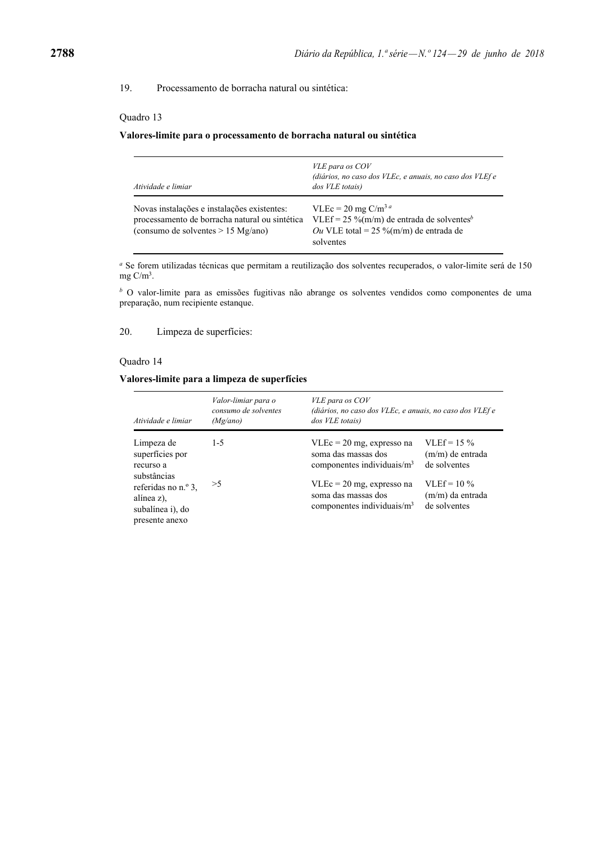19. Processamento de borracha natural ou sintética:

### Quadro 13

#### **Valores-limite para o processamento de borracha natural ou sintética**

| Atividade e limiar                                                                                                                    | VLE para os COV<br>(diários, no caso dos VLEc, e anuais, no caso dos VLEf e<br>dos VLE totais)                                                         |
|---------------------------------------------------------------------------------------------------------------------------------------|--------------------------------------------------------------------------------------------------------------------------------------------------------|
| Novas instalações e instalações existentes:<br>processamento de borracha natural ou sintética<br>(consumo de solventes $> 15$ Mg/ano) | VLEc = 20 mg C/m <sup>3 a</sup><br>VLEf = 25 %(m/m) de entrada de solventes <sup>b</sup><br><i>Ou</i> VLE total = 25 %(m/m) de entrada de<br>solventes |

*<sup>a</sup>* Se forem utilizadas técnicas que permitam a reutilização dos solventes recuperados, o valor-limite será de 150 mg  $C/m^3$ .

*b* O valor-limite para as emissões fugitivas não abrange os solventes vendidos como componentes de uma preparação, num recipiente estanque.

20. Limpeza de superfícies:

### Quadro 14

### **Valores-limite para a limpeza de superfícies**

| Atividade e limiar                                                                     | Valor-limiar para o<br>consumo de solventes<br>(Mg/ano) | VLE para os COV<br>(diários, no caso dos VLEc, e anuais, no caso dos VLEf e<br>dos VLE totais) |                                                      |
|----------------------------------------------------------------------------------------|---------------------------------------------------------|------------------------------------------------------------------------------------------------|------------------------------------------------------|
| Limpeza de<br>superfícies por<br>recurso a                                             | $1 - 5$                                                 | $VLEc = 20$ mg, expresso na<br>soma das massas dos<br>componentes individuais/ $m3$            | $VI.Ef = 15\%$<br>$(m/m)$ de entrada<br>de solventes |
| substâncias<br>referidas no n.º 3,<br>alínea z),<br>subalínea i), do<br>presente anexo | >5                                                      | $VLEc = 20$ mg, expresso na<br>soma das massas dos<br>componentes individuais/ $m3$            | $VLEf = 10\%$<br>(m/m) da entrada<br>de solventes    |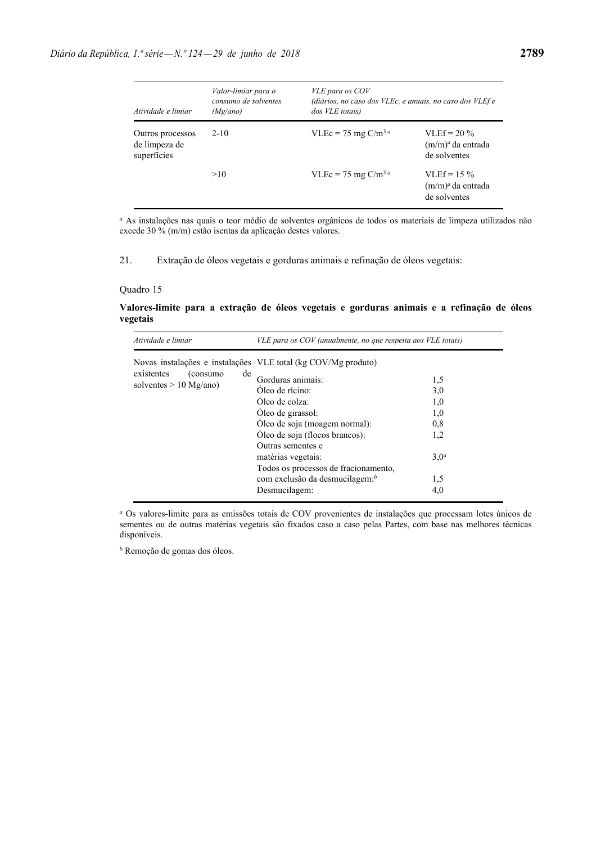| Atividade e limiar                               | Valor-limiar para o<br>consumo de solventes<br>(Mg/ano) | VLE para os COV<br>(diários, no caso dos VLEc, e anuais, no caso dos VLEf e<br>dos VLE totais) |                                                          |
|--------------------------------------------------|---------------------------------------------------------|------------------------------------------------------------------------------------------------|----------------------------------------------------------|
| Outros processos<br>de limpeza de<br>superfícies | $2 - 10$                                                | VLEc = 75 mg C/m <sup>3 a</sup>                                                                | VLEf = $20\%$<br>$(m/m)^{a}$ da entrada<br>de solventes  |
|                                                  | >10                                                     | VLEc = 75 mg C/m <sup>3 a</sup>                                                                | $VI.Ef = 15\%$<br>$(m/m)^{a}$ da entrada<br>de solventes |

*a* As instalações nas quais o teor médio de solventes orgânicos de todos os materiais de limpeza utilizados não excede 30 % (m/m) estão isentas da aplicação destes valores.

21. Extração de óleos vegetais e gorduras animais e refinação de óleos vegetais:

#### Quadro 15

### **Valores-limite para a extração de óleos vegetais e gorduras animais e a refinação de óleos vegetais**

| Atividade e limiar                                        | VLE para os COV (anualmente, no que respeita aos VLE totais)                                                                                                                                                                                                                                       |                                                            |
|-----------------------------------------------------------|----------------------------------------------------------------------------------------------------------------------------------------------------------------------------------------------------------------------------------------------------------------------------------------------------|------------------------------------------------------------|
| existentes<br>(consumo)<br>de<br>solventes $> 10$ Mg/ano) | Novas instalações e instalações VLE total (kg COV/Mg produto)<br>Gorduras animais:<br>Oleo de rícino:<br>Oleo de colza:<br>Oleo de girassol:<br>Oleo de soja (moagem normal):<br>Oleo de soja (flocos brancos):<br>Outras sementes e<br>matérias vegetais:<br>Todos os processos de fracionamento, | 1,5<br>3,0<br>1,0<br>1,0<br>0,8<br>1,2<br>3,0 <sup>a</sup> |
|                                                           | com exclusão da desmucilagem: <sup>b</sup><br>Desmucilagem:                                                                                                                                                                                                                                        | 1,5<br>4,0                                                 |

*<sup>a</sup>* Os valores-limite para as emissões totais de COV provenientes de instalações que processam lotes únicos de sementes ou de outras matérias vegetais são fixados caso a caso pelas Partes, com base nas melhores técnicas disponíveis.

*b* Remoção de gomas dos óleos.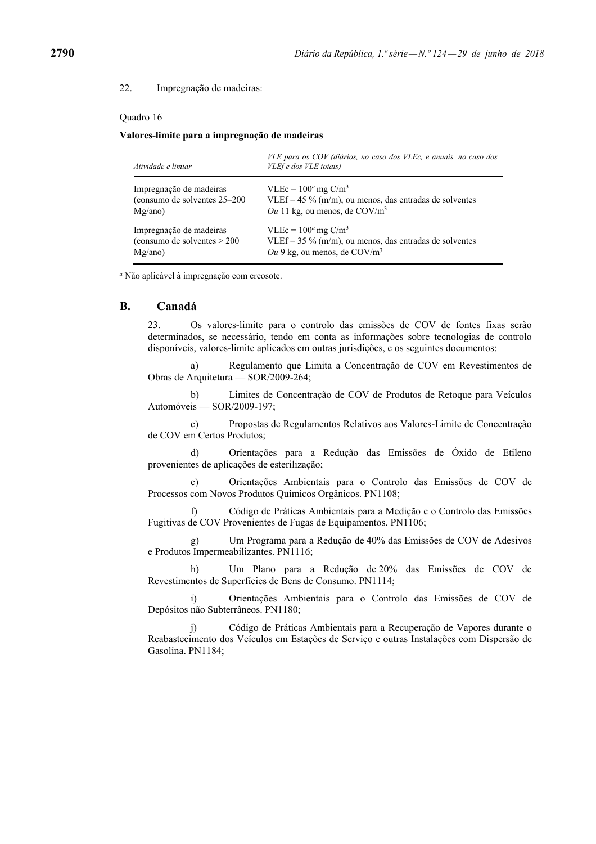### 22. Impregnação de madeiras:

#### Quadro 16

**Valores-limite para a impregnação de madeiras**

| Atividade e limiar            | VLE para os COV (diários, no caso dos VLEc, e anuais, no caso dos<br>VLEf e dos VLE totais) |
|-------------------------------|---------------------------------------------------------------------------------------------|
| Impregnação de madeiras       | VLEc = $100^a$ mg C/m <sup>3</sup>                                                          |
| (consumo de solventes 25–200) | VLEf = 45 % (m/m), ou menos, das entradas de solventes                                      |
| Mg/ano)                       | Ou 11 kg, ou menos, de $COV/m3$                                                             |
| Impregnação de madeiras       | VLEc = $100^a$ mg C/m <sup>3</sup>                                                          |
| (consumo de solventes $>$ 200 | VLEf = $35\%$ (m/m), ou menos, das entradas de solventes                                    |
| Mg/ano)                       | Ou 9 kg, ou menos, de $COV/m3$                                                              |

*a* Não aplicável à impregnação com creosote.

## **B. Canadá**

23. Os valores-limite para o controlo das emissões de COV de fontes fixas serão determinados, se necessário, tendo em conta as informações sobre tecnologias de controlo disponíveis, valores-limite aplicados em outras jurisdições, e os seguintes documentos:

 a) Regulamento que Limita a Concentração de COV em Revestimentos de Obras de Arquitetura — SOR/2009-264;

 b) Limites de Concentração de COV de Produtos de Retoque para Veículos Automóveis — SOR/2009-197;

 c) Propostas de Regulamentos Relativos aos Valores-Limite de Concentração de COV em Certos Produtos;

 d) Orientações para a Redução das Emissões de Óxido de Etileno provenientes de aplicações de esterilização;

 e) Orientações Ambientais para o Controlo das Emissões de COV de Processos com Novos Produtos Químicos Orgânicos. PN1108;

 f) Código de Práticas Ambientais para a Medição e o Controlo das Emissões Fugitivas de COV Provenientes de Fugas de Equipamentos. PN1106;

 g) Um Programa para a Redução de 40% das Emissões de COV de Adesivos e Produtos Impermeabilizantes. PN1116;

 h) Um Plano para a Redução de 20% das Emissões de COV de Revestimentos de Superfícies de Bens de Consumo. PN1114;

 i) Orientações Ambientais para o Controlo das Emissões de COV de Depósitos não Subterrâneos. PN1180;

 j) Código de Práticas Ambientais para a Recuperação de Vapores durante o Reabastecimento dos Veículos em Estações de Serviço e outras Instalações com Dispersão de Gasolina. PN1184;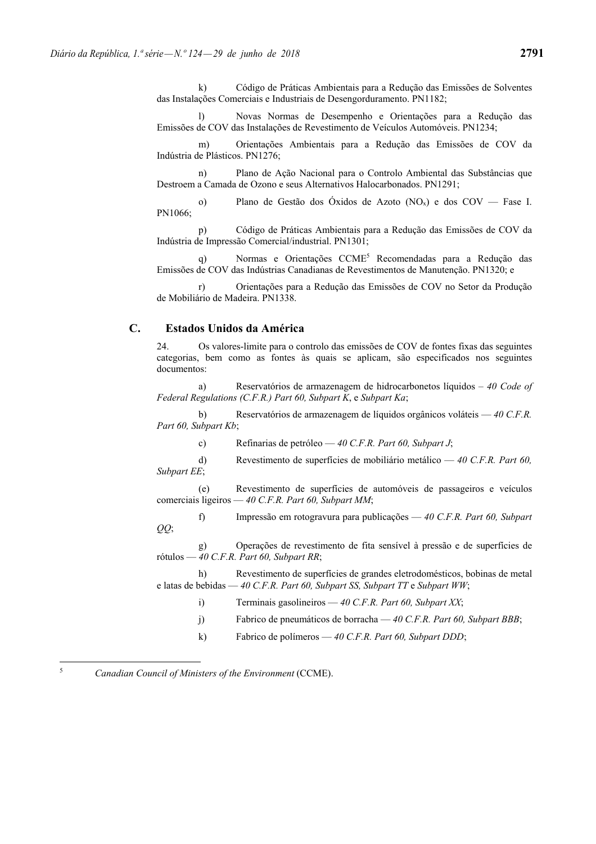k) Código de Práticas Ambientais para a Redução das Emissões de Solventes das Instalações Comerciais e Industriais de Desengorduramento. PN1182;

 l) Novas Normas de Desempenho e Orientações para a Redução das Emissões de COV das Instalações de Revestimento de Veículos Automóveis. PN1234;

 m) Orientações Ambientais para a Redução das Emissões de COV da Indústria de Plásticos. PN1276;

 n) Plano de Ação Nacional para o Controlo Ambiental das Substâncias que Destroem a Camada de Ozono e seus Alternativos Halocarbonados. PN1291;

o) Plano de Gestão dos Óxidos de Azoto  $(NO_x)$  e dos  $COV$  — Fase I. PN1066;

 p) Código de Práticas Ambientais para a Redução das Emissões de COV da Indústria de Impressão Comercial/industrial. PN1301;

 q) Normas e Orientações CCME5 Recomendadas para a Redução das Emissões de COV das Indústrias Canadianas de Revestimentos de Manutenção. PN1320; e

 r) Orientações para a Redução das Emissões de COV no Setor da Produção de Mobiliário de Madeira. PN1338.

## **C. Estados Unidos da América**

24. Os valores-limite para o controlo das emissões de COV de fontes fixas das seguintes categorias, bem como as fontes às quais se aplicam, são especificados nos seguintes documentos:

 a) Reservatórios de armazenagem de hidrocarbonetos líquidos – *40 Code of Federal Regulations (C.F.R.) Part 60, Subpart K*, e *Subpart Ka*;

 b) Reservatórios de armazenagem de líquidos orgânicos voláteis — *40 C.F.R. Part 60, Subpart Kb*;

c) Refinarias de petróleo — *40 C.F.R. Part 60, Subpart J*;

 d) Revestimento de superfícies de mobiliário metálico — *40 C.F.R. Part 60, Subpart EE*;

 (e) Revestimento de superfícies de automóveis de passageiros e veículos comerciais ligeiros — *40 C.F.R. Part 60, Subpart MM*;

 f) Impressão em rotogravura para publicações — *40 C.F.R. Part 60, Subpart QQ*;

 g) Operações de revestimento de fita sensível à pressão e de superfícies de rótulos — *40 C.F.R. Part 60, Subpart RR*;

 h) Revestimento de superfícies de grandes eletrodomésticos, bobinas de metal e latas de bebidas — *40 C.F.R. Part 60, Subpart SS, Subpart TT* e *Subpart WW*;

i) Terminais gasolineiros — *40 C.F.R. Part 60, Subpart XX*;

- j) Fabrico de pneumáticos de borracha *40 C.F.R. Part 60, Subpart BBB*;
- k) Fabrico de polímeros *40 C.F.R. Part 60, Subpart DDD*;

<sup>5</sup> *Canadian Council of Ministers of the Environment* (CCME).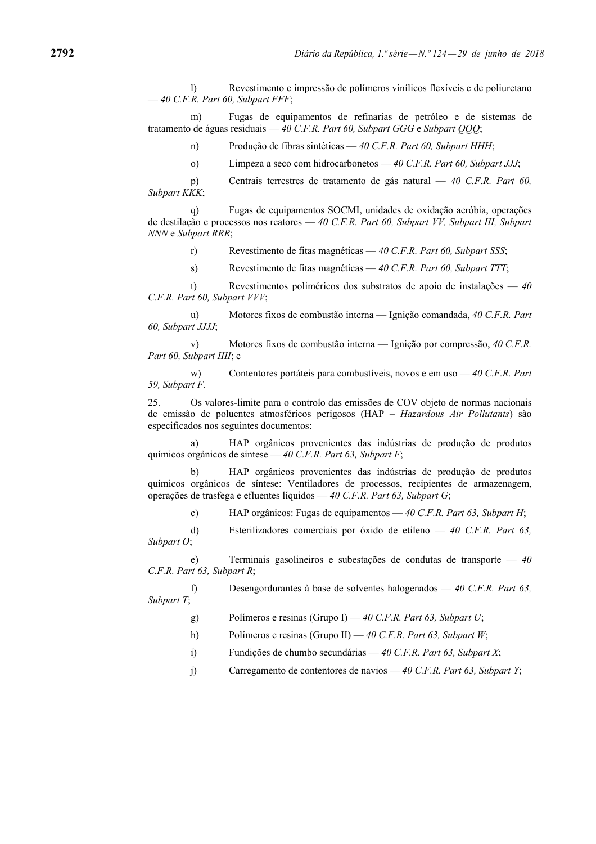l) Revestimento e impressão de polímeros vinílicos flexíveis e de poliuretano — *40 C.F.R. Part 60, Subpart FFF*;

 m) Fugas de equipamentos de refinarias de petróleo e de sistemas de tratamento de águas residuais — *40 C.F.R. Part 60, Subpart GGG* e *Subpart QQQ*;

n) Produção de fibras sintéticas — *40 C.F.R. Part 60, Subpart HHH*;

o) Limpeza a seco com hidrocarbonetos — *40 C.F.R. Part 60, Subpart JJJ*;

 p) Centrais terrestres de tratamento de gás natural — *40 C.F.R. Part 60, Subpart KKK*;

 q) Fugas de equipamentos SOCMI, unidades de oxidação aeróbia, operações de destilação e processos nos reatores — *40 C.F.R. Part 60, Subpart VV, Subpart III, Subpart NNN* e *Subpart RRR*;

r) Revestimento de fitas magnéticas — *40 C.F.R. Part 60, Subpart SSS*;

s) Revestimento de fitas magnéticas — *40 C.F.R. Part 60, Subpart TTT*;

 t) Revestimentos poliméricos dos substratos de apoio de instalações — *40 C.F.R. Part 60, Subpart VVV*;

 u) Motores fixos de combustão interna — Ignição comandada, *40 C.F.R. Part 60, Subpart JJJJ*;

 v) Motores fixos de combustão interna — Ignição por compressão, *40 C.F.R. Part 60, Subpart IIII*; e

 w) Contentores portáteis para combustíveis, novos e em uso — *40 C.F.R. Part 59, Subpart F*.

25. Os valores-limite para o controlo das emissões de COV objeto de normas nacionais de emissão de poluentes atmosféricos perigosos (HAP – *Hazardous Air Pollutants*) são especificados nos seguintes documentos:

 a) HAP orgânicos provenientes das indústrias de produção de produtos químicos orgânicos de síntese — *40 C.F.R. Part 63, Subpart F*;

 b) HAP orgânicos provenientes das indústrias de produção de produtos químicos orgânicos de síntese: Ventiladores de processos, recipientes de armazenagem, operações de trasfega e efluentes líquidos — *40 C.F.R. Part 63, Subpart G*;

c) HAP orgânicos: Fugas de equipamentos — *40 C.F.R. Part 63, Subpart H*;

 d) Esterilizadores comerciais por óxido de etileno — *40 C.F.R. Part 63, Subpart O*;

 e) Terminais gasolineiros e subestações de condutas de transporte — *40 C.F.R. Part 63, Subpart R*;

 f) Desengordurantes à base de solventes halogenados — *40 C.F.R. Part 63, Subpart T*;

g) Polímeros e resinas (Grupo I) — *40 C.F.R. Part 63, Subpart U*;

- h) Polímeros e resinas (Grupo II) *40 C.F.R. Part 63, Subpart W*;
- i) Fundições de chumbo secundárias *40 C.F.R. Part 63, Subpart X*;
- j) Carregamento de contentores de navios *40 C.F.R. Part 63, Subpart Y*;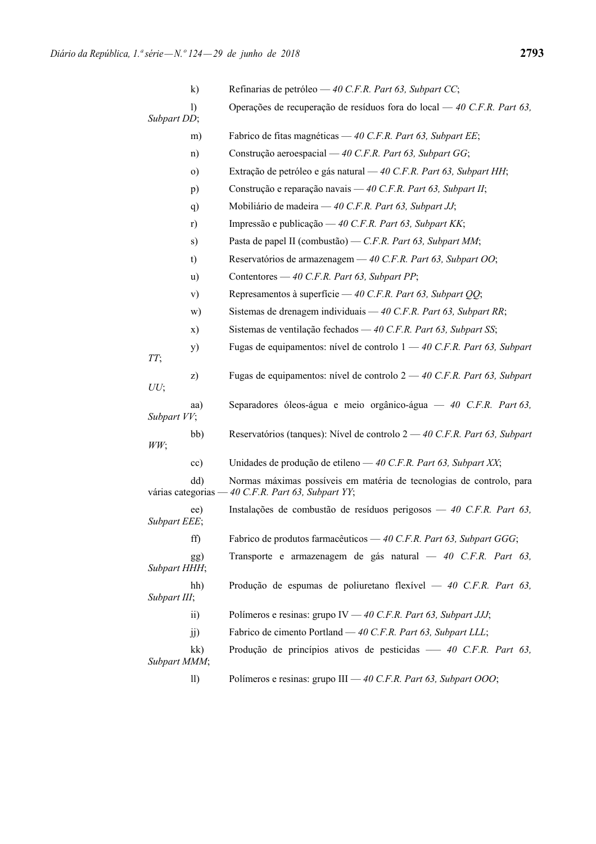|                     | $\mathbf{k}$    | Refinarias de petróleo — 40 C.F.R. Part 63, Subpart CC;                                                   |
|---------------------|-----------------|-----------------------------------------------------------------------------------------------------------|
| Subpart DD;         | $\bf{D}$        | Operações de recuperação de resíduos fora do local — 40 C.F.R. Part 63,                                   |
|                     | m)              | Fabrico de fitas magnéticas — 40 C.F.R. Part 63, Subpart EE;                                              |
|                     | n)              | Construção aeroespacial — 40 C.F.R. Part 63, Subpart GG;                                                  |
|                     | $\circ$ )       | Extração de petróleo e gás natural — 40 C.F.R. Part 63, Subpart HH;                                       |
|                     | p)              | Construção e reparação navais — 40 C.F.R. Part 63, Subpart II;                                            |
|                     | q)              | Mobiliário de madeira — 40 C.F.R. Part 63, Subpart JJ;                                                    |
|                     | r)              | Impressão e publicação — 40 C.F.R. Part 63, Subpart KK;                                                   |
|                     | s)              | Pasta de papel II (combustão) — C.F.R. Part 63, Subpart MM;                                               |
|                     | t)              | Reservatórios de armazenagem — 40 C.F.R. Part 63, Subpart OO;                                             |
|                     | u)              | Contentores — 40 C.F.R. Part 63, Subpart PP;                                                              |
|                     | V)              | Represamentos à superfície - 40 C.F.R. Part 63, Subpart QQ;                                               |
|                     | w)              | Sistemas de drenagem individuais - 40 C.F.R. Part 63, Subpart RR;                                         |
|                     | X)              | Sistemas de ventilação fechados — 40 C.F.R. Part 63, Subpart SS;                                          |
| TT;                 | y)              | Fugas de equipamentos: nível de controlo $1 - 40$ C.F.R. Part 63, Subpart                                 |
| UU;                 | z)              | Fugas de equipamentos: nível de controlo $2 - 40$ C.F.R. Part 63, Subpart                                 |
| Subpart VV;         | aa)             | Separadores óleos-água e meio orgânico-água — 40 C.F.R. Part 63,                                          |
| WW:                 | bb)             | Reservatórios (tanques): Nível de controlo 2 — 40 C.F.R. Part 63, Subpart                                 |
|                     | $\rm cc)$       | Unidades de produção de etileno — 40 C.F.R. Part 63, Subpart XX;                                          |
| várias categorias - | dd)             | Normas máximas possíveis em matéria de tecnologias de controlo, para<br>$-40$ C.F.R. Part 63, Subpart YY; |
| Subpart EEE;        | ee)             | Instalações de combustão de resíduos perigosos — 40 C.F.R. Part 63,                                       |
|                     | ff)             | Fabrico de produtos farmacêuticos — 40 C.F.R. Part 63, Subpart GGG;                                       |
| Subpart HHH;        | gg)             | Transporte e armazenagem de gás natural — 40 C.F.R. Part 63,                                              |
| Subpart III;        | hh)             | Produção de espumas de poliuretano flexível — 40 C.F.R. Part 63,                                          |
|                     | $\overline{ii}$ | Polímeros e resinas: grupo IV — 40 C.F.R. Part 63, Subpart JJJ;                                           |
|                     | jj)             | Fabrico de cimento Portland — 40 C.F.R. Part 63, Subpart LLL;                                             |
| Subpart MMM;        | kk)             | Produção de princípios ativos de pesticidas — 40 C.F.R. Part 63,                                          |
|                     | 11)             | Polímeros e resinas: grupo III — 40 C.F.R. Part 63, Subpart OOO;                                          |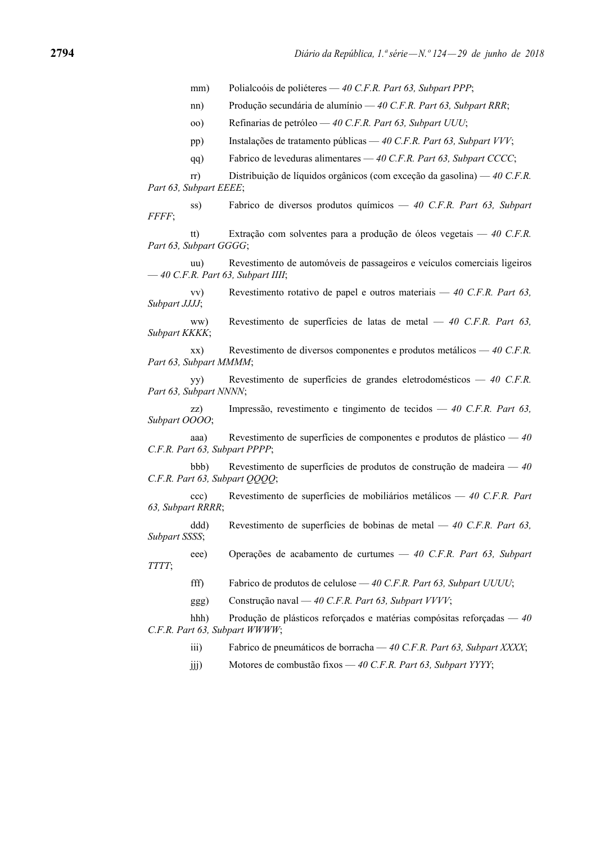mm) Polialcoóis de poliéteres — *40 C.F.R. Part 63, Subpart PPP*;

nn) Produção secundária de alumínio — *40 C.F.R. Part 63, Subpart RRR*;

oo) Refinarias de petróleo — *40 C.F.R. Part 63, Subpart UUU*;

pp) Instalações de tratamento públicas — *40 C.F.R. Part 63, Subpart VVV*;

qq) Fabrico de leveduras alimentares — *40 C.F.R. Part 63, Subpart CCCC*;

 rr) Distribuição de líquidos orgânicos (com exceção da gasolina) — *40 C.F.R. Part 63, Subpart EEEE*;

 ss) Fabrico de diversos produtos químicos — *40 C.F.R. Part 63, Subpart FFFF*;

 tt) Extração com solventes para a produção de óleos vegetais — *40 C.F.R. Part 63, Subpart GGGG*;

 uu) Revestimento de automóveis de passageiros e veículos comerciais ligeiros — *40 C.F.R. Part 63, Subpart IIII*;

 vv) Revestimento rotativo de papel e outros materiais — *40 C.F.R. Part 63, Subpart JJJJ*;

 ww) Revestimento de superfícies de latas de metal — *40 C.F.R. Part 63, Subpart KKKK*;

 xx) Revestimento de diversos componentes e produtos metálicos — *40 C.F.R. Part 63, Subpart MMMM*;

 yy) Revestimento de superfícies de grandes eletrodomésticos — *40 C.F.R. Part 63, Subpart NNNN*;

 zz) Impressão, revestimento e tingimento de tecidos — *40 C.F.R. Part 63, Subpart OOOO*;

 aaa) Revestimento de superfícies de componentes e produtos de plástico — *40 C.F.R. Part 63, Subpart PPPP*;

 bbb) Revestimento de superfícies de produtos de construção de madeira — *40 C.F.R. Part 63, Subpart QQQQ*;

 ccc) Revestimento de superfícies de mobiliários metálicos — *40 C.F.R. Part 63, Subpart RRRR*;

 ddd) Revestimento de superfícies de bobinas de metal — *40 C.F.R. Part 63, Subpart SSSS*;

 eee) Operações de acabamento de curtumes — *40 C.F.R. Part 63, Subpart TTTT*;

fff) Fabrico de produtos de celulose — *40 C.F.R. Part 63, Subpart UUUU*;

ggg) Construção naval — *40 C.F.R. Part 63, Subpart VVVV*;

 hhh) Produção de plásticos reforçados e matérias compósitas reforçadas — *40 C.F.R. Part 63, Subpart WWWW*;

- iii) Fabrico de pneumáticos de borracha *40 C.F.R. Part 63, Subpart XXXX*;
- jjj) Motores de combustão fixos *40 C.F.R. Part 63, Subpart YYYY*;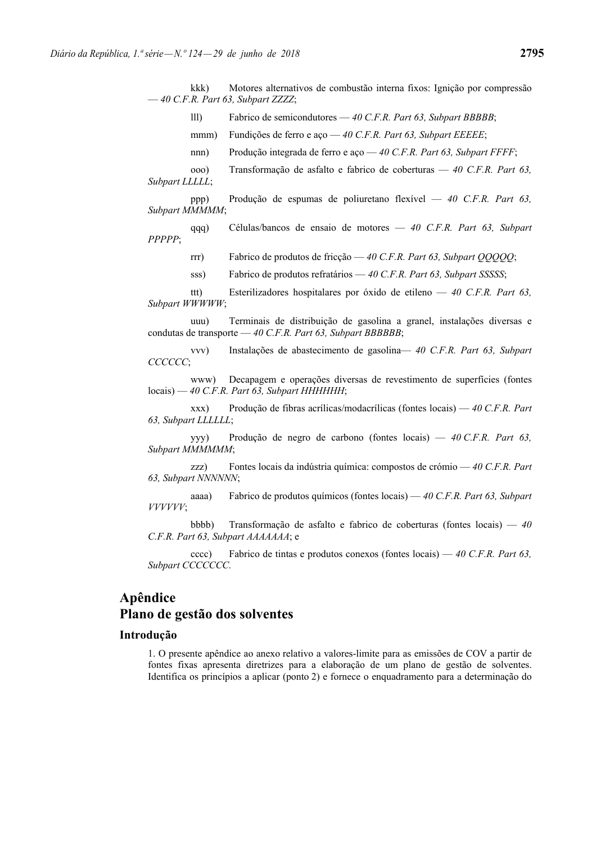lll) Fabrico de semicondutores — *40 C.F.R. Part 63, Subpart BBBBB*;

- mmm) Fundições de ferro e aço *40 C.F.R. Part 63, Subpart EEEEE*;
- nnn) Produção integrada de ferro e aço *40 C.F.R. Part 63, Subpart FFFF*;

 ooo) Transformação de asfalto e fabrico de coberturas — *40 C.F.R. Part 63, Subpart LLLLL*;

 ppp) Produção de espumas de poliuretano flexível — *40 C.F.R. Part 63, Subpart MMMMM*;

 qqq) Células/bancos de ensaio de motores — *40 C.F.R. Part 63, Subpart PPPPP*;

rrr) Fabrico de produtos de fricção — *40 C.F.R. Part 63, Subpart QQQQQ*;

sss) Fabrico de produtos refratários — *40 C.F.R. Part 63, Subpart SSSSS*;

 ttt) Esterilizadores hospitalares por óxido de etileno — *40 C.F.R. Part 63, Subpart WWWWW*;

 uuu) Terminais de distribuição de gasolina a granel, instalações diversas e condutas de transporte — *40 C.F.R. Part 63, Subpart BBBBBB*;

 vvv) Instalações de abastecimento de gasolina— *40 C.F.R. Part 63, Subpart CCCCCC*;

 www) Decapagem e operações diversas de revestimento de superfícies (fontes locais) — *40 C.F.R. Part 63, Subpart HHHHHH*;

 xxx) Produção de fibras acrílicas/modacrílicas (fontes locais) — *40 C.F.R. Part 63, Subpart LLLLLL*;

 yyy) Produção de negro de carbono (fontes locais) — *40 C.F.R. Part 63, Subpart MMMMMM*;

 zzz) Fontes locais da indústria química: compostos de crómio — *40 C.F.R. Part 63, Subpart NNNNNN*;

 aaaa) Fabrico de produtos químicos (fontes locais) — *40 C.F.R. Part 63, Subpart VVVVVV*;

 bbbb) Transformação de asfalto e fabrico de coberturas (fontes locais) — *40 C.F.R. Part 63, Subpart AAAAAAA*; e

 cccc) Fabrico de tintas e produtos conexos (fontes locais) — *40 C.F.R. Part 63, Subpart CCCCCCC.*

# **Apêndice Plano de gestão dos solventes**

## **Introdução**

1. O presente apêndice ao anexo relativo a valores-limite para as emissões de COV a partir de fontes fixas apresenta diretrizes para a elaboração de um plano de gestão de solventes. Identifica os princípios a aplicar (ponto 2) e fornece o enquadramento para a determinação do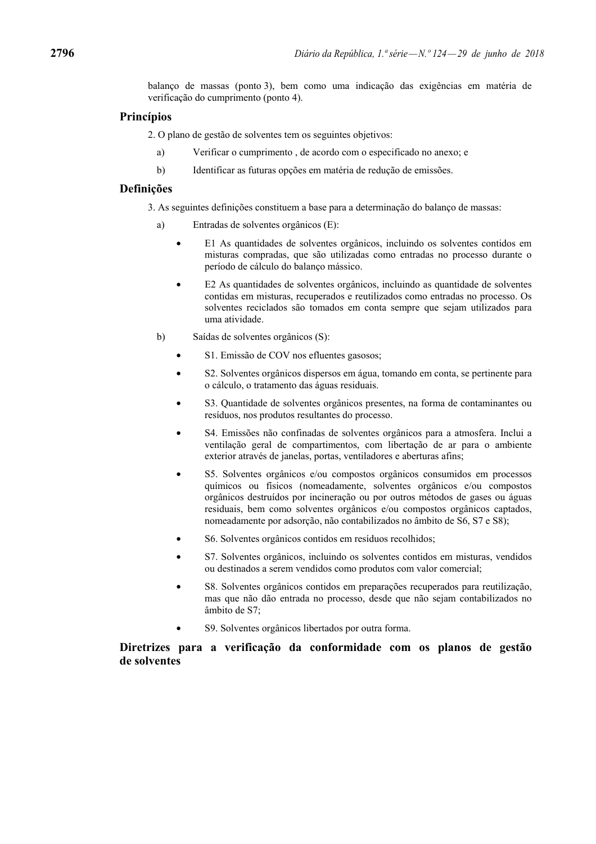balanço de massas (ponto 3), bem como uma indicação das exigências em matéria de verificação do cumprimento (ponto 4).

# **Princípios**

2. O plano de gestão de solventes tem os seguintes objetivos:

- a) Verificar o cumprimento , de acordo com o especificado no anexo; e
- b) Identificar as futuras opções em matéria de redução de emissões.

### **Definições**

3. As seguintes definições constituem a base para a determinação do balanço de massas:

- a) Entradas de solventes orgânicos (E):
	- E1 As quantidades de solventes orgânicos, incluindo os solventes contidos em misturas compradas, que são utilizadas como entradas no processo durante o período de cálculo do balanço mássico.
	- E2 As quantidades de solventes orgânicos, incluindo as quantidade de solventes contidas em misturas, recuperados e reutilizados como entradas no processo. Os solventes reciclados são tomados em conta sempre que sejam utilizados para uma atividade.
- b) Saídas de solventes orgânicos (S):
	- S1. Emissão de COV nos efluentes gasosos;
	- S2. Solventes orgânicos dispersos em água, tomando em conta, se pertinente para o cálculo, o tratamento das águas residuais.
	- S3. Quantidade de solventes orgânicos presentes, na forma de contaminantes ou resíduos, nos produtos resultantes do processo.
	- S4. Emissões não confinadas de solventes orgânicos para a atmosfera. Inclui a ventilação geral de compartimentos, com libertação de ar para o ambiente exterior através de janelas, portas, ventiladores e aberturas afins;
	- S5. Solventes orgânicos e/ou compostos orgânicos consumidos em processos químicos ou físicos (nomeadamente, solventes orgânicos e/ou compostos orgânicos destruídos por incineração ou por outros métodos de gases ou águas residuais, bem como solventes orgânicos e/ou compostos orgânicos captados, nomeadamente por adsorção, não contabilizados no âmbito de S6, S7 e S8);
	- S6. Solventes orgânicos contidos em resíduos recolhidos;
	- S7. Solventes orgânicos, incluindo os solventes contidos em misturas, vendidos ou destinados a serem vendidos como produtos com valor comercial;
	- S8. Solventes orgânicos contidos em preparações recuperados para reutilização, mas que não dão entrada no processo, desde que não sejam contabilizados no âmbito de S7;
	- S9. Solventes orgânicos libertados por outra forma.

**Diretrizes para a verificação da conformidade com os planos de gestão de solventes**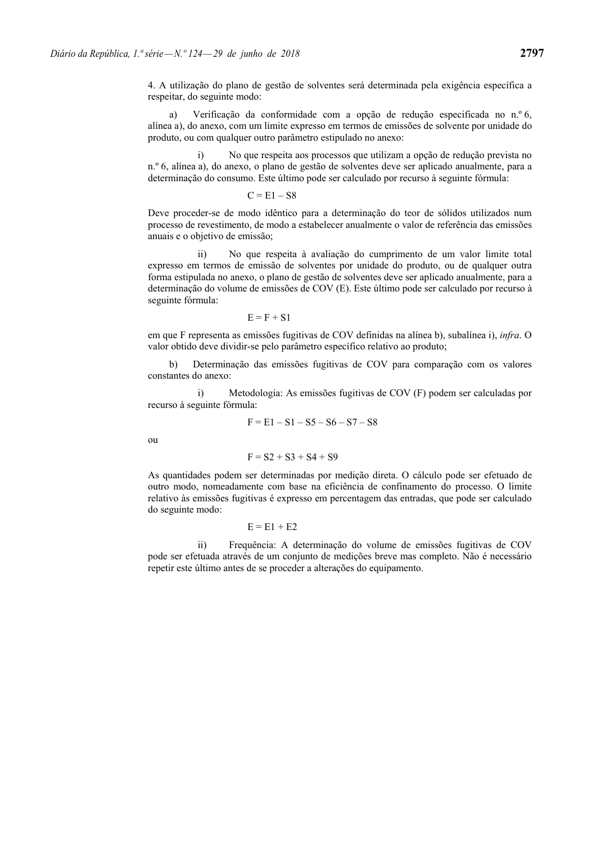a) Verificação da conformidade com a opção de redução especificada no n.º 6, alínea a), do anexo, com um limite expresso em termos de emissões de solvente por unidade do produto, ou com qualquer outro parâmetro estipulado no anexo:

 i) No que respeita aos processos que utilizam a opção de redução prevista no n.º 6, alínea a), do anexo, o plano de gestão de solventes deve ser aplicado anualmente, para a determinação do consumo. Este último pode ser calculado por recurso à seguinte fórmula:

$$
C = E1 - S8
$$

Deve proceder-se de modo idêntico para a determinação do teor de sólidos utilizados num processo de revestimento, de modo a estabelecer anualmente o valor de referência das emissões anuais e o objetivo de emissão;

 ii) No que respeita à avaliação do cumprimento de um valor limite total expresso em termos de emissão de solventes por unidade do produto, ou de qualquer outra forma estipulada no anexo, o plano de gestão de solventes deve ser aplicado anualmente, para a determinação do volume de emissões de COV (E). Este último pode ser calculado por recurso à seguinte fórmula:

$$
E = F + S1
$$

em que F representa as emissões fugitivas de COV definidas na alínea b), subalínea i), *infra*. O valor obtido deve dividir-se pelo parâmetro específico relativo ao produto;

 b) Determinação das emissões fugitivas de COV para comparação com os valores constantes do anexo:

 i) Metodologia: As emissões fugitivas de COV (F) podem ser calculadas por recurso à seguinte fórmula:

$$
F = E1 - S1 - S5 - S6 - S7 - S8
$$

ou

$$
F = S2 + S3 + S4 + S9
$$

As quantidades podem ser determinadas por medição direta. O cálculo pode ser efetuado de outro modo, nomeadamente com base na eficiência de confinamento do processo. O limite relativo às emissões fugitivas é expresso em percentagem das entradas, que pode ser calculado do seguinte modo:

$$
E = E1 + E2
$$

 ii) Frequência: A determinação do volume de emissões fugitivas de COV pode ser efetuada através de um conjunto de medições breve mas completo. Não é necessário repetir este último antes de se proceder a alterações do equipamento.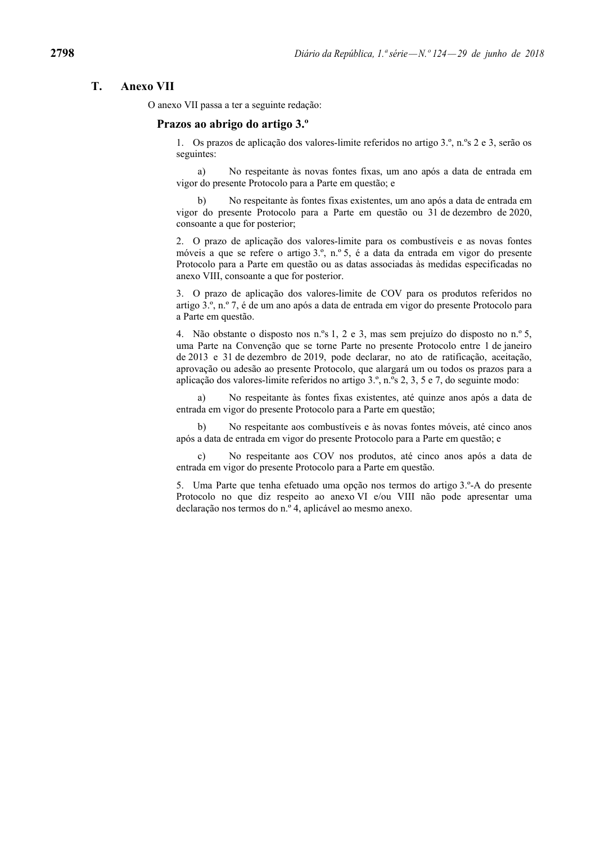# **T. Anexo VII**

O anexo VII passa a ter a seguinte redação:

### **Prazos ao abrigo do artigo 3.º**

1. Os prazos de aplicação dos valores-limite referidos no artigo 3.º, n.ºs 2 e 3, serão os seguintes:

 a) No respeitante às novas fontes fixas, um ano após a data de entrada em vigor do presente Protocolo para a Parte em questão; e

 b) No respeitante às fontes fixas existentes, um ano após a data de entrada em vigor do presente Protocolo para a Parte em questão ou 31 de dezembro de 2020, consoante a que for posterior;

2. O prazo de aplicação dos valores-limite para os combustíveis e as novas fontes móveis a que se refere o artigo 3.º, n.º 5, é a data da entrada em vigor do presente Protocolo para a Parte em questão ou as datas associadas às medidas especificadas no anexo VIII, consoante a que for posterior.

3. O prazo de aplicação dos valores-limite de COV para os produtos referidos no artigo 3.º, n.º 7, é de um ano após a data de entrada em vigor do presente Protocolo para a Parte em questão.

4. Não obstante o disposto nos n.ºs 1, 2 e 3, mas sem prejuízo do disposto no n.º 5, uma Parte na Convenção que se torne Parte no presente Protocolo entre 1 de janeiro de 2013 e 31 de dezembro de 2019, pode declarar, no ato de ratificação, aceitação, aprovação ou adesão ao presente Protocolo, que alargará um ou todos os prazos para a aplicação dos valores-limite referidos no artigo 3.º, n.ºs 2, 3, 5 e 7, do seguinte modo:

 a) No respeitante às fontes fixas existentes, até quinze anos após a data de entrada em vigor do presente Protocolo para a Parte em questão;

 b) No respeitante aos combustíveis e às novas fontes móveis, até cinco anos após a data de entrada em vigor do presente Protocolo para a Parte em questão; e

 c) No respeitante aos COV nos produtos, até cinco anos após a data de entrada em vigor do presente Protocolo para a Parte em questão.

5. Uma Parte que tenha efetuado uma opção nos termos do artigo 3.º-A do presente Protocolo no que diz respeito ao anexo VI e/ou VIII não pode apresentar uma declaração nos termos do n.º 4, aplicável ao mesmo anexo.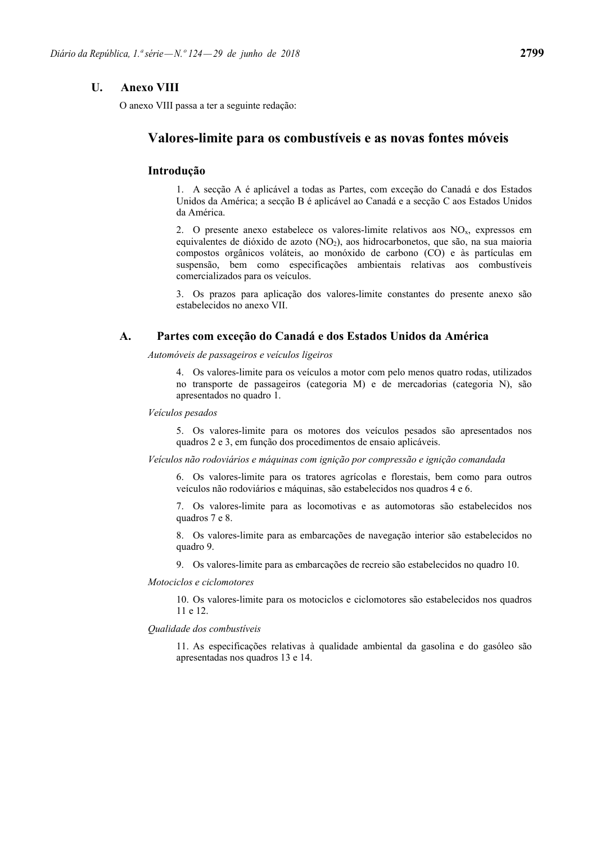# **U. Anexo VIII**

O anexo VIII passa a ter a seguinte redação:

# **Valores-limite para os combustíveis e as novas fontes móveis**

# **Introdução**

1. A secção A é aplicável a todas as Partes, com exceção do Canadá e dos Estados Unidos da América; a secção B é aplicável ao Canadá e a secção C aos Estados Unidos da América.

2. O presente anexo estabelece os valores-limite relativos aos  $NO<sub>x</sub>$ , expressos em equivalentes de dióxido de azoto  $(NO<sub>2</sub>)$ , aos hidrocarbonetos, que são, na sua maioria compostos orgânicos voláteis, ao monóxido de carbono (CO) e às partículas em suspensão, bem como especificações ambientais relativas aos combustíveis comercializados para os veículos.

3. Os prazos para aplicação dos valores-limite constantes do presente anexo são estabelecidos no anexo VII.

# **A. Partes com exceção do Canadá e dos Estados Unidos da América**

*Automóveis de passageiros e veículos ligeiros* 

4. Os valores-limite para os veículos a motor com pelo menos quatro rodas, utilizados no transporte de passageiros (categoria M) e de mercadorias (categoria N), são apresentados no quadro 1.

## *Veículos pesados*

5. Os valores-limite para os motores dos veículos pesados são apresentados nos quadros 2 e 3, em função dos procedimentos de ensaio aplicáveis.

*Veículos não rodoviários e máquinas com ignição por compressão e ignição comandada* 

6. Os valores-limite para os tratores agrícolas e florestais, bem como para outros veículos não rodoviários e máquinas, são estabelecidos nos quadros 4 e 6.

7. Os valores-limite para as locomotivas e as automotoras são estabelecidos nos quadros 7 e 8.

8. Os valores-limite para as embarcações de navegação interior são estabelecidos no quadro 9.

9. Os valores-limite para as embarcações de recreio são estabelecidos no quadro 10.

#### *Motociclos e ciclomotores*

10. Os valores-limite para os motociclos e ciclomotores são estabelecidos nos quadros 11 e 12.

### *Qualidade dos combustíveis*

11. As especificações relativas à qualidade ambiental da gasolina e do gasóleo são apresentadas nos quadros 13 e 14.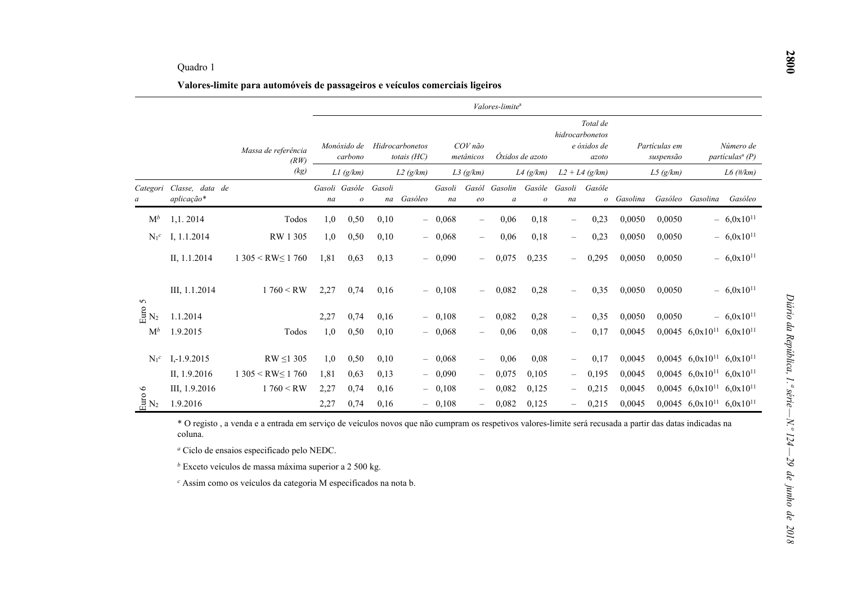|                               |                                                                             |                                                                                                                                                          |                     |                        |        |                                  |              |                          | Valores-limite <sup>a</sup> |                            |                                   |                                                     |          |                            |                                                    |                                          |
|-------------------------------|-----------------------------------------------------------------------------|----------------------------------------------------------------------------------------------------------------------------------------------------------|---------------------|------------------------|--------|----------------------------------|--------------|--------------------------|-----------------------------|----------------------------|-----------------------------------|-----------------------------------------------------|----------|----------------------------|----------------------------------------------------|------------------------------------------|
|                               |                                                                             | Massa de referência<br>(RW)                                                                                                                              |                     | Monóxido de<br>carbono |        | Hidrocarbonetos<br>totais $(HC)$ |              | COV não<br>metânicos     |                             | Óxidos de azoto            |                                   | Total de<br>hidrocarbonetos<br>e óxidos de<br>azoto |          | Partículas em<br>suspensão |                                                    | Número de<br>partículas <sup>a</sup> (P) |
|                               |                                                                             | (kg)                                                                                                                                                     |                     | LI(g/km)               |        | L2(g/km)                         |              | L3(g/km)                 |                             | $L4$ (g/km)                |                                   | $L2 + L4$ (g/km)                                    |          | L5(g/km)                   |                                                    | $L6$ (#/km)                              |
|                               | Categori Classe, data de<br>aplicação*                                      |                                                                                                                                                          | Gasoli Gasóle<br>na | $\mathcal{O}$          | Gasoli | na Gasóleo                       | Gasoli<br>na | Gasól<br>$\emph{eo}$     | Gasolin<br>$\boldsymbol{a}$ | Gasóle<br>$\boldsymbol{o}$ | Gasoli<br>na                      | Gasóle<br>$\mathcal{O}$                             | Gasolina |                            | Gasóleo Gasolina                                   | Gasóleo                                  |
| $M^b$                         | 1,1.2014                                                                    | Todos                                                                                                                                                    | 1,0                 | 0,50                   | 0,10   |                                  | $-0,068$     | $\overline{\phantom{0}}$ | 0,06                        | 0,18                       | $\overbrace{\phantom{123221111}}$ | 0,23                                                | 0,0050   | 0,0050                     |                                                    | $-6.0x10^{11}$                           |
| $N_1^c$                       | I, 1.1.2014                                                                 | RW 1 305                                                                                                                                                 | 1,0                 | 0,50                   | 0,10   | $-$                              | 0,068        | $\overline{\phantom{0}}$ | 0,06                        | 0,18                       | $\overbrace{\phantom{123221111}}$ | 0,23                                                | 0,0050   | 0,0050                     |                                                    | $-6,0x10^{11}$                           |
|                               | II, 1.1.2014                                                                | $1305 < RW \le 1760$                                                                                                                                     | 1,81                | 0,63                   | 0,13   |                                  | $-0,090$     |                          | 0,075                       | 0,235                      |                                   | 0,295                                               | 0,0050   | 0,0050                     |                                                    | $-6,0x10^{11}$                           |
| 5                             | III, 1.1.2014                                                               | 1760 < RW                                                                                                                                                | 2,27                | 0,74                   | 0,16   |                                  | $-0,108$     | $\qquad \qquad -$        | 0,082                       | 0,28                       |                                   | 0,35                                                | 0,0050   | 0,0050                     |                                                    | $-6,0x10^{11}$                           |
| $\frac{8}{11}$ $\mathrm{N}_2$ | 1.1.2014                                                                    |                                                                                                                                                          | 2,27                | 0,74                   | 0,16   |                                  | $-0,108$     |                          | 0,082                       | 0,28                       | $\overline{\phantom{a}}$          | 0,35                                                | 0,0050   | 0,0050                     |                                                    | $-6.0x10^{11}$                           |
| $M^b$                         | 1.9.2015                                                                    | Todos                                                                                                                                                    | 1,0                 | 0,50                   | 0,10   |                                  | $-0,068$     |                          | 0,06                        | 0,08                       | $\overline{\phantom{0}}$          | 0,17                                                | 0,0045   |                            | $0,0045$ 6,0x10 <sup>11</sup> 6,0x10 <sup>11</sup> |                                          |
| $N_1^c$                       | $I, -1.9.2015$                                                              | $RW \leq 1305$                                                                                                                                           | 1,0                 | 0,50                   | 0,10   |                                  | $-0.068$     |                          | 0,06                        | 0,08                       |                                   | 0,17                                                | 0,0045   |                            | $0,0045$ 6,0x10 <sup>11</sup> 6,0x10 <sup>11</sup> |                                          |
|                               | II, 1.9.2016                                                                | $1305 < RW \le 1760$                                                                                                                                     | 1,81                | 0,63                   | 0,13   |                                  | 0,090        |                          | 0,075                       | 0,105                      | $\overline{\phantom{m}}$          | 0,195                                               | 0,0045   |                            | $0,0045$ 6,0x10 <sup>11</sup>                      | $6,0x10^{11}$                            |
| $\circ$                       | III, 1.9.2016                                                               | 1760 < RW                                                                                                                                                | 2,27                | 0,74                   | 0,16   |                                  | 0,108        | $\overline{\phantom{0}}$ | 0,082                       | 0,125                      | $\qquad \qquad -$                 | 0,215                                               | 0,0045   |                            | $0,0045$ 6,0x10 <sup>11</sup> 6,0x10 <sup>11</sup> |                                          |
| $\frac{6}{11}N_2$             | 1.9.2016                                                                    |                                                                                                                                                          | 2,27                | 0,74                   | 0,16   |                                  | $-0,108$     | $\overline{\phantom{0}}$ | 0,082                       | 0,125                      | $\qquad \qquad -$                 | 0,215                                               | 0,0045   |                            | $0,0045$ 6,0x10 <sup>11</sup> 6,0x10 <sup>11</sup> |                                          |
|                               | coluna.                                                                     | * O registo, a venda e a entrada em serviço de veículos novos que não cumpram os respetivos valores-limite será recusada a partir das datas indicadas na |                     |                        |        |                                  |              |                          |                             |                            |                                   |                                                     |          |                            |                                                    |                                          |
|                               |                                                                             | <sup><i>a</i></sup> Ciclo de ensaios especificado pelo NEDC.                                                                                             |                     |                        |        |                                  |              |                          |                             |                            |                                   |                                                     |          |                            |                                                    |                                          |
|                               |                                                                             | $b$ Exceto veículos de massa máxima superior a 2 500 kg.                                                                                                 |                     |                        |        |                                  |              |                          |                             |                            |                                   |                                                     |          |                            |                                                    |                                          |
|                               | <sup>c</sup> Assim como os veículos da categoria M especificados na nota b. |                                                                                                                                                          |                     |                        |        |                                  |              |                          |                             |                            |                                   |                                                     |          |                            |                                                    |                                          |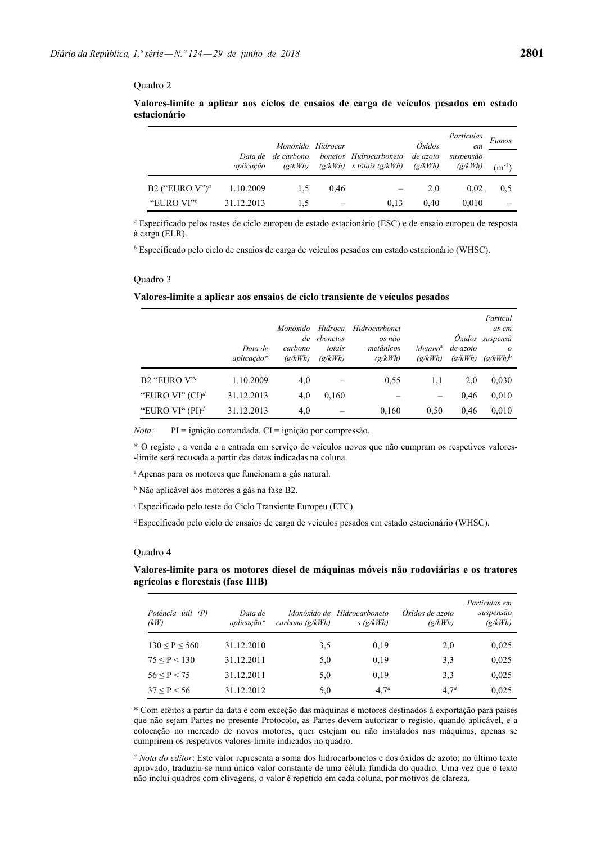|                               |            | Monóxido Hidrocar<br>Data de de carbono |      | bonetos Hidrocarboneto       | Oxidos<br>de azoto | Partículas<br>em<br>suspensão | <b>Fumos</b> |
|-------------------------------|------------|-----------------------------------------|------|------------------------------|--------------------|-------------------------------|--------------|
|                               | aplicação  | $\left(\frac{\alpha}{kWh}\right)$       |      | $(g/kWh)$ s totais $(g/kWh)$ | (g/kWh)            | (g/kWh)                       | $(m^{-1})$   |
| B2 ("EURO $V$ ") <sup>a</sup> | 1.10.2009  | 1.5                                     | 0.46 |                              | 2,0                | 0.02                          | 0.5          |
| "EURO VI" <sup>b</sup>        | 31.12.2013 | 1,5                                     |      | 0.13                         | 0.40               | 0.010                         |              |

## **Valores-limite a aplicar aos ciclos de ensaios de carga de veículos pesados em estado estacionário**

*<sup>a</sup>* Especificado pelos testes de ciclo europeu de estado estacionário (ESC) e de ensaio europeu de resposta à carga (ELR).

*<sup>b</sup>* Especificado pelo ciclo de ensaios de carga de veículos pesados em estado estacionário (WHSC).

#### Quadro 3

#### **Valores-limite a aplicar aos ensaios de ciclo transiente de veículos pesados**

|                    | Data de<br>$aplicação*$ | Monóxido<br>carbono<br>$\left(\frac{\alpha}{kWh}\right)$ | Hidroca<br>de rbonetos<br>totais<br>$\left(\frac{\alpha}{kWh}\right)$ | Hidrocarbonet<br>os não<br>metânicos<br>(g/kWh) | Metano <sup>a</sup><br>$\left(\frac{g}{kWh}\right)$ | de azoto<br>$\left(\frac{\mathrm{g}}{\mathrm{k}}\right)$ | Particul<br>as em<br>Öxidos suspensã<br>$\Omega$<br>$(g/kWh)^b$ |
|--------------------|-------------------------|----------------------------------------------------------|-----------------------------------------------------------------------|-------------------------------------------------|-----------------------------------------------------|----------------------------------------------------------|-----------------------------------------------------------------|
| B2 "EURO $V$ "     | 1.10.2009               | 4,0                                                      |                                                                       | 0,55                                            | 1,1                                                 | 2,0                                                      | 0.030                                                           |
| "EURO VI" $(CI)^d$ | 31.12.2013              | 4,0                                                      | 0,160                                                                 |                                                 |                                                     | 0.46                                                     | 0.010                                                           |
| "EURO VI" $(PI)^d$ | 31.12.2013              | 4,0                                                      |                                                                       | 0,160                                           | 0.50                                                | 0.46                                                     | 0.010                                                           |

*Nota:* PI = ignição comandada. CI = ignição por compressão.

\* O registo , a venda e a entrada em serviço de veículos novos que não cumpram os respetivos valores- -limite será recusada a partir das datas indicadas na coluna.

<sup>a</sup> Apenas para os motores que funcionam a gás natural.

<sup>b</sup> Não aplicável aos motores a gás na fase B2.

<sup>c</sup> Especificado pelo teste do Ciclo Transiente Europeu (ETC)

<sup>d</sup> Especificado pelo ciclo de ensaios de carga de veículos pesados em estado estacionário (WHSC).

#### Quadro 4

#### **Valores-limite para os motores diesel de máquinas móveis não rodoviárias e os tratores agrícolas e florestais (fase IIIB)**

| Potência útil (P)<br>(kW) | Data de<br>aplicação* | carbono $(g/kWh)$ | Monóxido de Hidrocarboneto<br>s(g/kWh) | Óxidos de azoto<br>$\left(\frac{\alpha}{kWh}\right)$ | Partículas em<br>suspensão<br>(g/kWh) |
|---------------------------|-----------------------|-------------------|----------------------------------------|------------------------------------------------------|---------------------------------------|
| 130 < P < 560             | 31.12.2010            | 3.5               | 0.19                                   | 2,0                                                  | 0,025                                 |
| 75 < P < 130              | 31.12.2011            | 5,0               | 0.19                                   | 3.3                                                  | 0,025                                 |
| 56 < P < 75               | 31.12.2011            | 5,0               | 0.19                                   | 3,3                                                  | 0,025                                 |
| 37 < P < 56               | 31.12.2012            | 5,0               | 4.7 <sup>a</sup>                       | 4.7 <sup>a</sup>                                     | 0,025                                 |

\* Com efeitos a partir da data e com exceção das máquinas e motores destinados à exportação para países que não sejam Partes no presente Protocolo, as Partes devem autorizar o registo, quando aplicável, e a colocação no mercado de novos motores, quer estejam ou não instalados nas máquinas, apenas se cumprirem os respetivos valores-limite indicados no quadro.

*<sup>a</sup> Nota do editor*: Este valor representa a soma dos hidrocarbonetos e dos óxidos de azoto; no último texto aprovado, traduziu-se num único valor constante de uma célula fundida do quadro. Uma vez que o texto não inclui quadros com clivagens, o valor é repetido em cada coluna, por motivos de clareza.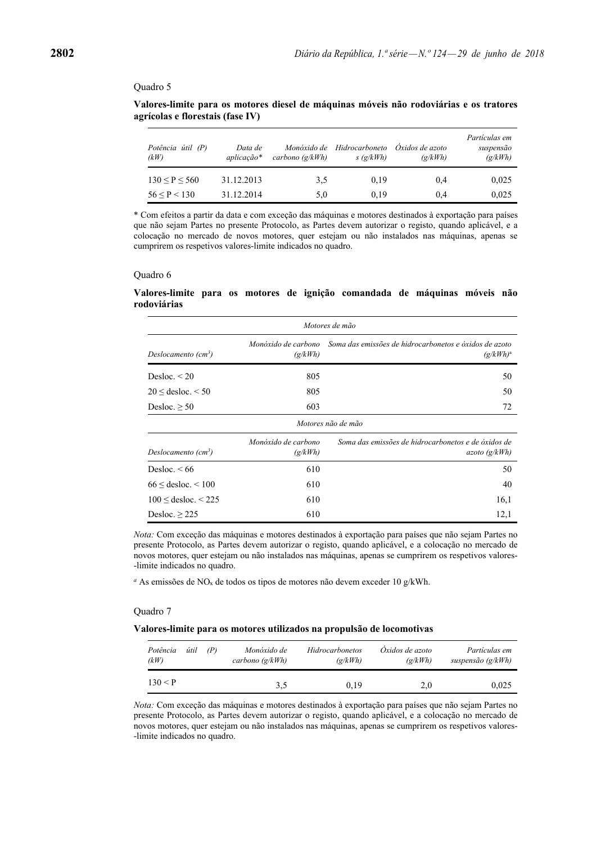| Valores-limite para os motores diesel de máquinas móveis não rodoviárias e os tratores |  |  |  |
|----------------------------------------------------------------------------------------|--|--|--|
| agrícolas e florestais (fase IV)                                                       |  |  |  |

| Potência útil (P)<br>(kW) | Data de<br>aplicação* | Monóxido de<br>carbono $(g/kWh)$ | Hidrocarboneto<br>s(g/kWh) | Óxidos de azoto<br>$\left(\frac{\alpha}{kWh}\right)$ | Partículas em<br>suspensão<br>(g/kWh) |
|---------------------------|-----------------------|----------------------------------|----------------------------|------------------------------------------------------|---------------------------------------|
| 130 < P < 560             | 31.12.2013            | 3.5                              | 0.19                       | 0.4                                                  | 0.025                                 |
| 56 < P < 130              | 31.12.2014            | 5,0                              | 0.19                       | 0.4                                                  | 0,025                                 |

\* Com efeitos a partir da data e com exceção das máquinas e motores destinados à exportação para países que não sejam Partes no presente Protocolo, as Partes devem autorizar o registo, quando aplicável, e a colocação no mercado de novos motores, quer estejam ou não instalados nas máquinas, apenas se cumprirem os respetivos valores-limite indicados no quadro.

#### Quadro 6

# **Valores-limite para os motores de ignição comandada de máquinas móveis não rodoviárias**

|                                 | Motores de mão                 |                                                                                           |  |  |  |  |  |  |  |  |  |
|---------------------------------|--------------------------------|-------------------------------------------------------------------------------------------|--|--|--|--|--|--|--|--|--|
| Deslocamento (cm <sup>3</sup> ) | (g/kWh)                        | Monóxido de carbono Soma das emissões de hidrocarbonetos e óxidos de azoto<br>$(g/kWh)^a$ |  |  |  |  |  |  |  |  |  |
| Desloc. $\leq$ 20               | 805                            | 50                                                                                        |  |  |  |  |  |  |  |  |  |
| $20 \le$ desloc. $\le 50$       | 805                            | 50                                                                                        |  |  |  |  |  |  |  |  |  |
| Desloc. $\geq 50$               | 603                            | 72                                                                                        |  |  |  |  |  |  |  |  |  |
|                                 |                                | Motores não de mão                                                                        |  |  |  |  |  |  |  |  |  |
| Deslocamento (cm <sup>3</sup> ) | Monóxido de carbono<br>(g/kWh) | Soma das emissões de hidrocarbonetos e de óxidos de<br>azoto(g/kWh)                       |  |  |  |  |  |  |  |  |  |
| Desloc. $\leq 66$               | 610                            | 50                                                                                        |  |  |  |  |  |  |  |  |  |
| $66 \leq$ desloc. $\leq 100$    | 610                            | 40                                                                                        |  |  |  |  |  |  |  |  |  |
| $100 \le$ desloc. $\le$ 225     | 610                            | 16,1                                                                                      |  |  |  |  |  |  |  |  |  |
| Desloc. $\geq$ 225              | 610                            | 12,1                                                                                      |  |  |  |  |  |  |  |  |  |

*Nota:* Com exceção das máquinas e motores destinados à exportação para países que não sejam Partes no presente Protocolo, as Partes devem autorizar o registo, quando aplicável, e a colocação no mercado de novos motores, quer estejam ou não instalados nas máquinas, apenas se cumprirem os respetivos valores- -limite indicados no quadro.

*a* As emissões de NOx de todos os tipos de motores não devem exceder 10 g/kWh.

#### Quadro 7

#### **Valores-limite para os motores utilizados na propulsão de locomotivas**

| útil<br>(P)<br>Potência<br>(kW) | Monóxido de<br>carbono $(g/kWh)$ | <b>Hidrocarbonetos</b><br>$\left(\frac{\alpha}{kWh}\right)$ | Oxidos de azoto<br>$\left(\frac{\alpha}{kWh}\right)$ | Partículas em<br>suspensão $(g/kWh)$ |
|---------------------------------|----------------------------------|-------------------------------------------------------------|------------------------------------------------------|--------------------------------------|
| 130 < P                         | 3.5                              | 0.19                                                        | 2.0                                                  | 0,025                                |

*Nota:* Com exceção das máquinas e motores destinados à exportação para países que não sejam Partes no presente Protocolo, as Partes devem autorizar o registo, quando aplicável, e a colocação no mercado de novos motores, quer estejam ou não instalados nas máquinas, apenas se cumprirem os respetivos valores- -limite indicados no quadro.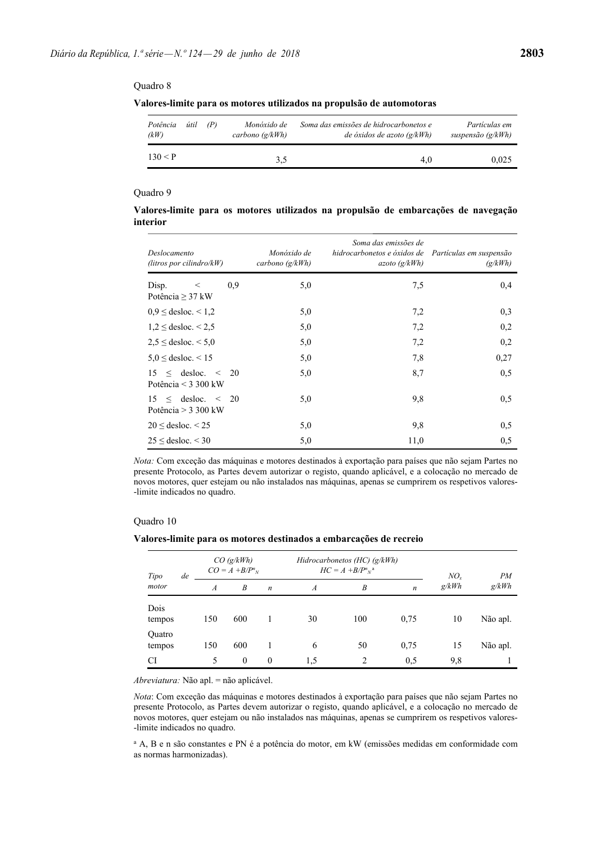| Potência<br>(kW) | útil | (P) | Monóxido de<br>carbono $\left(\frac{\alpha}{kWh}\right)$ | Soma das emissões de hidrocarbonetos e<br>de óxidos de azoto $\left(\frac{g}{kWh}\right)$ | Partículas em<br>suspensão (g/kWh) |
|------------------|------|-----|----------------------------------------------------------|-------------------------------------------------------------------------------------------|------------------------------------|
| 130 < P          |      |     | 3,5                                                      | 4.0                                                                                       | 0.025                              |

# Quadro 9

**Valores-limite para os motores utilizados na propulsão de embarcações de navegação interior** 

| Deslocamento<br>(litros por cilindro/ $kW$ )         |     | Monóxido de<br>carbono $(g/kWh)$ | Soma das emissões de<br>hidrocarbonetos e óxidos de Partículas em suspensão<br>azoto(g/kWh) | (g/kWh) |
|------------------------------------------------------|-----|----------------------------------|---------------------------------------------------------------------------------------------|---------|
| Disp.<br>$\,<$<br>Potência $\geq$ 37 kW              | 0.9 | 5,0                              | 7,5                                                                                         | 0,4     |
| $0.9 \le$ desloc. $\le 1.2$                          |     | 5,0                              | 7,2                                                                                         | 0,3     |
| $1.2 \le$ desloc. $\le 2.5$                          |     | 5,0                              | 7,2                                                                                         | 0,2     |
| $2.5 \leq$ desloc. $\leq 5.0$                        |     | 5,0                              | 7,2                                                                                         | 0,2     |
| $5.0 \leq$ desloc. $\leq 15$                         |     | 5,0                              | 7,8                                                                                         | 0,27    |
| $15 \leq$ desloc. $\leq$ 20<br>Potência < $3300$ kW  |     | 5,0                              | 8,7                                                                                         | 0,5     |
| $15 \leq$ desloc. $\leq$ 20<br>Potência $>$ 3 300 kW |     | 5,0                              | 9,8                                                                                         | 0,5     |
| $20 \le$ desloc. < 25                                |     | 5,0                              | 9,8                                                                                         | 0,5     |
| $25 \le$ desloc. $\le$ 30                            |     | 5,0                              | 11,0                                                                                        | 0,5     |

*Nota:* Com exceção das máquinas e motores destinados à exportação para países que não sejam Partes no presente Protocolo, as Partes devem autorizar o registo, quando aplicável, e a colocação no mercado de novos motores, quer estejam ou não instalados nas máquinas, apenas se cumprirem os respetivos valores- -limite indicados no quadro.

## Quadro 10

**Valores-limite para os motores destinados a embarcações de recreio** 

| Tipo             | de | $CO$ (g/kWh)<br>$CO = A + B/P^n$ <sub>N</sub> |                  |                  | Hidrocarbonetos (HC) $(g/kWh)$<br>$HC = A + B/P^n{}_{N}{}^{a}$ | $NO_{r}$       | PM               |       |          |
|------------------|----|-----------------------------------------------|------------------|------------------|----------------------------------------------------------------|----------------|------------------|-------|----------|
| motor            |    | $\boldsymbol{A}$                              | $\boldsymbol{B}$ | $\boldsymbol{n}$ | $\boldsymbol{A}$                                               | B              | $\boldsymbol{n}$ | g/kWh | g/kWh    |
| Dois<br>tempos   |    | 150                                           | 600              |                  | 30                                                             | 100            | 0.75             | 10    | Não apl. |
| Quatro<br>tempos |    | 150                                           | 600              |                  | 6                                                              | 50             | 0,75             | 15    | Não apl. |
| CI               |    | 5                                             | $\mathbf{0}$     | $\theta$         | 1.5                                                            | $\overline{2}$ | 0,5              | 9.8   |          |

*Abreviatura:* Não apl. = não aplicável.

*Nota*: Com exceção das máquinas e motores destinados à exportação para países que não sejam Partes no presente Protocolo, as Partes devem autorizar o registo, quando aplicável, e a colocação no mercado de novos motores, quer estejam ou não instalados nas máquinas, apenas se cumprirem os respetivos valores- -limite indicados no quadro.

a A, B e n são constantes e PN é a potência do motor, em kW (emissões medidas em conformidade com as normas harmonizadas).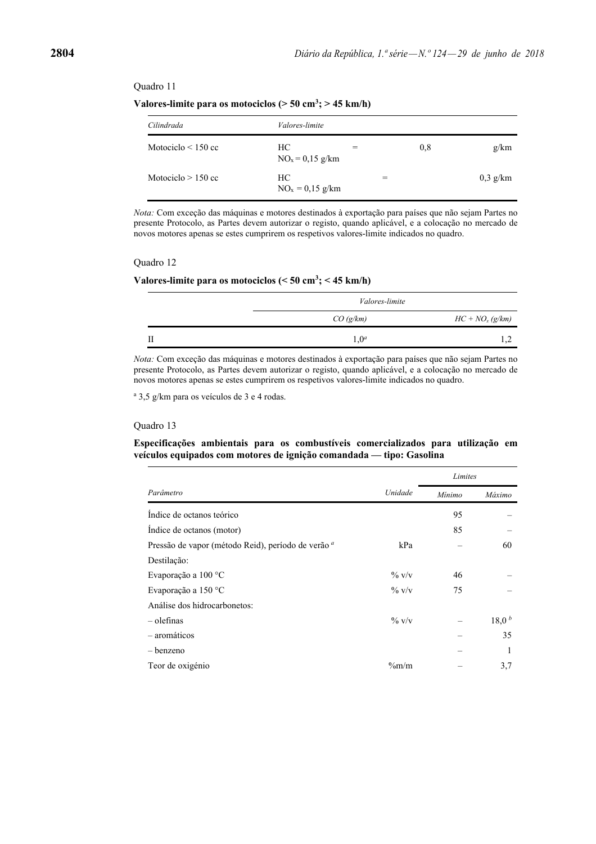Valores-limite para os motociclos ( $>$  50 cm<sup>3</sup>;  $>$  45 km/h)

| Cilindrada              | <i>Valores-limite</i>   |     |     |            |
|-------------------------|-------------------------|-----|-----|------------|
| Motociclo $\leq$ 150 cc | HС<br>$NOx = 0.15$ g/km | $=$ | 0.8 | g/km       |
| Motociclo $> 150$ cc    | HС<br>$NOx = 0.15$ g/km |     | $=$ | $0.3$ g/km |

*Nota:* Com exceção das máquinas e motores destinados à exportação para países que não sejam Partes no presente Protocolo, as Partes devem autorizar o registo, quando aplicável, e a colocação no mercado de novos motores apenas se estes cumprirem os respetivos valores-limite indicados no quadro.

#### Quadro 12

#### **Valores-limite para os motociclos (< 50 cm3 ; < 45 km/h)**

| Valores-limite   |                   |
|------------------|-------------------|
| CO(g/km)         | $HC + NOx (g/km)$ |
| 1.0 <sup>a</sup> |                   |

*Nota:* Com exceção das máquinas e motores destinados à exportação para países que não sejam Partes no presente Protocolo, as Partes devem autorizar o registo, quando aplicável, e a colocação no mercado de novos motores apenas se estes cumprirem os respetivos valores-limite indicados no quadro.

a 3,5 g/km para os veículos de 3 e 4 rodas.

#### Quadro 13

## **Especificações ambientais para os combustíveis comercializados para utilização em veículos equipados com motores de ignição comandada — tipo: Gasolina**

|                                                               |          | Limites |                   |
|---------------------------------------------------------------|----------|---------|-------------------|
| Parâmetro                                                     | Unidade  | Mínimo  | Máximo            |
| Indice de octanos teórico                                     |          | 95      |                   |
| Indice de octanos (motor)                                     |          | 85      |                   |
| Pressão de vapor (método Reid), período de verão <sup>a</sup> | kPa      |         | 60                |
| Destilação:                                                   |          |         |                   |
| Evaporação a 100 °C                                           | $\%$ V/V | 46      |                   |
| Evaporação a 150 °C                                           | $\%$ V/V | 75      |                   |
| Análise dos hidrocarbonetos:                                  |          |         |                   |
| $-$ olefinas                                                  | $\%$ V/V |         | 18,0 <sup>b</sup> |
| - aromáticos                                                  |          |         | 35                |
| – benzeno                                                     |          |         | 1                 |
| Teor de oxigénio                                              | $\%m/m$  |         | 3,7               |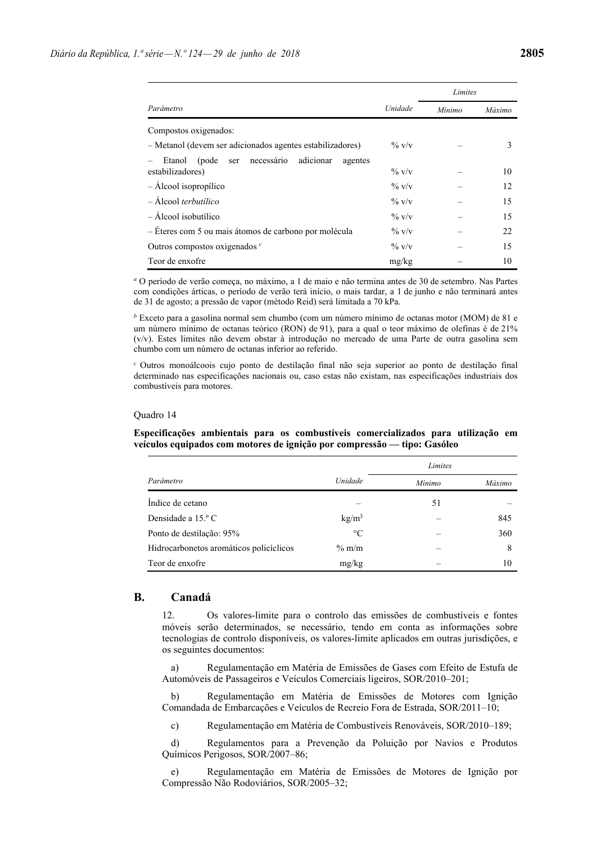|                                                                                  |          | Limites |        |
|----------------------------------------------------------------------------------|----------|---------|--------|
| Parâmetro                                                                        | Unidade  | Mínimo  | Máximo |
| Compostos oxigenados:                                                            |          |         |        |
| - Metanol (devem ser adicionados agentes estabilizadores)                        | $\%$ v/v |         | 3      |
| necessário<br>adicionar<br>(pode<br>agentes<br>Etanol<br>ser<br>estabilizadores) | $\%$ v/v |         | 10     |
| $-$ Álcool isopropílico                                                          | $\%$ v/v |         | 12     |
| $-$ Álcool <i>terbutilico</i>                                                    | $\%$ V/V |         | 15     |
| $-$ Álcool isobutílico                                                           | $\%$ v/v |         | 15     |
| - Eteres com 5 ou mais átomos de carbono por molécula                            | $\%$ v/v |         | 22     |
| Outros compostos oxigenados $\epsilon$                                           | $\%$ V/V |         | 15     |
| Teor de enxofre                                                                  | mg/kg    |         | 10     |

*<sup>a</sup>* O período de verão começa, no máximo, a 1 de maio e não termina antes de 30 de setembro. Nas Partes com condições árticas, o período de verão terá início, o mais tardar, a 1 de junho e não terminará antes de 31 de agosto; a pressão de vapor (método Reid) será limitada a 70 kPa.

*b* Exceto para a gasolina normal sem chumbo (com um número mínimo de octanas motor (MOM) de 81 e um número mínimo de octanas teórico (RON) de 91), para a qual o teor máximo de olefinas é de 21% (v/v). Estes limites não devem obstar à introdução no mercado de uma Parte de outra gasolina sem chumbo com um número de octanas inferior ao referido.

*<sup>c</sup>* Outros monoálcoois cujo ponto de destilação final não seja superior ao ponto de destilação final determinado nas especificações nacionais ou, caso estas não existam, nas especificações industriais dos combustíveis para motores.

#### Quadro 14

**Especificações ambientais para os combustíveis comercializados para utilização em veículos equipados com motores de ignição por compressão — tipo: Gasóleo**

|                                         |                   | Limites |        |  |
|-----------------------------------------|-------------------|---------|--------|--|
| Parâmetro                               | Unidade           | Mínimo  | Máximo |  |
| Indice de cetano                        |                   | 51      |        |  |
| Densidade a 15.º C                      | kg/m <sup>3</sup> |         | 845    |  |
| Ponto de destilação: 95%                | $\circ$ C         |         | 360    |  |
| Hidrocarbonetos aromáticos policíclicos | $\%$ m/m          |         | 8      |  |
| Teor de enxofre                         | mg/kg             |         | 10     |  |

# **B. Canadá**

12. Os valores-limite para o controlo das emissões de combustíveis e fontes móveis serão determinados, se necessário, tendo em conta as informações sobre tecnologias de controlo disponíveis, os valores-limite aplicados em outras jurisdições, e os seguintes documentos:

 a) Regulamentação em Matéria de Emissões de Gases com Efeito de Estufa de Automóveis de Passageiros e Veículos Comerciais ligeiros, SOR/2010–201;

 b) Regulamentação em Matéria de Emissões de Motores com Ignição Comandada de Embarcações e Veículos de Recreio Fora de Estrada, SOR/2011–10;

c) Regulamentação em Matéria de Combustíveis Renováveis, SOR/2010–189;

 d) Regulamentos para a Prevenção da Poluição por Navios e Produtos Químicos Perigosos, SOR/2007–86;

 e) Regulamentação em Matéria de Emissões de Motores de Ignição por Compressão Não Rodoviários, SOR/2005–32;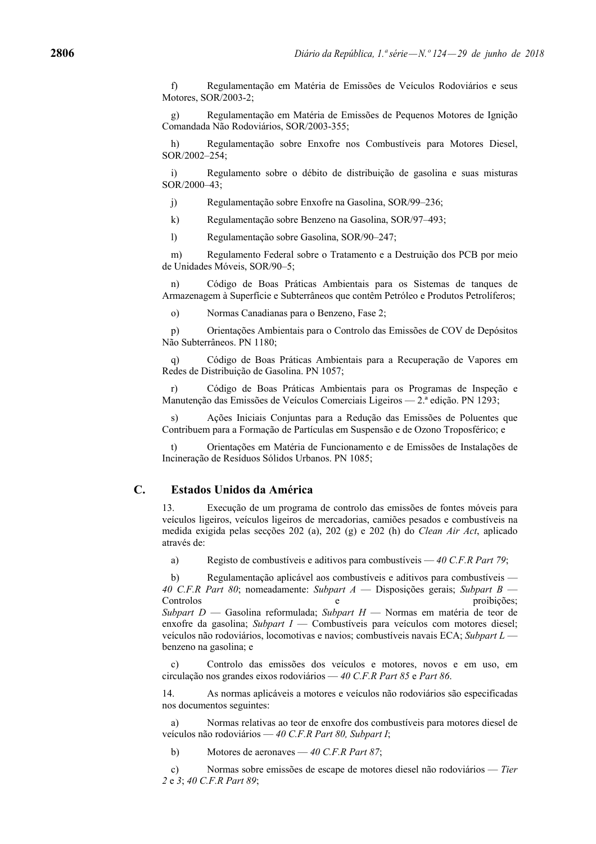f) Regulamentação em Matéria de Emissões de Veículos Rodoviários e seus Motores, SOR/2003-2;

 g) Regulamentação em Matéria de Emissões de Pequenos Motores de Ignição Comandada Não Rodoviários, SOR/2003-355;

 h) Regulamentação sobre Enxofre nos Combustíveis para Motores Diesel, SOR/2002–254;

 i) Regulamento sobre o débito de distribuição de gasolina e suas misturas SOR/2000–43;

j) Regulamentação sobre Enxofre na Gasolina, SOR/99–236;

k) Regulamentação sobre Benzeno na Gasolina, SOR/97–493;

l) Regulamentação sobre Gasolina, SOR/90–247;

 m) Regulamento Federal sobre o Tratamento e a Destruição dos PCB por meio de Unidades Móveis, SOR/90–5;

 n) Código de Boas Práticas Ambientais para os Sistemas de tanques de Armazenagem à Superfície e Subterrâneos que contêm Petróleo e Produtos Petrolíferos;

o) Normas Canadianas para o Benzeno, Fase 2;

 p) Orientações Ambientais para o Controlo das Emissões de COV de Depósitos Não Subterrâneos. PN 1180;

 q) Código de Boas Práticas Ambientais para a Recuperação de Vapores em Redes de Distribuição de Gasolina. PN 1057;

 r) Código de Boas Práticas Ambientais para os Programas de Inspeção e Manutenção das Emissões de Veículos Comerciais Ligeiros — 2.ª edição. PN 1293;

 s) Ações Iniciais Conjuntas para a Redução das Emissões de Poluentes que Contribuem para a Formação de Partículas em Suspensão e de Ozono Troposférico; e

 t) Orientações em Matéria de Funcionamento e de Emissões de Instalações de Incineração de Resíduos Sólidos Urbanos. PN 1085;

# **C. Estados Unidos da América**

13. Execução de um programa de controlo das emissões de fontes móveis para veículos ligeiros, veículos ligeiros de mercadorias, camiões pesados e combustíveis na medida exigida pelas secções 202 (a), 202 (g) e 202 (h) do *Clean Air Act*, aplicado através de:

a) Registo de combustíveis e aditivos para combustíveis — *40 C.F.R Part 79*;

 b) Regulamentação aplicável aos combustíveis e aditivos para combustíveis — *40 C.F.R Part 80*; nomeadamente: *Subpart A* — Disposições gerais; *Subpart B* — Controlos e proibições; *Subpart D* — Gasolina reformulada; *Subpart H* — Normas em matéria de teor de enxofre da gasolina; *Subpart I* — Combustíveis para veículos com motores diesel; veículos não rodoviários, locomotivas e navios; combustíveis navais ECA; *Subpart L* benzeno na gasolina; e

 c) Controlo das emissões dos veículos e motores, novos e em uso, em circulação nos grandes eixos rodoviários — *40 C.F.R Part 85* e *Part 86*.

14. As normas aplicáveis a motores e veículos não rodoviários são especificadas nos documentos seguintes:

 a) Normas relativas ao teor de enxofre dos combustíveis para motores diesel de veículos não rodoviários — *40 C.F.R Part 80, Subpart I*;

b) Motores de aeronaves — *40 C.F.R Part 87*;

 c) Normas sobre emissões de escape de motores diesel não rodoviários — *Tier 2* e *3*; *40 C.F.R Part 89*;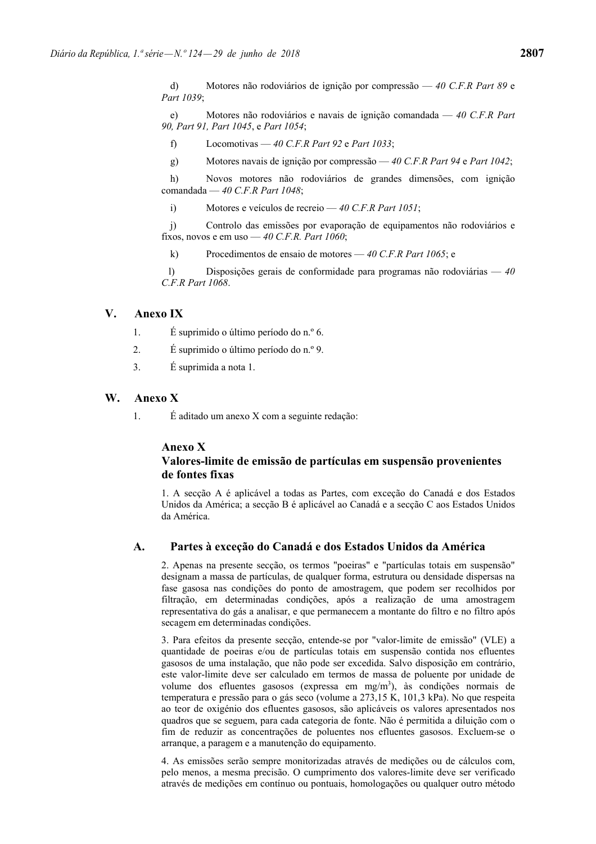d) Motores não rodoviários de ignição por compressão — *40 C.F.R Part 89* e *Part 1039*;

 e) Motores não rodoviários e navais de ignição comandada — *40 C.F.R Part 90, Part 91, Part 1045*, e *Part 1054*;

f) Locomotivas — *40 C.F.R Part 92* e *Part 1033*;

g) Motores navais de ignição por compressão — *40 C.F.R Part 94* e *Part 1042*;

 h) Novos motores não rodoviários de grandes dimensões, com ignição comandada — *40 C.F.R Part 1048*;

i) Motores e veículos de recreio — *40 C.F.R Part 1051*;

 j) Controlo das emissões por evaporação de equipamentos não rodoviários e fixos, novos e em uso — *40 C.F.R. Part 1060*;

k) Procedimentos de ensaio de motores — *40 C.F.R Part 1065*; e

 l) Disposições gerais de conformidade para programas não rodoviárias — *40 C.F.R Part 1068*.

# **V. Anexo IX**

1. É suprimido o último período do n.º 6.

- 2. É suprimido o último período do n.º 9.
- 3. É suprimida a nota 1.

# **W. Anexo X**

1. É aditado um anexo X com a seguinte redação:

#### **Anexo X**

# **Valores-limite de emissão de partículas em suspensão provenientes de fontes fixas**

1. A secção A é aplicável a todas as Partes, com exceção do Canadá e dos Estados Unidos da América; a secção B é aplicável ao Canadá e a secção C aos Estados Unidos da América.

# **A. Partes à exceção do Canadá e dos Estados Unidos da América**

2. Apenas na presente secção, os termos "poeiras" e "partículas totais em suspensão" designam a massa de partículas, de qualquer forma, estrutura ou densidade dispersas na fase gasosa nas condições do ponto de amostragem, que podem ser recolhidos por filtração, em determinadas condições, após a realização de uma amostragem representativa do gás a analisar, e que permanecem a montante do filtro e no filtro após secagem em determinadas condições.

3. Para efeitos da presente secção, entende-se por "valor-limite de emissão" (VLE) a quantidade de poeiras e/ou de partículas totais em suspensão contida nos efluentes gasosos de uma instalação, que não pode ser excedida. Salvo disposição em contrário, este valor-limite deve ser calculado em termos de massa de poluente por unidade de volume dos efluentes gasosos (expressa em mg/m<sup>3</sup>), às condições normais de temperatura e pressão para o gás seco (volume a 273,15 K, 101,3 kPa). No que respeita ao teor de oxigénio dos efluentes gasosos, são aplicáveis os valores apresentados nos quadros que se seguem, para cada categoria de fonte. Não é permitida a diluição com o fim de reduzir as concentrações de poluentes nos efluentes gasosos. Excluem-se o arranque, a paragem e a manutenção do equipamento.

4. As emissões serão sempre monitorizadas através de medições ou de cálculos com, pelo menos, a mesma precisão. O cumprimento dos valores-limite deve ser verificado através de medições em contínuo ou pontuais, homologações ou qualquer outro método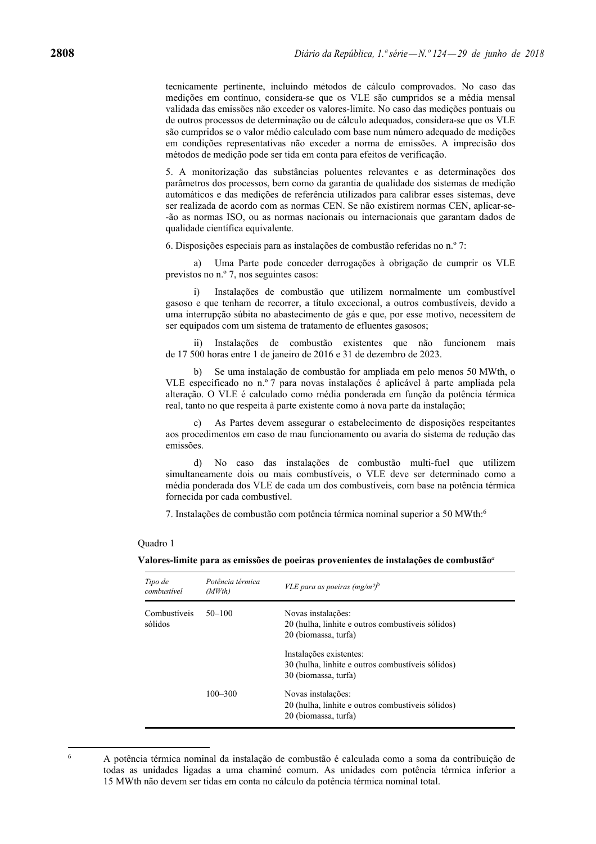tecnicamente pertinente, incluindo métodos de cálculo comprovados. No caso das medições em contínuo, considera-se que os VLE são cumpridos se a média mensal validada das emissões não exceder os valores-limite. No caso das medições pontuais ou de outros processos de determinação ou de cálculo adequados, considera-se que os VLE são cumpridos se o valor médio calculado com base num número adequado de medições em condições representativas não exceder a norma de emissões. A imprecisão dos métodos de medição pode ser tida em conta para efeitos de verificação.

5. A monitorização das substâncias poluentes relevantes e as determinações dos parâmetros dos processos, bem como da garantia de qualidade dos sistemas de medição automáticos e das medições de referência utilizados para calibrar esses sistemas, deve ser realizada de acordo com as normas CEN. Se não existirem normas CEN, aplicar-se- -ão as normas ISO, ou as normas nacionais ou internacionais que garantam dados de qualidade científica equivalente.

6. Disposições especiais para as instalações de combustão referidas no n.º 7:

 a) Uma Parte pode conceder derrogações à obrigação de cumprir os VLE previstos no n.º 7, nos seguintes casos:

 i) Instalações de combustão que utilizem normalmente um combustível gasoso e que tenham de recorrer, a título excecional, a outros combustíveis, devido a uma interrupção súbita no abastecimento de gás e que, por esse motivo, necessitem de ser equipados com um sistema de tratamento de efluentes gasosos;

 ii) Instalações de combustão existentes que não funcionem mais de 17 500 horas entre 1 de janeiro de 2016 e 31 de dezembro de 2023.

 b) Se uma instalação de combustão for ampliada em pelo menos 50 MWth, o VLE especificado no n.º 7 para novas instalações é aplicável à parte ampliada pela alteração. O VLE é calculado como média ponderada em função da potência térmica real, tanto no que respeita à parte existente como à nova parte da instalação;

 c) As Partes devem assegurar o estabelecimento de disposições respeitantes aos procedimentos em caso de mau funcionamento ou avaria do sistema de redução das emissões.

 d) No caso das instalações de combustão multi-fuel que utilizem simultaneamente dois ou mais combustíveis, o VLE deve ser determinado como a média ponderada dos VLE de cada um dos combustíveis, com base na potência térmica fornecida por cada combustível.

7. Instalações de combustão com potência térmica nominal superior a 50 MWth:6

#### Quadro 1

**Valores-limite para as emissões de poeiras provenientes de instalações de combustão***<sup>a</sup>*

| Tipo de<br>combustivel  | Potência térmica<br>(MWth) | <i>VLE para as poeiras (mg/m<sup>3)b</sup></i>                                                       |
|-------------------------|----------------------------|------------------------------------------------------------------------------------------------------|
| Combustíveis<br>sólidos | $50 - 100$                 | Novas instalações:<br>20 (hulha, linhite e outros combustíveis sólidos)<br>20 (biomassa, turfa)      |
|                         |                            | Instalações existentes:<br>30 (hulha, linhite e outros combustíveis sólidos)<br>30 (biomassa, turfa) |
|                         | $100 - 300$                | Novas instalações:<br>20 (hulha, linhite e outros combustíveis sólidos)<br>20 (biomassa, turfa)      |

<sup>6</sup>

A potência térmica nominal da instalação de combustão é calculada como a soma da contribuição de todas as unidades ligadas a uma chaminé comum. As unidades com potência térmica inferior a 15 MWth não devem ser tidas em conta no cálculo da potência térmica nominal total.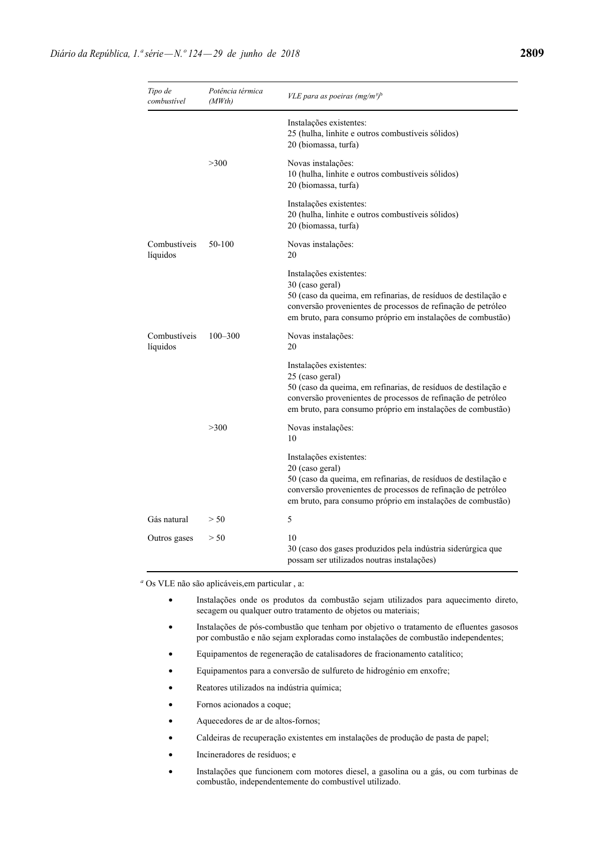| Tipo de<br>combustível   | Potência térmica<br>(MWth) | <i>VLE para as poeiras (mg/m<sup>3)b</sup></i>                                                                                                                                                                                              |
|--------------------------|----------------------------|---------------------------------------------------------------------------------------------------------------------------------------------------------------------------------------------------------------------------------------------|
|                          |                            | Instalações existentes:<br>25 (hulha, linhite e outros combustíveis sólidos)<br>20 (biomassa, turfa)                                                                                                                                        |
|                          | >300                       | Novas instalações:<br>10 (hulha, linhite e outros combustíveis sólidos)<br>20 (biomassa, turfa)                                                                                                                                             |
|                          |                            | Instalações existentes:<br>20 (hulha, linhite e outros combustíveis sólidos)<br>20 (biomassa, turfa)                                                                                                                                        |
| Combustíveis<br>líquidos | 50-100                     | Novas instalações:<br>20                                                                                                                                                                                                                    |
|                          |                            | Instalações existentes:<br>30 (caso geral)<br>50 (caso da queima, em refinarias, de resíduos de destilação e<br>conversão provenientes de processos de refinação de petróleo<br>em bruto, para consumo próprio em instalações de combustão) |
| Combustíveis<br>líquidos | $100 - 300$                | Novas instalações:<br>20                                                                                                                                                                                                                    |
|                          |                            | Instalações existentes:<br>25 (caso geral)<br>50 (caso da queima, em refinarias, de resíduos de destilação e<br>conversão provenientes de processos de refinação de petróleo<br>em bruto, para consumo próprio em instalações de combustão) |
|                          | >300                       | Novas instalações:<br>10                                                                                                                                                                                                                    |
|                          |                            | Instalações existentes:<br>20 (caso geral)<br>50 (caso da queima, em refinarias, de resíduos de destilação e<br>conversão provenientes de processos de refinação de petróleo<br>em bruto, para consumo próprio em instalações de combustão) |
| Gás natural              | > 50                       | 5                                                                                                                                                                                                                                           |
| Outros gases             | > 50                       | 10<br>30 (caso dos gases produzidos pela indústria siderúrgica que<br>possam ser utilizados noutras instalações)                                                                                                                            |

*<sup>a</sup>* Os VLE não são aplicáveis,em particular , a:

- Instalações onde os produtos da combustão sejam utilizados para aquecimento direto, secagem ou qualquer outro tratamento de objetos ou materiais;
- Instalações de pós-combustão que tenham por objetivo o tratamento de efluentes gasosos por combustão e não sejam exploradas como instalações de combustão independentes;
- Equipamentos de regeneração de catalisadores de fracionamento catalítico;
- Equipamentos para a conversão de sulfureto de hidrogénio em enxofre;
- Reatores utilizados na indústria química;
- Fornos acionados a coque;
- Aquecedores de ar de altos-fornos;
- Caldeiras de recuperação existentes em instalações de produção de pasta de papel;
- Incineradores de resíduos; e
- Instalações que funcionem com motores diesel, a gasolina ou a gás, ou com turbinas de combustão, independentemente do combustível utilizado.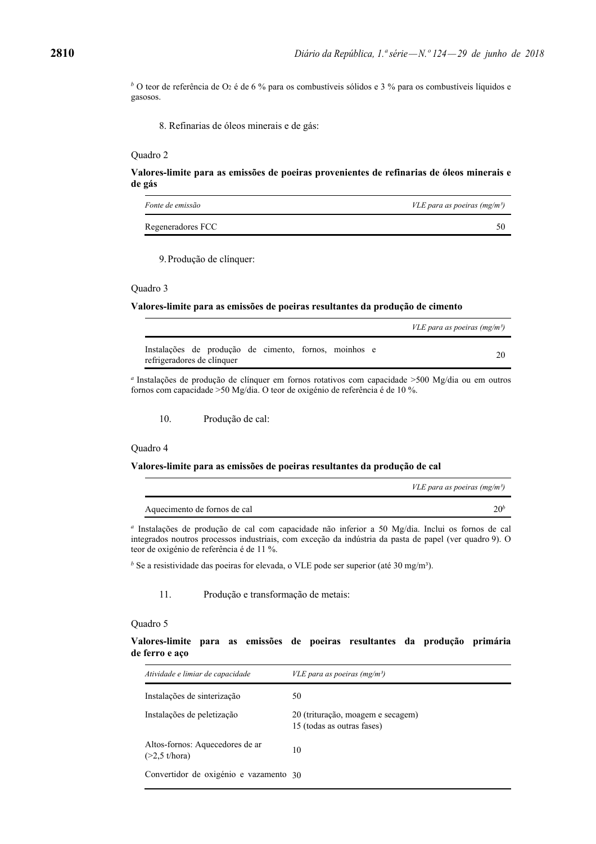*b* O teor de referência de O2 é de 6 % para os combustíveis sólidos e 3 % para os combustíveis líquidos e gasosos.

8. Refinarias de óleos minerais e de gás:

#### Quadro 2

**Valores-limite para as emissões de poeiras provenientes de refinarias de óleos minerais e de gás** 

| <i>Fonte de emissão</i> | <i>VLE para as poeiras (mg/m<sup>3</sup>)</i> |
|-------------------------|-----------------------------------------------|
| Regeneradores FCC       |                                               |

9. Produção de clínquer:

#### Quadro 3

#### **Valores-limite para as emissões de poeiras resultantes da produção de cimento**

|                                                                                     |  | <i>VLE para as poeiras (mg/m<sup>3</sup>)</i> |
|-------------------------------------------------------------------------------------|--|-----------------------------------------------|
| Instalações de produção de cimento, fornos, moinhos e<br>refrigeradores de clínquer |  |                                               |

*<sup>a</sup>* Instalações de produção de clínquer em fornos rotativos com capacidade >500 Mg/dia ou em outros fornos com capacidade >50 Mg/dia. O teor de oxigénio de referência é de 10 %.

10. Produção de cal:

# Quadro 4

# **Valores-limite para as emissões de poeiras resultantes da produção de cal**

|                              | <i>VLE para as poeiras (mg/m<sup>3</sup>)</i> |
|------------------------------|-----------------------------------------------|
| Aquecimento de fornos de cal | 20 <sup>t</sup>                               |

*<sup>a</sup>* Instalações de produção de cal com capacidade não inferior a 50 Mg/dia. Inclui os fornos de cal integrados noutros processos industriais, com exceção da indústria da pasta de papel (ver quadro 9). O teor de oxigénio de referência é de 11 %.

<sup>*b*</sup> Se a resistividade das poeiras for elevada, o VLE pode ser superior (até 30 mg/m<sup>3</sup>).

11. Produção e transformação de metais:

#### Quadro 5

**Valores-limite para as emissões de poeiras resultantes da produção primária de ferro e aço** 

| Atividade e limiar de capacidade                   | <i>VLE para as poeiras (mg/m<sup>3</sup>)</i>                   |
|----------------------------------------------------|-----------------------------------------------------------------|
| Instalações de sinterização                        | 50                                                              |
| Instalações de peletização                         | 20 (trituração, moagem e secagem)<br>15 (todas as outras fases) |
| Altos-fornos: Aquecedores de ar<br>$(>2.5$ t/hora) | 10                                                              |
| Convertidor de oxigénio e vazamento 30             |                                                                 |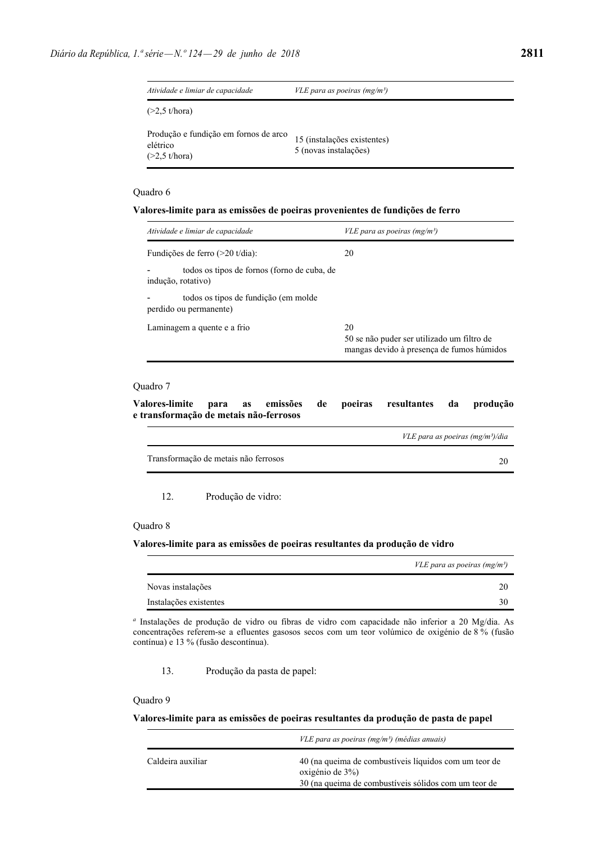| Atividade e limiar de capacidade                                                                                     | <i>VLE para as poeiras (mg/m<sup>3</sup>)</i>        |
|----------------------------------------------------------------------------------------------------------------------|------------------------------------------------------|
| (>2.5 t/hora)                                                                                                        |                                                      |
| Produção e fundição em fornos de arco<br>elétrico<br>$(\sim \cap \mathcal{L}$ $\perp$ / $\perp$ $\sim$ $\sim$ $\sim$ | 15 (instalações existentes)<br>5 (novas instalações) |

(>2,5 t/hora)

#### **Valores-limite para as emissões de poeiras provenientes de fundições de ferro**

| Atividade e limiar de capacidade                                  | <i>VLE para as poeiras (mg/m<sup>3</sup>)</i>                                                 |
|-------------------------------------------------------------------|-----------------------------------------------------------------------------------------------|
| Fundições de ferro $(>20 \text{ t/dia})$ :                        | 20                                                                                            |
| todos os tipos de fornos (forno de cuba, de<br>indução, rotativo) |                                                                                               |
| todos os tipos de fundição (em molde<br>perdido ou permanente)    |                                                                                               |
| Laminagem a quente e a frio                                       | 20<br>50 se não puder ser utilizado um filtro de<br>mangas devido à presença de fumos húmidos |

# Quadro 7

**Valores-limite para as emissões de poeiras resultantes da produção e transformação de metais não-ferrosos** 

|                                      | VLE para as poeiras $(mg/m3)/dia$ |
|--------------------------------------|-----------------------------------|
| Transformação de metais não ferrosos |                                   |
|                                      |                                   |

12. Produção de vidro:

#### Quadro 8

# **Valores-limite para as emissões de poeiras resultantes da produção de vidro**

|                        | <i>VLE para as poeiras (mg/m<sup>3</sup>)</i> |
|------------------------|-----------------------------------------------|
| Novas instalações      |                                               |
| Instalações existentes |                                               |

*<sup>a</sup>* Instalações de produção de vidro ou fibras de vidro com capacidade não inferior a 20 Mg/dia. As concentrações referem-se a efluentes gasosos secos com um teor volúmico de oxigénio de 8 % (fusão contínua) e 13 % (fusão descontínua).

13. Produção da pasta de papel:

## Quadro 9

# **Valores-limite para as emissões de poeiras resultantes da produção de pasta de papel**

|                   | VLE para as poeiras (mg/m <sup>3</sup> ) (médias anuais)                 |
|-------------------|--------------------------------------------------------------------------|
| Caldeira auxiliar | 40 (na queima de combustíveis líquidos com um teor de<br>oxigénio de 3%) |
|                   | 30 (na queima de combustíveis sólidos com um teor de                     |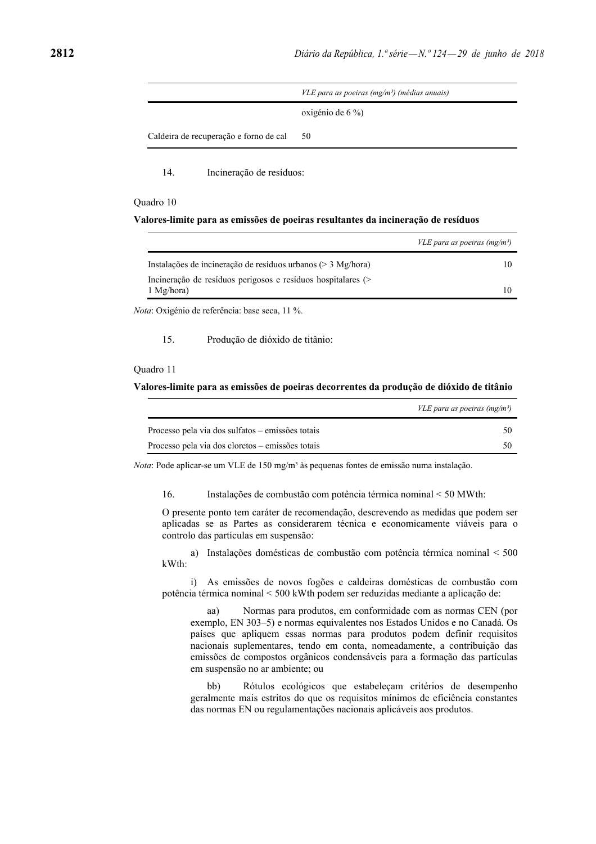|                                        | VLE para as poeiras (mg/m <sup>3</sup> ) (médias anuais) |  |
|----------------------------------------|----------------------------------------------------------|--|
|                                        | oxigénio de $6\%$                                        |  |
| Caldeira de recuperação e forno de cal | 50                                                       |  |

14. Incineração de resíduos:

#### Quadro 10

#### **Valores-limite para as emissões de poeiras resultantes da incineração de resíduos**

|                                                                 | <i>VLE para as poeiras (mg/m<sup>3</sup>)</i> |
|-----------------------------------------------------------------|-----------------------------------------------|
| Instalações de incineração de resíduos urbanos ( $>$ 3 Mg/hora) |                                               |
| Incineração de resíduos perigosos e resíduos hospitalares (>    |                                               |
| $1$ Mg/hora)                                                    |                                               |
|                                                                 |                                               |

*Nota*: Oxigénio de referência: base seca, 11 %.

15. Produção de dióxido de titânio:

#### Quadro 11

#### **Valores-limite para as emissões de poeiras decorrentes da produção de dióxido de titânio**

|                                                  | <i>VLE para as poeiras (mg/m<sup>3</sup>)</i> |
|--------------------------------------------------|-----------------------------------------------|
| Processo pela via dos sulfatos – emissões totais |                                               |
| Processo pela via dos cloretos – emissões totais |                                               |

*Nota*: Pode aplicar-se um VLE de 150 mg/m<sup>3</sup> às pequenas fontes de emissão numa instalação.

16. Instalações de combustão com potência térmica nominal < 50 MWth:

O presente ponto tem caráter de recomendação, descrevendo as medidas que podem ser aplicadas se as Partes as considerarem técnica e economicamente viáveis para o controlo das partículas em suspensão:

 a) Instalações domésticas de combustão com potência térmica nominal < 500 kWth:

 i) As emissões de novos fogões e caldeiras domésticas de combustão com potência térmica nominal < 500 kWth podem ser reduzidas mediante a aplicação de:

 aa) Normas para produtos, em conformidade com as normas CEN (por exemplo, EN 303–5) e normas equivalentes nos Estados Unidos e no Canadá. Os países que apliquem essas normas para produtos podem definir requisitos nacionais suplementares, tendo em conta, nomeadamente, a contribuição das emissões de compostos orgânicos condensáveis para a formação das partículas em suspensão no ar ambiente; ou

 bb) Rótulos ecológicos que estabeleçam critérios de desempenho geralmente mais estritos do que os requisitos mínimos de eficiência constantes das normas EN ou regulamentações nacionais aplicáveis aos produtos.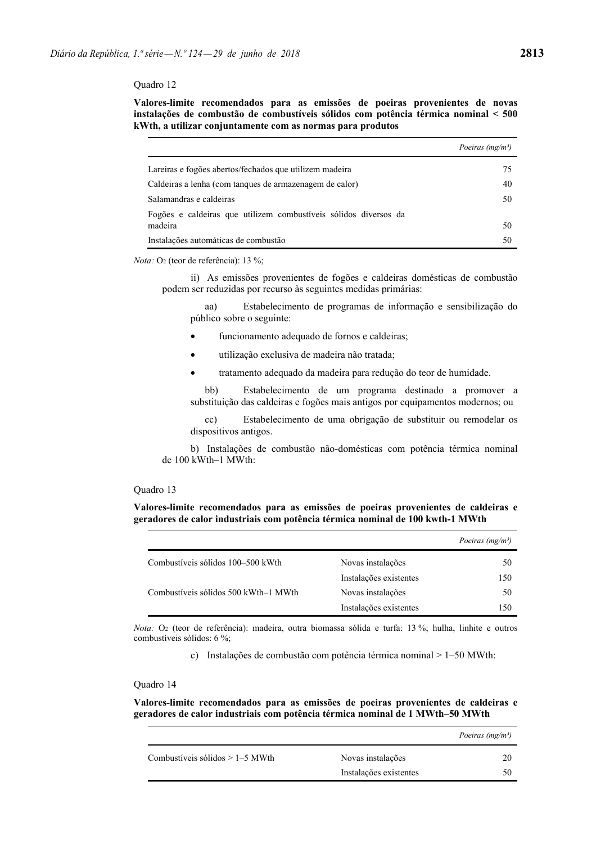**Valores-limite recomendados para as emissões de poeiras provenientes de novas instalações de combustão de combustíveis sólidos com potência térmica nominal < 500 kWth, a utilizar conjuntamente com as normas para produtos** 

|                                                                  | Poeiras (mg/m <sup>3</sup> ) |
|------------------------------------------------------------------|------------------------------|
| Lareiras e fogões abertos/fechados que utilizem madeira          | 75                           |
| Caldeiras a lenha (com tangues de armazenagem de calor)          | 40                           |
| Salamandras e caldeiras                                          | 50                           |
| Fogões e caldeiras que utilizem combustíveis sólidos diversos da |                              |
| madeira                                                          | 50                           |
| Instalações automáticas de combustão                             | 50                           |

*Nota:* O<sub>2</sub> (teor de referência): 13 %;

 ii) As emissões provenientes de fogões e caldeiras domésticas de combustão podem ser reduzidas por recurso às seguintes medidas primárias:

 aa) Estabelecimento de programas de informação e sensibilização do público sobre o seguinte:

- funcionamento adequado de fornos e caldeiras;
- utilização exclusiva de madeira não tratada;
- tratamento adequado da madeira para redução do teor de humidade.

 bb) Estabelecimento de um programa destinado a promover a substituição das caldeiras e fogões mais antigos por equipamentos modernos; ou

 cc) Estabelecimento de uma obrigação de substituir ou remodelar os dispositivos antigos.

 b) Instalações de combustão não-domésticas com potência térmica nominal de 100 kWth–1 MWth:

# Quadro 13

**Valores-limite recomendados para as emissões de poeiras provenientes de caldeiras e geradores de calor industriais com potência térmica nominal de 100 kwth-1 MWth** 

|                                      |                        | Poeiras (mg/m <sup>3</sup> ) |
|--------------------------------------|------------------------|------------------------------|
| Combustíveis sólidos 100–500 kWth    | Novas instalações      | 50                           |
|                                      | Instalações existentes | 150                          |
| Combustíveis sólidos 500 kWth–1 MWth | Novas instalações      | 50                           |
|                                      | Instalações existentes | 150                          |
|                                      |                        |                              |

*Nota:* O2 (teor de referência): madeira, outra biomassa sólida e turfa: 13 %; hulha, linhite e outros combustíveis sólidos: 6 %;

c) Instalações de combustão com potência térmica nominal > 1–50 MWth:

### Quadro 14

**Valores-limite recomendados para as emissões de poeiras provenientes de caldeiras e geradores de calor industriais com potência térmica nominal de 1 MWth–50 MWth** 

|                                   |                        | Poeiras (mg/m <sup>3</sup> ) |
|-----------------------------------|------------------------|------------------------------|
| Combustíveis sólidos $> 1-5$ MWth | Novas instalações      |                              |
|                                   | Instalações existentes |                              |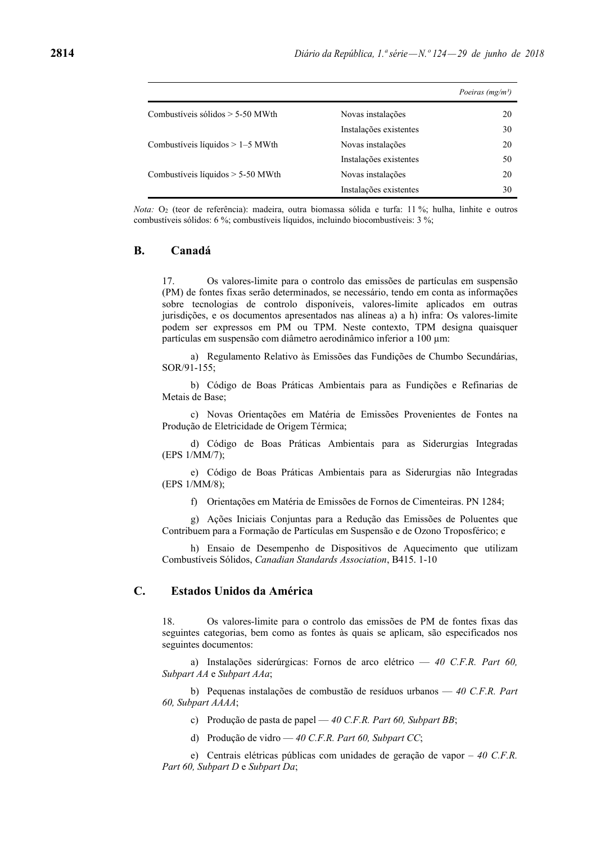|                                     |                        | Poeiras (mg/m <sup>3</sup> ) |
|-------------------------------------|------------------------|------------------------------|
| Combustíveis sólidos $> 5-50$ MWth  | Novas instalações      | 20                           |
|                                     | Instalações existentes | 30                           |
| Combustíveis líquidos $> 1-5$ MWth  | Novas instalações      | 20                           |
|                                     | Instalações existentes | 50                           |
| Combustíveis líquidos $> 5-50$ MWth | Novas instalações      | 20                           |
|                                     | Instalações existentes | 30                           |

*Nota:* O2 (teor de referência): madeira, outra biomassa sólida e turfa: 11 %; hulha, linhite e outros combustíveis sólidos: 6 %; combustíveis líquidos, incluindo biocombustíveis: 3 %;

# **B. Canadá**

17. Os valores-limite para o controlo das emissões de partículas em suspensão (PM) de fontes fixas serão determinados, se necessário, tendo em conta as informações sobre tecnologias de controlo disponíveis, valores-limite aplicados em outras jurisdições, e os documentos apresentados nas alíneas a) a h) infra: Os valores-limite podem ser expressos em PM ou TPM. Neste contexto, TPM designa quaisquer partículas em suspensão com diâmetro aerodinâmico inferior a 100 µm:

 a) Regulamento Relativo às Emissões das Fundições de Chumbo Secundárias, SOR/91-155;

 b) Código de Boas Práticas Ambientais para as Fundições e Refinarias de Metais de Base;

 c) Novas Orientações em Matéria de Emissões Provenientes de Fontes na Produção de Eletricidade de Origem Térmica;

 d) Código de Boas Práticas Ambientais para as Siderurgias Integradas (EPS 1/MM/7);

 e) Código de Boas Práticas Ambientais para as Siderurgias não Integradas (EPS 1/MM/8);

f) Orientações em Matéria de Emissões de Fornos de Cimenteiras. PN 1284;

 g) Ações Iniciais Conjuntas para a Redução das Emissões de Poluentes que Contribuem para a Formação de Partículas em Suspensão e de Ozono Troposférico; e

 h) Ensaio de Desempenho de Dispositivos de Aquecimento que utilizam Combustíveis Sólidos, *Canadian Standards Association*, B415. 1-10

# **C. Estados Unidos da América**

18. Os valores-limite para o controlo das emissões de PM de fontes fixas das seguintes categorias, bem como as fontes às quais se aplicam, são especificados nos seguintes documentos:

 a) Instalações siderúrgicas: Fornos de arco elétrico — *40 C.F.R. Part 60, Subpart AA* e *Subpart AAa*;

 b) Pequenas instalações de combustão de resíduos urbanos — *40 C.F.R. Part 60, Subpart AAAA*;

- c) Produção de pasta de papel *40 C.F.R. Part 60, Subpart BB*;
- d) Produção de vidro *40 C.F.R. Part 60, Subpart CC*;

 e) Centrais elétricas públicas com unidades de geração de vapor – *40 C.F.R. Part 60, Subpart D* e *Subpart Da*;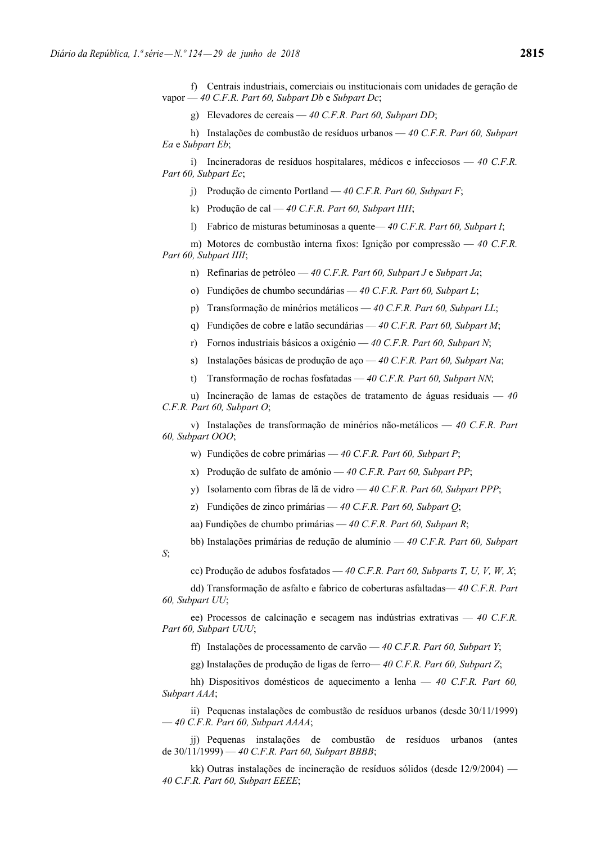f) Centrais industriais, comerciais ou institucionais com unidades de geração de vapor — *40 C.F.R. Part 60, Subpart Db* e *Subpart Dc*;

g) Elevadores de cereais — *40 C.F.R. Part 60, Subpart DD*;

 h) Instalações de combustão de resíduos urbanos — *40 C.F.R. Part 60, Subpart Ea* e *Subpart Eb*;

 i) Incineradoras de resíduos hospitalares, médicos e infecciosos — *40 C.F.R. Part 60, Subpart Ec*;

j) Produção de cimento Portland — *40 C.F.R. Part 60, Subpart F*;

k) Produção de cal — *40 C.F.R. Part 60, Subpart HH*;

l) Fabrico de misturas betuminosas a quente— *40 C.F.R. Part 60, Subpart I*;

 m) Motores de combustão interna fixos: Ignição por compressão — *40 C.F.R. Part 60, Subpart IIII*;

n) Refinarias de petróleo — *40 C.F.R. Part 60, Subpart J* e *Subpart Ja*;

o) Fundições de chumbo secundárias — *40 C.F.R. Part 60, Subpart L*;

p) Transformação de minérios metálicos — *40 C.F.R. Part 60, Subpart LL*;

q) Fundições de cobre e latão secundárias — *40 C.F.R. Part 60, Subpart M*;

r) Fornos industriais básicos a oxigénio — *40 C.F.R. Part 60, Subpart N*;

s) Instalações básicas de produção de aço — *40 C.F.R. Part 60, Subpart Na*;

t) Transformação de rochas fosfatadas — *40 C.F.R. Part 60, Subpart NN*;

 u) Incineração de lamas de estações de tratamento de águas residuais — *40 C.F.R. Part 60, Subpart O*;

 v) Instalações de transformação de minérios não-metálicos — *40 C.F.R. Part 60, Subpart OOO*;

w) Fundições de cobre primárias — *40 C.F.R. Part 60, Subpart P*;

x) Produção de sulfato de amónio — *40 C.F.R. Part 60, Subpart PP*;

y) Isolamento com fibras de lã de vidro — *40 C.F.R. Part 60, Subpart PPP*;

z) Fundições de zinco primárias — *40 C.F.R. Part 60, Subpart Q*;

aa) Fundições de chumbo primárias — *40 C.F.R. Part 60, Subpart R*;

bb) Instalações primárias de redução de alumínio — *40 C.F.R. Part 60, Subpart* 

*S*;

cc) Produção de adubos fosfatados — *40 C.F.R. Part 60, Subparts T, U, V, W, X*;

 dd) Transformação de asfalto e fabrico de coberturas asfaltadas— *40 C.F.R. Part 60, Subpart UU*;

 ee) Processos de calcinação e secagem nas indústrias extrativas — *40 C.F.R. Part 60, Subpart UUU*;

ff) Instalações de processamento de carvão — *40 C.F.R. Part 60, Subpart Y*;

gg) Instalações de produção de ligas de ferro— *40 C.F.R. Part 60, Subpart Z*;

 hh) Dispositivos domésticos de aquecimento a lenha — *40 C.F.R. Part 60, Subpart AAA*;

 ii) Pequenas instalações de combustão de resíduos urbanos (desde 30/11/1999) — *40 C.F.R. Part 60, Subpart AAAA*;

 jj) Pequenas instalações de combustão de resíduos urbanos (antes de 30/11/1999) — *40 C.F.R. Part 60, Subpart BBBB*;

 kk) Outras instalações de incineração de resíduos sólidos (desde 12/9/2004) — *40 C.F.R. Part 60, Subpart EEEE*;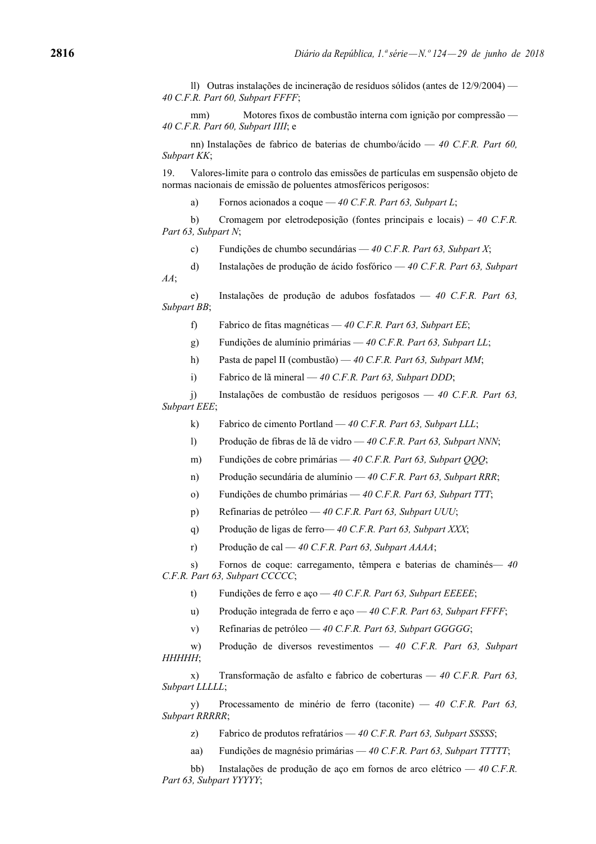ll) Outras instalações de incineração de resíduos sólidos (antes de 12/9/2004) — *40 C.F.R. Part 60, Subpart FFFF*;

 mm) Motores fixos de combustão interna com ignição por compressão — *40 C.F.R. Part 60, Subpart IIII*; e

 nn) Instalações de fabrico de baterias de chumbo/ácido — *40 C.F.R. Part 60, Subpart KK*;

19. Valores-limite para o controlo das emissões de partículas em suspensão objeto de normas nacionais de emissão de poluentes atmosféricos perigosos:

a) Fornos acionados a coque — *40 C.F.R. Part 63, Subpart L*;

 b) Cromagem por eletrodeposição (fontes principais e locais) – *40 C.F.R. Part 63, Subpart N*;

c) Fundições de chumbo secundárias — *40 C.F.R. Part 63, Subpart X*;

 d) Instalações de produção de ácido fosfórico — *40 C.F.R. Part 63, Subpart AA*;

 e) Instalações de produção de adubos fosfatados — *40 C.F.R. Part 63, Subpart BB*;

f) Fabrico de fitas magnéticas — *40 C.F.R. Part 63, Subpart EE*;

g) Fundições de alumínio primárias — *40 C.F.R. Part 63, Subpart LL*;

h) Pasta de papel II (combustão) — *40 C.F.R. Part 63, Subpart MM*;

i) Fabrico de lã mineral — *40 C.F.R. Part 63, Subpart DDD*;

 j) Instalações de combustão de resíduos perigosos — *40 C.F.R. Part 63, Subpart EEE*;

k) Fabrico de cimento Portland — *40 C.F.R. Part 63, Subpart LLL*;

l) Produção de fibras de lã de vidro — *40 C.F.R. Part 63, Subpart NNN*;

m) Fundições de cobre primárias — *40 C.F.R. Part 63, Subpart QQQ*;

n) Produção secundária de alumínio — *40 C.F.R. Part 63, Subpart RRR*;

o) Fundições de chumbo primárias — *40 C.F.R. Part 63, Subpart TTT*;

p) Refinarias de petróleo — *40 C.F.R. Part 63, Subpart UUU*;

q) Produção de ligas de ferro— *40 C.F.R. Part 63, Subpart XXX*;

r) Produção de cal — *40 C.F.R. Part 63, Subpart AAAA*;

 s) Fornos de coque: carregamento, têmpera e baterias de chaminés— *40 C.F.R. Part 63, Subpart CCCCC*;

t) Fundições de ferro e aço — *40 C.F.R. Part 63, Subpart EEEEE*;

u) Produção integrada de ferro e aço — *40 C.F.R. Part 63, Subpart FFFF*;

v) Refinarias de petróleo — *40 C.F.R. Part 63, Subpart GGGGG*;

 w) Produção de diversos revestimentos — *40 C.F.R. Part 63, Subpart HHHHH*;

 x) Transformação de asfalto e fabrico de coberturas — *40 C.F.R. Part 63, Subpart LLLLL*;

 y) Processamento de minério de ferro (taconite) — *40 C.F.R. Part 63, Subpart RRRRR*;

z) Fabrico de produtos refratários — *40 C.F.R. Part 63, Subpart SSSSS*;

aa) Fundições de magnésio primárias — *40 C.F.R. Part 63, Subpart TTTTT*;

 bb) Instalações de produção de aço em fornos de arco elétrico — *40 C.F.R. Part 63, Subpart YYYYY*;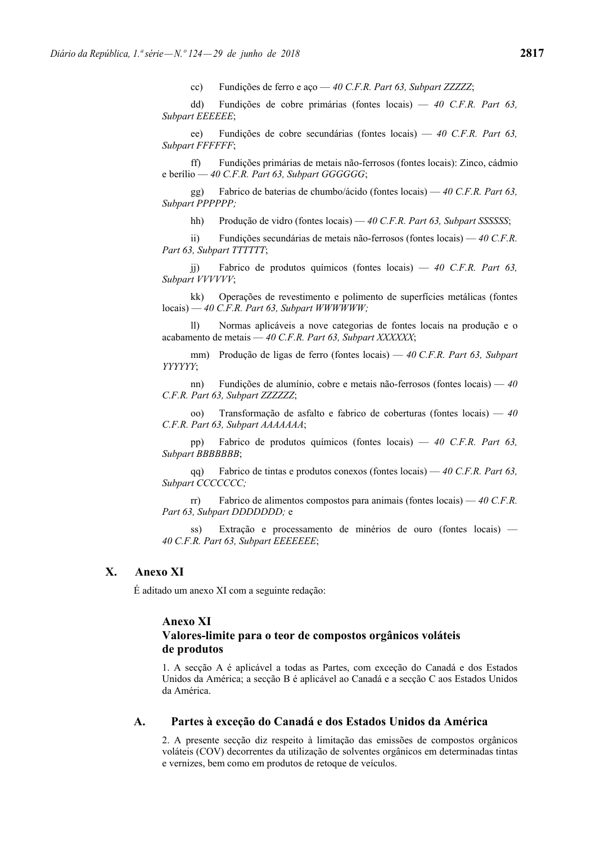cc) Fundições de ferro e aço — *40 C.F.R. Part 63, Subpart ZZZZZ*;

 dd) Fundições de cobre primárias (fontes locais) — *40 C.F.R. Part 63, Subpart EEEEEE*;

 ee) Fundições de cobre secundárias (fontes locais) — *40 C.F.R. Part 63, Subpart FFFFFF*;

 ff) Fundições primárias de metais não-ferrosos (fontes locais): Zinco, cádmio e berílio — *40 C.F.R. Part 63, Subpart GGGGGG*;

 gg) Fabrico de baterias de chumbo/ácido (fontes locais) — *40 C.F.R. Part 63, Subpart PPPPPP;*

hh) Produção de vidro (fontes locais) — *40 C.F.R. Part 63, Subpart SSSSSS*;

 ii) Fundições secundárias de metais não-ferrosos (fontes locais) — *40 C.F.R. Part 63, Subpart TTTTTT*;

 jj) Fabrico de produtos químicos (fontes locais) — *40 C.F.R. Part 63, Subpart VVVVVV*;

 kk) Operações de revestimento e polimento de superfícies metálicas (fontes locais) — *40 C.F.R. Part 63, Subpart WWWWWW;*

 ll) Normas aplicáveis a nove categorias de fontes locais na produção e o acabamento de metais — *40 C.F.R. Part 63, Subpart XXXXXX*;

 mm) Produção de ligas de ferro (fontes locais) — *40 C.F.R. Part 63, Subpart YYYYYY*;

 nn) Fundições de alumínio, cobre e metais não-ferrosos (fontes locais) — *40 C.F.R. Part 63, Subpart ZZZZZZ*;

 oo) Transformação de asfalto e fabrico de coberturas (fontes locais) — *40 C.F.R. Part 63, Subpart AAAAAAA*;

 pp) Fabrico de produtos químicos (fontes locais) — *40 C.F.R. Part 63, Subpart BBBBBBB*;

 qq) Fabrico de tintas e produtos conexos (fontes locais) — *40 C.F.R. Part 63, Subpart CCCCCCC;*

 rr) Fabrico de alimentos compostos para animais (fontes locais) — *40 C.F.R. Part 63, Subpart DDDDDDD;* e

 ss) Extração e processamento de minérios de ouro (fontes locais) — *40 C.F.R. Part 63, Subpart EEEEEEE*;

# **X. Anexo XI**

É aditado um anexo XI com a seguinte redação:

### **Anexo XI**

# **Valores-limite para o teor de compostos orgânicos voláteis de produtos**

1. A secção A é aplicável a todas as Partes, com exceção do Canadá e dos Estados Unidos da América; a secção B é aplicável ao Canadá e a secção C aos Estados Unidos da América.

# **A. Partes à exceção do Canadá e dos Estados Unidos da América**

2. A presente secção diz respeito à limitação das emissões de compostos orgânicos voláteis (COV) decorrentes da utilização de solventes orgânicos em determinadas tintas e vernizes, bem como em produtos de retoque de veículos.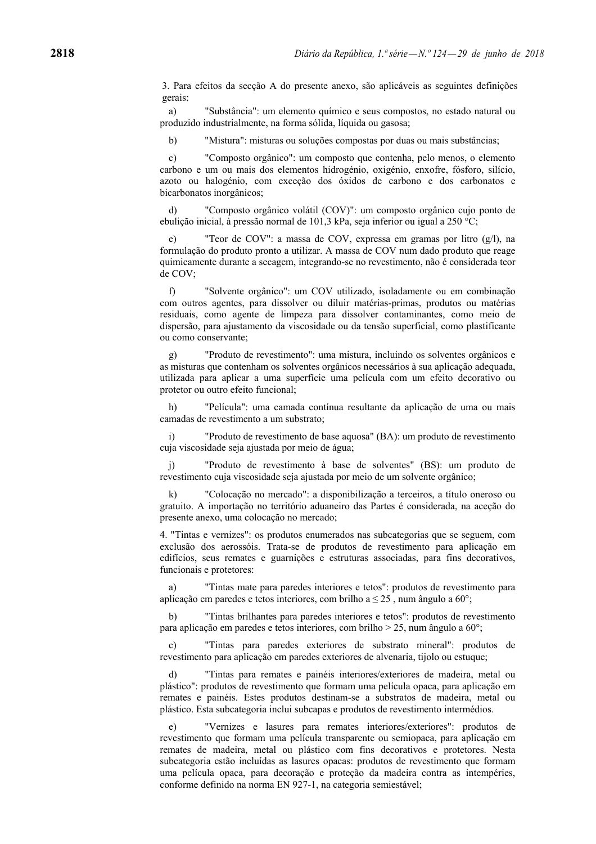3. Para efeitos da secção A do presente anexo, são aplicáveis as seguintes definições gerais:

 a) "Substância": um elemento químico e seus compostos, no estado natural ou produzido industrialmente, na forma sólida, líquida ou gasosa;

b) "Mistura": misturas ou soluções compostas por duas ou mais substâncias;

 c) "Composto orgânico": um composto que contenha, pelo menos, o elemento carbono e um ou mais dos elementos hidrogénio, oxigénio, enxofre, fósforo, silício, azoto ou halogénio, com exceção dos óxidos de carbono e dos carbonatos e bicarbonatos inorgânicos;

 d) "Composto orgânico volátil (COV)": um composto orgânico cujo ponto de ebulição inicial, à pressão normal de 101,3 kPa, seja inferior ou igual a 250 °C;

 e) "Teor de COV": a massa de COV, expressa em gramas por litro (g/l), na formulação do produto pronto a utilizar. A massa de COV num dado produto que reage quimicamente durante a secagem, integrando-se no revestimento, não é considerada teor de COV;

 f) "Solvente orgânico": um COV utilizado, isoladamente ou em combinação com outros agentes, para dissolver ou diluir matérias-primas, produtos ou matérias residuais, como agente de limpeza para dissolver contaminantes, como meio de dispersão, para ajustamento da viscosidade ou da tensão superficial, como plastificante ou como conservante;

 g) "Produto de revestimento": uma mistura, incluindo os solventes orgânicos e as misturas que contenham os solventes orgânicos necessários à sua aplicação adequada, utilizada para aplicar a uma superfície uma película com um efeito decorativo ou protetor ou outro efeito funcional;

 h) "Película": uma camada contínua resultante da aplicação de uma ou mais camadas de revestimento a um substrato;

 i) "Produto de revestimento de base aquosa" (BA): um produto de revestimento cuja viscosidade seja ajustada por meio de água;

 j) "Produto de revestimento à base de solventes" (BS): um produto de revestimento cuja viscosidade seja ajustada por meio de um solvente orgânico;

 k) "Colocação no mercado": a disponibilização a terceiros, a título oneroso ou gratuito. A importação no território aduaneiro das Partes é considerada, na aceção do presente anexo, uma colocação no mercado;

4. "Tintas e vernizes": os produtos enumerados nas subcategorias que se seguem, com exclusão dos aerossóis. Trata-se de produtos de revestimento para aplicação em edifícios, seus remates e guarnições e estruturas associadas, para fins decorativos, funcionais e protetores:

 a) "Tintas mate para paredes interiores e tetos": produtos de revestimento para aplicação em paredes e tetos interiores, com brilho a  $\leq 25$ , num ângulo a 60°;

 b) "Tintas brilhantes para paredes interiores e tetos": produtos de revestimento para aplicação em paredes e tetos interiores, com brilho > 25, num ângulo a 60°;

 c) "Tintas para paredes exteriores de substrato mineral": produtos de revestimento para aplicação em paredes exteriores de alvenaria, tijolo ou estuque;

 d) "Tintas para remates e painéis interiores/exteriores de madeira, metal ou plástico": produtos de revestimento que formam uma película opaca, para aplicação em remates e painéis. Estes produtos destinam-se a substratos de madeira, metal ou plástico. Esta subcategoria inclui subcapas e produtos de revestimento intermédios.

 e) "Vernizes e lasures para remates interiores/exteriores": produtos de revestimento que formam uma película transparente ou semiopaca, para aplicação em remates de madeira, metal ou plástico com fins decorativos e protetores. Nesta subcategoria estão incluídas as lasures opacas: produtos de revestimento que formam uma película opaca, para decoração e proteção da madeira contra as intempéries, conforme definido na norma EN 927-1, na categoria semiestável;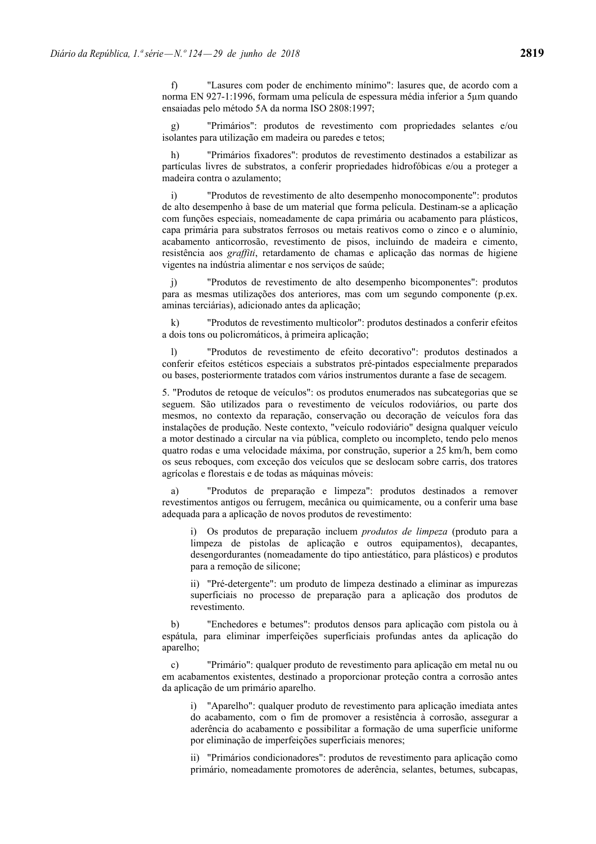f) "Lasures com poder de enchimento mínimo": lasures que, de acordo com a norma EN 927-1:1996, formam uma película de espessura média inferior a 5µm quando ensaiadas pelo método 5A da norma ISO 2808:1997;

 g) "Primários": produtos de revestimento com propriedades selantes e/ou isolantes para utilização em madeira ou paredes e tetos;

 h) "Primários fixadores": produtos de revestimento destinados a estabilizar as partículas livres de substratos, a conferir propriedades hidrofóbicas e/ou a proteger a madeira contra o azulamento;

 i) "Produtos de revestimento de alto desempenho monocomponente": produtos de alto desempenho à base de um material que forma película. Destinam-se a aplicação com funções especiais, nomeadamente de capa primária ou acabamento para plásticos, capa primária para substratos ferrosos ou metais reativos como o zinco e o alumínio, acabamento anticorrosão, revestimento de pisos, incluindo de madeira e cimento, resistência aos *graffiti*, retardamento de chamas e aplicação das normas de higiene vigentes na indústria alimentar e nos serviços de saúde;

 j) "Produtos de revestimento de alto desempenho bicomponentes": produtos para as mesmas utilizações dos anteriores, mas com um segundo componente (p.ex. aminas terciárias), adicionado antes da aplicação;

 k) "Produtos de revestimento multicolor": produtos destinados a conferir efeitos a dois tons ou policromáticos, à primeira aplicação;

 l) "Produtos de revestimento de efeito decorativo": produtos destinados a conferir efeitos estéticos especiais a substratos pré-pintados especialmente preparados ou bases, posteriormente tratados com vários instrumentos durante a fase de secagem.

5. "Produtos de retoque de veículos": os produtos enumerados nas subcategorias que se seguem. São utilizados para o revestimento de veículos rodoviários, ou parte dos mesmos, no contexto da reparação, conservação ou decoração de veículos fora das instalações de produção. Neste contexto, "veículo rodoviário" designa qualquer veículo a motor destinado a circular na via pública, completo ou incompleto, tendo pelo menos quatro rodas e uma velocidade máxima, por construção, superior a 25 km/h, bem como os seus reboques, com exceção dos veículos que se deslocam sobre carris, dos tratores agrícolas e florestais e de todas as máquinas móveis:

 a) "Produtos de preparação e limpeza": produtos destinados a remover revestimentos antigos ou ferrugem, mecânica ou quimicamente, ou a conferir uma base adequada para a aplicação de novos produtos de revestimento:

i) Os produtos de preparação incluem *produtos de limpeza* (produto para a limpeza de pistolas de aplicação e outros equipamentos), decapantes, desengordurantes (nomeadamente do tipo antiestático, para plásticos) e produtos para a remoção de silicone;

ii) "Pré-detergente": um produto de limpeza destinado a eliminar as impurezas superficiais no processo de preparação para a aplicação dos produtos de revestimento.

 b) "Enchedores e betumes": produtos densos para aplicação com pistola ou à espátula, para eliminar imperfeições superficiais profundas antes da aplicação do aparelho;

 c) "Primário": qualquer produto de revestimento para aplicação em metal nu ou em acabamentos existentes, destinado a proporcionar proteção contra a corrosão antes da aplicação de um primário aparelho.

i) "Aparelho": qualquer produto de revestimento para aplicação imediata antes do acabamento, com o fim de promover a resistência à corrosão, assegurar a aderência do acabamento e possibilitar a formação de uma superfície uniforme por eliminação de imperfeições superficiais menores;

ii) "Primários condicionadores": produtos de revestimento para aplicação como primário, nomeadamente promotores de aderência, selantes, betumes, subcapas,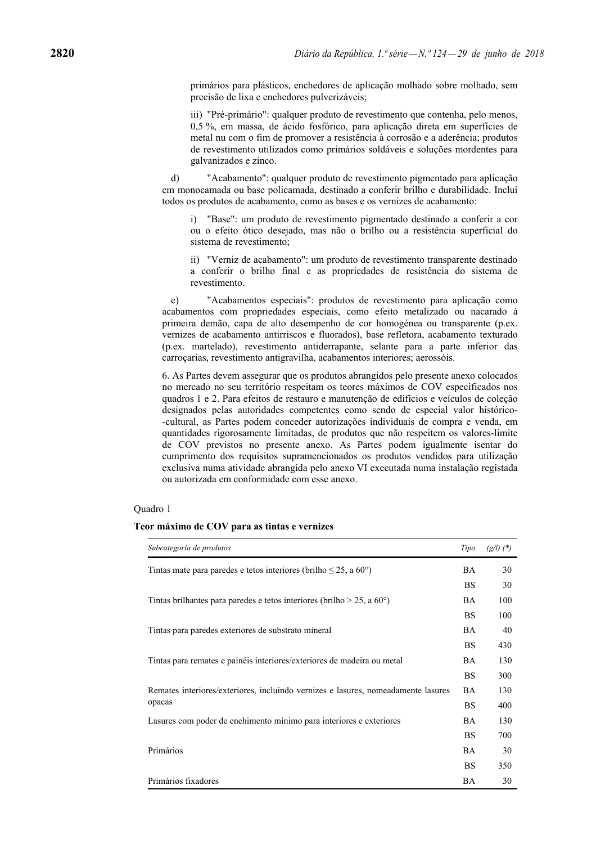primários para plásticos, enchedores de aplicação molhado sobre molhado, sem precisão de lixa e enchedores pulverizáveis;

iii) "Pré-primário": qualquer produto de revestimento que contenha, pelo menos, 0,5 %, em massa, de ácido fosfórico, para aplicação direta em superfícies de metal nu com o fim de promover a resistência à corrosão e a aderência; produtos de revestimento utilizados como primários soldáveis e soluções mordentes para galvanizados e zinco.

 d) "Acabamento": qualquer produto de revestimento pigmentado para aplicação em monocamada ou base policamada, destinado a conferir brilho e durabilidade. Inclui todos os produtos de acabamento, como as bases e os vernizes de acabamento:

i) "Base": um produto de revestimento pigmentado destinado a conferir a cor ou o efeito ótico desejado, mas não o brilho ou a resistência superficial do sistema de revestimento;

ii) "Verniz de acabamento": um produto de revestimento transparente destinado a conferir o brilho final e as propriedades de resistência do sistema de revestimento.

 e) "Acabamentos especiais": produtos de revestimento para aplicação como acabamentos com propriedades especiais, como efeito metalizado ou nacarado à primeira demão, capa de alto desempenho de cor homogénea ou transparente (p.ex. vernizes de acabamento antirriscos e fluorados), base refletora, acabamento texturado (p.ex. martelado), revestimento antiderrapante, selante para a parte inferior das carroçarias, revestimento antigravilha, acabamentos interiores; aerossóis.

6. As Partes devem assegurar que os produtos abrangidos pelo presente anexo colocados no mercado no seu território respeitam os teores máximos de COV especificados nos quadros 1 e 2. Para efeitos de restauro e manutenção de edifícios e veículos de coleção designados pelas autoridades competentes como sendo de especial valor histórico- -cultural, as Partes podem conceder autorizações individuais de compra e venda, em quantidades rigorosamente limitadas, de produtos que não respeitem os valores-limite de COV previstos no presente anexo. As Partes podem igualmente isentar do cumprimento dos requisitos supramencionados os produtos vendidos para utilização exclusiva numa atividade abrangida pelo anexo VI executada numa instalação registada ou autorizada em conformidade com esse anexo.

#### Quadro 1

# **Teor máximo de COV para as tintas e vernizes**

| Subcategoria de produtos                                                          | Tipo      | $(g/l)(*)$ |
|-----------------------------------------------------------------------------------|-----------|------------|
| Tintas mate para paredes e tetos interiores (brilho $\leq 25$ , a 60°)            |           | 30         |
|                                                                                   | <b>BS</b> | 30         |
| Tintas brilhantes para paredes e tetos interiores (brilho $> 25$ , a 60°)         | <b>BA</b> | 100        |
|                                                                                   | <b>BS</b> | 100        |
| Tintas para paredes exteriores de substrato mineral                               | BA        | 40         |
|                                                                                   | <b>BS</b> | 430        |
| Tintas para remates e painéis interiores/exteriores de madeira ou metal           | <b>BA</b> | 130        |
|                                                                                   | <b>BS</b> | 300        |
| Remates interiores/exteriores, incluindo vernizes e lasures, nomeadamente lasures | <b>BA</b> | 130        |
| opacas                                                                            | <b>BS</b> | 400        |
| Lasures com poder de enchimento mínimo para interiores e exteriores               | BA        | 130        |
|                                                                                   | <b>BS</b> | 700        |
| Primários                                                                         | <b>BA</b> | 30         |
|                                                                                   | <b>BS</b> | 350        |
| Primários fixadores                                                               | BA        | 30         |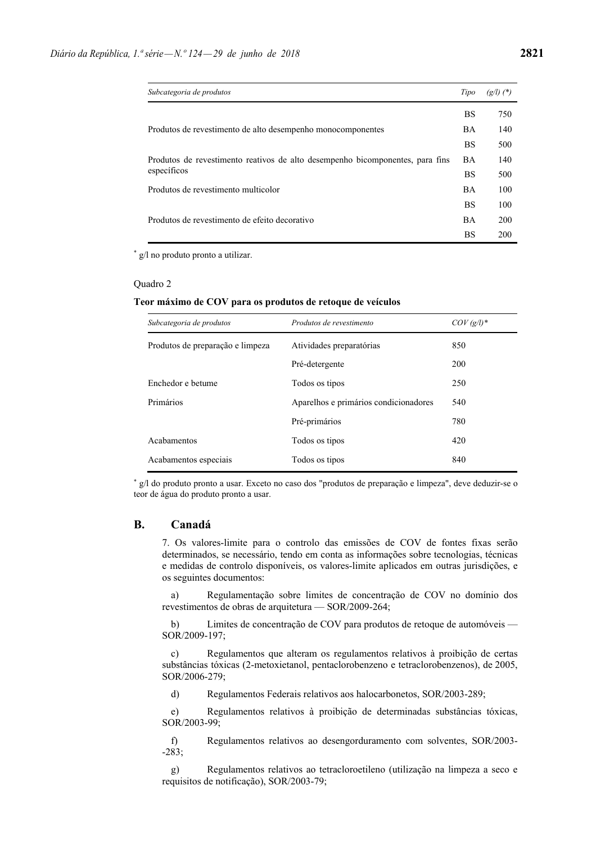| Subcategoria de produtos                                                      | Tipo      | $(g/l)$ $(*)$ |
|-------------------------------------------------------------------------------|-----------|---------------|
|                                                                               | <b>BS</b> | 750           |
| Produtos de revestimento de alto desempenho monocomponentes                   | <b>BA</b> | 140           |
|                                                                               | <b>BS</b> | 500           |
| Produtos de revestimento reativos de alto desempenho bicomponentes, para fins | BA.       | 140           |
| específicos                                                                   | <b>BS</b> | 500           |
| Produtos de revestimento multicolor                                           | <b>BA</b> | 100           |
| Produtos de revestimento de efeito decorativo                                 | <b>BS</b> | 100           |
|                                                                               | <b>BA</b> | 200           |
|                                                                               | BS        | 200           |

\* g/l no produto pronto a utilizar.

#### Quadro 2

#### **Teor máximo de COV para os produtos de retoque de veículos**

| Subcategoria de produtos         | Produtos de revestimento              | $COV (g/l)^*$ |
|----------------------------------|---------------------------------------|---------------|
| Produtos de preparação e limpeza | Atividades preparatórias              | 850           |
|                                  | Pré-detergente                        | 200           |
| Enchedor e betume                | Todos os tipos                        | 250           |
| Primários                        | Aparelhos e primários condicionadores | 540           |
|                                  | Pré-primários                         | 780           |
| Acabamentos                      | Todos os tipos                        | 420           |
| Acabamentos especiais            | Todos os tipos                        | 840           |

\* g/l do produto pronto a usar. Exceto no caso dos "produtos de preparação e limpeza", deve deduzir-se o teor de água do produto pronto a usar.

# **B. Canadá**

7. Os valores-limite para o controlo das emissões de COV de fontes fixas serão determinados, se necessário, tendo em conta as informações sobre tecnologias, técnicas e medidas de controlo disponíveis, os valores-limite aplicados em outras jurisdições, e os seguintes documentos:

 a) Regulamentação sobre limites de concentração de COV no domínio dos revestimentos de obras de arquitetura — SOR/2009-264;

 b) Limites de concentração de COV para produtos de retoque de automóveis — SOR/2009-197;

 c) Regulamentos que alteram os regulamentos relativos à proibição de certas substâncias tóxicas (2-metoxietanol, pentaclorobenzeno e tetraclorobenzenos), de 2005, SOR/2006-279;

d) Regulamentos Federais relativos aos halocarbonetos, SOR/2003-289;

 e) Regulamentos relativos à proibição de determinadas substâncias tóxicas, SOR/2003-99;

 f) Regulamentos relativos ao desengorduramento com solventes, SOR/2003- -283;

 g) Regulamentos relativos ao tetracloroetileno (utilização na limpeza a seco e requisitos de notificação), SOR/2003-79;